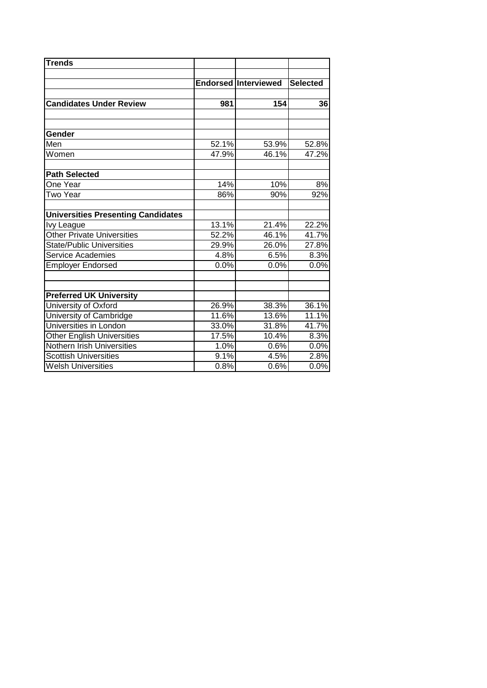| <b>Trends</b>                             |       |                      |                 |
|-------------------------------------------|-------|----------------------|-----------------|
|                                           |       | Endorsed Interviewed | <b>Selected</b> |
|                                           |       |                      |                 |
| <b>Candidates Under Review</b>            | 981   | 154                  | 36              |
|                                           |       |                      |                 |
| Gender                                    |       |                      |                 |
| Men                                       | 52.1% | 53.9%                | 52.8%           |
| Women                                     | 47.9% | 46.1%                | 47.2%           |
| <b>Path Selected</b>                      |       |                      |                 |
| One Year                                  | 14%   | 10%                  | 8%              |
| Two Year                                  | 86%   | 90%                  | 92%             |
| <b>Universities Presenting Candidates</b> |       |                      |                 |
| Ivy League                                | 13.1% | 21.4%                | 22.2%           |
| <b>Other Private Universities</b>         | 52.2% | 46.1%                | 41.7%           |
| <b>State/Public Universities</b>          | 29.9% | 26.0%                | 27.8%           |
| Service Academies                         | 4.8%  | 6.5%                 | 8.3%            |
| <b>Employer Endorsed</b>                  | 0.0%  | 0.0%                 | 0.0%            |
|                                           |       |                      |                 |
| <b>Preferred UK University</b>            |       |                      |                 |
| University of Oxford                      | 26.9% | 38.3%                | 36.1%           |
| University of Cambridge                   | 11.6% | 13.6%                | 11.1%           |
| Universities in London                    | 33.0% | 31.8%                | 41.7%           |
| <b>Other English Universities</b>         | 17.5% | 10.4%                | 8.3%            |
| Nothern Irish Universities                | 1.0%  | 0.6%                 | 0.0%            |
| <b>Scottish Universities</b>              | 9.1%  | 4.5%                 | 2.8%            |
| <b>Welsh Universities</b>                 | 0.8%  | 0.6%                 | 0.0%            |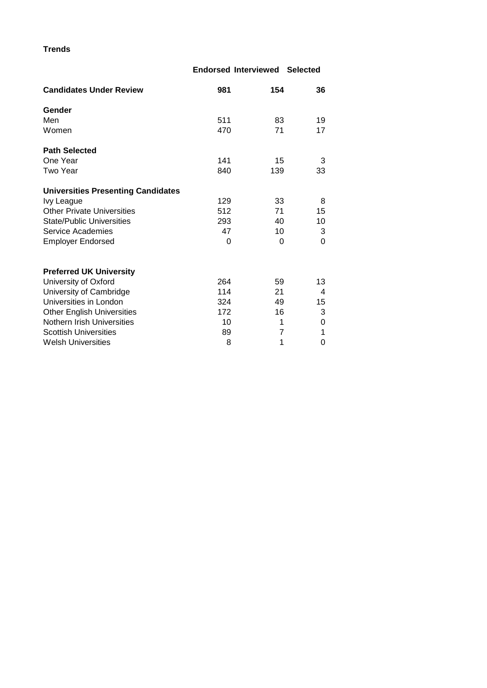**Trends**

|                                           |     | <b>Endorsed Interviewed</b> | <b>Selected</b> |  |
|-------------------------------------------|-----|-----------------------------|-----------------|--|
| <b>Candidates Under Review</b>            | 981 | 154                         | 36              |  |
| Gender                                    |     |                             |                 |  |
| Men                                       | 511 | 83                          | 19              |  |
| Women                                     | 470 | 71                          | 17              |  |
| <b>Path Selected</b>                      |     |                             |                 |  |
| One Year                                  | 141 | 15                          | 3               |  |
| Two Year                                  | 840 | 139                         | 33              |  |
| <b>Universities Presenting Candidates</b> |     |                             |                 |  |
| <b>Ivy League</b>                         | 129 | 33                          | 8               |  |
| <b>Other Private Universities</b>         | 512 | 71                          | 15              |  |
| <b>State/Public Universities</b>          | 293 | 40                          | 10              |  |
| Service Academies                         | 47  | 10                          | 3               |  |
| <b>Employer Endorsed</b>                  | 0   | 0                           | $\Omega$        |  |
| <b>Preferred UK University</b>            |     |                             |                 |  |
| University of Oxford                      | 264 | 59                          | 13              |  |
| University of Cambridge                   | 114 | 21                          | 4               |  |
| Universities in London                    | 324 | 49                          | 15              |  |
| <b>Other English Universities</b>         | 172 | 16                          | 3               |  |
| Nothern Irish Universities                | 10  | 1                           | 0               |  |
| <b>Scottish Universities</b>              | 89  | 7                           | 1               |  |
| <b>Welsh Universities</b>                 | 8   | 1                           | 0               |  |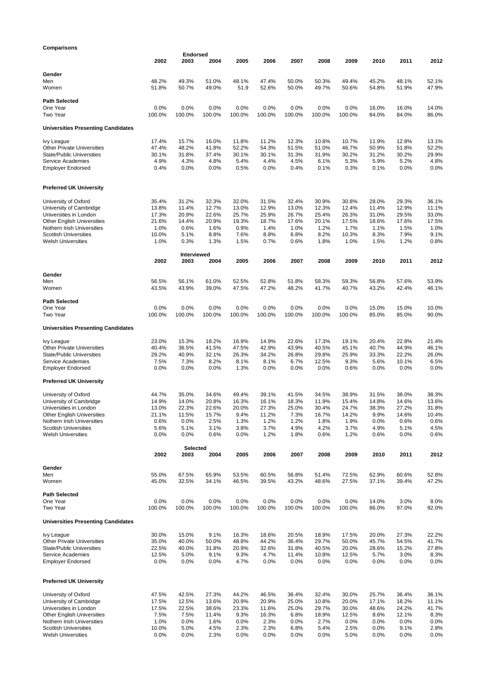## **Comparisons**

|                                                                       |                | <b>Endorsed</b> |                |                |                |                |                |                |                |                |                |
|-----------------------------------------------------------------------|----------------|-----------------|----------------|----------------|----------------|----------------|----------------|----------------|----------------|----------------|----------------|
|                                                                       | 2002           | 2003            | 2004           | 2005           | 2006           | 2007           | 2008           | 2009           | 2010           | 2011           | 2012           |
| Gender                                                                |                |                 |                |                |                |                |                |                |                |                |                |
| Men                                                                   | 48.2%          | 49.3%           | 51.0%          | 48.1%          | 47.4%          | 50.0%          | 50.3%          | 49.4%          | 45.2%          | 48.1%          | 52.1%          |
| Women                                                                 | 51.8%          | 50.7%           | 49.0%          | 51.9           | 52.6%          | 50.0%          | 49.7%          | 50.6%          | 54.8%          | 51.9%          | 47.9%          |
|                                                                       |                |                 |                |                |                |                |                |                |                |                |                |
| <b>Path Selected</b>                                                  |                |                 |                |                |                |                |                |                |                |                |                |
| One Year                                                              | 0.0%           | 0.0%            | 0.0%           | 0.0%           | 0.0%           | 0.0%           | 0.0%           | $0.0\%$        | 16.0%          | 16.0%          | 14.0%          |
| Two Year                                                              | 100.0%         | 100.0%          | 100.0%         | 100.0%         | 100.0%         | 100.0%         | 100.0%         | 100.0%         | 84.0%          | 84.0%          | 86.0%          |
| <b>Universities Presenting Candidates</b>                             |                |                 |                |                |                |                |                |                |                |                |                |
|                                                                       |                |                 |                |                |                |                |                |                |                |                |                |
| Ivy League                                                            | 17.4%          | 15.7%           | 16.0%          | 11.8%          | 11.2%          | 12.3%          | 10.8%          | 10.7%          | 11.9%          | 12.8%          | 13.1%          |
| <b>Other Private Universities</b>                                     | 47.4%          | 48.2%           | 41.8%          | 52.2%          | 54.3%          | 51.5%          | 51.0%          | 46.7%          | 50.9%          | 51.8%          | 52.2%          |
| <b>State/Public Universities</b><br>Service Academies                 | 30.1%<br>4.9%  | 31.8%<br>4.3%   | 37.4%<br>4.8%  | 30.1%          | 30.1%<br>4.4%  | 31.3%<br>4.5%  | 31.9%<br>6.1%  | 30.2%          | 31.2%<br>5.9%  | 30.2%<br>5.2%  | 29.9%<br>4.8%  |
| <b>Employer Endorsed</b>                                              | 0.4%           | 0.0%            | 0.0%           | 5.4%<br>0.5%   | 0.0%           | 0.4%           | 0.1%           | 5.3%<br>0.3%   | 0.1%           | 0.0%           | 0.0%           |
|                                                                       |                |                 |                |                |                |                |                |                |                |                |                |
|                                                                       |                |                 |                |                |                |                |                |                |                |                |                |
| <b>Preferred UK University</b>                                        |                |                 |                |                |                |                |                |                |                |                |                |
| University of Oxford                                                  | 35.4%          | 31.2%           | 32.3%          | 32.0%          | 31.5%          | 32.4%          | 30.9%          | 30.8%          | 28.0%          | 29.3%          | 36.1%          |
| University of Cambridge                                               | 13.8%          | 11.4%           | 12.7%          | 13.0%          | 12.9%          | 13.0%          | 12.3%          | 12.4%          | 11.4%          | 12.9%          | 11.1%          |
| Universities in London                                                | 17.3%          | 20.9%           | 22.6%          | 25.7%          | 25.9%          | 26.7%          | 25.4%          | 26.3%          | 31.0%          | 29.5%          | 33.0%          |
| <b>Other English Universities</b>                                     | 21.6%          | 14.4%           | 20.9%          | 19.3%          | 18.7%          | 17.6%          | 20.1%          | 17.5%          | 18.6%          | 17.6%          | 17.5%          |
| Nothern Irish Universities                                            | 1.0%           | 0.6%            | 1.6%           | 0.9%           | 1.4%           | 1.0%           | 1.2%           | 1.7%           | 1.1%           | 1.5%           | 1.0%           |
| <b>Scottish Universities</b><br><b>Welsh Universities</b>             | 10.0%<br>1.0%  | 5.1%<br>0.3%    | 8.8%<br>1.3%   | 7.6%<br>1.5%   | 8.8%<br>0.7%   | 6.8%<br>0.6%   | 8.2%<br>1.8%   | 10.3%<br>1.0%  | 8.3%<br>1.5%   | 7.9%<br>1.2%   | 9.1%<br>0.8%   |
|                                                                       |                |                 |                |                |                |                |                |                |                |                |                |
|                                                                       |                | Interviewed     |                |                |                |                |                |                |                |                |                |
|                                                                       | 2002           | 2003            | 2004           | 2005           | 2006           | 2007           | 2008           | 2009           | 2010           | 2011           | 2012           |
|                                                                       |                |                 |                |                |                |                |                |                |                |                |                |
| Gender<br>Men                                                         | 56.5%          | 56.1%           | 61.0%          | 52.5%          | 52.8%          | 51.8%          | 58.3%          | 59.3%          | 56.8%          | 57.6%          | 53.9%          |
| Women                                                                 | 43.5%          | 43.9%           | 39.0%          | 47.5%          | 47.2%          | 48.2%          | 41.7%          | 40.7%          | 43.2%          | 42.4%          | 46.1%          |
|                                                                       |                |                 |                |                |                |                |                |                |                |                |                |
| <b>Path Selected</b>                                                  |                |                 |                |                |                |                |                |                |                |                |                |
| One Year<br>Two Year                                                  | 0.0%           | 0.0%            | 0.0%           | 0.0%           | 0.0%           | 0.0%           | 0.0%           | 0.0%           | 15.0%          | 15.0%          | 10.0%          |
|                                                                       | 100.0%         | 100.0%          | 100.0%         | 100.0%         | 100.0%         | 100.0%         | 100.0%         | 100.0%         | 85.0%          | 85.0%          | 90.0%          |
| <b>Universities Presenting Candidates</b>                             |                |                 |                |                |                |                |                |                |                |                |                |
|                                                                       |                |                 |                |                |                |                |                |                |                |                |                |
| Ivy League                                                            | 23.0%          | 15.3%           | 18.2%          | 16.9%          | 14.9%          | 22.6%          | 17.3%          | 19.1%          | 20.4%          | 22.8%          | 21.4%          |
| <b>Other Private Universities</b><br><b>State/Public Universities</b> | 40.4%<br>29.2% | 36.5%<br>40.9%  | 41.5%<br>32.1% | 47.5%<br>26.3% | 42.9%<br>34.2% | 43.9%<br>26.8% | 40.5%<br>29.8% | 45.1%<br>25.9% | 40.7%<br>33.3% | 44.9%<br>22.2% | 46.1%<br>26.0% |
| Service Academies                                                     | 7.5%           | 7.3%            | 8.2%           | 8.1%           | 8.1%           | 6.7%           | 12.5%          | 9.3%           | 5.6%           | 10.1%          | 6.5%           |
| <b>Employer Endorsed</b>                                              | 0.0%           | 0.0%            | 0.0%           | 1.3%           | 0.0%           | 0.0%           | 0.0%           | 0.6%           | 0.0%           | 0.0%           | 0.0%           |
|                                                                       |                |                 |                |                |                |                |                |                |                |                |                |
| <b>Preferred UK University</b>                                        |                |                 |                |                |                |                |                |                |                |                |                |
| University of Oxford                                                  | 44.7%          | 35.0%           | 34.6%          | 49.4%          | 39.1%          | 41.5%          | 34.5%          | 38.9%          | 31.5%          | 38.0%          | 38.3%          |
| University of Cambridge                                               | 14.9%          | 14.0%           | 20.8%          | 16.3%          | 16.1%          | 18.3%          | 11.9%          | 15.4%          | 14.8%          | 14.6%          | 13.6%          |
| Universities in London                                                | 13.0%          | 22.3%           | 22.6%          | 20.0%          | 27.3%          | 25.0%          | 30.4%          | 24.7%          | 38.3%          | 27.2%          | 31.8%          |
| <b>Other English Universities</b>                                     | 21.1%          | 11.5%           | 15.7%          | 9.4%           | 11.2%          | 7.3%           | 16.7%          | 14.2%          | 9.9%           | 14.6%          | 10.4%          |
| Nothern Irish Universities                                            | 0.6%           | 0.0%            | 2.5%           | 1.3%           | 1.2%           | 1.2%           | 1.8%           | 1.9%           | 0.0%           | 0.6%           | 0.6%           |
| <b>Scottish Universities</b><br><b>Welsh Universities</b>             | 5.6%<br>0.0%   | 5.1%<br>0.0%    | 3.1%<br>0.6%   | 3.8%<br>0.0%   | 3.7%<br>1.2%   | 4.9%<br>1.8%   | 4.2%<br>0.6%   | 3.7%<br>1.2%   | 4.9%<br>0.6%   | 5.1%<br>0.0%   | 4.5%<br>0.6%   |
|                                                                       |                |                 |                |                |                |                |                |                |                |                |                |
|                                                                       |                | <b>Selected</b> |                |                |                |                |                |                |                |                |                |
|                                                                       | 2002           | 2003            | 2004           | 2005           | 2006           | 2007           | 2008           | 2009           | 2010           | 2011           | 2012           |
| Gender                                                                |                |                 |                |                |                |                |                |                |                |                |                |
| Men                                                                   | 55.0%          | 67.5%           | 65.9%          | 53.5%          | 60.5%          | 56.8%          | 51.4%          | 72.5%          | 62.9%          | 60.6%          | 52.8%          |
| Women                                                                 | 45.0%          | 32.5%           | 34.1%          | 46.5%          | 39.5%          | 43.2%          | 48.6%          | 27.5%          | 37.1%          | 39.4%          | 47.2%          |
|                                                                       |                |                 |                |                |                |                |                |                |                |                |                |
| <b>Path Selected</b><br>One Year                                      | 0.0%           | 0.0%            | 0.0%           | 0.0%           | 0.0%           | 0.0%           | 0.0%           | 0.0%           | 14.0%          | 3.0%           | 8.0%           |
| Two Year                                                              | 100.0%         | 100.0%          | 100.0%         | 100.0%         | 100.0%         | 100.0%         | 100.0%         | 100.0%         | 86.0%          | 97.0%          | 92.0%          |
|                                                                       |                |                 |                |                |                |                |                |                |                |                |                |
| <b>Universities Presenting Candidates</b>                             |                |                 |                |                |                |                |                |                |                |                |                |
| Ivy League                                                            | 30.0%          | 15.0%           | 9.1%           | 16.3%          | 18.6%          | 20.5%          | 18.9%          | 17.5%          | 20.0%          | 27.3%          | 22.2%          |
| <b>Other Private Universities</b>                                     | 35.0%          | 40.0%           | 50.0%          | 48.8%          | 44.2%          | 36.4%          | 29.7%          | 50.0%          | 45.7%          | 54.5%          | 41.7%          |
| <b>State/Public Universities</b>                                      | 22.5%          | 40.0%           | 31.8%          | 20.9%          | 32.6%          | 31.8%          | 40.5%          | 20.0%          | 28.6%          | 15.2%          | 27.8%          |
| Service Academies                                                     | 12.5%          | 5.0%            | 9.1%           | 9.3%           | 4.7%           | 11.4%          | 10.8%          | 12.5%          | 5.7%           | 3.0%           | 8.3%           |
| <b>Employer Endorsed</b>                                              | 0.0%           | 0.0%            | 0.0%           | 4.7%           | 0.0%           | 0.0%           | 0.0%           | 0.0%           | 0.0%           | 0.0%           | 0.0%           |
| <b>Preferred UK University</b>                                        |                |                 |                |                |                |                |                |                |                |                |                |
|                                                                       |                |                 |                |                |                |                |                |                |                |                |                |
| University of Oxford                                                  | 47.5%          | 42.5%           | 27.3%          | 44.2%          | 46.5%          | 36.4%          | 32.4%          | 30.0%          | 25.7%          | 36.4%          | 36.1%          |
| University of Cambridge<br>Universities in London                     | 17.5%<br>17.5% | 12.5%<br>22.5%  | 13.6%<br>38.6% | 20.9%<br>23.3% | 20.9%<br>11.6% | 25.0%<br>25.0% | 10.8%<br>29.7% | 20.0%<br>30.0% | 17.1%<br>48.6% | 18.2%<br>24.2% | 11.1%<br>41.7% |
| <b>Other English Universities</b>                                     | 7.5%           | 7.5%            | 11.4%          | 9.3%           | 16.3%          | 6.8%           | 18.9%          | 12.5%          | 8.6%           | 12.1%          | 8.3%           |
| Nothern Irish Universities                                            | 1.0%           | 0.0%            | 1.6%           | 0.0%           | 2.3%           | 0.0%           | 2.7%           | 0.0%           | 0.0%           | 0.0%           | 0.0%           |
| <b>Scottish Universities</b>                                          | 10.0%          | 5.0%            | 4.5%           | 2.3%           | 2.3%           | 6.8%           | 5.4%           | 2.5%           | 0.0%           | 9.1%           | 2.8%           |
| <b>Welsh Universities</b>                                             | 0.0%           | 0.0%            | 2.3%           | 0.0%           | 0.0%           | 0.0%           | 0.0%           | 5.0%           | 0.0%           | 0.0%           | 0.0%           |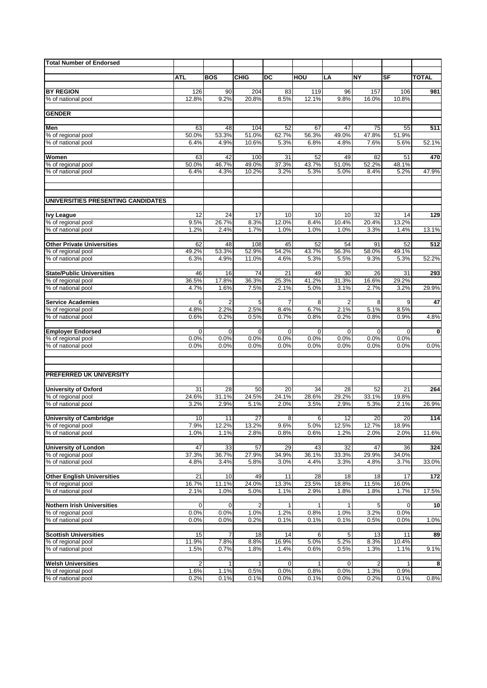| <b>Total Number of Endorsed</b>                        |               |               |                |               |               |                |               |               |              |
|--------------------------------------------------------|---------------|---------------|----------------|---------------|---------------|----------------|---------------|---------------|--------------|
|                                                        |               |               |                |               |               |                |               |               |              |
|                                                        | ATL           | <b>BOS</b>    | <b>CHIG</b>    | DC            | HOU           | LA             | <b>NY</b>     | SF            | <b>TOTAL</b> |
| <b>BY REGION</b>                                       | 126           | 90            | 204            | 83            | 119           | 96             | 157           | 106           | 981          |
| % of national pool                                     | 12.8%         | 9.2%          | 20.8%          | 8.5%          | 12.1%         | 9.8%           | 16.0%         | 10.8%         |              |
|                                                        |               |               |                |               |               |                |               |               |              |
| <b>GENDER</b>                                          |               |               |                |               |               |                |               |               |              |
| Men                                                    | 63            | 48            | 104            | 52            | 67            | 47             | 75            | 55            | 511          |
| % of regional pool                                     | 50.0%         | 53.3%         | 51.0%          | 62.7%         | 56.3%         | 49.0%          | 47.8%         | 51.9%         |              |
| % of national pool                                     | 6.4%          | 4.9%          | 10.6%          | 5.3%          | 6.8%          | 4.8%           | 7.6%          | 5.6%          | 52.1%        |
|                                                        |               |               |                |               |               |                |               |               |              |
| Women                                                  | 63            | 42            | 100            | 31            | 52            | 49             | 82            | 51            | 470          |
| % of regional pool<br>% of national pool               | 50.0%<br>6.4% | 46.7%<br>4.3% | 49.0%<br>10.2% | 37.3%<br>3.2% | 43.7%<br>5.3% | 51.0%<br>5.0%  | 52.2%<br>8.4% | 48.1%<br>5.2% | 47.9%        |
|                                                        |               |               |                |               |               |                |               |               |              |
| UNIVERSITIES PRESENTING CANDIDATES                     |               |               |                |               |               |                |               |               |              |
|                                                        |               |               |                |               |               |                |               |               |              |
| <b>Ivy League</b>                                      | 12            | 24            | 17             | 10            | 10            | 10             | 32            | 14            | 129          |
| % of regional pool                                     | 9.5%          | 26.7%         | 8.3%           | 12.0%         | 8.4%          | 10.4%          | 20.4%         | 13.2%         |              |
| % of national pool                                     | 1.2%          | 2.4%          | 1.7%           | 1.0%          | 1.0%          | 1.0%           | 3.3%          | 1.4%          | 13.1%        |
| <b>Other Private Universities</b>                      | 62            | 48            | 108            | 45            | 52            | 54             | 91            | 52            | 512          |
| % of regional pool                                     | 49.2%         | 53.3%         | 52.9%          | 54.2%         | 43.7%         | 56.3%          | 58.0%         | 49.1%         |              |
| % of national pool                                     | 6.3%          | 4.9%          | 11.0%          | 4.6%          | 5.3%          | 5.5%           | 9.3%          | 5.3%          | 52.2%        |
|                                                        |               |               |                |               |               |                |               |               |              |
| <b>State/Public Universities</b><br>% of regional pool | 46<br>36.5%   | 16<br>17.8%   | 74<br>36.3%    | 21<br>25.3%   | 49<br>41.2%   | 30<br>31.3%    | 26<br>16.6%   | 31<br>29.2%   | 293          |
| % of national pool                                     | 4.7%          | 1.6%          | 7.5%           | 2.1%          | 5.0%          | 3.1%           | 2.7%          | 3.2%          | 29.9%        |
|                                                        |               |               |                |               |               |                |               |               |              |
| <b>Service Academies</b>                               | 6             | 2             | 5              | 7             | 8             | $\overline{2}$ | 8             | 9             | 47           |
| % of regional pool                                     | 4.8%          | 2.2%          | 2.5%           | 8.4%          | 6.7%          | 2.1%           | 5.1%          | 8.5%          |              |
| % of national pool                                     | 0.6%          | 0.2%          | 0.5%           | 0.7%          | 0.8%          | 0.2%           | 0.8%          | 0.9%          | 4.8%         |
| <b>Employer Endorsed</b>                               | 0             | $\mathbf 0$   | $\mathbf 0$    | $\mathbf 0$   | 0             | $\mathbf{0}$   | $\mathbf 0$   | 0             | $\bf{0}$     |
| % of regional pool                                     | 0.0%          | 0.0%          | 0.0%           | 0.0%          | 0.0%          | 0.0%           | 0.0%          | 0.0%          |              |
| % of national pool                                     | 0.0%          | 0.0%          | 0.0%           | 0.0%          | 0.0%          | 0.0%           | 0.0%          | 0.0%          | 0.0%         |
|                                                        |               |               |                |               |               |                |               |               |              |
| PREFERRED UK UNIVERSITY                                |               |               |                |               |               |                |               |               |              |
|                                                        |               |               |                |               |               |                |               |               |              |
| <b>University of Oxford</b>                            | 31            | 28            | 50             | 20            | 34            | 28             | 52            | 21            | 264          |
| % of regional pool                                     | 24.6%         | 31.1%         | 24.5%          | 24.1%         | 28.6%         | 29.2%          | 33.1%         | 19.8%         |              |
| % of national pool                                     | 3.2%          | 2.9%          | 5.1%           | 2.0%          | 3.5%          | 2.9%           | 5.3%          | 2.1%          | 26.9%        |
| <b>University of Cambridge</b>                         | 10            | 11            | 27             | 8             | 6             | 12             | 20            | 20            | 114          |
| % of regional pool                                     | 7.9%          | 12.2%         | 13.2%          | 9.6%          | 5.0%          | 12.5%          | 12.7%         | 18.9%         |              |
| % of national pool                                     | 1.0%          | 1.1%          | 2.8%           | 0.8%          | 0.6%          | 1.2%           | 2.0%          | 2.0%          | 11.6%        |
|                                                        |               |               |                |               |               |                |               |               |              |
| <b>University of London</b><br>% of regional pool      | 47<br>37.3%   | 33<br>36.7%   | 57<br>27.9%    | 29<br>34.9%   | 43<br>36.1%   | 32<br>33.3%    | 47<br>29.9%   | 36<br>34.0%   | 324          |
| % of national pool                                     | 4.8%          | 3.4%          | 5.8%           | 3.0%          | 4.4%          | 3.3%           | 4.8%          | 3.7%          | 33.0%        |
|                                                        |               |               |                |               |               |                |               |               |              |
| <b>Other English Universities</b>                      | 21            | 10            | 49             | 11            | 28            | 18             | 18            | 17            | 172          |
| % of regional pool                                     | 16.7%         | 11.1%         | 24.0%          | 13.3%         | 23.5%         | 18.8%          | 11.5%         | 16.0%         |              |
| % of national pool                                     | 2.1%          | 1.0%          | 5.0%           | 1.1%          | 2.9%          | 1.8%           | 1.8%          | 1.7%          | 17.5%        |
| <b>Nothern Irish Universities</b>                      | 0             | 0             | 2              | 1             | 1             | $\mathbf{1}$   | 5             | 0             | 10           |
| % of regional pool                                     | 0.0%          | 0.0%          | 1.0%           | 1.2%          | 0.8%          | 1.0%           | 3.2%          | 0.0%          |              |
| % of national pool                                     | 0.0%          | 0.0%          | 0.2%           | 0.1%          | 0.1%          | 0.1%           | 0.5%          | 0.0%          | 1.0%         |
|                                                        |               |               |                |               |               |                |               |               |              |
| <b>Scottish Universities</b>                           | 15            | 7             | 18             | 14            | 6             | $\sqrt{5}$     | 13            | 11            | 89           |
| % of regional pool<br>% of national pool               | 11.9%<br>1.5% | 7.8%<br>0.7%  | 8.8%<br>1.8%   | 16.9%<br>1.4% | 5.0%<br>0.6%  | 5.2%<br>0.5%   | 8.3%<br>1.3%  | 10.4%<br>1.1% | 9.1%         |
|                                                        |               |               |                |               |               |                |               |               |              |
| <b>Welsh Universities</b>                              | 2             |               | $\mathbf{1}$   | 0             |               | $\mathbf 0$    | 2             |               | 8            |
| % of regional pool                                     | 1.6%          | 1.1%          | 0.5%           | 0.0%          | 0.8%          | 0.0%           | 1.3%          | 0.9%          |              |
| % of national pool                                     | 0.2%          | 0.1%          | 0.1%           | 0.0%          | 0.1%          | 0.0%           | 0.2%          | 0.1%          | 0.8%         |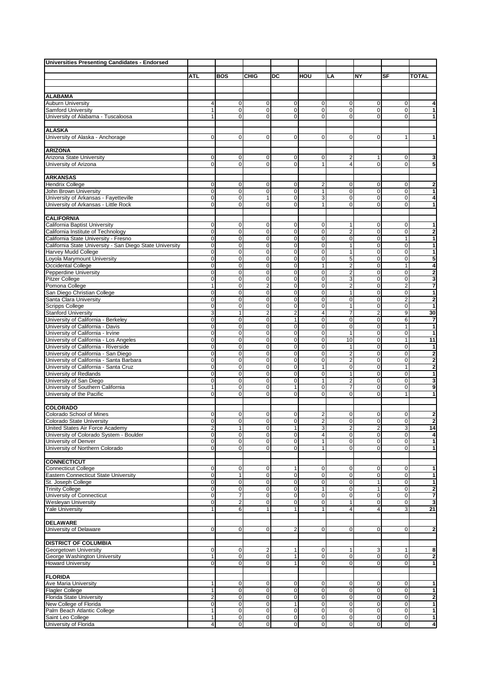| <b>Universities Presenting Candidates - Endorsed</b>                                             |                                |                             |                            |                            |                                           |                                        |                            |                                      |                                           |
|--------------------------------------------------------------------------------------------------|--------------------------------|-----------------------------|----------------------------|----------------------------|-------------------------------------------|----------------------------------------|----------------------------|--------------------------------------|-------------------------------------------|
|                                                                                                  | ATL                            | <b>BOS</b>                  | <b>CHIG</b>                | DC                         | HOU                                       | LA                                     | NY                         | SF                                   | <b>TOTAL</b>                              |
|                                                                                                  |                                |                             |                            |                            |                                           |                                        |                            |                                      |                                           |
|                                                                                                  |                                |                             |                            |                            |                                           |                                        |                            |                                      |                                           |
| <b>ALABAMA</b><br><b>Auburn University</b>                                                       | 4                              | $\overline{0}$              | 0                          | $\overline{0}$             | 0                                         | $\mathbf 0$                            | $\mathbf 0$                | $\pmb{0}$                            | 4                                         |
| Samford University                                                                               | $\overline{1}$                 | $\mathbf 0$                 | $\mathbf 0$                | $\Omega$                   | 0                                         | $\mathbf 0$                            | $\mathbf 0$                | 0                                    | 1                                         |
| University of Alabama - Tuscaloosa                                                               | $\mathbf{1}$                   | $\Omega$                    | $\mathbf 0$                | $\Omega$                   | $\mathbf 0$                               | $\Omega$                               | $\Omega$                   | $\mathbf 0$                          | 1                                         |
|                                                                                                  |                                |                             |                            |                            |                                           |                                        |                            |                                      |                                           |
| <b>ALASKA</b>                                                                                    |                                |                             |                            |                            |                                           |                                        |                            |                                      |                                           |
| University of Alaska - Anchorage                                                                 | $\mathbf 0$                    | $\mathbf{0}$                | $\mathbf 0$                | $\mathbf 0$                | 0                                         | $\mathbf 0$                            | $\mathbf 0$                | $\mathbf{1}$                         | $\mathbf{1}$                              |
| <b>ARIZONA</b>                                                                                   |                                |                             |                            |                            |                                           |                                        |                            |                                      |                                           |
| Arizona State University                                                                         | 0                              | $\mathbf 0$                 | $\pmb{0}$                  | 0                          | 0                                         | $\overline{\mathbf{c}}$                | -1                         | 0                                    | 3                                         |
| University of Arizona                                                                            | $\overline{0}$                 | $\mathbf{0}$                | $\mathbf 0$                | $\overline{0}$             | $\mathbf{1}$                              | $\overline{4}$                         | $\mathbf 0$                | $\overline{0}$                       | 5                                         |
|                                                                                                  |                                |                             |                            |                            |                                           |                                        |                            |                                      |                                           |
| <b>ARKANSAS</b>                                                                                  |                                |                             |                            |                            |                                           |                                        |                            |                                      |                                           |
| <b>Hendrix College</b>                                                                           | $\mathbf 0$                    | $\mathbf 0$<br>$\mathbf 0$  | 0                          | $\overline{0}$             | $\overline{2}$                            | $\mathbf 0$                            | 0                          | 0<br>0                               | $\mathbf 2$                               |
| John Brown University<br>University of Arkansas - Fayetteville                                   | 0<br>0                         | 0                           | 0<br>1                     | 0<br>0                     | 1<br>3                                    | 0<br>$\pmb{0}$                         | 0<br>$\mathbf 0$           | 0                                    | 1<br>4                                    |
| University of Arkansas - Little Rock                                                             | $\mathbf 0$                    | $\mathbf{0}$                | 0                          | 0                          | $\mathbf{1}$                              | $\mathbf 0$                            | $\mathbf 0$                | 0                                    | 1                                         |
|                                                                                                  |                                |                             |                            |                            |                                           |                                        |                            |                                      |                                           |
| <b>CALIFORNIA</b>                                                                                |                                |                             |                            |                            |                                           |                                        |                            |                                      |                                           |
| California Baptist University                                                                    | 0                              | $\mathbf 0$                 | $\mathbf 0$                | 0                          | 0                                         | 1                                      | 0                          | 0                                    | $\mathbf{1}$                              |
| California Institute of Technology                                                               | $\mathbf 0$<br>$\mathbf 0$     | $\mathbf{0}$<br>$\mathsf 0$ | $\mathbf 0$<br>$\mathsf 0$ | $\mathbf 0$<br>$\mathbf 0$ | $\mathbf 0$<br>$\mathbf 0$                | $\overline{\mathbf{c}}$<br>$\mathbf 0$ | $\mathbf 0$<br>$\mathbf 0$ | 0<br>$\mathbf{1}$                    | $\mathbf 2$<br>1                          |
| California State University - Fresno<br>California State University - San Diego State University | $\mathbf 0$                    | $\mathbf{0}$                | $\mathsf 0$                | $\mathbf 0$                | $\mathbf 0$                               | $\mathbf{1}$                           | $\mathbf 0$                | $\pmb{0}$                            | $\mathbf{1}$                              |
| Harvey Mudd College                                                                              | $\overline{0}$                 | $\mathbf{0}$                | $\mathbf 0$                | $\mathbf 0$                | 0                                         | $\mathbf{1}$                           | 0                          | 0                                    | 1                                         |
| Loyola Marymount University                                                                      | 0                              | $\mathbf{0}$                | $\mathbf 0$                | $\mathbf 0$                | 0                                         | 5                                      | $\mathbf 0$                | 0                                    | 5                                         |
| Occidental College                                                                               | $\overline{0}$                 | $\mathsf 0$                 | $\mathsf 0$                | $\mathbf 0$                | $\mathbf{1}$                              | $\mathbf 2$                            | $\mathbf 0$                | $\overline{1}$                       | 4                                         |
| <b>Pepperdine University</b>                                                                     | $\mathbf 0$                    | $\mathbf{0}$                | $\mathbf 0$                | $\overline{0}$             | $\pmb{0}$                                 | $\overline{2}$                         | $\mathbf 0$                | $\pmb{0}$                            | $\mathbf 2$                               |
| <b>Pitzer College</b><br>Pomona College                                                          | 0<br>$\mathbf{1}$              | $\mathbf 0$<br>$\mathbf{0}$ | 0<br>$\overline{c}$        | 0<br>0                     | 0<br>$\mathbf 0$                          | 3<br>$\overline{\mathbf{c}}$           | 0<br>$\mathbf 0$           | $\pmb{0}$<br>$\overline{\mathbf{c}}$ | 3<br>7                                    |
| San Diego Christian College                                                                      | $\overline{0}$                 | $\mathbf 0$                 | $\mathsf 0$                | 0                          | 0                                         | $\mathbf{1}$                           | $\mathbf 0$                | $\overline{0}$                       | 1                                         |
| Santa Clara University                                                                           | $\mathbf 0$                    | $\mathbf{0}$                | $\mathbf 0$                | $\mathbf 0$                | $\pmb{0}$                                 | $\mathbf 0$                            | $\mathbf 0$                | $\overline{\mathbf{c}}$              | $\mathbf 2$                               |
| <b>Scripps College</b>                                                                           | $\pmb{0}$                      | $\mathbf{0}$                | $\mathsf 0$                | $\Omega$                   | 0                                         | $\mathbf{1}$                           | $\mathbf 0$                | $\pmb{0}$                            | $\mathbf{1}$                              |
| <b>Stanford University</b>                                                                       | 3                              | $\mathbf{1}$                | $\overline{\mathbf{c}}$    | $\overline{c}$             | 4                                         | $\overline{7}$                         | $\overline{2}$             | 9                                    | 30                                        |
| University of California - Berkeley                                                              | 0                              | $\mathbf 0$                 | $\mathbf 0$                | 1                          | 0                                         | $\mathbf 0$                            | 0                          | 6                                    | $\overline{\mathbf{r}}$                   |
| University of California - Davis<br>University of California - Irvine                            | $\mathbf 0$<br>$\mathbf 0$     | $\mathsf 0$<br>$\mathbf 0$  | $\mathbf 0$<br>$\mathsf 0$ | 0<br>$\pmb{0}$             | 0<br>$\mathbf 0$                          | $\mathbf 0$<br>$\mathbf{1}$            | $\mathbf 0$<br>$\mathbf 0$ | $\mathbf{1}$<br>$\pmb{0}$            | $\mathbf{1}$<br>$\mathbf{1}$              |
| University of California - Los Angeles                                                           | $\overline{0}$                 | $\overline{0}$              | $\overline{0}$             | 0                          | $\overline{0}$                            | 10                                     | $\mathbf 0$                | $\overline{1}$                       | 11                                        |
| University of California - Riverside                                                             | $\mathbf 0$                    | $\mathbf{0}$                | 0                          | 0                          | $\mathbf 0$                               | $\mathbf{1}$                           | $\mathbf 0$                | $\mathbf 0$                          | $\mathbf{1}$                              |
| University of California - San Diego                                                             | $\overline{0}$                 | $\mathbf 0$                 | 0                          | $\pmb{0}$                  | 0                                         | $\overline{2}$                         | $\pmb{0}$                  | 0                                    | $\mathbf 2$                               |
| University of California - Santa Barbara                                                         | 0                              | $\mathbf 0$                 | 0                          | $\overline{0}$             | 0                                         | $\overline{\mathbf{c}}$                | 0                          | 0                                    | $\mathbf 2$                               |
| University of California - Santa Cruz                                                            | $\mathbf 0$                    | $\mathsf 0$                 | 0                          | 0                          | $\mathbf{1}$                              | 0                                      | 0                          | $\mathbf{1}$                         | $\overline{\mathbf{2}}$                   |
| University of Redlands<br>University of San Diego                                                | 0<br>$\overline{0}$            | $\mathsf 0$<br>$\mathsf 0$  | 0<br>0                     | 0<br>$\overline{0}$        | 0<br>$\mathbf{1}$                         | $\mathbf{1}$<br>$\mathbf 2$            | 0<br>$\mathbf 0$           | 0<br>$\overline{0}$                  | 1<br>3                                    |
| University of Southern California                                                                | 1                              | $\mathbf{0}$                | $\mathbf 0$                | 1                          | $\mathbf 0$                               | $\overline{7}$                         | $\mathbf 0$                | $\pmb{0}$                            | 9                                         |
| University of the Pacific                                                                        | $\mathbf 0$                    | $\mathbf{0}$                | $\mathbf 0$                | $\mathbf 0$                | 0                                         | $\mathbf 0$                            | $\mathbf 0$                | $\mathbf{1}$                         | 1                                         |
|                                                                                                  |                                |                             |                            |                            |                                           |                                        |                            |                                      |                                           |
| <b>COLORADO</b>                                                                                  |                                |                             |                            |                            |                                           |                                        |                            |                                      |                                           |
| Colorado School of Mines                                                                         | 0<br>0                         | $\mathbf{0}$<br>$\mathbf 0$ | 0                          | 0                          | $\overline{\mathbf{c}}$<br>$\overline{2}$ | $\mathbf 0$<br>0                       | $\mathbf 0$<br>$\pmb{0}$   | 0<br>0                               | $\overline{\mathbf{2}}$<br>$\overline{2}$ |
| Colorado State University<br>United States Air Force Academy                                     | 2                              | 1                           | 0<br>$\mathsf{O}\xspace$   | $\overline{0}$<br>1        | $\overline{3}$                            | $\overline{\mathbf{c}}$                | $\mathbf{2}$               | $\mathbf{3}$                         | 14                                        |
| University of Colorado System - Boulder                                                          | $\overline{0}$                 | $\mathbf{0}$                | $\mathbf 0$                | 0                          | $\overline{4}$                            | $\mathbf 0$                            | $\mathbf 0$                | $\overline{0}$                       | 4                                         |
| University of Denver                                                                             | $\pmb{0}$                      | $\mathbf{0}$                | 0                          | $\Omega$                   | $\mathbf{1}$                              | $\mathbf 0$                            | $\mathbf 0$                | $\overline{0}$                       | $\mathbf{1}$                              |
| University of Northern Colorado                                                                  | $\overline{0}$                 | $\mathbf{0}$                | $\mathbf 0$                | $\overline{0}$             | $\mathbf{1}$                              | 0                                      | $\mathbf 0$                | $\overline{0}$                       | 1                                         |
|                                                                                                  |                                |                             |                            |                            |                                           |                                        |                            |                                      |                                           |
| <b>CONNECTICUT</b><br><b>Connecticut College</b>                                                 | $\pmb{0}$                      | $\mathbf 0$                 | 0                          | 1                          | 0                                         | 0                                      | $\mathbf 0$                | 0                                    | 1                                         |
| <b>Eastern Connecticut State University</b>                                                      | $\mathbf 0$                    | $\mathbf{1}$                | $\mathsf 0$                | $\overline{0}$             | $\pmb{0}$                                 | $\mathsf 0$                            | 0                          | $\pmb{0}$                            | $\mathbf{1}$                              |
| St. Joseph College                                                                               | $\mathbf 0$                    | $\mathsf 0$                 | $\mathbf 0$                | $\overline{0}$             | $\mathbf 0$                               | $\mathbf 0$                            |                            | 0                                    | 1                                         |
| <b>Trinity College</b>                                                                           | $\pmb{0}$                      | $\mathbf 0$                 | 0                          | 0                          | $\mathbf{1}$                              | $\mathbf 0$                            | $\mathbf{1}$               | $\pmb{0}$                            | $\mathbf 2$                               |
| University of Connecticut                                                                        | $\mathbf 0$                    | $\overline{7}$              | 0                          | $\overline{0}$             | 0                                         | $\pmb{0}$                              | $\mathbf 0$                | 0                                    | $\overline{7}$                            |
| <b>Wesleyan University</b>                                                                       | $\overline{0}$                 | $\overline{2}$              | 0                          | $\overline{0}$             | 0                                         | $\mathbf{1}$                           | $\mathbf 0$                | $\overline{0}$                       | 3                                         |
| <b>Yale University</b>                                                                           | 1                              | 6                           | 1                          |                            | $\mathbf{1}$                              | $\overline{4}$                         | 4                          | $\overline{3}$                       | 21                                        |
| <b>DELAWARE</b>                                                                                  |                                |                             |                            |                            |                                           |                                        |                            |                                      |                                           |
| University of Delaware                                                                           | 0                              | $\overline{0}$              | 0                          | 2                          | 0                                         | $\mathbf 0$                            | $\mathbf 0$                | 0                                    | $\mathbf 2$                               |
|                                                                                                  |                                |                             |                            |                            |                                           |                                        |                            |                                      |                                           |
| <b>DISTRICT OF COLUMBIA</b>                                                                      |                                |                             |                            |                            |                                           |                                        |                            |                                      |                                           |
| Georgetown University                                                                            | $\pmb{0}$                      | $\mathbf 0$                 | 2                          | 1                          | 0                                         | 1                                      | 3                          | $\mathbf{1}$                         | 8                                         |
| George Washington University<br><b>Howard University</b>                                         | $\mathbf{1}$<br>$\mathbf 0$    | $\mathbf 0$<br>$\mathbf{0}$ | 0<br>0                     | 1<br>1                     | $\pmb{0}$<br>0                            | $\mathsf 0$<br>$\mathbf 0$             | $\mathbf 0$<br>0           | $\overline{0}$<br>0                  | $\overline{\mathbf{2}}$<br>1              |
|                                                                                                  |                                |                             |                            |                            |                                           |                                        |                            |                                      |                                           |
| <b>FLORIDA</b>                                                                                   |                                |                             |                            |                            |                                           |                                        |                            |                                      |                                           |
| Ave Maria University                                                                             | 1                              | $\mathbf 0$                 | $\mathbf 0$                | $\overline{0}$             | 0                                         | 0                                      | 0                          | 0                                    | $\mathbf{1}$                              |
| <b>Flagler College</b>                                                                           | $\overline{1}$                 | $\mathbf 0$                 | $\mathsf 0$                | $\Omega$                   | $\overline{0}$                            | $\mathsf 0$                            | $\mathbf 0$                | $\overline{0}$                       | $\mathbf{1}$                              |
| <b>Florida State University</b>                                                                  | $\overline{2}$                 | $\mathbf{0}$                | $\mathsf 0$                | 0                          | 0                                         | $\mathsf 0$                            | $\mathbf 0$                | $\pmb{0}$                            | $\mathbf 2$                               |
| New College of Florida<br>Palm Beach Atlantic College                                            | $\overline{0}$<br>$\mathbf{1}$ | $\mathbf 0$<br>$\mathbf 0$  | $\mathsf{O}\xspace$<br>0   | 1<br>$\Omega$              | 0<br>$\pmb{0}$                            | $\mathsf 0$<br>$\mathsf 0$             | $\pmb{0}$<br>$\mathbf 0$   | $\overline{0}$<br>$\overline{0}$     | 1<br>$\mathbf{1}$                         |
| Saint Leo College                                                                                | $\overline{1}$                 | $\mathbf 0$                 | $\mathbf 0$                | $\overline{0}$             | 0                                         | $\pmb{0}$                              | 0                          | $\overline{0}$                       | 1                                         |
| University of Florida                                                                            | $\overline{\mathbf{4}}$        | $\overline{0}$              | 0                          | $\overline{0}$             | $\mathbf 0$                               | $\pmb{0}$                              | $\mathbf 0$                | $\overline{0}$                       | 4                                         |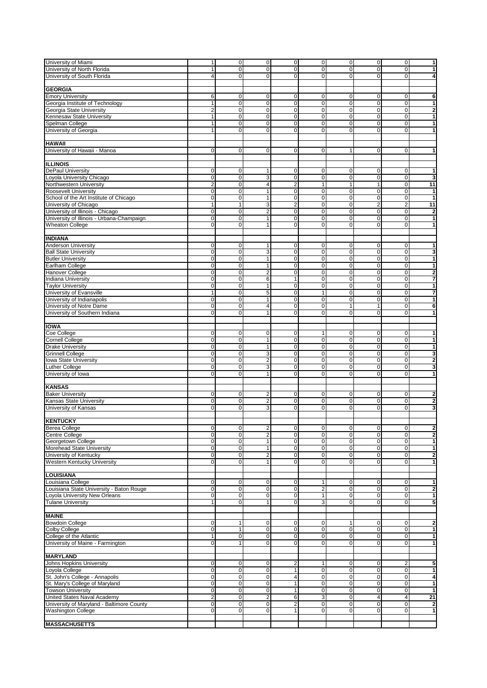| University of Miami                       | $\mathbf{1}$   | $\mathbf 0$    | $\mathbf 0$             | 0              | 0                       | 0              | $\mathbf 0$    | 0                     | $\overline{1}$          |
|-------------------------------------------|----------------|----------------|-------------------------|----------------|-------------------------|----------------|----------------|-----------------------|-------------------------|
| University of North Florida               | $\mathbf{1}$   | $\overline{0}$ | $\mathbf 0$             | $\mathbf 0$    | 0                       | $\mathbf 0$    | $\Omega$       | 0                     | 1                       |
| University of South Florida               | $\vert$        | $\overline{0}$ | $\mathbf 0$             | $\mathbf 0$    | 0                       | $\mathbf 0$    | $\mathbf 0$    | 0                     | $\overline{\mathbf{4}}$ |
|                                           |                |                |                         |                |                         |                |                |                       |                         |
| <b>GEORGIA</b>                            |                |                |                         |                |                         |                |                |                       |                         |
|                                           |                |                |                         |                |                         |                |                |                       |                         |
| <b>Emory University</b>                   | $6 \mid$       | $\mathbf 0$    | $\mathbf 0$             | $\mathbf 0$    | 0                       | $\mathbf 0$    | 0              | 0                     | 6                       |
| Georgia Institute of Technology           | $\overline{1}$ | $\mathbf 0$    | $\mathbf 0$             | $\mathbf 0$    | $\overline{0}$          | 0              | $\mathbf 0$    | $\overline{0}$        | 1                       |
| Georgia State University                  | $\overline{2}$ | $\mathbf{0}$   | $\mathbf 0$             | $\mathbf 0$    | 0                       | $\mathbf 0$    | $\mathbf 0$    | 0                     | $\mathbf 2$             |
| Kennesaw State University                 | $\mathbf{1}$   | $\mathbf 0$    | $\mathbf 0$             | $\mathbf 0$    | 0                       | $\mathsf 0$    | $\mathbf 0$    | $\pmb{0}$             | 1                       |
|                                           |                |                |                         |                |                         |                |                |                       |                         |
| Spelman College                           | $\mathbf{1}$   | $\mathbf{0}$   | $\mathbf 0$             | $\mathbf 0$    | $\pmb{0}$               | $\mathbf 0$    | $\mathbf 0$    | $\overline{0}$        | 1                       |
| University of Georgia                     | $\mathbf{1}$   | $\overline{0}$ | $\mathbf 0$             | $\mathbf 0$    | 0                       | $\mathbf 0$    | $\mathbf 0$    | 0                     | 1                       |
|                                           |                |                |                         |                |                         |                |                |                       |                         |
| <b>HAWAII</b>                             |                |                |                         |                |                         |                |                |                       |                         |
|                                           |                |                |                         |                |                         |                |                |                       |                         |
| University of Hawaii - Manoa              | $\overline{0}$ | $\mathbf{0}$   | $\mathbf 0$             | $\mathbf 0$    | $\pmb{0}$               | $\mathbf{1}$   | $\mathbf 0$    | $\pmb{0}$             | $\mathbf{1}$            |
|                                           |                |                |                         |                |                         |                |                |                       |                         |
| <b>ILLINOIS</b>                           |                |                |                         |                |                         |                |                |                       |                         |
| <b>DePaul University</b>                  | $\overline{0}$ | $\mathbf 0$    | 1                       | $\mathbf 0$    | 0                       | 0              | 0              | 0                     | 1                       |
|                                           |                |                |                         |                |                         |                |                |                       |                         |
| Loyola University Chicago                 | $\overline{0}$ | $\overline{0}$ | $\overline{3}$          | $\mathbf 0$    | $\overline{0}$          | 0              | $\mathbf 0$    | $\overline{0}$        | 3                       |
| Northwestern University                   | $\overline{2}$ | $\mathbf 0$    | $\overline{\mathbf{4}}$ | $\mathbf 2$    | $\mathbf{1}$            | $\mathbf{1}$   | 1              | 0                     | 11                      |
| Roosevelt University                      | $\overline{0}$ | $\overline{0}$ | 1                       | $\mathbf 0$    | 0                       | 0              | $\mathbf 0$    | 0                     | $\mathbf{1}$            |
| School of the Art Institute of Chicago    | $\overline{0}$ | $\overline{0}$ | 1                       | 0              | 0                       | 0              | 0              | $\pmb{0}$             | 1                       |
|                                           |                |                |                         |                |                         |                |                |                       |                         |
| University of Chicago                     | $\mathbf{1}$   | $\mathbf{1}$   | 3                       | $\overline{2}$ | $\pmb{0}$               | $\pmb{0}$      | $\mathbf 2$    | $\overline{2}$        | 11                      |
| University of Illinois - Chicago          | $\overline{0}$ | $\overline{0}$ | $\overline{c}$          | $\mathbf 0$    | 0                       | 0              | $\mathbf 0$    | 0                     | $\overline{\mathbf{2}}$ |
| University of Illinois - Urbana-Champaign | $\overline{0}$ | $\mathbf 0$    | 1                       | 0              | 0                       | 0              | 0              | $\pmb{0}$             | $\mathbf{1}$            |
|                                           |                |                |                         |                |                         |                |                |                       |                         |
| <b>Wheaton College</b>                    | $\overline{0}$ | $\mathbf{0}$   | $\mathbf{1}$            | $\mathbf 0$    | 0                       | $\mathbf 0$    | $\mathbf 0$    | $\mathbf 0$           | 1                       |
|                                           |                |                |                         |                |                         |                |                |                       |                         |
| <b>INDIANA</b>                            |                |                |                         |                |                         |                |                |                       |                         |
| <b>Anderson University</b>                | $\overline{0}$ | $\mathbf 0$    | 1                       | $\mathbf 0$    | 0                       | 0              | 0              | $\mathbf 0$           | 1                       |
|                                           |                |                |                         |                |                         |                |                |                       |                         |
| <b>Ball State University</b>              | $\overline{0}$ | $\mathbf{0}$   | 3                       | $\mathbf 0$    | 0                       | $\mathbf 0$    | $\mathbf 0$    | 0                     | 3                       |
| <b>Butler University</b>                  | $\overline{0}$ | $\mathbf 0$    | $\mathbf{1}$            | $\mathbf 0$    | $\overline{0}$          | $\mathsf 0$    | $\mathbf 0$    | $\overline{0}$        | 1                       |
| Earlham College                           | $\overline{0}$ | $\mathbf{0}$   | $\mathbf{1}$            | $\mathbf 0$    | $\pmb{0}$               | $\mathbf 0$    | $\mathbf 0$    | $\pmb{0}$             | $\mathbf{1}$            |
| <b>Hanover College</b>                    | $\overline{0}$ | $\mathbf 0$    | $\mathbf 2$             | 0              | 0                       | 0              | 0              | $\pmb{0}$             | $\overline{\mathbf{2}}$ |
|                                           |                |                |                         |                |                         |                |                |                       |                         |
| <b>Indiana University</b>                 | $\overline{0}$ | $\mathbf{0}$   | 6                       | $\mathbf{1}$   | 0                       | $\mathbf 0$    | $\mathbf 0$    | 0                     | 7                       |
| <b>Taylor University</b>                  | $\overline{0}$ | $\mathbf{0}$   | $\mathbf{1}$            | $\mathbf 0$    | 0                       | $\mathsf 0$    | $\mathbf 0$    | $\pmb{0}$             | 1                       |
| University of Evansville                  | $\mathbf{1}$   | $\mathbf{0}$   | 5                       | $\mathbf 0$    | $\mathbf{1}$            | $\mathbf 0$    | $\mathbf 0$    | $\pmb{0}$             | $\overline{7}$          |
| University of Indianapolis                | $\overline{0}$ | 0              | 1                       | $\mathbf 0$    | 0                       | 0              | 0              | $\pmb{0}$             | 1                       |
|                                           |                |                |                         |                |                         |                |                |                       |                         |
| University of Notre Dame                  | $\overline{0}$ | 0              | 4                       | $\mathbf 0$    | 0                       | $\mathbf{1}$   | 1              | 0                     | 6                       |
| University of Southern Indiana            | $\overline{0}$ | $\mathbf{0}$   | $\mathbf{1}$            | $\mathbf 0$    | 0                       | $\mathbf 0$    | $\mathbf 0$    | $\mathbf 0$           | 1                       |
|                                           |                |                |                         |                |                         |                |                |                       |                         |
| <b>IOWA</b>                               |                |                |                         |                |                         |                |                |                       |                         |
|                                           |                |                |                         |                |                         |                |                |                       |                         |
| Coe College                               | $\overline{0}$ | 0              | $\mathbf 0$             | $\mathbf 0$    | $\mathbf{1}$            | 0              | 0              | $\mathbf 0$           | 1                       |
| <b>Cornell College</b>                    | $\overline{0}$ | $\mathbf{0}$   | $\mathbf{1}$            | $\mathbf 0$    | 0                       | 0              | $\mathbf 0$    | 0                     | 1                       |
| <b>Drake University</b>                   | $\overline{0}$ | $\overline{0}$ | $\mathbf{1}$            | $\mathbf 0$    | $\overline{\text{o}}$   | 0              | $\mathbf 0$    | $\overline{\text{o}}$ | 1                       |
|                                           |                |                |                         | $\mathbf 0$    |                         |                |                |                       |                         |
| <b>Grinnell College</b>                   | $\overline{0}$ | $\overline{0}$ | 3                       |                | 0                       | 0              | 0              | 0                     | 3                       |
| lowa State University                     | $\overline{0}$ | $\mathbf 0$    | $\overline{\mathbf{c}}$ | 0              | 0                       | 0              | 0              | 0                     | $\mathbf 2$             |
| _uther College                            | $\overline{0}$ | 0              | 3                       | $\mathbf 0$    | 0                       | 0              | $\mathbf 0$    | 0                     | 3                       |
| University of Iowa                        | $\overline{0}$ | $\overline{0}$ | $\mathbf{1}$            | $\mathbf 0$    | $\overline{0}$          | $\mathbf 0$    | $\mathbf 0$    | $\overline{0}$        | $\mathbf{1}$            |
|                                           |                |                |                         |                |                         |                |                |                       |                         |
|                                           |                |                |                         |                |                         |                |                |                       |                         |
| <b>KANSAS</b>                             |                |                |                         |                |                         |                |                |                       |                         |
| <b>Baker University</b>                   | 0              | $\mathbf{0}$   | $\overline{c}$          | $\mathbf 0$    | 0                       | $\mathbf 0$    | $\mathbf 0$    | $\mathbf 0$           | $\mathbf 2$             |
| <b>Kansas State University</b>            | $\overline{0}$ | $\mathbf 0$    | $\overline{c}$          | 0              | $\pmb{0}$               | 0              | $\mathbf 0$    | $\mathbf 0$           | $\mathbf 2$             |
| University of Kansas                      | $\overline{0}$ | $\overline{0}$ | 3                       | $\mathbf 0$    | 0                       | $\mathbf 0$    | $\mathbf 0$    | 0                     | 3                       |
|                                           |                |                |                         |                |                         |                |                |                       |                         |
|                                           |                |                |                         |                |                         |                |                |                       |                         |
| <b>KENTUCKY</b>                           |                |                |                         |                |                         |                |                |                       |                         |
| <b>Berea College</b>                      | $\overline{0}$ | $\mathbf 0$    | $\overline{2}$          | 0              | $\mathbf 0$             | 0              | 0              | 0                     | $\mathbf 2$             |
| Centre College                            | $\overline{0}$ | $\overline{0}$ | $\overline{c}$          | $\mathbf 0$    | $\mathbf{0}$            | $\mathbf 0$    | $\mathbf 0$    | $\pmb{0}$             | $\overline{2}$          |
|                                           |                |                |                         |                |                         |                |                |                       |                         |
| Georgetown College                        | $\overline{0}$ | $\mathbf 0$    | 1                       | $\mathbf 0$    | 0                       | 0              | $\mathbf 0$    | $\overline{0}$        | 1                       |
| Morehead State University                 | $\overline{0}$ | 0              | $\mathbf{1}$            | $\mathbf 0$    | 0                       | 0              | $\mathbf 0$    | $\pmb{0}$             | 1                       |
| University of Kentucky                    | $\overline{0}$ | $\mathbf 0$    | $\overline{c}$          | 0              | 0                       | $\mathsf 0$    | $\pmb{0}$      | $\overline{0}$        | $\mathbf 2$             |
| <b>Western Kentucky University</b>        | $\overline{0}$ | $\overline{0}$ | $\mathbf{1}$            | $\mathbf 0$    | $\overline{0}$          | $\mathbf 0$    | $\mathbf 0$    | $\overline{0}$        | 1                       |
|                                           |                |                |                         |                |                         |                |                |                       |                         |
|                                           |                |                |                         |                |                         |                |                |                       |                         |
| <b>LOUISIANA</b>                          |                |                |                         |                |                         |                |                |                       |                         |
| Louisiana College                         | $\overline{0}$ | $\mathbf 0$    | 0                       | $\mathbf 0$    | $\mathbf{1}$            | 0              | 0              | $\mathbf 0$           | $\mathbf{1}$            |
| Louisiana State University - Baton Rouge  | $\overline{0}$ | $\mathbf 0$    | $\mathbf 0$             | $\pmb{0}$      | $\overline{\mathbf{c}}$ | $\pmb{0}$      | $\mathbf 0$    | $\mathbf 0$           | $\mathbf 2$             |
|                                           | $\overline{0}$ |                |                         | $\mathbf 0$    |                         |                | $\mathbf 0$    | $\overline{0}$        |                         |
| oyola University New Orleans              |                | $\mathbf 0$    | $\pmb{0}$               |                | $\mathbf{1}$            | $\mathsf 0$    |                |                       | 1                       |
| Tulane University                         | $\mathbf{1}$   | $\overline{0}$ | $\mathbf{1}$            | 0              | 3                       | 0              | $\mathbf 0$    | $\overline{0}$        | 5                       |
|                                           |                |                |                         |                |                         |                |                |                       |                         |
| <b>MAINE</b>                              |                |                |                         |                |                         |                |                |                       |                         |
| <b>Bowdoin College</b>                    | $\overline{0}$ | 1              | 0                       | 0              | 0                       | 1              | 0              | 0                     | $\mathbf 2$             |
|                                           |                |                |                         |                |                         |                |                |                       |                         |
| Colby College                             | $\overline{0}$ | $\mathbf{1}$   | 0                       | $\mathbf 0$    | $\overline{0}$          | 0              | $\pmb{0}$      | $\overline{0}$        | $\mathbf{1}$            |
| College of the Atlantic                   | $\mathbf{1}$   | $\mathbf 0$    | 0                       | 0              | 0                       | 0              | 0              | $\overline{0}$        | 1                       |
| University of Maine - Farmington          | $\overline{0}$ | $\mathbf{1}$   | $\mathsf 0$             | $\pmb{0}$      | $\overline{0}$          | $\mathsf 0$    | $\pmb{0}$      | $\overline{0}$        | $\overline{1}$          |
|                                           |                |                |                         |                |                         |                |                |                       |                         |
|                                           |                |                |                         |                |                         |                |                |                       |                         |
| <b>MARYLAND</b>                           |                |                |                         |                |                         |                |                |                       |                         |
| Johns Hopkins University                  | $\overline{0}$ | 0              | 0                       | $\overline{2}$ | $\mathbf{1}$            | 0              | $\mathbf 0$    | 2                     | 5                       |
| Loyola College                            | $\overline{0}$ | $\mathbf 0$    | $\mathsf 0$             | $\mathbf{1}$   | $\mathbf 0$             | $\mathsf 0$    | $\mathbf 0$    | $\overline{0}$        | $\mathbf{1}$            |
|                                           |                |                |                         |                |                         |                |                |                       |                         |
| St. John's College - Annapolis            | $\overline{0}$ | $\mathbf 0$    | $\pmb{0}$               | $\overline{4}$ | $\mathbf{0}$            | $\mathsf 0$    | $\pmb{0}$      | $\pmb{0}$             | $\overline{\mathbf{4}}$ |
| St. Mary's College of Maryland            | $\overline{0}$ | $\mathbf 0$    | $\mathbf 0$             | 1              | $\overline{0}$          | $\overline{0}$ | $\mathbf 0$    | $\overline{0}$        | $\overline{1}$          |
| <b>Towson University</b>                  | $\overline{0}$ | $\overline{0}$ | 0                       | $\mathbf{1}$   | $\mathbf{0}$            | 0              | $\mathbf 0$    | $\pmb{0}$             | $\mathbf{1}$            |
| United States Naval Academy               | $\overline{2}$ | $\mathbf 0$    | $\overline{2}$          | 6              | $\overline{3}$          | $\mathsf 0$    | $\overline{4}$ | $\overline{4}$        | 21                      |
| University of Maryland - Baltimore County | $\overline{0}$ |                |                         |                |                         | $\mathbf 0$    | $\mathbf 0$    | $\overline{0}$        |                         |
|                                           |                | $\mathbf 0$    | 0                       | $\overline{2}$ | $\overline{0}$          |                |                |                       | $\overline{\mathbf{2}}$ |
| <b>Washington College</b>                 | $\overline{0}$ | $\mathbf 0$    | 0                       | 1              | $\mathbf{0}$            | 0              | 0              | 0                     | $\mathbf{1}$            |
|                                           |                |                |                         |                |                         |                |                |                       |                         |
| <b>MASSACHUSETTS</b>                      |                |                |                         |                |                         |                |                |                       |                         |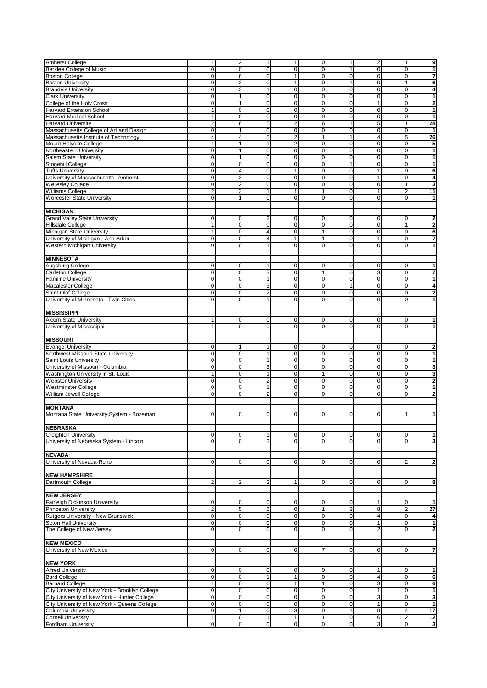| <b>Amherst College</b>                                 | $\mathbf{1}$                     | $\overline{a}$                     | 1                       | 1                       | $\pmb{0}$         | $\mathbf{1}$   | $\mathbf 2$    | $\mathbf{1}$                     | 9                       |
|--------------------------------------------------------|----------------------------------|------------------------------------|-------------------------|-------------------------|-------------------|----------------|----------------|----------------------------------|-------------------------|
| Berklee College of Music                               | $\mathbf 0$                      | 0                                  | $\mathbf 0$             | $\Omega$                | $\mathbf 0$       | $\mathbf{1}$   | $\mathbf 0$    | 0                                | $\mathbf{1}$            |
| <b>Boston College</b>                                  | $\mathbf 0$                      | 6                                  | $\mathbf 0$             | 1                       | $\mathbf 0$       | $\mathbf 0$    | 0              | $\pmb{0}$                        | 7                       |
|                                                        |                                  |                                    |                         |                         |                   |                |                |                                  |                         |
| <b>Boston University</b>                               | $\overline{0}$                   | 3                                  | $\mathbf 0$             | 1                       | $\mathbf 0$       | $\mathbf{1}$   | $\overline{0}$ | $\mathbf{1}$                     | 6                       |
| <b>Brandeis University</b>                             | $\mathbf 0$                      | 3                                  | 1                       | $\mathbf 0$             | 0                 | $\mathbf 0$    | $\mathbf 0$    | 0                                | 4                       |
|                                                        |                                  |                                    |                         |                         |                   |                |                |                                  |                         |
| <b>Clark University</b>                                | $\overline{0}$                   | $\overline{1}$                     | $\pmb{0}$               | $\mathbf 0$             | $\overline{0}$    | $\overline{0}$ | $\mathbf 0$    | $\overline{0}$                   | $\overline{1}$          |
| College of the Holy Cross                              | 0                                | $\mathbf{1}$                       | 0                       | 0                       | 0                 | $\mathbf 0$    | $\mathbf{1}$   | 0                                | $\mathbf 2$             |
| <b>Harvard Extension School</b>                        | $\overline{1}$                   | $\mathbf 0$                        | $\overline{0}$          | 0                       | $\overline{0}$    | $\mathbf 0$    | $\overline{0}$ | $\overline{0}$                   | $\overline{1}$          |
|                                                        |                                  |                                    |                         |                         |                   |                |                |                                  |                         |
| <b>Harvard Medical School</b>                          | 1                                | $\mathbf 0$                        | 0                       | 0                       | 0                 | 0              | 0              | 0                                | $\mathbf{1}$            |
| <b>Harvard University</b>                              | 2                                | 6                                  | 5                       | $\overline{2}$          | 6                 | $\mathbf{1}$   | 5              | 1                                | 28                      |
|                                                        |                                  |                                    |                         |                         |                   |                |                |                                  |                         |
| Massachusetts College of Art and Design                | $\mathbf 0$                      | $\mathbf{1}$                       | 0                       | 0                       | $\mathbf 0$       | 0              | 0              | $\mathbf 0$                      | 1                       |
| Massachusetts Institute of Technology                  | $\overline{4}$                   | $\overline{4}$                     | 5                       | $\overline{2}$          | $\mathbf{1}$      | $\mathbf{1}$   | $\overline{4}$ | $\overline{5}$                   | 26                      |
|                                                        |                                  |                                    |                         |                         |                   |                |                |                                  |                         |
| Mount Holyoke College                                  | $\mathbf{1}$                     | $\mathbf{1}$                       | 1                       | $\overline{2}$          | $\mathbf 0$       | $\mathbf 0$    | $\mathbf 0$    | $\pmb{0}$                        | 5                       |
| Northeastern University                                | $\mathbf 0$                      | $\mathbf{1}$                       | $\mathbf 0$             | 0                       | 0                 | 0              | 0              | $\mathbf 0$                      | $\mathbf{1}$            |
|                                                        |                                  |                                    |                         |                         |                   |                |                |                                  |                         |
| Salem State University                                 | $\mathbf 0$                      | $\mathbf{1}$                       | $\mathbf 0$             | 0                       | $\mathbf 0$       | $\mathbf 0$    | $\mathbf 0$    | $\mathbf 0$                      | 1                       |
| Stonehill College                                      | $\mathbf 0$                      | $\mathsf 0$                        | $\mathsf 0$             | $\mathbf 0$             | $\mathbf 0$       | $\mathbf{1}$   | $\mathbf 0$    | $\mathbf 0$                      | $\overline{\mathbf{1}}$ |
|                                                        | $\mathbf 0$                      | $\overline{4}$                     | 0                       | 1                       | 0                 | $\mathbf 0$    | $\mathbf{1}$   | 0                                |                         |
| <b>Tufts University</b>                                |                                  |                                    |                         |                         |                   |                |                |                                  | 6                       |
| University of Massachusetts- Amherst                   | $\overline{0}$                   | 3                                  | $\mathsf 0$             | $\mathbf 0$             | $\mathbf 0$       | $\mathbf 0$    | $\mathbf{1}$   | $\overline{0}$                   | 4                       |
| <b>Wellesley College</b>                               | $\mathbf 0$                      | $\overline{2}$                     | $\mathbf 0$             | $\mathbf 0$             | 0                 | $\mathbf 0$    | $\mathbf 0$    | $\mathbf{1}$                     | $\overline{\mathbf{3}}$ |
|                                                        |                                  |                                    |                         |                         |                   |                |                |                                  |                         |
| <b>Williams College</b>                                | $\overline{2}$                   | 3                                  | 1                       | 1                       | $\mathbf{1}$      | $\mathbf 0$    | $\mathbf{1}$   | $\overline{2}$                   | 11                      |
| <b>Worcester State University</b>                      | $\mathbf 0$                      | $\mathbf{1}$                       | $\mathbf 0$             | $\Omega$                | 0                 | $\mathbf 0$    | $\Omega$       | $\mathbf 0$                      | $\mathbf{1}$            |
|                                                        |                                  |                                    |                         |                         |                   |                |                |                                  |                         |
|                                                        |                                  |                                    |                         |                         |                   |                |                |                                  |                         |
| <b>MICHIGAN</b>                                        |                                  |                                    |                         |                         |                   |                |                |                                  |                         |
|                                                        |                                  |                                    |                         |                         |                   |                |                |                                  |                         |
| <b>Grand Valley State University</b>                   | $\mathbf 0$                      | $\mathbf{0}$                       | $\overline{2}$          | $\mathbf 0$             | 0                 | $\mathbf 0$    | 0              | $\mathbf 0$                      | $\overline{2}$          |
| <b>Hillsdale College</b>                               | 1                                | $\mathbf 0$                        | $\pmb{0}$               | $\mathbf 0$             | $\mathbf 0$       | $\mathbf 0$    | $\mathbf 0$    | $\mathbf{1}$                     | $\overline{\mathbf{2}}$ |
|                                                        |                                  |                                    |                         |                         |                   |                |                |                                  |                         |
| Michigan State University                              | $\mathbf{1}$                     | $\mathbf{0}$                       | $\overline{4}$          | $\mathbf 0$             | $\mathbf{1}$      | $\mathbf 0$    | $\mathbf 0$    | $\pmb{0}$                        | 6                       |
| University of Michigan - Ann Arbor                     | $\mathbf 0$                      | $\mathbf 0$                        | $\overline{\mathbf{4}}$ | 1                       | $\overline{1}$    | $\mathbf 0$    | 1              | 0                                | $\overline{\mathbf{r}}$ |
| <b>Western Michigan University</b>                     | $\mathbf 0$                      | $\mathbf{0}$                       | $\mathbf{1}$            | 0                       | $\mathbf 0$       | $\mathbf 0$    | $\mathbf 0$    | $\mathbf 0$                      | 1                       |
|                                                        |                                  |                                    |                         |                         |                   |                |                |                                  |                         |
|                                                        |                                  |                                    |                         |                         |                   |                |                |                                  |                         |
| <b>MINNESOTA</b>                                       |                                  |                                    |                         |                         |                   |                |                |                                  |                         |
|                                                        |                                  |                                    |                         |                         |                   |                |                |                                  |                         |
| Augsburg College                                       | $\mathbf 0$                      | $\mathbf 0$                        | 1                       | 0                       | 0                 | $\mathbf 0$    | 0              | 0                                | 1                       |
| <b>Carleton College</b>                                | $\mathbf 0$                      | $\mathbf{0}$                       | 3                       | 0                       | $\mathbf{1}$      | $\mathbf 0$    | 3              | $\pmb{0}$                        | 7                       |
|                                                        |                                  |                                    |                         |                         |                   |                |                |                                  |                         |
| <b>Hamline University</b>                              | $\overline{0}$                   | $\mathbf 0$                        | 1                       | $\pmb{0}$               | $\pmb{0}$         | $\pmb{0}$      | $\pmb{0}$      | $\overline{0}$                   | $\mathbf{1}$            |
| Macalester College                                     | 0                                | $\overline{0}$                     | 3                       | 0                       | 0                 | $\mathbf{1}$   | 0              | 0                                | 4                       |
|                                                        |                                  |                                    |                         |                         |                   |                |                |                                  |                         |
| Saint Olaf College                                     | $\mathbf 0$                      | 0                                  | 2                       | 0                       | 0                 | 0              | 0              | 0                                | $\overline{2}$          |
| University of Minnesota - Twin Cities                  | $\mathbf 0$                      | $\mathbf{0}$                       | 1                       | 0                       | $\mathbf 0$       | $\mathbf 0$    | $\mathbf 0$    | $\mathbf 0$                      | 1                       |
|                                                        |                                  |                                    |                         |                         |                   |                |                |                                  |                         |
|                                                        |                                  |                                    |                         |                         |                   |                |                |                                  |                         |
| <b>MISSISSIPPI</b>                                     |                                  |                                    |                         |                         |                   |                |                |                                  |                         |
|                                                        |                                  |                                    |                         |                         |                   |                |                |                                  |                         |
| <b>Alcorn State University</b>                         | 1                                | $\mathbf 0$                        | $\mathbf 0$             | 0                       | 0                 | 0              | 0              | 0                                | 1                       |
| University of Mississippi                              | 1                                | $\mathbf{0}$                       | $\mathbf 0$             | $\Omega$                | $\mathbf 0$       | $\mathbf 0$    | $\Omega$       | $\mathbf 0$                      | $\mathbf{1}$            |
|                                                        |                                  |                                    |                         |                         |                   |                |                |                                  |                         |
|                                                        |                                  |                                    |                         |                         |                   |                |                |                                  |                         |
| <b>MISSOURI</b>                                        |                                  |                                    |                         |                         |                   |                |                |                                  |                         |
|                                                        |                                  |                                    |                         |                         |                   |                |                |                                  | $\overline{2}$          |
| <b>Evangel University</b>                              | 0                                | 1                                  | 1                       | 0                       | 0                 | $\mathbf 0$    | 0              | 0                                |                         |
| Northwest Missouri State University                    | $\mathbf 0$                      | $\mathbf{0}$                       | $\mathbf{1}$            | $\Omega$                | $\mathbf 0$       | $\mathbf 0$    | $\mathbf 0$    | 0                                | 1                       |
| Saint Louis University                                 | $\pmb{0}$                        | $\mathbf{0}$                       | $\mathbf{1}$            | $\mathbf 0$             | $\mathbf 0$       | $\mathbf 0$    | $\mathbf 0$    | $\pmb{0}$                        | $\mathbf{1}$            |
|                                                        |                                  |                                    |                         |                         |                   |                |                |                                  |                         |
| University of Missouri - Columbia                      | $\mathbf 0$                      | $\mathbf{0}$                       | 3                       | $\mathbf 0$             | $\pmb{0}$         | $\mathbf 0$    | $\mathbf 0$    | $\pmb{0}$                        | 3                       |
| Washington University in St. Louis                     | $\mathbf{1}$                     | 0                                  | 1                       | $\mathbf 0$             | $\mathbf{1}$      | $\mathbf 0$    | 0              | $\pmb{0}$                        | 3                       |
|                                                        |                                  |                                    |                         |                         |                   |                |                |                                  |                         |
| <b>Webster University</b>                              | $\mathbf 0$                      | $\mathbf{0}$                       | $\overline{c}$          | $\mathbf 0$             | 0                 | $\mathbf 0$    | $\mathbf 0$    | $\mathbf 0$                      | $\mathbf 2$             |
| <b>Westminster College</b>                             | $\mathbf 0$                      | $\mathsf 0$                        | 1                       | $\mathbf 0$             | 0                 | $\mathbf 0$    | $\mathbf 0$    | $\mathbf 0$                      | 1                       |
|                                                        |                                  |                                    |                         |                         |                   |                |                |                                  |                         |
| William Jewell College                                 | $\mathbf 0$                      | $\mathbf{0}$                       | $\overline{2}$          | 0                       | $\mathbf 0$       | $\mathbf 0$    | $\Omega$       | $\mathbf 0$                      | $\overline{\mathbf{2}}$ |
|                                                        |                                  |                                    |                         |                         |                   |                |                |                                  |                         |
|                                                        |                                  |                                    |                         |                         |                   |                |                |                                  |                         |
| <b>MONTANA</b>                                         |                                  |                                    |                         |                         |                   |                |                |                                  |                         |
| Montana State University System - Bozeman              | $\mathbf 0$                      | $\mathbf{0}$                       | 0                       | $\mathbf 0$             | 0                 | $\mathbf 0$    | $\mathbf 0$    | $\mathbf{1}$                     | 1                       |
|                                                        |                                  |                                    |                         |                         |                   |                |                |                                  |                         |
|                                                        |                                  |                                    |                         |                         |                   |                |                |                                  |                         |
| <b>NEBRASKA</b>                                        |                                  |                                    |                         |                         |                   |                |                |                                  |                         |
|                                                        |                                  |                                    |                         |                         |                   |                | $\pmb{0}$      |                                  | $\overline{1}$          |
| <b>Creighton University</b>                            | 0                                | $\mathbf 0$                        | 1                       | 0                       | 0                 | 0              |                | 0                                |                         |
| University of Nebraska System - Lincoln                | 0                                | $\mathbf{0}$                       | 3                       | 0                       | $\mathbf 0$       | $\mathbf 0$    | $\mathbf 0$    | 0                                | 3                       |
|                                                        |                                  |                                    |                         |                         |                   |                |                |                                  |                         |
|                                                        |                                  |                                    |                         |                         |                   |                |                |                                  |                         |
| <b>NEVADA</b>                                          |                                  |                                    |                         |                         |                   |                |                |                                  |                         |
| University of Nevada-Reno                              | $\mathbf 0$                      | $\mathbf 0$                        | 0                       | $\Omega$                | 0                 | 0              | $\mathbf 0$    | 2                                | $\mathbf 2$             |
|                                                        |                                  |                                    |                         |                         |                   |                |                |                                  |                         |
|                                                        |                                  |                                    |                         |                         |                   |                |                |                                  |                         |
|                                                        |                                  |                                    |                         |                         |                   |                |                |                                  |                         |
|                                                        |                                  |                                    |                         |                         |                   |                |                |                                  |                         |
| <b>NEW HAMPSHIRE</b>                                   |                                  |                                    |                         |                         |                   |                |                |                                  |                         |
| Dartmouth College                                      | $\overline{2}$                   | $\overline{2}$                     | 3                       | 1                       | 0                 | $\mathbf 0$    | $\mathbf 0$    | 0                                | 8                       |
|                                                        |                                  |                                    |                         |                         |                   |                |                |                                  |                         |
|                                                        |                                  |                                    |                         |                         |                   |                |                |                                  |                         |
| <b>NEW JERSEY</b>                                      |                                  |                                    |                         |                         |                   |                |                |                                  |                         |
|                                                        |                                  |                                    |                         |                         |                   |                |                |                                  |                         |
| Fairleigh Dickinson University                         | $\mathbf 0$                      | $\mathbf 0$                        | 0                       | 0                       | 0                 | $\mathbf 0$    | 1              | 0                                | $\mathbf{1}$            |
| <b>Princeton University</b>                            | $\overline{c}$                   | 5                                  | 6                       | $\mathbf 0$             | $\mathbf{1}$      | 3              | 8              | $\overline{\mathbf{c}}$          | 27                      |
|                                                        |                                  |                                    |                         |                         |                   |                | $\overline{4}$ |                                  |                         |
| Rutgers University - New Brunswick                     | $\overline{0}$                   | $\mathbf 0$                        | $\mathsf 0$             | $\mathbf 0$             | $\overline{0}$    | $\mathsf 0$    |                | $\overline{0}$                   | 4                       |
| Seton Hall University                                  | $\mathbf 0$                      | $\mathbf{0}$                       | $\mathbf 0$             | 0                       | $\mathbf 0$       | $\mathbf 0$    | $\mathbf{1}$   | $\mathbf 0$                      | $\mathbf{1}$            |
|                                                        | $\Omega$                         | $\mathbf{0}$                       |                         | $\Omega$                | 0                 | $\mathbf 0$    |                | $\mathbf 0$                      |                         |
| The College of New Jersey                              |                                  |                                    | $\overline{0}$          |                         |                   |                | $\overline{2}$ |                                  | $\mathbf 2$             |
|                                                        |                                  |                                    |                         |                         |                   |                |                |                                  |                         |
| <b>NEW MEXICO</b>                                      |                                  |                                    |                         |                         |                   |                |                |                                  |                         |
|                                                        |                                  |                                    |                         |                         |                   |                |                |                                  |                         |
| University of New Mexico                               | $\mathbf 0$                      | $\overline{0}$                     | $\mathsf 0$             | $\Omega$                | 7                 | $\mathbf 0$    | $\mathbf 0$    | 0                                | $\overline{7}$          |
|                                                        |                                  |                                    |                         |                         |                   |                |                |                                  |                         |
|                                                        |                                  |                                    |                         |                         |                   |                |                |                                  |                         |
| <b>NEW YORK</b>                                        |                                  |                                    |                         |                         |                   |                |                |                                  |                         |
| <b>Alfred University</b>                               | $\mathbf 0$                      | $\mathbf 0$                        | 0                       | $\Omega$                | 0                 | 0              | 1              | 0                                | 1                       |
|                                                        |                                  |                                    |                         | 1                       |                   |                | $\overline{4}$ |                                  |                         |
| <b>Bard College</b>                                    | $\mathbf 0$                      | $\mathbf 0$                        | 1                       |                         | $\overline{0}$    | $\mathbf 0$    |                | $\overline{0}$                   | 6                       |
| <b>Barnard College</b>                                 | $\overline{1}$                   | $\mathbf 0$                        | $\mathsf 0$             | 1                       | $\mathbf{1}$      | $\mathbf 0$    | 3              | 0                                | 6                       |
|                                                        |                                  |                                    |                         |                         |                   |                | $\mathbf{1}$   |                                  |                         |
| City University of New York - Brooklyn College         | $\overline{0}$                   | $\mathbf 0$                        | $\overline{0}$          | $\overline{0}$          | $\overline{0}$    | $\mathsf 0$    |                | $\overline{0}$                   | $\mathbf{1}$            |
| City University of New York - Hunter College           | $\pmb{0}$                        | $\mathbf 0$                        | $\mathsf{O}\xspace$     | $\overline{0}$          | $\pmb{0}$         | $\mathsf 0$    | 3              | $\pmb{0}$                        |                         |
|                                                        |                                  |                                    |                         | $\overline{0}$          |                   |                | $\mathbf{1}$   |                                  |                         |
| City University of New York - Queens College           | $\overline{0}$                   | $\mathbf 0$                        | 0                       |                         | 0                 | $\mathsf 0$    |                | 0                                |                         |
| Columbia University                                    | $\overline{0}$                   | 1                                  | $\pmb{0}$               | $\overline{\mathbf{3}}$ | 0                 | $\mathbf{1}$   | 8              | 4                                |                         |
|                                                        |                                  |                                    |                         | $\mathbf{1}$            |                   |                |                |                                  | 3<br>$\mathbf{1}$<br>17 |
| <b>Cornell University</b><br><b>Fordham University</b> | $\overline{1}$<br>$\overline{0}$ | $\mathsf{O}\xspace$<br>$\mathbf 0$ | 1<br>$\overline{0}$     | $\overline{0}$          | $\mathbf{1}$<br>0 | $\pmb{0}$<br>0 | 6<br>3         | $\overline{2}$<br>$\overline{0}$ | 12<br>3                 |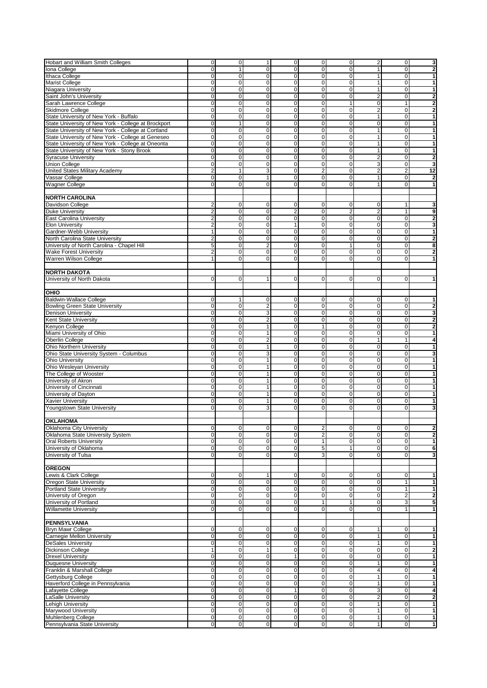| <b>Hobart and William Smith Colleges</b>            |                         |                |                |                |                |                |                |                         |                         |
|-----------------------------------------------------|-------------------------|----------------|----------------|----------------|----------------|----------------|----------------|-------------------------|-------------------------|
|                                                     | $\overline{0}$          | $\mathbf 0$    | 1              | $\pmb{0}$      | 0              | $\mathbf 0$    | $\overline{2}$ | $\overline{0}$          | 3                       |
| Iona College                                        | $\overline{0}$          | $\mathbf{1}$   | $\mathbf 0$    | $\mathbf 0$    | $\overline{0}$ | $\mathbf 0$    | $\mathbf{1}$   | $\overline{0}$          | $\overline{2}$          |
| Ithaca College                                      | $\overline{0}$          | 0              | $\mathbf 0$    | 0              | 0              | $\mathbf 0$    | $\mathbf{1}$   | 0                       | 1                       |
| <b>Marist College</b>                               | $\overline{0}$          | $\mathbf{0}$   | $\mathbf 0$    | 0              | 0              | $\mathbf 0$    | $\mathbf{1}$   | 0                       | 1                       |
|                                                     |                         |                |                |                |                |                |                |                         |                         |
| Niagara University                                  | $\overline{0}$          | $\overline{0}$ | $\overline{0}$ | $\mathbf 0$    | $\overline{0}$ | $\overline{0}$ | $\mathbf{1}$   | $\overline{0}$          | 1                       |
| Saint John's University                             | $\overline{0}$          | $\overline{0}$ | $\mathbf 0$    | $\pmb{0}$      | $\overline{0}$ | $\mathbf 0$    | $\overline{2}$ | $\overline{0}$          | $\overline{2}$          |
| Sarah Lawrence College                              | $\overline{0}$          | 0              | $\mathbf 0$    | 0              | $\overline{0}$ | $\mathbf{1}$   | $\Omega$       | $\overline{1}$          | 2                       |
| <b>Skidmore College</b>                             | $\overline{0}$          | $\mathbf{0}$   | $\mathbf 0$    | 0              | 0              | $\mathbf 0$    | $\overline{2}$ | $\overline{0}$          | $\overline{2}$          |
|                                                     |                         |                |                |                |                |                |                |                         |                         |
| State University of New York - Buffalo              | $\overline{0}$          | $\overline{0}$ | $\mathbf 0$    | $\pmb{0}$      | $\overline{0}$ | $\pmb{0}$      | $\mathbf{1}$   | $\overline{0}$          | 1                       |
| State University of New York - College at Brockport | $\overline{0}$          | 1              | 0              | 0              | $\overline{0}$ | $\mathbf 0$    | $\mathbf 0$    | 0                       | 1                       |
| State University of New York - College at Cortland  | $\overline{0}$          | 0              | 0              | 0              | 0              | $\mathbf 0$    | $\mathbf{1}$   | 0                       | 1                       |
|                                                     | $\overline{0}$          | $\mathbf{0}$   | $\mathbf 0$    | 0              | 0              | $\mathbf 0$    | $\mathbf{1}$   | 0                       | 1                       |
| State University of New York - College at Geneseo   |                         |                |                |                |                |                |                |                         |                         |
| State University of New York - College at Oneonta   | $\overline{0}$          | $\mathbf 0$    | $\mathbf 0$    | $\mathbf 0$    | 0              | $\mathbf 0$    | $\mathbf{1}$   | 0                       | $\mathbf{1}$            |
| State University of New York - Stony Brook          | $\overline{0}$          | $\mathbf{0}$   | $\mathbf 0$    | $\mathbf 0$    | 0              | $\mathbf 0$    | $\mathbf{1}$   | $\overline{0}$          | 1                       |
| <b>Syracuse University</b>                          | $\overline{0}$          | 0              | $\pmb{0}$      | $\mathbf 0$    | 0              | $\mathbf 0$    | $\overline{2}$ | 0                       | $\overline{2}$          |
|                                                     |                         |                |                |                |                |                |                |                         |                         |
| <b>Union College</b>                                | $\overline{0}$          | $\mathbf{0}$   | $\mathbf 0$    | 0              | 0              | $\mathbf 0$    | 3              | $\overline{0}$          | 3                       |
| United States Military Academy                      | $\overline{2}$          | $\mathbf{1}$   | 3              | $\mathbf 0$    | $\overline{2}$ | $\mathbf 0$    | $\overline{2}$ | $\overline{\mathbf{c}}$ | 12                      |
| Vassar College                                      | $\overline{0}$          | $\overline{0}$ | 1              | $\mathbf 0$    | $\mathbf{0}$   | $\mathbf 0$    | $\mathbf{1}$   | $\overline{0}$          | $\overline{\mathbf{2}}$ |
|                                                     | $\overline{0}$          | $\overline{0}$ | $\mathbf 0$    | $\mathbf 0$    | 0              | $\mathbf 0$    | $\mathbf{1}$   | $\overline{0}$          | 1                       |
| <b>Wagner College</b>                               |                         |                |                |                |                |                |                |                         |                         |
|                                                     |                         |                |                |                |                |                |                |                         |                         |
| <b>NORTH CAROLINA</b>                               |                         |                |                |                |                |                |                |                         |                         |
| Davidson College                                    | $\overline{\mathbf{c}}$ | $\mathbf{0}$   | $\mathbf 0$    | $\mathbf 0$    | $\overline{0}$ | $\mathbf 0$    | $\mathbf 0$    | 1                       | 3                       |
|                                                     |                         |                |                |                |                |                |                |                         |                         |
| <b>Duke University</b>                              | $\overline{2}$          | 0              | 0              | $\overline{2}$ | 0              | $\overline{2}$ | $\overline{2}$ | $\mathbf{1}$            | 9                       |
| <b>East Carolina University</b>                     | $\overline{\mathbf{c}}$ | 0              | $\mathbf 0$    | 0              | 0              | $\mathbf 0$    | $\mathbf 0$    | 0                       | 2                       |
| <b>Elon University</b>                              | $\overline{2}$          | $\mathbf{0}$   | $\mathbf 0$    | 1              | 0              | $\mathbf 0$    | $\mathbf 0$    | 0                       | 3                       |
|                                                     |                         |                |                |                |                |                |                |                         |                         |
| Gardner-Webb University                             | $\mathbf{1}$            | $\mathbf{0}$   | $\mathbf 0$    | 0              | 0              | $\mathbf 0$    | $\mathbf 0$    | 0                       | 1                       |
| North Carolina State University                     | $\overline{2}$          | $\mathbf 0$    | $\mathbf 0$    | 0              | 0              | $\mathbf 0$    | $\mathbf 0$    | 0                       | $\overline{2}$          |
| University of North Carolina - Chapel Hill          | 5                       | 0              | $\overline{c}$ | 0              | $\overline{0}$ | $\mathbf{1}$   | $\Omega$       | 0                       | 8                       |
| <b>Wake Forest University</b>                       | $\overline{2}$          | $\mathbf 0$    | $\mathbf 0$    | 0              | 0              | $\mathbf 0$    | $\mathbf 0$    | 0                       | $\overline{2}$          |
|                                                     |                         |                |                |                |                |                |                |                         |                         |
| Warren Wilson College                               | 1                       | $\mathbf{0}$   | $\mathbf 0$    | 0              | 0              | $\mathbf 0$    | $\Omega$       | $\overline{0}$          | 1                       |
|                                                     |                         |                |                |                |                |                |                |                         |                         |
| <b>NORTH DAKOTA</b>                                 |                         |                |                |                |                |                |                |                         |                         |
|                                                     |                         |                |                |                |                |                |                |                         |                         |
| University of North Dakota                          | $\overline{0}$          | 0              | 1              | $\mathbf 0$    | 0              | 0              | $\mathbf 0$    | 0                       | 1                       |
|                                                     |                         |                |                |                |                |                |                |                         |                         |
| OHIO                                                |                         |                |                |                |                |                |                |                         |                         |
|                                                     |                         |                |                |                |                |                |                |                         |                         |
| <b>Baldwin-Wallace College</b>                      | $\overline{0}$          | 1              | 0              | 0              | 0              | 0              | $\mathbf 0$    | 0                       | 1                       |
| <b>Bowling Green State University</b>               | 0                       | $\mathbf{0}$   | $\overline{c}$ | 0              | 0              | $\mathbf 0$    | $\mathbf 0$    | 0                       | $\overline{2}$          |
| <b>Denison University</b>                           | $\overline{0}$          | $\mathbf 0$    | 3              | $\mathbf 0$    | 0              | $\mathbf 0$    | $\mathbf 0$    | 0                       | 3                       |
| Kent State University                               | $\overline{0}$          | $\mathbf{0}$   | $\overline{2}$ | $\mathbf 0$    | 0              | $\mathbf 0$    | $\mathbf 0$    | 0                       | $\overline{2}$          |
|                                                     |                         |                |                |                |                |                |                |                         |                         |
| Kenyon College                                      | 0                       | $\mathbf 0$    | 1              | 0              | 1              | $\mathbf 0$    | $\mathbf 0$    | 0                       | $\overline{2}$          |
| Miami University of Ohio                            | $\overline{0}$          | $\mathbf{0}$   | $\mathbf{1}$   | 0              | 0              | $\mathbf 0$    | $\Omega$       | 0                       | 1                       |
| Oberlin College                                     | $\overline{0}$          | $\mathbf{0}$   | $\overline{2}$ | $\mathbf 0$    | $\overline{0}$ | $\mathbf 0$    | $\mathbf{1}$   | $\overline{1}$          | 4                       |
|                                                     |                         |                |                |                |                |                |                |                         |                         |
| <b>Ohio Northern University</b>                     | $\overline{0}$          | $\mathbf{0}$   | 1              | $\mathbf 0$    | $\overline{0}$ | $\mathbf 0$    | $\mathbf 0$    | $\overline{0}$          | 1                       |
| Ohio State University System - Columbus             | $\overline{0}$          | $\mathbf{0}$   | 3              | $\mathbf 0$    | 0              | $\mathbf 0$    | $\mathbf 0$    | $\overline{0}$          | 3                       |
| <b>Ohio University</b>                              | 0                       | $\mathbf{0}$   | $\mathbf{1}$   | 0              | 0              | $\mathbf 0$    | $\mathbf 0$    | 0                       | 1                       |
|                                                     | $\overline{0}$          | $\mathbf 0$    | $\mathbf{1}$   | $\pmb{0}$      | $\overline{0}$ | $\pmb{0}$      | $\mathbf 0$    | $\overline{0}$          | 1                       |
| Ohio Wesleyan University                            |                         |                |                |                |                |                |                |                         |                         |
| The College of Wooster                              | $\overline{0}$          | $\mathbf{0}$   | $\mathbf{1}$   | $\mathbf 0$    | 0              | $\mathbf 0$    | $\mathbf 0$    | $\overline{0}$          | 1                       |
| University of Akron                                 | $\overline{0}$          | 0              | $\mathbf{1}$   | 0              | 0              | $\mathbf 0$    | $\mathbf 0$    | $\overline{0}$          | 1                       |
| University of Cincinnati                            | 0                       | 0              | $\mathbf{1}$   | 0              | $\mathbf 0$    | $\mathbf 0$    | $\Omega$       | 0                       | 1                       |
|                                                     |                         |                |                |                |                |                |                |                         |                         |
| University of Dayton                                | 0                       | $\mathbf 0$    | $\mathbf{1}$   | $\mathbf 0$    | 0              | $\mathbf 0$    | $\mathbf 0$    | 0                       | 1                       |
| <b>Xavier University</b>                            | $\overline{0}$          | 0              | $\mathbf{1}$   | $\pmb{0}$      | 0              | $\mathbf 0$    | $\mathbf 0$    | 0                       | 1                       |
| Youngstown State University                         | $\overline{0}$          | $\mathbf{0}$   | 3              | $\mathbf 0$    | 0              | $\mathbf 0$    | $\mathbf 0$    | $\overline{0}$          | 3                       |
|                                                     |                         |                |                |                |                |                |                |                         |                         |
|                                                     |                         |                |                |                |                |                |                |                         |                         |
| <b>OKLAHOMA</b>                                     |                         |                |                |                |                |                |                |                         |                         |
| Oklahoma City University                            | $\overline{0}$          | $\mathbf 0$    | 0              | $\overline{0}$ | $\overline{2}$ | $\pmb{0}$      | 0              | $\overline{0}$          | $\overline{\mathbf{2}}$ |
| Oklahoma State University System                    | $\overline{0}$          | $\overline{0}$ | 0              | 0              | $\overline{2}$ | $\mathbf 0$    | $\mathbf 0$    | $\overline{0}$          | $\overline{2}$          |
|                                                     |                         |                |                |                |                |                |                |                         |                         |
| <b>Oral Roberts University</b>                      | $\overline{0}$          | $\mathbf 0$    | $\mathbf 0$    | $\mathbf 0$    | $\mathbf{1}$   | $\mathbf 0$    | $\mathbf 0$    | $\overline{0}$          | 1                       |
| University of Oklahoma                              | $\overline{0}$          | $\mathbf 0$    | 0              | 0              | 5              | 1              | $\mathbf 0$    | $\overline{0}$          | 6                       |
| University of Tulsa                                 | $\overline{0}$          | $\mathbf{0}$   | 0              | $\pmb{0}$      | 3              | $\mathbf 0$    | $\mathbf 0$    | $\overline{0}$          | 3                       |
|                                                     |                         |                |                |                |                |                |                |                         |                         |
|                                                     |                         |                |                |                |                |                |                |                         |                         |
| <b>OREGON</b>                                       |                         |                |                |                |                |                |                |                         |                         |
| Lewis & Clark College                               | $\overline{0}$          | 0              | 1              | 0              | 0              | $\mathbf 0$    | $\mathbf 0$    | 0                       | 1                       |
| Oregon State University                             | $\overline{0}$          | $\mathbf 0$    | $\mathsf 0$    | $\pmb{0}$      | $\mathbf{0}$   | $\mathbf 0$    | $\mathbf 0$    | 1                       | 1                       |
| <b>Portland State University</b>                    | $\overline{0}$          | $\mathbf 0$    | $\mathsf 0$    | $\pmb{0}$      | $\overline{0}$ | $\mathbf 0$    | $\mathbf 0$    | $\mathbf{1}$            | 1                       |
|                                                     |                         |                |                |                |                |                |                |                         |                         |
| University of Oregon                                | $\overline{0}$          | $\mathbf 0$    | 0              | $\mathbf 0$    | $\overline{0}$ | $\mathbf 0$    | $\mathbf 0$    | $\overline{2}$          | $\overline{2}$          |
| University of Portland                              | $\overline{0}$          | $\mathbf{0}$   | 0              | 0              | $\mathbf{1}$   | $\mathbf{1}$   | $\mathbf 0$    | 3                       | 5                       |
| <b>Willamette University</b>                        | $\overline{0}$          | $\overline{0}$ | $\mathbf 0$    | $\mathbf 0$    | $\overline{0}$ | $\mathbf 0$    | $\mathbf 0$    | $\mathbf{1}$            | 1                       |
|                                                     |                         |                |                |                |                |                |                |                         |                         |
|                                                     |                         |                |                |                |                |                |                |                         |                         |
| <b>PENNSYLVANIA</b>                                 |                         |                |                |                |                |                |                |                         |                         |
| Bryn Mawr College                                   | $\overline{0}$          | 0              | 0              | 0              | $\mathbf{0}$   | 0              | $\mathbf{1}$   | 0                       | 1                       |
| Carnegie Mellon University                          | $\overline{0}$          | $\mathbf 0$    | $\mathbf 0$    | $\pmb{0}$      | $\overline{0}$ | $\mathbf 0$    | $\mathbf{1}$   | $\overline{0}$          | 1                       |
|                                                     |                         |                |                |                |                |                |                |                         |                         |
| <b>DeSales University</b>                           | $\overline{0}$          | $\mathbf 0$    | $\mathsf 0$    | $\mathbf 0$    | $\overline{0}$ | $\mathbf 0$    | $\mathbf{1}$   | $\overline{0}$          | $\mathbf{1}$            |
| <b>Dickinson College</b>                            | $\mathbf{1}$            | $\overline{0}$ | $\mathbf{1}$   | $\pmb{0}$      | $\overline{0}$ | $\mathbf 0$    | $\mathbf 0$    | $\overline{0}$          | $\overline{\mathbf{2}}$ |
| <b>Drexel University</b>                            | $\overline{0}$          | $\mathbf{0}$   | $\mathbf 0$    | 1              | 0              | $\pmb{0}$      | $\mathbf 0$    | $\overline{0}$          | 1                       |
|                                                     |                         |                |                |                |                |                |                |                         |                         |
| <b>Duquesne University</b>                          | $\overline{0}$          | 0              | $\mathbf 0$    | $\mathbf 0$    | 0              | $\mathbf 0$    | $\mathbf{1}$   | $\overline{0}$          | 1                       |
| Franklin & Marshall College                         | $\overline{0}$          | 0              | $\mathbf 0$    | $\mathbf 0$    | $\overline{0}$ | $\mathbf 0$    | $\overline{4}$ | $\overline{0}$          | 4                       |
| Gettysburg College                                  | $\overline{0}$          | $\mathbf 0$    | $\mathsf 0$    | 0              | $\overline{0}$ | $\mathbf 0$    | $\mathbf{1}$   | $\overline{0}$          | 1                       |
|                                                     | $\overline{0}$          | $\mathbf{0}$   | $\overline{0}$ | $\overline{0}$ | $\overline{0}$ | $\overline{0}$ | $\mathbf{1}$   | $\overline{0}$          |                         |
| Haverford College in Pennsylvania                   |                         |                |                |                |                |                |                |                         | 1                       |
| Lafayette College                                   | $\overline{0}$          | $\mathbf{0}$   | $\mathbf 0$    | $\mathbf{1}$   | 0              | $\mathbf 0$    | 3              | $\overline{0}$          | 4                       |
| LaSalle University                                  | $\overline{0}$          | $\overline{0}$ | 0              | $\pmb{0}$      | 0              | $\pmb{0}$      | $\overline{2}$ | $\overline{0}$          | $\overline{\mathbf{2}}$ |
| <b>Lehigh University</b>                            | $\overline{0}$          | $\overline{0}$ | 0              | $\pmb{0}$      | $\overline{0}$ | $\mathbf 0$    | 1              | $\overline{0}$          | 1                       |
|                                                     |                         |                |                |                |                |                |                |                         |                         |
| Marywood University                                 | $\overline{0}$          | $\mathbf 0$    | 0              | 0              | $\overline{0}$ | $\pmb{0}$      | $\mathbf{1}$   | $\overline{0}$          | 1                       |
| <b>Muhlenberg College</b>                           | $\overline{0}$          | $\overline{0}$ | $\mathbf 0$    | $\pmb{0}$      | $\overline{0}$ | $\pmb{0}$      | $\mathbf{1}$   | $\overline{0}$          | 1                       |
| Pennsylvania State University                       | $\overline{0}$          | $\overline{0}$ | $\mathbf 0$    | 0              | $\overline{0}$ | $\mathbf 0$    | $\mathbf{1}$   | $\overline{0}$          | 1                       |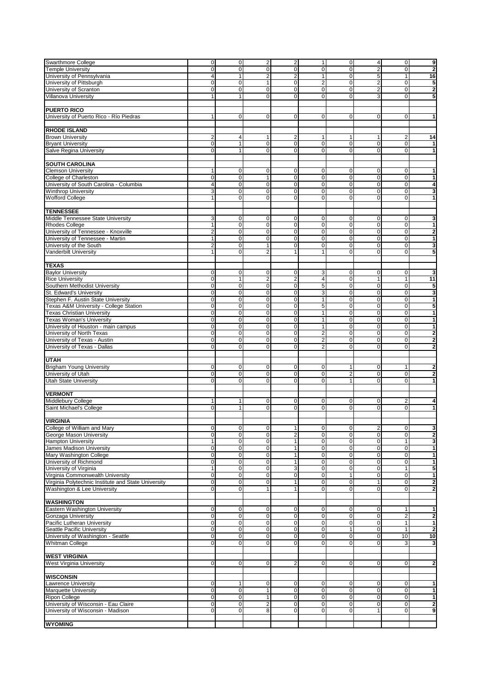| <b>Swarthmore College</b>                           | $\pmb{0}$      | $\mathbf 0$    | $\overline{2}$        | $\overline{2}$ | $\mathbf{1}$   | 0              | 4                       | 0                       | $\overline{9}$          |
|-----------------------------------------------------|----------------|----------------|-----------------------|----------------|----------------|----------------|-------------------------|-------------------------|-------------------------|
| <b>Temple University</b>                            | $\mathbf 0$    | $\mathbf{0}$   | 0                     | $\overline{0}$ | $\pmb{0}$      | $\mathbf 0$    | $\overline{2}$          | $\mathbf 0$             | $\overline{2}$          |
| University of Pennsylvania                          | $\overline{4}$ | $\mathbf{1}$   | $\overline{2}$        | $\overline{2}$ | $\mathbf{1}$   | 0              | 5                       | $\mathbf{1}$            | 16                      |
| University of Pittsburgh                            | $\mathbf 0$    | $\mathbf{0}$   | $\mathbf{1}$          | $\mathbf 0$    | $\overline{c}$ | $\mathbf 0$    | $\overline{2}$          | $\mathbf 0$             | 5                       |
|                                                     |                |                |                       |                |                |                |                         |                         |                         |
| University of Scranton                              | $\overline{0}$ | $\mathbf{0}$   | $\overline{0}$        | $\mathbf 0$    | $\overline{0}$ | $\mathbf 0$    | $\overline{2}$          | $\overline{0}$          | $\overline{2}$          |
| Villanova University                                | $\mathbf{1}$   | $\mathbf{1}$   | $\mathbf 0$           | $\Omega$       | $\mathbf 0$    | $\mathbf 0$    | 3                       | $\mathbf 0$             | 5                       |
|                                                     |                |                |                       |                |                |                |                         |                         |                         |
| <b>PUERTO RICO</b>                                  |                |                |                       |                |                |                |                         |                         |                         |
| University of Puerto Rico - Río Piedras             | $\mathbf{1}$   | $\mathbf{0}$   | 0                     | $\mathbf 0$    | 0              | $\mathbf 0$    | $\mathbf 0$             | $\mathbf 0$             | $\overline{1}$          |
|                                                     |                |                |                       |                |                |                |                         |                         |                         |
|                                                     |                |                |                       |                |                |                |                         |                         |                         |
| <b>RHODE ISLAND</b>                                 |                |                |                       |                |                |                |                         |                         |                         |
| <b>Brown University</b>                             | 2              | 4              | 1                     | $\overline{c}$ | 1              | $\mathbf{1}$   |                         | $\overline{\mathbf{c}}$ | 14                      |
| <b>Bryant University</b>                            | $\mathbf 0$    | $\mathbf{1}$   | $\mathbf 0$           | 0              | $\mathbf 0$    | $\mathbf 0$    | $\mathbf 0$             | $\pmb{0}$               | $\mathbf{1}$            |
|                                                     |                |                |                       |                |                |                |                         |                         |                         |
| Salve Regina University                             | $\mathbf 0$    | $\mathbf{1}$   | $\mathbf 0$           | 0              | $\mathbf 0$    | $\Omega$       | $\Omega$                | $\mathbf 0$             | $\mathbf{1}$            |
|                                                     |                |                |                       |                |                |                |                         |                         |                         |
| <b>SOUTH CAROLINA</b>                               |                |                |                       |                |                |                |                         |                         |                         |
| <b>Clemson University</b>                           | 1              | $\mathbf 0$    | 0                     | $\mathbf 0$    | 0              | $\mathbf 0$    | 0                       | 0                       | 1                       |
|                                                     | $\overline{0}$ | $\overline{0}$ | $\mathbf{1}$          | 0              | $\overline{0}$ | $\overline{0}$ | $\mathbf 0$             | $\overline{0}$          | 1                       |
| College of Charleston                               |                |                |                       |                |                |                |                         |                         |                         |
| University of South Carolina - Columbia             | 4              | $\mathbf 0$    | $\mathsf 0$           | $\pmb{0}$      | $\pmb{0}$      | $\mathsf 0$    | $\mathbf 0$             | 0                       | 4                       |
| <b>Winthrop University</b>                          | 3              | $\mathbf 0$    | $\mathbf 0$           | 0              | 0              | $\mathbf 0$    | $\mathbf 0$             | 0                       | 3                       |
| <b>Wofford College</b>                              | $\mathbf{1}$   | $\mathbf{0}$   | 0                     | 0              | $\mathbf 0$    | $\mathbf 0$    | $\mathbf 0$             | 0                       | 1                       |
|                                                     |                |                |                       |                |                |                |                         |                         |                         |
|                                                     |                |                |                       |                |                |                |                         |                         |                         |
| <b>TENNESSEE</b>                                    |                |                |                       |                |                |                |                         |                         |                         |
| Middle Tennessee State University                   | 3              | $\mathbf 0$    | 0                     | 0              | 0              | $\mathbf 0$    | 0                       | 0                       | $\mathbf{3}$            |
| <b>Rhodes College</b>                               | $\mathbf{1}$   | $\mathbf{0}$   | $\mathbf 0$           | $\mathbf 0$    | $\mathbf 0$    | $\mathbf 0$    | $\mathbf 0$             | 0                       | 1                       |
| University of Tennessee - Knoxville                 | $\overline{c}$ | $\mathbf{0}$   | $\mathsf 0$           | $\mathbf 0$    | $\mathbf 0$    | $\mathbf 0$    | $\mathbf 0$             | $\pmb{0}$               | $\overline{\mathbf{2}}$ |
| University of Tennessee - Martin                    | $\mathbf{1}$   | $\mathbf 0$    | $\mathsf 0$           | $\mathbf 0$    | $\pmb{0}$      | $\mathbf 0$    | $\mathbf 0$             | $\pmb{0}$               | $\mathbf{1}$            |
|                                                     |                |                |                       |                |                |                |                         |                         |                         |
| University of the South                             | $\overline{c}$ | $\mathbf{0}$   | 1                     | $\mathbf 0$    | 0              | $\mathbf 0$    | 0                       | $\overline{0}$          | 3                       |
| Vanderbilt University                               | $\mathbf{1}$   | $\mathbf{0}$   | $\overline{c}$        | 1              | $\mathbf{1}$   | $\mathbf 0$    | $\mathbf 0$             | $\mathbf 0$             | 5                       |
|                                                     |                |                |                       |                |                |                |                         |                         |                         |
| <b>TEXAS</b>                                        |                |                |                       |                |                |                |                         |                         |                         |
|                                                     |                |                |                       |                |                |                |                         |                         |                         |
| <b>Baylor University</b>                            | 0              | $\mathbf 0$    | 0                     | $\Omega$       | 3              | 0              | 0                       | 0                       | $\overline{\mathbf{3}}$ |
| <b>Rice University</b>                              | $\mathbf 0$    | $\mathbf{1}$   | $\overline{c}$        | $\overline{2}$ | $\overline{4}$ | $\mathbf 0$    | $\mathbf{1}$            | 1                       | 11                      |
| Southern Methodist University                       | $\overline{0}$ | $\mathbf{0}$   | $\mathsf 0$           | $\mathbf 0$    | $\overline{5}$ | $\mathsf 0$    | $\mathbf 0$             | $\overline{0}$          | $\overline{5}$          |
| St. Edward's University                             | $\mathbf 0$    | $\mathbf{0}$   | $\mathsf 0$           | $\mathbf 0$    | 3              | $\mathbf 0$    | $\mathbf 0$             | $\pmb{0}$               | 3                       |
| Stephen F. Austin State University                  | $\overline{0}$ | $\mathbf 0$    | $\mathsf 0$           | $\Omega$       | $\overline{1}$ | 0              | 0                       | $\overline{0}$          | 1                       |
|                                                     |                |                |                       |                |                |                |                         |                         |                         |
| Texas A&M University - College Station              | $\mathbf 0$    | $\pmb{0}$      | $\mathbf 0$           | 0              | 5              | $\mathbf 0$    | $\mathbf 0$             | $\pmb{0}$               | 5                       |
| <b>Texas Christian University</b>                   | 0              | $\mathbf{0}$   | $\mathbf 0$           | $\mathbf 0$    | $\mathbf{1}$   | $\mathbf 0$    | $\mathbf 0$             | 0                       | 1                       |
| <b>Texas Woman's University</b>                     | $\mathbf 0$    | $\mathbf 0$    | $\mathbf 0$           | 0              | $\mathbf{1}$   | $\mathbf 0$    | $\mathbf 0$             | $\pmb{0}$               | $\mathbf{1}$            |
| University of Houston - main campus                 | $\mathbf 0$    | $\mathbf 0$    | $\mathsf 0$           | $\mathbf 0$    | $\mathbf{1}$   | $\mathsf 0$    | $\mathbf 0$             | $\pmb{0}$               | $\mathbf{1}$            |
| University of North Texas                           | $\overline{0}$ | $\overline{0}$ | $\overline{0}$        | $\Omega$       |                | $\overline{0}$ | $\overline{0}$          | $\overline{0}$          |                         |
|                                                     |                |                |                       |                | $\overline{c}$ |                |                         |                         | $\overline{\mathbf{2}}$ |
| University of Texas - Austin                        | $\mathbf 0$    | $\mathbf{0}$   | $\mathbf 0$           | 0              | $\overline{2}$ | $\mathbf 0$    | $\mathbf 0$             | $\pmb{0}$               | $\overline{\mathbf{2}}$ |
| University of Texas - Dallas                        | $\overline{0}$ | $\mathbf{0}$   | $\overline{0}$        | $\overline{0}$ | $\overline{2}$ | $\mathbf 0$    | $\overline{0}$          | $\overline{0}$          | $\overline{2}$          |
|                                                     |                |                |                       |                |                |                |                         |                         |                         |
| <b>UTAH</b>                                         |                |                |                       |                |                |                |                         |                         |                         |
| <b>Brigham Young University</b>                     |                |                |                       |                |                |                |                         |                         |                         |
|                                                     | 0              | $\mathbf 0$    | 0                     | 0              | 0              | $\mathbf{1}$   | 0                       | 1                       | $\mathbf 2$             |
| <b>University of Utah</b>                           | $\overline{0}$ | $\mathbf 0$    | $\mathsf 0$           | $\overline{0}$ | $\overline{0}$ | $\overline{2}$ | 0                       | $\overline{0}$          | $\mathbf 2$             |
| <b>Utah State University</b>                        | $\mathbf 0$    | $\mathbf{0}$   | 0                     | $\Omega$       | $\mathbf 0$    | $\mathbf{1}$   | $\mathbf 0$             | 0                       | 1                       |
|                                                     |                |                |                       |                |                |                |                         |                         |                         |
| <b>VERMONT</b>                                      |                |                |                       |                |                |                |                         |                         |                         |
| Middlebury College                                  | $\mathbf{1}$   | $\mathbf{1}$   | 0                     | $\mathbf 0$    | 0              | $\mathbf 0$    | 0                       | $\overline{\mathbf{c}}$ | 4                       |
|                                                     |                |                |                       |                |                |                |                         |                         |                         |
| Saint Michael's College                             | $\mathbf 0$    | $\mathbf{1}$   | 0                     | $\overline{0}$ | $\pmb{0}$      | $\mathbf 0$    | $\mathbf 0$             | $\mathbf 0$             | 1                       |
|                                                     |                |                |                       |                |                |                |                         |                         |                         |
| <b>VIRGINIA</b>                                     |                |                |                       |                |                |                |                         |                         |                         |
| College of William and Mary                         | $\pmb{0}$      | $\mathbf 0$    | 0                     | $\mathbf{1}$   | 0              | 0              | $\overline{\mathbf{c}}$ | 0                       | 3                       |
| George Mason University                             | 0              | $\mathbf 0$    | 0                     | $\overline{c}$ | 0              | $\mathbf 0$    | $\mathbf 0$             | $\pmb{0}$               | $\mathbf 2$             |
|                                                     |                |                |                       |                |                |                |                         |                         |                         |
| <b>Hampton University</b>                           | $\mathbf{1}$   | $\mathbf 0$    | $\mathsf 0$           | 1              | 0              | 0              | $\mathbf 0$             | $\mathbf{1}$            | 3                       |
| James Madison University                            | $\mathbf 0$    | $\overline{0}$ | $\pmb{0}$             | 1              | 0              | 0              | $\mathbf 0$             | $\pmb{0}$               | 1                       |
| Mary Washington College                             | $\pmb{0}$      | $\mathbf 0$    | 0                     | 1              | 0              | $\mathsf 0$    | $\mathbf 0$             | $\overline{0}$          | $\mathbf{1}$            |
| University of Richmond                              | $\pmb{0}$      | $\mathbf 0$    | 0                     | 1              | 0              | $\mathsf 0$    | $\mathbf 0$             | $\overline{0}$          | $\mathbf{1}$            |
|                                                     |                |                |                       |                |                |                |                         |                         |                         |
| University of Virginia                              | $\mathbf{1}$   | $\mathbf 0$    | $\pmb{0}$             | $\mathbf{3}$   | $\pmb{0}$      | $\mathsf 0$    | $\mathbf 0$             | $\mathbf{1}$            | 5                       |
| Virginia Commonwealth University                    | $\mathbf 0$    | $\pmb{0}$      | $\mathbf 0$           | $\overline{0}$ | $\mathbf 0$    | $\mathbf{1}$   | $\mathbf 0$             | 0                       | 1                       |
| Virginia Polytechnic Institute and State University | $\pmb{0}$      | $\mathbf 0$    | 0                     | 1              | 0              | $\mathbf 0$    | $\mathbf{1}$            | 0                       | $\overline{2}$          |
| Washington & Lee University                         | $\pmb{0}$      | $\mathbf{0}$   | $\mathbf{1}$          | 1              | $\mathbf 0$    | $\mathbf 0$    | $\mathbf 0$             | 0                       | $\mathbf 2$             |
|                                                     |                |                |                       |                |                |                |                         |                         |                         |
| <b>WASHINGTON</b>                                   |                |                |                       |                |                |                |                         |                         |                         |
| Eastern Washington University                       |                |                |                       |                |                |                |                         |                         |                         |
|                                                     | 0              | $\mathbf 0$    | 0                     | 0              | 0              | $\mathbf 0$    | 0                       | 1                       | 1                       |
| Gonzaga University                                  | $\overline{0}$ | $\mathbf 0$    | $\overline{\text{o}}$ | $\overline{0}$ | $\overline{0}$ | $\overline{0}$ | $\mathbf 0$             | $\overline{2}$          | $\mathbf 2$             |
| Pacific Lutheran University                         | 0              | $\mathbf 0$    | 0                     | $\overline{0}$ | 0              | $\mathsf 0$    | 0                       | $\mathbf{1}$            | 1                       |
| Seattle Pacific University                          | $\overline{0}$ | $\overline{0}$ | 0                     | $\overline{0}$ | 0              | $\mathbf{1}$   | $\mathbf 0$             | $\overline{1}$          | $\overline{\mathbf{2}}$ |
| University of Washington - Seattle                  | $\pmb{0}$      | $\mathbf{0}$   | 0                     | 0              | 0              | 0              | 0                       | 10                      | 10                      |
|                                                     |                |                |                       |                |                |                |                         |                         |                         |
| <b>Whitman College</b>                              | $\overline{0}$ | $\mathbf 0$    | 0                     | $\overline{0}$ | $\pmb{0}$      | $\mathbf 0$    | $\pmb{0}$               | 3                       | 3                       |
|                                                     |                |                |                       |                |                |                |                         |                         |                         |
| <b>WEST VIRGINIA</b>                                |                |                |                       |                |                |                |                         |                         |                         |
| <b>West Virginia University</b>                     | $\mathbf 0$    | 0              | 0                     | $\overline{2}$ | 0              | $\mathbf 0$    | $\mathbf 0$             | 0                       | $\overline{2}$          |
|                                                     |                |                |                       |                |                |                |                         |                         |                         |
| <b>WISCONSIN</b>                                    |                |                |                       |                |                |                |                         |                         |                         |
|                                                     |                |                |                       |                |                |                |                         |                         |                         |
| Lawrence University                                 | $\mathbf 0$    | $\mathbf{1}$   | 0                     | $\Omega$       | 0              | 0              | 0                       | 0                       | 1                       |
| <b>Marquette University</b>                         | 0              | $\mathbf{0}$   | 1                     | 0              | 0              | $\mathsf 0$    | $\mathbf 0$             | 0                       | $\mathbf{1}$            |
| <b>Ripon College</b>                                | $\overline{0}$ | $\mathbf 0$    | $\mathbf{1}$          | $\Omega$       | 0              | $\pmb{0}$      | $\pmb{0}$               | $\overline{0}$          | 1                       |
| University of Wisconsin - Eau Claire                | $\Omega$       | $\mathbf{0}$   | $\overline{2}$        | $\overline{0}$ | 0              | $\mathbf 0$    | $\mathbf 0$             | $\overline{0}$          | $\mathbf 2$             |
| University of Wisconsin - Madison                   | $\overline{0}$ | $\mathbf{0}$   | 8                     | $\overline{0}$ | 0              | 0              | 1                       | $\overline{0}$          | 9                       |
|                                                     |                |                |                       |                |                |                |                         |                         |                         |
|                                                     |                |                |                       |                |                |                |                         |                         |                         |
| <b>WYOMING</b>                                      |                |                |                       |                |                |                |                         |                         |                         |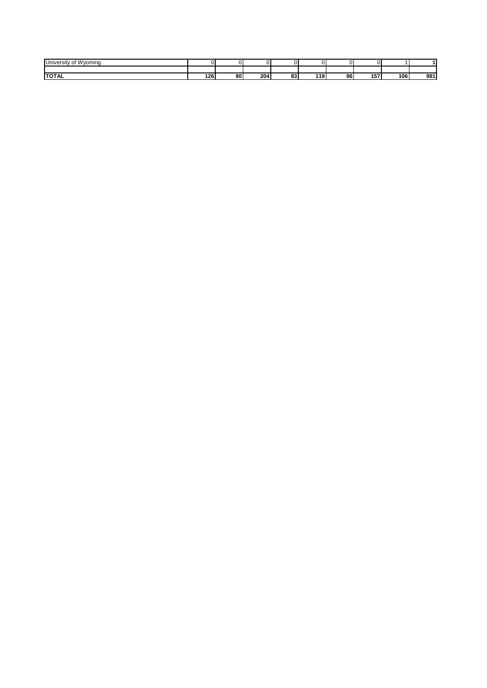| University of Wyoming |             |    |     |         |          |    |            |     |     |
|-----------------------|-------------|----|-----|---------|----------|----|------------|-----|-----|
|                       |             |    |     |         |          |    |            |     |     |
| <b>TOTAL</b>          | 10C<br>1201 | 90 | 204 | 00<br>ൊ | 110<br>. | 96 | ,,,<br>157 | 106 | 981 |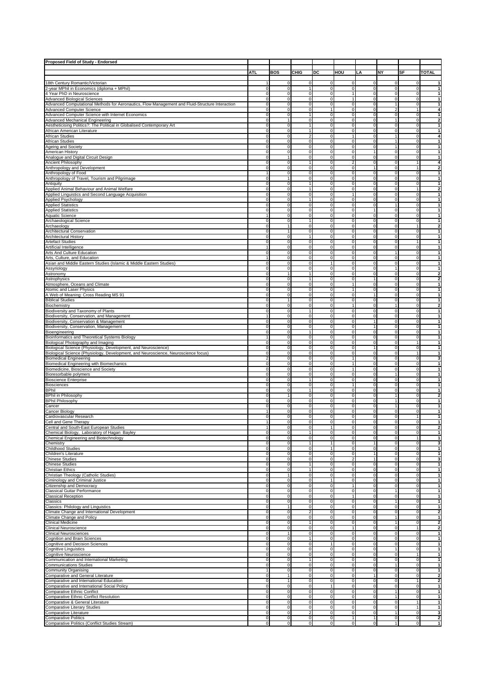| Proposed Field of Study - Endorsed                                                                 |                                  |                               |                                      |                                      |                                |                                  |                                  |                                         |                                           |
|----------------------------------------------------------------------------------------------------|----------------------------------|-------------------------------|--------------------------------------|--------------------------------------|--------------------------------|----------------------------------|----------------------------------|-----------------------------------------|-------------------------------------------|
|                                                                                                    |                                  |                               |                                      |                                      |                                |                                  |                                  |                                         |                                           |
|                                                                                                    | <b>ATL</b>                       | <b>BOS</b>                    | CHIG                                 | DC                                   | <b>HOU</b>                     | LA                               | <b>NY</b>                        | SF                                      | <b>TOTAL</b>                              |
| 18th Century Romantic/Victorian                                                                    | $\mathbf{1}$                     | 0                             | 0                                    | 0                                    | $\mathbf 0$                    | $\mathbf 0$                      | $\overline{0}$                   | $\overline{0}$                          | $\mathbf{1}$                              |
| 2-year MPhil in Economics (diploma + MPhil)                                                        | $\mathbf 0$                      | $\pmb{0}$                     | $\mathbf{1}$                         | $\pmb{0}$                            | $\overline{0}$                 | $\,0\,$                          | $\mathbf{0}$                     | $\overline{0}$                          | 1                                         |
| 4 Year PhD in Neuroscience<br><b>Advanced Biological Sciences</b>                                  | $\mathbf 0$<br>$\mathbf 0$       | $\mathbf 0$<br>$\mathbf 0$    | $\pmb{0}$<br>0                       | $\mathbf 0$<br>0                     | $\mathbf{1}$<br>$\mathbf{1}$   | $\mathbf 0$<br>$\mathbf 0$       | $\mathbf 0$<br>$\mathbf 0$       | $\overline{0}$<br>$\mathbf{0}$          | $\mathbf{1}$<br>1                         |
| Advanced Computational Methods for Aeronautics, Flow Management and Fluid-Structure Interaction    | $\mathbf 0$                      | $\mathbf 0$                   | $\pmb{0}$                            | $\overline{0}$                       | $\overline{0}$                 | $\mathbf 0$                      | $\mathbf{1}$                     | $\mathbf 0$                             | 1                                         |
| <b>Advanced Computer Science</b>                                                                   | $\mathbf 0$                      | $\pmb{0}$                     | 0                                    | $\mathbf{1}$                         | $\circ$                        | $\mathsf 0$                      | $\overline{2}$                   | 1                                       | 4                                         |
| Advanced Computer Science with Internet Economics<br>Advanced Mechanical Engineering               | $\mathbf 0$<br>$\mathbf 0$       | $\mathbf 0$<br>$\mathbf{1}$   | 1<br>0                               | 0<br>0                               | $\Omega$<br>$\Omega$           | $\mathbf 0$<br>$\mathbf 0$       | $\overline{0}$<br>$\mathbf{1}$   | $\overline{0}$<br>$\mathbf{0}$          | $\mathbf{1}$<br>$\overline{\mathbf{2}}$   |
| Aestheticising Politics?: The Political in Globalised Contemporary Art                             | $\overline{0}$                   | $\overline{0}$                | $\overline{1}$                       | $\overline{0}$                       | $\overline{0}$                 | $\overline{0}$                   | $\overline{0}$                   | $\overline{0}$                          | $\overline{1}$                            |
| African American Literature                                                                        | $\mathbf 0$                      | $\pmb{0}$                     | 1                                    | 0                                    | $\circ$                        | $\mathbf 0$                      | $\overline{0}$                   | $\mathbf{0}$                            | $\mathbf{1}$                              |
| African Studies                                                                                    | $\mathbf 0$<br>$\mathbf 0$       | 0<br>$\mathbf 0$              | $\overline{\mathbf{c}}$<br>$\pmb{0}$ | $\mathbf 0$<br>$\mathbf 0$           | $\overline{1}$<br>$\mathbf 0$  | $\mathbf 0$<br>$\mathbf 0$       | $\overline{1}$<br>$\overline{1}$ | $\mathbf 0$<br>$\overline{0}$           | 4<br>1                                    |
| African Studies<br>Ageing and Society                                                              | $\mathbf 0$                      | $\mathsf 0$                   | 0                                    | $\mathbf 0$                          | $\circ$                        | $\mathbf 0$                      | $\mathbf{1}$                     | $\overline{0}$                          | 1                                         |
| American History                                                                                   | $\mathbf 0$                      | $\pmb{0}$                     | 0                                    | $\mathbf 0$                          | $\overline{0}$                 | $\mathbf{1}$                     | $\mathbf{0}$                     | $\mathbf 0$                             | $\mathbf{1}$                              |
| Analogue and Digital Circuit Design                                                                | $\mathbf 0$                      | $\mathbf{1}$                  | 0                                    | $\mathbf 0$                          | $\mathbf 0$                    | $\mathsf 0$                      | $\mathbf 0$                      | $\mathsf{O}\xspace$                     | $\mathbf{1}$                              |
| <b>Ancient Philosophy</b><br>Anthropology and Development                                          | $\overline{0}$<br>$\mathbf 0$    | $\pmb{0}$<br>0                | $\overline{1}$<br>0                  | $\overline{\text{o}}$<br>$\mathbf 0$ | $\overline{c}$<br>$\mathbf 0$  | $\overline{0}$<br>1              | $\mathbf 0$<br>$\mathbf 0$       | 1<br>1                                  | 4                                         |
| Anthropology of Food                                                                               | 1                                | $\pmb{0}$                     | 0                                    | $\pmb{0}$                            | $\mathbf 0$                    | $\mathbf 0$                      | $\mathbf 0$                      | $\overline{0}$                          | 2<br>1                                    |
| Anthropology of Travel, Tourism and Pilgrimage                                                     | $\mathbf 0$                      | $\mathbf{1}$                  | $\pmb{0}$                            | $\mathbf 0$                          | $\Omega$                       | $\mathbf 0$                      | $\overline{0}$                   | $\overline{0}$                          | $\mathbf{1}$                              |
| Antiquity                                                                                          | $\mathbf 0$                      | $\pmb{0}$                     | $\mathbf{1}$                         | $\mathbf 0$                          | $\circ$                        | $\mathbf 0$                      | $\overline{0}$                   | $\overline{0}$                          | $\overline{1}$                            |
| Applied Animal Behaviour and Animal Welfare<br>Applied Linguistics and Second Language Acquisition | $\mathbf 0$<br>$\mathbf 0$       | $\pmb{0}$<br>$\pmb{0}$        | $\mathbf{1}$<br>0                    | $\mathbf 0$<br>$\mathbf 0$           | $\overline{0}$<br>$\mathbf{1}$ | $\mathsf 0$<br>$\mathbf 0$       | $\mathbf{0}$<br>$\mathbf{0}$     | 1<br>$\mathsf{O}\xspace$                | $\overline{\mathbf{2}}$<br>$\mathbf{1}$   |
| Applied Psychology                                                                                 | $\mathbf 0$                      | 0                             | 1                                    | 0                                    | $\Omega$                       | $\mathbf 0$                      | $\mathbf 0$                      | $\mathbf{0}$                            | 1                                         |
| <b>Applied Statistics</b>                                                                          | $\mathbf 0$                      | $\pmb{0}$                     | 0                                    | $\mathbf 0$                          | $\mathbf 0$                    | $\mathsf 0$                      | $\mathbf{1}$                     | $\overline{0}$                          | $\mathbf{1}$                              |
| <b>Applied Statistics</b>                                                                          | $\mathbf 0$<br>$\mathbf{1}$      | $\pmb{0}$<br>0                | 0<br>0                               | $\mathbf 0$<br>0                     | $\Omega$<br>$\Omega$           | $\mathbf{1}$<br>$\mathbf 0$      | $\overline{0}$<br>$\overline{0}$ | $\overline{0}$<br>$\overline{0}$        | 1<br>1                                    |
| Aquatic Science<br>Archaeological Science                                                          | $\mathbf 0$                      | $\pmb{0}$                     | $\mathbf{1}$                         | $\pmb{0}$                            | $\overline{0}$                 | $\,0\,$                          | $\mathbf{0}$                     | $\overline{0}$                          | $\mathbf{1}$                              |
| Archaeology                                                                                        | $\mathbf 0$                      | $\mathbf{1}$                  | $\pmb{0}$                            | $\mathbf 0$                          | $\circ$                        | $\mathbf 0$                      | $\mathbf 0$                      | $\mathbf{1}$                            | $\overline{\mathbf{2}}$                   |
| Architectural Conservation                                                                         | $\mathbf 0$                      | $\mathbf{1}$                  | 0                                    | 0                                    | $\Omega$                       | $\mathbf 0$                      | $\mathbf 0$                      | $\mathbf 0$                             | 1                                         |
| Architectural History<br>Artefact Studies                                                          | $\mathbf 0$<br>$\mathbf 0$       | $\mathbf 0$<br>$\pmb{0}$      | 1<br>0                               | $\overline{0}$<br>$\bf 0$            | $\Omega$<br>$\circ$            | $\mathbf 0$<br>$\mathsf 0$       | $\mathbf 0$<br>$\overline{0}$    | $\mathbf 0$<br>1                        | 1<br>$\mathbf{1}$                         |
| Artificial Intelligence                                                                            | $\mathbf{1}$                     | $\mathbf 0$                   | 0                                    | 0                                    | $\Omega$                       | $\mathbf 0$                      | $\overline{0}$                   | $\overline{0}$                          | $\overline{1}$                            |
| Arts And Culture Education                                                                         | $\mathbf 0$                      | 0                             | 0                                    | $\mathbf 0$                          | $\Omega$                       | $\mathbf 0$                      | $\mathbf{1}$                     | $\overline{0}$                          | $\overline{1}$                            |
| Arts, Culture, and Education                                                                       | $\overline{1}$                   | $\pmb{0}$                     | $\overline{\text{o}}$                | $\overline{0}$                       | $\circ$                        | $\mathbf 0$                      | $\mathbf{0}$                     | $\overline{\mathbf{0}}$                 | $\overline{1}$                            |
| Asian and Middle Eastern Studies (Islamic & Middle Eastern Studies)<br>Assyriology                 | $\mathbf 0$<br>$\mathbf 0$       | 0<br>0                        | 0<br>0                               | 1<br>$\mathbf 0$                     | $\Omega$<br>$\mathbf 0$        | $\mathbf 0$<br>$\mathbf 0$       | $\overline{0}$<br>1              | $\mathbf{0}$<br>$\mathbf 0$             | $\mathbf{1}$<br>$\mathbf{1}$              |
| Astronomy                                                                                          | $\mathbf 0$                      | 1                             | 1                                    | $\overline{0}$                       | $\overline{0}$                 | $\mathbf 0$                      | $\overline{0}$                   | $\overline{0}$                          | $\overline{\mathbf{2}}$                   |
| Astrophysics                                                                                       | $\mathbf 0$                      | 0                             | $\mathbf{1}$                         | 0                                    | $\Omega$                       | $\mathbf{1}$                     | $\overline{0}$                   | $\overline{0}$                          | $\overline{\mathbf{2}}$                   |
| Atmosphere, Oceans and Climate                                                                     | $\mathbf 0$<br>$\mathbf 0$       | $\pmb{0}$<br>$\pmb{0}$        | 0<br>0                               | $\mathbf 0$<br>$\mathbf 0$           | $\mathbf{1}$<br>$\mathbf{1}$   | $\mathbf 0$<br>$\mathsf 0$       | $\mathbf{0}$<br>$\mathbf 0$      | $\mathbf{0}$<br>$\mathsf{O}\xspace$     | $\mathbf{1}$<br>$\mathbf{1}$              |
| Atomic and Laser Physics<br>A Web of Meaning: Cross Reading MS 91                                  | $\overline{0}$                   | $\pmb{0}$                     | $\overline{0}$                       | $\overline{\text{o}}$                | $\overline{0}$                 | $\mathbf{1}$                     | $\mathbf 0$                      | $\overline{0}$                          | $\overline{1}$                            |
| <b>Biblical Studies</b>                                                                            | $\mathbf 0$                      | $\mathbf{1}$                  | 0                                    | $\mathbf 0$                          | $\circ$                        | $\mathbf 0$                      | $\mathbf{0}$                     | $\mathbf{0}$                            | 1                                         |
| Biochemistry                                                                                       | $\mathbf 0$                      | $\pmb{0}$                     | 0                                    | $\pmb{0}$                            | $\mathbf{1}$                   | $\bar{0}$                        | $\mathbf{1}$                     | $\mathsf{O}\xspace$                     | $\overline{\mathbf{2}}$                   |
| Biodiversity and Taxonomy of Plants<br>Biodiversity, Conservation, and Management                  | $\mathbf 0$<br>1                 | $\mathbf 0$<br>0              | 1<br>0                               | $\mathbf 0$<br>$\mathbf 0$           | $\Omega$<br>$\circ$            | $\mathbf 0$<br>$\mathbf 0$       | $\circ$<br>$\overline{0}$        | $\mathbf{0}$<br>$\overline{0}$          | $\mathbf{1}$<br>$\overline{1}$            |
| Biodiversity, Conservation & Management                                                            | $\mathbf 0$                      | $\pmb{0}$                     | 0                                    | $\mathbf 0$                          | $\circ$                        | $\mathbf{1}$                     | $\mathbf{0}$                     | $\overline{0}$                          | $\mathbf{1}$                              |
| Biodiversity, Conservation, Management                                                             | $\mathbf 0$                      | $\pmb{0}$                     | 0                                    | $\mathbf 0$                          | $\mathbf 0$                    | $\overline{1}$                   | $\mathbf{0}$                     | $\mathbf 0$                             | $\mathbf{1}$                              |
| Bioengineering                                                                                     | $\mathbf 0$                      | 0                             | 1                                    | 0                                    | $\mathbf 0$                    | $\mathbf 0$                      | $\mathbf 0$                      | $\mathbf{0}$                            | 1                                         |
| <b>Bioinformatics and Theoretical Systems Biology</b><br>Biological Photography and Imaging        | $\mathbf{1}$<br>$\mathbf 0$      | $\pmb{0}$<br>$\pmb{0}$        | 0<br>0                               | $\mathbf 0$<br>$\mathbf 0$           | $\mathbf 0$<br>$\Omega$        | $\mathsf 0$<br>$\mathbf 0$       | $\overline{0}$<br>$\overline{0}$ | $\overline{0}$<br>1                     | $\mathbf{1}$<br>1                         |
| Biological Science (Physiology, Development, and Neuroscience)                                     | $\mathbf 0$                      | $\mathbf 0$                   | 0                                    | 0                                    | $\Omega$                       | $\mathbf{1}$                     | $\overline{0}$                   | $\overline{0}$                          | 1                                         |
| Biological Science (Physiology, Development, and Neuroscience, Neuroscience focus)                 | $\mathbf 0$                      | $\pmb{0}$                     | 0                                    | $\pmb{0}$                            | $\circ$                        | $\,0\,$                          | $\mathbf{0}$                     | 1                                       | $\mathbf{1}$                              |
| <b>Biomedical Engineering</b>                                                                      | $\overline{2}$                   | $\mathbf 0$                   | $\pmb{0}$                            | $\mathbf 0$                          | $\mathbf{1}$                   | $\mathbf 0$                      | $\mathbf 0$                      | $\mathsf{O}\xspace$                     | 3                                         |
| Biomedical Engineering with Biomechanics<br>Biomedicine, Bioscience and Society                    | $\mathbf 0$<br>$\mathbf 0$       | $\mathbf 0$<br>0              | 0<br>0                               | 0<br>$\overline{0}$                  | $\mathbf{1}$<br>$\mathbf{1}$   | $\mathbf 0$<br>$\mathbf 0$       | $\mathbf 0$<br>$\mathbf 0$       | $\mathbf{0}$<br>$\mathbf{0}$            | 1<br>1                                    |
| Bioresorbable polymers                                                                             | $\mathbf 0$                      | $\pmb{0}$                     | 0                                    | $\bf 0$                              | $\circ$                        | $\mathsf 0$                      | $\mathbf{1}$                     | $\overline{0}$                          | $\mathbf{1}$                              |
| <b>Bioscience Enterprise</b>                                                                       | $\mathbf 0$                      | $\mathbf 0$                   | 1                                    | 0                                    | $\Omega$                       | $\mathbf 0$                      | $\overline{0}$                   | $\mathbf{0}$                            | $\mathbf{1}$                              |
| Biosciences                                                                                        | $\mathbf 0$                      | 0                             | 0                                    | $\mathbf 0$                          | $\mathbf{1}$                   | $\mathbf 0$                      | $\overline{0}$                   | $\overline{0}$                          | $\overline{1}$                            |
| BPhil<br><b>BPhil in Philosophy</b>                                                                | $\overline{0}$<br>$\mathbf 0$    | $\pmb{0}$<br>1                | $\mathbf{1}$<br>0                    | $\overline{0}$<br>0                  | $\circ$<br>$\Omega$            | $\mathbf 0$<br>$\mathbf 0$       | $\mathbf{0}$<br>$\mathbf{1}$     | $\overline{\mathbf{0}}$<br>$\mathbf{0}$ | $\overline{1}$<br>$\overline{\mathbf{2}}$ |
| <b>BPhil Philosophy</b>                                                                            | $\mathbf 0$                      | 0                             | 0                                    | $\mathbf 0$                          | $\pmb{0}$                      | $\mathbf 0$                      | $\mathbf{1}$                     | $\mathbf 0$                             | $\mathbf{1}$                              |
| Cancer                                                                                             | $\mathbf 0$                      | $\mathbf 0$                   | $\pmb{0}$                            | $\overline{0}$                       | $\overline{0}$                 | $\overline{0}$                   | $\mathbf{1}$                     | $\overline{0}$                          | 1                                         |
| Cancer Biology<br>Cardiovascular Research                                                          | $\mathbf{1}$<br>$\mathbf 0$      | 0<br>0                        | $\mathbf 0$<br>0                     | 0<br>$\mathbf 0$                     | $\Omega$<br>$\Omega$           | $\overline{0}$<br>$\mathbf 0$    | $\overline{0}$<br>$\mathbf{0}$   | $\mathbf{0}$<br>$\mathbf{1}$            | $\mathbf{1}$<br>$\mathbf{1}$              |
| Cell and Gene Therapy                                                                              | 1                                | $\mathbf 0$                   | 0                                    | $\mathsf 0$                          | $\circ$                        | $\mathsf 0$                      | $\overline{0}$                   | $\overline{0}$                          | $\mathbf{1}$                              |
| Central and South-East European Studies                                                            | 1                                | $\mathbf 0$                   | $\mathbf 0$                          | 1                                    | $\Omega$                       | $\mathbf 0$                      | $\overline{0}$                   | $\mathbf{0}$                            | $\overline{\mathbf{2}}$                   |
| Chemical Biology, Laboratory of Hagan Bayley                                                       | $\mathbf 0$                      | 0                             | 1                                    | $\mathbf 0$                          | $\pmb{0}$                      | $\mathbf 0$                      | $\mathbf{0}$                     | $\mathbf 0$                             | $\mathbf{1}$                              |
| Chemical Engineering and Biotechnology<br>Chemistry                                                | $\mathbf 0$<br>$\overline{0}$    | $\mathbf 0$<br>$\mathbf 0$    | $\overline{0}$<br>$\mathbf{1}$       | $\pmb{0}$<br>$\mathbf{1}$            | $\circ$<br>$\Omega$            | $\mathsf 0$<br>$\mathbf{1}$      | $\overline{0}$<br>$\circ$        | 1<br>$\overline{0}$                     | 1<br>3                                    |
| <b>Childhood Studies</b>                                                                           | $\circ$                          | $\mathbf 0$                   | 0                                    | $\mathbf{1}$                         | $\overline{0}$                 | $\mathbf 0$                      | $\overline{0}$                   | $\overline{0}$                          | $\overline{1}$                            |
| Children's Literature                                                                              | $\mathbf 0$                      | $\pmb{0}$                     | 0                                    | $\pmb{0}$                            | $\circ$                        | $\mathbf{1}$                     | $\mathbf{0}$                     | $\overline{0}$                          | $\mathbf{1}$                              |
| Chinese Studies                                                                                    | $\mathbf 0$                      | $\pmb{0}$                     | $\overline{0}$                       | $\mathbf 0$                          | $\overline{2}$                 | $\mathbf{1}$                     | $\overline{0}$                   | $\mathsf{O}\xspace$                     | 3                                         |
| <b>Chinese Studies</b><br>Christian Ethics                                                         | $\mathbf 0$<br>$\mathbf 0$       | 0<br>$\mathbf 0$              | 1<br>1                               | 0<br>$\mathsf 0$                     | $\Omega$<br>$\circ$            | $\mathbf 0$<br>$\mathbf 0$       | $\overline{0}$<br>$\overline{0}$ | $\mathbf{0}$<br>$\overline{0}$          | 1<br>$\mathbf{1}$                         |
| Christian Theology (Catholic Studies)                                                              | $\mathbf 0$                      | $\mathbf{1}$                  | 0                                    | $\mathbf 0$                          | $\Omega$                       | $\overline{0}$                   | $\mathbf{0}$                     | $\overline{0}$                          | 1                                         |
| Ciminology and Criminal Justice                                                                    | $\overline{0}$                   | $\mathbf 0$                   | 0                                    | $\mathbf{1}$                         | $\Omega$                       | $\overline{0}$                   | $\overline{0}$                   | $\overline{0}$                          | 1                                         |
| Citizenship and Democracy                                                                          | $\circ$<br>$\mathbf 0$           | $\mathbf 0$<br>$\mathbf 0$    | 0<br>$\pmb{0}$                       | $\pmb{0}$<br>$\mathbf 0$             | $\mathbf{1}$                   | $\,0\,$<br>$\mathbf 0$           | $\overline{0}$<br>$\mathbf{1}$   | $\overline{0}$<br>$\overline{0}$        | $\mathbf{1}$<br>$\mathbf{1}$              |
| Classical Guitar Performance<br><b>Classical Reception</b>                                         | $\mathbf 0$                      | $\mathbf 0$                   | $\mathbf 0$                          | 0                                    | $\circ$<br>$\mathbf{1}$        | $\mathbf 0$                      | $\mathbf 0$                      | $\mathbf{0}$                            | 1                                         |
| Classics                                                                                           | $\mathbf 0$                      | $\overline{0}$                | $\overline{\text{o}}$                | $\overline{0}$                       | $\overline{0}$                 | $\mathbf 0$                      | $\mathbf{1}$                     | $\overline{0}$                          | 1                                         |
| Classics: Philology and Linguistics                                                                | $\mathbf 0$                      | $\mathbf{1}$                  | 0                                    | $\mathbf 0$                          | $\circ$                        | $\mathsf 0$                      | $\overline{0}$                   | $\overline{0}$                          | $\mathbf{1}$                              |
| Climate Change and International Development<br>Climate Change and Policy                          | $\overline{0}$<br>$\overline{0}$ | $\mathbf 0$<br>$\mathbf 0$    | $\overline{\mathbf{c}}$<br>0         | 0<br>$\mathbf 0$                     | $\Omega$<br>$\Omega$           | $\mathbf 0$<br>$\mathbf 0$       | $\overline{0}$<br>1              | $\overline{0}$<br>$\overline{0}$        | $\overline{\mathbf{2}}$<br>$\overline{1}$ |
| <b>Clinical Medicine</b>                                                                           | $\overline{0}$                   | $\pmb{0}$                     | $\mathbf{1}$                         | $\overline{0}$                       | $\circ$                        | $\mathsf 0$                      | $\mathbf{1}$                     | $\overline{0}$                          | $\overline{\mathbf{2}}$                   |
| <b>Clinical Neuroscience</b>                                                                       | $\mathbf 0$                      | $\mathbf 0$                   | $\mathbf 0$                          | 0                                    | $\mathbf{1}$                   | $\mathbf 0$                      | $\overline{0}$                   | 1                                       | $\overline{\mathbf{2}}$                   |
| <b>Clinical Neurosciences</b>                                                                      | $\mathbf 0$                      | 1                             | 0                                    | $\mathbf 0$                          | $\mathbf 0$                    | $\mathbf 0$                      | $\mathbf 0$                      | $\mathbf{0}$                            | $\mathbf{1}$                              |
| Cognition and Brain Sciences<br>Cognitive and Decision Sciences                                    | $\overline{0}$<br>$\overline{0}$ | $\overline{0}$<br>$\mathbf 0$ | 1<br>$\mathbf 0$                     | $\mathbf 0$<br>$\mathbf{1}$          | $\overline{0}$<br>$\Omega$     | $\overline{0}$<br>$\overline{0}$ | $\overline{0}$<br>$\mathbf{0}$   | $\overline{0}$<br>$\overline{0}$        | $\overline{1}$<br>$\mathbf{1}$            |
| Cognitive Linguistics                                                                              | $\circ$                          | $\mathbf 0$                   | 0                                    | $\mathbf 0$                          | $\overline{0}$                 | $\mathbf 0$                      | $\mathbf{1}$                     | $\overline{0}$                          | $\mathbf{1}$                              |
| Cognitive Neuroscience                                                                             | $\mathbf 0$                      | $\mathbf 0$                   | $\pmb{0}$                            | $\mathbf 0$                          | $\overline{0}$                 | $\mathsf 0$                      | $\mathbf{0}$                     | 1                                       | $\mathbf{1}$                              |
| Communication and International Marketing                                                          | $\mathbf 0$                      | $\mathbf 0$                   | $\mathbf{1}$                         | $\mathbf 0$                          | $\circ$                        | $\mathsf 0$                      | $\overline{0}$                   | $\overline{0}$                          | $\mathbf{1}$                              |
| <b>Communications Studies</b><br>Community Organising                                              | $\mathbf 0$<br>1                 | $\mathbf 0$<br>$\pmb{0}$      | 0<br>0                               | $\mathbf 0$<br>$\pmb{0}$             | $\Omega$<br>$\circ$            | $\mathbf 0$<br>$\mathsf 0$       | $\mathbf{1}$<br>$\overline{0}$   | $\mathbf{0}$<br>$\overline{0}$          | 1<br>$\mathbf{1}$                         |
| Comparative and General Literature                                                                 | $\overline{0}$                   | $\mathbf{1}$                  | $\mathbf 0$                          | $\overline{0}$                       | $\Omega$                       | $\mathbf{1}$                     | $\circ$                          | $\overline{0}$                          | $\overline{\mathbf{2}}$                   |
| Comparative and International Education                                                            | $\circ$                          | $\mathbf{1}$                  | 0                                    | $\mathbf 0$                          | $\circ$                        | $\mathbf 0$                      | $\overline{0}$                   | 1                                       | $\overline{\mathbf{2}}$                   |
| Comparative and International Social Policy<br>Comparative Ethnic Conflict                         | $\mathbf 0$<br>$\mathbf 0$       | $\pmb{0}$<br>$\pmb{0}$        | 0<br>0                               | $\mathbf{1}$<br>$\mathbf 0$          | $\circ$<br>$\circ$             | $\mathsf 0$<br>$\mathbf 0$       | $\mathbf{0}$<br>$\mathbf{1}$     | $\overline{0}$<br>$\mathsf{O}\xspace$   | $\mathbf{1}$<br>$\mathbf{1}$              |
| Comparative Ethnic Conflict Resolution                                                             | $\mathbf 0$                      | 0                             | 0                                    | $\mathbf 0$                          | $\mathbf 0$                    | $\mathbf 0$                      | $\mathbf{1}$                     | $\overline{0}$                          | $\mathbf{1}$                              |
| Comparative & General Literature                                                                   | $\mathbf 0$                      | $\pmb{0}$                     | 0                                    | $\mathbf 0$                          | $\mathbf 0$                    | $\mathbf 0$                      | $\overline{0}$                   | 1                                       | $\mathbf{1}$                              |
| Comparative Literary Studies                                                                       | $\mathbf 0$                      | $\mathbf 0$                   | $\pmb{0}$                            | $\mathbf 0$                          | $\Omega$                       | $\overline{0}$                   | $\mathbf{0}$                     | 1                                       | 1                                         |
| Comparative Literature<br><b>Comparative Politics</b>                                              | $\overline{0}$<br>$\circ$        | $\mathbf 0$<br>$\mathbf 0$    | $\overline{\mathbf{c}}$<br>0         | $\overline{0}$<br>$\mathsf 0$        | $\Omega$<br>$\mathbf{1}$       | $\overline{0}$<br>$\mathbf{1}$   | $\mathbf{1}$<br>$\overline{0}$   | $\overline{0}$<br>$\overline{0}$        | 3<br>2                                    |
| Comparative Politics (Conflict Studies Stream)                                                     | $\overline{0}$                   | $\overline{0}$                | $\overline{0}$                       | $\overline{0}$                       | $\overline{0}$                 | $\overline{0}$                   | 1                                | $\overline{0}$                          | $\mathbf{1}$                              |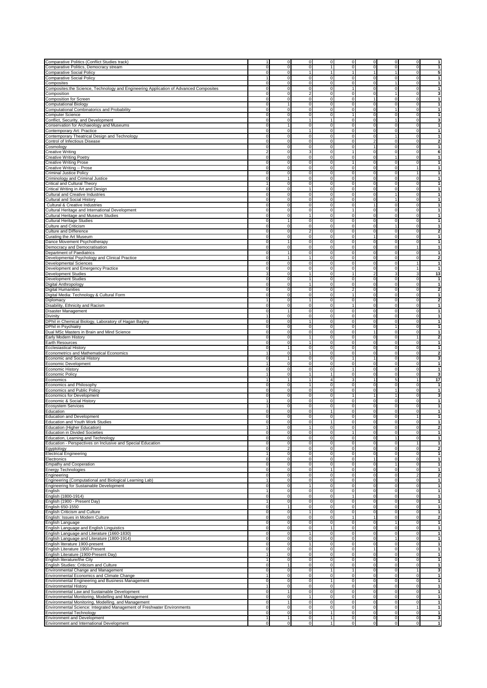| Comparative Politics (Conflict Studies track)                                                         | 1                             | $\circ$                     | $\mathbf 0$                    | $\overline{0}$                 | $\circ$                          | $\Omega$                         | $\overline{0}$                   | $\mathbf 0$                    | 1                                       |
|-------------------------------------------------------------------------------------------------------|-------------------------------|-----------------------------|--------------------------------|--------------------------------|----------------------------------|----------------------------------|----------------------------------|--------------------------------|-----------------------------------------|
| Comparative Politics, Democracy stream                                                                | $\overline{0}$                | $\mathbf 0$                 | $\mathbf 0$                    | $\mathbf{1}$                   | $\overline{0}$                   | $\overline{0}$                   | $\overline{0}$                   | $\mathbf{0}$                   | $\overline{1}$                          |
| Comparative Social Policy                                                                             | $\circ$                       | $\mathbf 0$                 | 1                              | $\mathbf{1}$                   | $\mathbf{1}$                     | 1                                | 1                                | $\overline{0}$                 | 5                                       |
| <b>Comparative Social Policy</b>                                                                      | $\mathbf{1}$                  | $\mathbf 0$                 | $\pmb{0}$                      | $\mathsf 0$                    | $\circ$                          | $\overline{0}$                   | $\overline{0}$                   | $\mathbf{0}$                   | 1                                       |
| Composites                                                                                            | $\overline{0}$<br>$\circ$     | $\circ$<br>$\circ$          | $\mathbf 0$<br>$\pmb{0}$       | 0<br>$\mathsf 0$               | $\mathbf{0}$<br>1                | $\overline{0}$<br>$\overline{0}$ | 1<br>$\overline{0}$              | $\mathbf{0}$<br>$\mathbf{0}$   | 1<br>$\mathbf{1}$                       |
| Composites: the Science, Technology and Engineering Application of Advanced Composites<br>Composition | $\mathbf 0$                   | $\circ$                     | $\overline{c}$                 | 0                              | $\circ$                          | $\overline{0}$                   | 1                                | $\mathbf{0}$                   | 3                                       |
| Composition for Screen                                                                                | $\mathbf 0$                   | $\circ$                     | $\mathbf 0$                    | 0                              | $\mathbf{0}$                     | $\mathbf{1}$                     | $\overline{0}$                   | $\mathbf 0$                    | 1                                       |
| <b>Computational Biology</b>                                                                          | $\mathbf 0$                   | $\mathbf{1}$                | $\mathbf 0$                    | $\pmb{0}$                      | $\overline{0}$                   | $\overline{0}$                   | $\overline{0}$                   | $\mathbf 0$                    | 1                                       |
| Computational Combinatorics and Probability                                                           | $\overline{0}$                | $\mathbf 0$                 | $\pmb{0}$                      | $\mathsf 0$                    | $\circ$                          | $\overline{0}$                   | 1                                | $\mathbf{0}$                   | $\mathbf{1}$                            |
| Computer Science                                                                                      | $\mathbf 0$                   | $\circ$                     | $\mathbf 0$                    | 0                              | 1                                | $\overline{0}$                   | $\overline{0}$                   | $\mathbf{0}$                   | $\mathbf{1}$                            |
| Conflict, Security, and Development                                                                   | $\mathbf 0$                   | $\mathbf 0$                 | $\mathbf{1}$                   | 1                              | $\overline{0}$                   | $\overline{0}$                   | 1                                | $\mathbf{0}$                   | 3                                       |
| Conservation for Archaeology and Museums                                                              | $\overline{0}$                | $\overline{1}$              | $\overline{\text{o}}$          | $\overline{\text{o}}$          | $\overline{0}$                   | $\overline{0}$                   | $\overline{0}$                   | $\overline{0}$                 | $\overline{1}$                          |
| Contemporary Art: Practice                                                                            | $\mathbf 0$                   | $\circ$                     | 1                              | 0                              | $\circ$                          | $\mathbf 0$                      | $\overline{0}$                   | $\mathbf{0}$                   | $\mathbf{1}$                            |
| Contemporary Theatrical Design and Technology<br>Control of Infectious Disease                        | $\mathbf 0$<br>$\mathbf 0$    | $\mathbf 0$<br>$\mathbf 0$  | 0<br>$\pmb{0}$                 | 0<br>0                         | $\Omega$<br>$\mathbf{0}$         | $\mathbf 0$<br>$\overline{2}$    | 1<br>$\overline{0}$              | $\mathbf 0$<br>$\overline{0}$  | 1<br>$\overline{\mathbf{2}}$            |
| Cosmology                                                                                             | $\overline{0}$                | $\mathbf 0$                 | 0                              | 0                              | $\circ$                          | 1                                | $\overline{0}$                   | $\mathbf{0}$                   | 1                                       |
| <b>Creative Writing</b>                                                                               | $\overline{a}$                | $\circ$                     | 3                              | 0                              | 1                                | $\overline{0}$                   | $\overline{0}$                   | $\mathbf{0}$                   | 6                                       |
| <b>Creative Writing Poetry</b>                                                                        | $\mathbf 0$                   | $\circ$                     | 0                              | $\mathsf 0$                    | $\overline{0}$                   | $\overline{0}$                   | $\mathbf{1}$                     | $\mathbf 0$                    | 1                                       |
| <b>Creative Writing Prose</b>                                                                         | $\overline{0}$                | $\overline{0}$              | $\overline{0}$                 | 0                              | $\overline{1}$                   | $\mathbf 0$                      | $\mathbf 0$                      | $\mathbf 0$                    | $\overline{1}$                          |
| Creative Writing -- Prose                                                                             | $\mathbf 0$                   | $\mathbf 0$                 | $\pmb{0}$                      | $\mathsf 0$                    | $\overline{0}$                   | $\mathbf 0$                      | $\mathbf 0$                      | 1                              | 1                                       |
| <b>Criminal Justice Policy</b>                                                                        | $\mathbf 0$                   | $\mathbf 0$                 | 0                              | $\mathsf 0$                    | $\circ$                          | $\overline{0}$                   | $\overline{0}$                   | 1                              | 1                                       |
| Criminology and Criminal Justice                                                                      | $\overline{0}$                | $\mathbf{1}$                | $\mathbf 0$                    | 0                              | $\circ$                          | $\overline{0}$                   | $\overline{0}$                   | $\mathbf{0}$                   | $\mathbf{1}$                            |
| Critical and Cultural Theory                                                                          | $\mathbf{1}$                  | $\mathbf 0$                 | $\pmb{0}$                      | $\mathsf 0$                    | $\circ$                          | $\overline{0}$                   | $\overline{0}$                   | $\mathbf{0}$                   | $\overline{1}$                          |
| Critical Writing in Art and Design                                                                    | 0                             | $\mathbf 0$                 | 1                              | $\mathsf 0$                    | $\overline{0}$                   | $\mathbf 0$                      | $\mathbf{0}$                     | $\mathbf 0$                    | $\mathbf{1}$                            |
| <b>Cultural and Creative Industries</b><br>Cultural and Social History                                | $\mathbf 0$<br>$\mathbf 0$    | $\mathbf 0$<br>$\mathbf 0$  | 0<br>0                         | 0<br>0                         | $\Omega$<br>$\Omega$             | $\mathbf 0$<br>$\mathbf 0$       | 1<br>1                           | $\mathbf 0$<br>$\mathbf{0}$    | $\mathbf{1}$<br>1                       |
| Cultural & Creative Industries                                                                        | $\mathbf 0$                   | $\mathbf 0$                 | 0                              | 0                              | $\circ$                          | 1                                | $\overline{0}$                   | $\overline{0}$                 | $\mathbf{1}$                            |
| Cultural Heritage and International Development                                                       | $\overline{0}$                | $\mathbf 0$                 | $\pmb{0}$                      | 0                              | 1                                | $\overline{0}$                   | $\overline{0}$                   | $\mathbf{0}$                   | 1                                       |
| Cultural Heritage and Museum Studies                                                                  | $\overline{0}$                | $\circ$                     | $\mathbf{1}$                   | 0                              | $\mathbf{0}$                     | $\overline{0}$                   | $\overline{0}$                   | $\mathbf{0}$                   | $\mathbf{1}$                            |
| <b>Cultural Heritage Studies</b>                                                                      | $\mathbf 0$                   | $\mathbf{1}$                | 0                              | 0                              | $\circ$                          | $\overline{0}$                   | $\circ$                          | $\mathbf{0}$                   | 1                                       |
| Culture and Criticism                                                                                 | $\mathbf 0$                   | $\mathbf 0$                 | 0                              | 0                              | $\circ$                          | $\overline{0}$                   | 1                                | $\mathbf 0$                    | $\mathbf{1}$                            |
| Culture and Difference                                                                                | $\mathbf 0$                   | $\circ$                     | $\overline{\mathbf{c}}$        | 0                              | $\circ$                          | $\mathbf 0$                      | $\overline{0}$                   | $\mathbf 0$                    | $\overline{\mathbf{2}}$                 |
| Curating the Art Museum                                                                               | $\mathbf 0$                   | $\mathbf 0$                 | $\mathbf 0$                    | 0                              | $\overline{0}$                   | 1                                | $\overline{0}$                   | $\mathbf 0$                    | 1                                       |
| Dance Movement Psychotherapy                                                                          | $\overline{0}$                | $\mathbf{1}$                | $\pmb{0}$                      | $\mathsf 0$                    | $\circ$                          | $\overline{0}$                   | $\overline{0}$                   | $\mathbf{0}$                   | $\mathbf{1}$                            |
| Democracy and Democratisation                                                                         | $\overline{0}$                | $\circ$<br>$\mathbf{1}$     | 0                              | 0                              | $\overline{0}$                   | $\overline{0}$                   | $\overline{0}$                   | 1                              | 1                                       |
| Department of Paediatrics<br>Developmental Psychology and Clinical Practice                           | $\overline{0}$<br>$\mathbf 0$ | $\overline{1}$              | 0<br>$\mathbf{1}$              | 0<br>$\mathsf 0$               | $\circ$<br>$\overline{0}$        | $\overline{0}$<br>$\overline{0}$ | $\overline{0}$<br>$\overline{0}$ | $\mathbf{0}$<br>$\overline{0}$ | $\mathbf{1}$<br>$\overline{\mathbf{2}}$ |
| <b>Developmental Sciences</b>                                                                         | $\mathbf 0$                   | $\circ$                     | $\mathbf 0$                    | 0                              | $\overline{0}$                   | $\overline{0}$                   | $\overline{0}$                   | 1                              | $\mathbf{1}$                            |
| Development and Emergency Practice                                                                    | $\mathbf 0$                   | $\mathbf 0$                 | 0                              | 0                              | $\overline{0}$                   | $\mathbf 0$                      | $\mathbf{0}$                     | 1                              | $\mathbf{1}$                            |
| <b>Development Studies</b>                                                                            | 3                             | $\mathbf 0$                 | 1                              | $\mathbf 0$                    | $\mathbf{1}$                     | $\sqrt{2}$                       | 3 <sup>1</sup>                   | 3 <sup>1</sup>                 | 13                                      |
| <b>Development Studies</b>                                                                            | $\overline{0}$                | $\mathbf 0$                 | $\mathbf{1}$                   | 0                              | $\overline{0}$                   | $\overline{0}$                   | $\overline{0}$                   | $\mathbf{0}$                   | $\mathbf{1}$                            |
| Digital Anthropology                                                                                  | $\mathbf 0$                   | $\mathbf 0$                 | $\mathbf{1}$                   | 0                              | $\circ$                          | $\overline{0}$                   | $\mathbf{0}$                     | $\mathbf 0$                    | $\overline{1}$                          |
| Digital Humanities                                                                                    | $\mathbf 0$                   | $\mathbf 0$                 | 0                              | $\mathsf 0$                    | $\overline{2}$                   | $\overline{0}$                   | $\mathbf{0}$                     | $\mathbf 0$                    | $\overline{\mathbf{2}}$                 |
| Digital Media: Technology & Cultural Form                                                             | $\overline{0}$                | $\overline{0}$              | $\overline{0}$                 | 0                              | $\overline{1}$                   | $\mathbf 0$                      | $\mathbf 0$                      | $\mathbf 0$                    | $\overline{1}$                          |
| Diplomacy                                                                                             | 1                             | $\mathbf 0$                 | 1                              | 0                              | $\overline{0}$                   | $\mathbf 0$                      | $\mathbf 0$                      | $\mathbf 0$                    | 2                                       |
| Disability, Ethnicity and Racism                                                                      | $\mathbf 0$                   | $\mathbf 0$                 | 0                              | $\mathsf 0$                    | $\mathbf{1}$                     | $\Omega$                         | $\overline{0}$                   | $\mathbf 0$                    | 1                                       |
| Disaster Management                                                                                   | $\overline{0}$                | $\mathbf{1}$                | 0                              | 0                              | $\overline{0}$                   | $\overline{0}$                   | $\mathbf{0}$                     | $\overline{0}$                 | $\mathbf{1}$                            |
| Divinity<br>DPhil in Chemical Biology, Laboratory of Hagan Bayley                                     | 1<br>$\mathbf 0$              | $\mathbf 0$<br>$\circ$      | 0<br>$\mathbf{1}$              | 0<br>0                         | $\circ$<br>$\circ$               | $\overline{0}$<br>$\overline{0}$ | $\overline{0}$<br>$\overline{0}$ | $\overline{0}$<br>$\mathbf 0$  | $\mathbf{1}$<br>$\mathbf{1}$            |
| DPhil in Psychiatry                                                                                   | $\mathbf 0$                   | $\mathbf 0$                 | 0                              | 0                              | $\overline{0}$                   | $\overline{0}$                   | 1                                | $\mathbf 0$                    | $\mathbf{1}$                            |
| Dual MSc Masters in Brain and Mind Science                                                            | $\mathbf 0$                   | $\mathbf 0$                 | 0                              | 0                              | $\Omega$                         | $\mathbf{1}$                     | $\overline{0}$                   | $\mathbf{0}$                   | 1                                       |
| Early Modern History                                                                                  | $\mathbf 0$                   | $\mathbf 0$                 | $\mathbf{1}$                   | 0                              | $\Omega$                         | $\overline{0}$                   | $\overline{0}$                   | 1                              | $\overline{\mathbf{2}}$                 |
| Earth Resources                                                                                       | $\overline{0}$                | $\mathbf 0$                 | 1                              | 0                              | $\circ$                          | $\overline{0}$                   | $\overline{0}$                   | $\overline{0}$                 | 1                                       |
| <b>Ecclesiastical History</b>                                                                         | $\overline{0}$                | $\mathbf{1}$                | 0                              | 0                              | $\mathbf{0}$                     | $\overline{0}$                   | $\overline{0}$                   | $\mathbf{0}$                   | 1                                       |
| Econometrics and Mathematical Economics                                                               | 1                             | $\circ$                     | $\mathbf{1}$                   | $\mathsf 0$                    | $\circ$                          | $\overline{0}$                   | $\overline{0}$                   | $\mathbf 0$                    | $\overline{\mathbf{2}}$                 |
| <b>Economic and Social History</b>                                                                    | $\mathbf 0$                   | $\mathbf{1}$                | $\pmb{0}$                      | 0                              | 1                                | 1                                | $\overline{0}$                   | $\mathbf{0}$                   | 3                                       |
| Economic Development                                                                                  | $\mathbf{1}$                  | $\circ$                     | $\mathbf 0$                    | 0                              | $\circ$                          | $\mathbf 0$                      | $\mathbf 0$                      | $\mathbf 0$                    | 1                                       |
| Economic History                                                                                      | $\mathbf 0$                   | $\mathbf 0$                 | $\overline{\mathbf{0}}$        | $\mathbf 0$                    | $\mathbf{1}$                     | $\overline{0}$                   | $\overline{0}$                   | $\mathbf 0$                    | 1                                       |
| <b>Economic Policy</b>                                                                                | 1<br>1                        | $\mathbf 0$<br>$\mathbf{1}$ | $\mathbf{1}$<br>$\overline{1}$ | $\mathbf{1}$<br>$\overline{4}$ | $\circ$<br>$\mathbf{3}$          | $\overline{0}$                   | $\overline{0}$                   | $\mathbf{0}$<br>1              | 3<br>17                                 |
| Economics<br>Economics and Philosophy                                                                 | $\mathbf 0$                   | $\mathbf 0$                 | 1                              | 0                              | $\overline{0}$                   | 1<br>$\overline{0}$              | 5 <sub>l</sub><br>$\overline{0}$ | $\mathbf{0}$                   | $\overline{1}$                          |
| Economics and Public Policy                                                                           | $\mathbf 0$                   | $\overline{0}$              | 0                              | $\mathsf 0$                    | $\overline{0}$                   | $\overline{0}$                   | 1                                | $\overline{0}$                 | $\overline{1}$                          |
| Economics for Development                                                                             | $\mathbf 0$                   | $\circ$                     | 0                              | 0                              | $\mathbf{1}$                     | $\mathbf{1}$                     | 1                                | $\mathbf{0}$                   | 3                                       |
| Economic & Social History                                                                             | $\mathbf{1}$                  | $\mathbf 0$                 | 0                              | 0                              | $\Omega$                         | $\mathbf 0$                      | $\mathbf 0$                      | $\mathbf 0$                    | $\mathbf{1}$                            |
| <b>Ecosystem Services</b>                                                                             | $\mathbf{1}$                  | $\mathbf 0$                 | $\mathbf 0$                    | $\mathbf 0$                    | $\overline{0}$                   | $\overline{0}$                   | $\overline{0}$                   | $\mathbf{0}$                   | 1                                       |
| Education                                                                                             | $\overline{0}$                | $\circ$                     | $\mathbf 0$                    | $\mathbf{1}$                   | $\overline{0}$                   | $\overline{0}$                   | $\overline{0}$                   | $\mathbf{0}$                   | $\mathbf{1}$                            |
| <b>Education and Development</b>                                                                      | $\mathbf 0$                   | $\mathbf 0$                 | 0                              | $\mathsf 0$                    | $\circ$                          | $\mathbf 0$                      | $\overline{0}$                   | 1                              | $\mathbf{1}$                            |
| Education and Youth Work Studies                                                                      | $\mathbf 0$                   | $\circ$                     | $\mathbf 0$                    | $\mathbf{1}$                   | $\Omega$                         | $\overline{0}$                   | $\overline{0}$                   | $\overline{0}$                 | $\mathbf{1}$                            |
| <b>Education (Higher Education)</b>                                                                   | 1                             | $\mathbf 0$                 | 1                              | 0                              | $\overline{0}$                   | $\overline{0}$                   | $\overline{0}$                   | $\overline{0}$                 | $\overline{\mathbf{2}}$                 |
| <b>Education in Divided Societies</b><br>Education, Learning and Technology                           | $\mathbf 0$<br>$\mathbf 0$    | $\mathbf 0$<br>$\mathbf 0$  | 0<br>0                         | 0<br>$\mathsf 0$               | $\mathbf{1}$<br>$\circ$          | $\mathbf 0$<br>$\overline{0}$    | $\mathbf{0}$<br>1                | $\mathbf 0$<br>$\overline{0}$  | $\mathbf{1}$<br>1                       |
| Education - Perspectives on Inclusive and Special Education                                           | $\overline{0}$                | $\mathbf 0$                 | $\mathbf 0$                    | 0                              | $\overline{0}$                   | $\overline{0}$                   | $\overline{0}$                   | 1                              | $\mathbf{1}$                            |
| Egyptology                                                                                            | $\mathbf 0$                   | $\overline{a}$              | 0                              | 0                              | $\circ$                          | $\overline{0}$                   | $\overline{0}$                   | $\mathbf 0$                    | $\overline{\mathbf{2}}$                 |
| <b>Electrical Engineering</b>                                                                         | 1                             | $\mathbf 0$                 | 0                              | $\mathsf 0$                    | $\overline{0}$                   | $\overline{0}$                   | $\overline{0}$                   | $\mathbf 0$                    | $\mathbf{1}$                            |
| Electronics                                                                                           | $\mathbf 0$                   | $\mathbf 0$                 | $\pmb{0}$                      | 0                              | $\overline{0}$                   | $\mathbf{1}$                     | $\overline{0}$                   | $\mathbf 0$                    | $\mathbf{1}$                            |
| <b>Empathy and Cooperation</b>                                                                        | $\mathbf 0$                   | $\mathbf 0$                 | 0                              | 0                              | $\Omega$                         | $\mathbf 0$                      | 1                                | $\mathbf{0}$                   | 1                                       |
| <b>Energy Technologies</b>                                                                            | $\mathbf 0$                   | $\mathbf 0$                 | 0                              | 1                              | $\overline{0}$                   | $\overline{0}$                   | $\overline{0}$                   | $\overline{0}$                 | $\mathbf{1}$                            |
| Engineering                                                                                           | $\overline{0}$                | $\mathbf 0$                 | 0                              | 0                              | $\overline{0}$                   | $\overline{0}$                   | $\overline{0}$                   | $\overline{2}$                 | $\overline{\mathbf{2}}$                 |
| Engineering (Computational and Biological Learning Lab)                                               | $\mathbf{1}$                  | $\circ$                     | 0                              | 0                              | $\mathbf{0}$                     | $\overline{0}$                   | $\overline{0}$                   | $\mathbf{0}$                   | 1                                       |
| Engineering for Sustainable Development                                                               | $\mathbf 0$                   | $\circ$                     | 1<br>$\pmb{0}$                 | $\mathsf 0$                    | $\overline{0}$<br>$\overline{0}$ | $\overline{0}$                   | $\overline{0}$                   | $\mathbf 0$                    | $\mathbf{1}$<br>$\mathbf{1}$            |
| English<br>English (1800-1914)                                                                        | $\mathbf{1}$<br>$\mathbf 0$   | $\mathbf 0$<br>$\circ$      | $\mathbf 0$                    | 0<br>0                         | $\mathbf{1}$                     | $\mathbf 0$<br>$\mathbf 0$       | $\mathbf 0$<br>$\mathbf{0}$      | $\mathbf 0$<br>$\mathbf 0$     | 1                                       |
| English (1900 - Present Day)                                                                          | $\mathbf{1}$                  | $\mathbf 0$                 | 0                              | $\overline{\text{o}}$          | $\overline{0}$                   | $\overline{0}$                   | $\overline{0}$                   | $\mathbf 0$                    | 1                                       |
| English 650-1550                                                                                      | $\circ$                       | 1                           | $\pmb{0}$                      | $\mathsf 0$                    | $\circ$                          | $\overline{0}$                   | $\overline{0}$                   | $\mathbf{0}$                   | $\mathbf{1}$                            |
| <b>English Criticism and Culture</b>                                                                  | $\overline{0}$                | $\circ$                     | 1                              | 0                              | $\mathbf{0}$                     | $\overline{0}$                   | $\overline{0}$                   | $\mathbf{0}$                   | 1                                       |
| English: Issues in Modern Culture                                                                     | $\mathbf 0$                   | $\mathbf 0$                 | 0                              | 0                              | 1                                | 1                                | $\overline{0}$                   | $\mathbf 0$                    | $\overline{\mathbf{2}}$                 |
| English Language                                                                                      | $\mathbf 0$                   | $\mathbf 0$                 | 0                              | $\mathsf 0$                    | $\overline{0}$                   | $\overline{0}$                   | $\mathbf{1}$                     | $\overline{0}$                 | $\mathbf{1}$                            |
| English Language and English Linguistics                                                              | $\mathbf 0$                   | $\circ$                     | 0                              | $\mathbf{1}$                   | $\mathbf{0}$                     | $\overline{0}$                   | $\overline{0}$                   | $\mathbf{0}$                   | 1                                       |
| English Language and Literature (1660-1830)                                                           | $\mathbf 0$                   | $\mathbf 0$                 | 1                              | 0                              | $\Omega$                         | $\mathbf 0$                      | $\overline{0}$                   | $\mathbf 0$                    | 1                                       |
| English Language and Literature (1800-1914)                                                           | $\mathbf 0$                   | $\overline{0}$              | $\overline{0}$                 | 0                              | $\overline{0}$                   | $\overline{0}$                   | 1                                | $\overline{0}$                 | 1                                       |
| English literature 1900-present<br>English Literature 1900-Present                                    | $\overline{0}$<br>$\mathbf 0$ | $\circ$<br>$\mathbf 0$      | $\mathbf{1}$<br>0              | 0<br>0                         | $\overline{0}$<br>$\circ$        | $\overline{0}$<br>1              | $\overline{0}$<br>$\mathbf{0}$   | $\mathbf{0}$<br>$\mathbf{0}$   | $\mathbf{1}$<br>$\overline{1}$          |
| English Literature (1900-Present Day)                                                                 | 1                             | $\circ$                     | $\pmb{0}$                      | $\mathsf 0$                    | $\circ$                          | $\overline{0}$                   | $\mathbf{0}$                     | $\mathbf 0$                    | $\mathbf{1}$                            |
| English literature/the City                                                                           |                               | $\circ$                     | $\pmb{0}$                      | 0                              |                                  | $\circ$<br>$\overline{0}$        | $\overline{0}$                   | $\mathbf 0$                    | 1                                       |
|                                                                                                       |                               |                             |                                |                                |                                  |                                  |                                  |                                |                                         |
|                                                                                                       | 1<br>$\mathbf 0$              | $\mathbf{1}$                | 0                              | $\mathsf 0$                    | $\circ$                          | $\mathbf 0$                      | $\mathsf{O}\xspace$              | 0                              | 1                                       |
| English Studies: Criticism and Culture<br>Environmental Change and Management                         | $\mathbf 0$                   | $\mathbf 0$                 | $\mathbf 0$                    | 1                              | $\mathbf{1}$                     | $\overline{0}$                   | $\overline{0}$                   | 1                              | 3                                       |
| Environmental Economics and Climate Change                                                            | $\mathbf{1}$                  | $\mathbf 0$                 | $\mathbf 0$                    | $\mathbf 0$                    | $\overline{0}$                   | $\overline{0}$                   | $\overline{0}$                   | $\mathbf{0}$                   | 1                                       |
| Environmental Engineering and Business Management                                                     | $\mathbf 0$                   | $\mathbf 0$                 | 0                              | 1                              | $\circ$                          | $\overline{0}$                   | $\overline{0}$                   | $\mathbf{0}$                   | $\mathbf{1}$                            |
| <b>Environmental History</b>                                                                          | 1                             | $\mathbf 0$                 | 0                              | $\mathsf 0$                    | $\circ$                          | $\overline{0}$                   | $\overline{0}$                   | $\mathbf 0$                    | $\mathbf{1}$                            |
| Environmental Law and Sustainable Development                                                         | $\mathbf 0$                   | $\mathbf{1}$                | 0                              | 0                              | $\Omega$                         | $\mathbf 0$                      | $\overline{0}$                   | $\mathbf 0$                    | $\mathbf{1}$                            |
| Environmental Monitoring, Modelling and Management                                                    | $\mathbf 0$                   | $\mathbf 0$                 | $\mathbf{1}$                   | $\mathsf 0$                    | $\overline{0}$                   | $\mathbf 0$                      | $\mathbf{0}$                     | $\mathbf{O}$                   | $\mathbf{1}$                            |
| Environmental Monitoring, Modelling, and Management                                                   | $\mathbf 0$                   | 1                           | 0                              | $\mathsf 0$                    | $\circ$                          | $\overline{0}$                   | $\overline{0}$                   | $\overline{0}$                 | 1                                       |
| Environmental Science: Integrated Management of Freshwater Environments                               | $\overline{0}$                | $\mathbf 0$                 | $\pmb{0}$                      | 0                              | $\overline{0}$                   | $\overline{0}$                   | $\overline{0}$                   | 1                              | 1                                       |
| <b>Environmental Technology</b><br><b>Environment and Development</b>                                 | $\overline{0}$<br>1           | $\circ$<br>$\mathbf{1}$     | $\mathbf 0$<br>$\mathbf 0$     | $\mathbf{1}$<br>$\mathbf{1}$   | $\overline{0}$<br>$\overline{0}$ | $\overline{0}$<br>$\overline{0}$ | $\mathbf{0}$<br>$\overline{0}$   | $\mathbf{0}$<br>$\circ$        | 1<br>3                                  |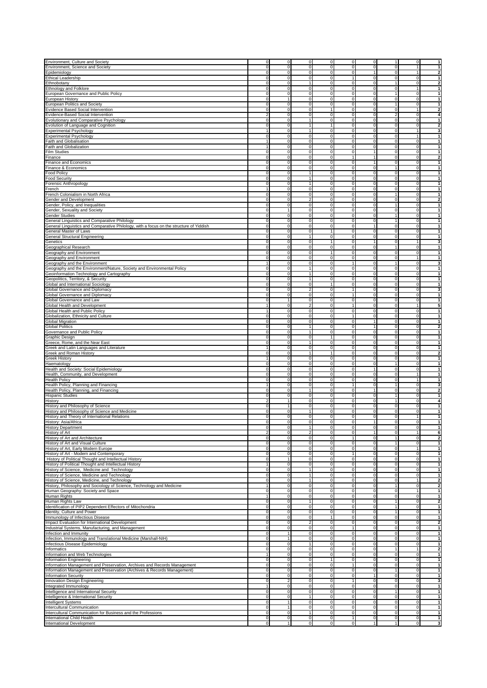| Environment, Culture and Society                                                            | $\overline{0}$          |                | $\circ$<br>$\mathbf 0$                    | $\mathbf{0}$          | 0              | $\pmb{0}$      | 1                   | $\mathbf{0}$        | 1                       |
|---------------------------------------------------------------------------------------------|-------------------------|----------------|-------------------------------------------|-----------------------|----------------|----------------|---------------------|---------------------|-------------------------|
|                                                                                             | $\mathbf 0$             |                | $\overline{0}$<br>$\mathbf 0$             | $\pmb{0}$             | 0              | $\mathbf 0$    | $\mathbf 0$         | 1                   | 1                       |
| Environment, Science and Society                                                            |                         |                |                                           |                       |                |                |                     |                     |                         |
| Epidemiology                                                                                | $\overline{0}$          |                | $\circ$<br>$\mathbf 0$                    | $\mathbf{0}$          | $\mathbf 0$    | $\mathbf{1}$   | $\mathbf 0$         | 1                   | $\overline{\mathbf{2}}$ |
| Ethical Leadership                                                                          | $\mathbf 0$             |                | $\mathbf 0$<br>0                          | $\overline{0}$        | 1              | $\circ$        | $\mathbf 0$         | $\overline{0}$      | $\mathbf{1}$            |
| Ethnobotany                                                                                 | $\mathbf 0$             |                | $\circ$<br>1                              | $\overline{0}$        | $\pmb{0}$      | $\circ$        | $\overline{1}$      | $\mathbf{0}$        | $\overline{\mathbf{2}}$ |
| Ethnology and Folklore                                                                      | $\overline{0}$          |                | $\circ$<br>$\mathbf 0$                    | $\overline{0}$        | $\mathbf 0$    | $\circ$        | $\mathbf 0$         | 1                   | $\mathbf{1}$            |
| European Governance and Public Policy                                                       | $\mathbf 0$             |                | $\mathbf 0$<br>0                          | $\overline{0}$        | $\mathbf 0$    | $\overline{0}$ | 1                   | $\mathbf 0$         | $\mathbf{1}$            |
| European History                                                                            | 0                       |                | $\mathbf 0$<br>1                          | $\overline{0}$        | 0              | $\mathbf 0$    | $\mathbf 0$         | $\overline{0}$      | 1                       |
| <b>European Politics and Society</b>                                                        | $\overline{0}$          |                | $\mathbf 0$<br>$\circ$                    | $\overline{0}$        | $\mathbf 0$    | $\overline{0}$ | $\mathbf{1}$        | $\mathbf 0$         | $\overline{1}$          |
| Evidence Based Social Intervention                                                          | $\mathbf 0$             |                | $\circ$<br>$\mathbf 0$                    | 1                     | 0              | $\circ$        | $\mathbf 0$         | $\mathbf{1}$        | $\overline{\mathbf{2}}$ |
| Evidence-Based Social Intervention                                                          | $\overline{2}$          |                | $\circ$<br>$\mathbf 0$                    | $\overline{0}$        | 0              | $\mathbf 0$    | $\overline{2}$      | $\mathbf{0}$        | 4                       |
|                                                                                             | $\mathbf 0$             |                | $\mathbf 0$<br>1                          | $\overline{0}$        | $\mathbf 0$    | $\mathbf 0$    | $\mathbf 0$         | $\mathbf 0$         | $\mathbf{1}$            |
| Evolutionary and Comparative Psychology                                                     |                         |                |                                           | 1                     |                |                |                     |                     |                         |
| Evolution of Language and Cognition                                                         | $\mathbf 0$             |                | $\mathbf 0$<br>1                          |                       | 0              | $\mathbf 0$    | $\mathbf 0$         | $\mathbf 0$         | $\overline{\mathbf{2}}$ |
| <b>Experimental Psychology</b>                                                              | 1                       |                | οI<br>1                                   | $\overline{0}$        | 0              | $\mathbf 0$    | $\mathbf 0$         | 1                   | 3                       |
| <b>Experimental Psychology</b>                                                              | $\overline{0}$          |                | $\circ$<br>$\mathbf 0$                    | $\overline{0}$        | $\mathbf 0$    | $\overline{0}$ | $\mathbf 0$         | $\mathbf{1}$        | 1                       |
| Faith and Globalisation                                                                     | $\mathbf{1}$            |                | $\circ$<br>$\mathbf 0$                    | $\overline{0}$        | $\mathbf 0$    | $\overline{0}$ | $\mathbf 0$         | $\mathbf 0$         | $\mathbf{1}$            |
| Faith and Globalization                                                                     | 1                       |                | $\circ$<br>$\mathbf 0$                    | $\mathbf{0}$          | 0              | $\circ$        | $\mathbf 0$         | $\overline{0}$      | $\mathbf{1}$            |
| Film Studies                                                                                | $\mathbf 0$             |                | $\circ$<br>$\mathbf 0$                    | $\mathbf{0}$          | $\bf 0$        | $\mathbf{1}$   | $\mathbf 0$         | $\mathbf 0$         | $\mathbf{1}$            |
| Finance                                                                                     | $\mathbf 0$             |                | $\mathbf 0$<br>$\circ$                    | $\overline{0}$        | 1              | $\mathbf{1}$   | $\mathbf 0$         | $\mathbf 0$         | $\overline{\mathbf{2}}$ |
| Finance and Economics                                                                       | $\mathbf 0$             |                | 0<br>$\mathbf 0$                          | $\pmb{0}$             | 0              | $\mathbf{1}$   | $\mathbf 0$         | $\overline{0}$      | $\mathbf{1}$            |
| Finance & Economics                                                                         | $\overline{0}$          |                | $\mathbf 0$<br>$\circ$                    | $\overline{0}$        | $\bf 0$        | $\circ$        | $\mathbf{1}$        | $\circ$             | $\mathbf{1}$            |
| <b>Food Policy</b>                                                                          | $\overline{0}$          |                | $\circ$<br>1                              | $\overline{0}$        | $\mathbf 0$    | $\overline{0}$ | $\mathbf 0$         | $\mathbf 0$         | $\mathbf{1}$            |
| <b>Food Security</b>                                                                        | $\mathbf 0$             |                | <sub>0</sub><br>1                         | $\overline{0}$        | 0              | $\overline{0}$ | $\mathbf 0$         | $\circ$             | $\mathbf{1}$            |
|                                                                                             | $\mathbf 0$             |                | $\overline{\mathbf{0}}$<br>$\overline{1}$ | $\overline{0}$        | 0              | $\circ$        | $\mathbf 0$         | $\mathbf{0}$        | $\overline{1}$          |
| Forensic Anthropology                                                                       | 1                       |                |                                           |                       |                |                | $\mathbf 0$         | $\circ$             | $\mathbf{1}$            |
| French                                                                                      |                         |                | $\circ$<br>$\mathbf 0$                    | $\overline{0}$        | $\mathbf 0$    | $\overline{0}$ | 1                   |                     |                         |
| French Colonialism in North Africa                                                          | 0                       |                | $\mathbf 0$<br>$\mathbf 0$                | 0                     | 0              | $\mathbf 0$    |                     | $\mathbf{0}$        | 1                       |
| Gender and Development                                                                      | 0                       |                | $\overline{0}$<br>$\overline{c}$          | $\overline{0}$        | $\overline{0}$ | $\overline{0}$ | $\overline{0}$      | $\overline{0}$      | 2                       |
| Gender, Policy, and Inequalities                                                            | $\mathbf 0$             |                | 0<br>$\mathbf 0$                          | $\overline{0}$        | $\mathbf 0$    | $\overline{0}$ | $\mathbf{1}$        | $\mathbf 0$         | $\mathbf{1}$            |
| Gender, Sexuality and Society                                                               | $\mathbf 0$             |                | 1<br>$\mathbf 0$                          | $\overline{0}$        | 0              | $\circ$        | $\mathbf{0}$        | $\mathbf{0}$        | $\overline{1}$          |
| <b>Gender Studies</b>                                                                       | $\mathbf 0$             |                | $\circ$<br>$\mathbf 0$                    | $\overline{0}$        | 0              | $\mathbf 0$    | $\overline{1}$      | $\mathbf{0}$        | $\mathbf{1}$            |
| General Linguistics and Comparative Philology                                               | $\mathbf 0$             |                | $\circ$<br>$\mathbf 0$                    | $\overline{0}$        | $\mathbf 0$    | $\circ$        | $\overline{1}$      | $\circ$             | $\mathbf{1}$            |
| General Linguistics and Comparative Philology, with a focus on the structure of Yiddish     | 0                       |                | $\mathbf 0$<br>$\circ$                    | $\overline{0}$        | 0              | $\mathbf{1}$   | $\mathbf 0$         | $\mathbf 0$         | $\mathbf{1}$            |
| General Master of Laws                                                                      | 0                       |                | οI<br>$\mathbf 0$                         | 1                     | 0              | $\mathbf 0$    | $\mathbf 0$         | $\overline{0}$      | $\mathbf{1}$            |
| General Structural Engineering                                                              | $\overline{0}$          |                | $\circ$<br>1                              | $\overline{0}$        | $\mathbf 0$    | $\overline{0}$ | $\mathbf 0$         | $\circ$             | $\mathbf{1}$            |
| Genetics                                                                                    | $\mathbf 0$             |                | $\mathbf 0$<br>0                          | 1                     | 0              | $\mathbf{1}$   | $\mathbf{0}$        | 1                   | 3                       |
| Geographical Research                                                                       | $\mathbf 0$             |                | $\circ$<br>$\mathbf 0$                    | $\overline{0}$        | 0              | $\circ$        | 1                   | $\overline{0}$      | $\mathbf{1}$            |
| Geography and Environment                                                                   | $\mathbf 0$             |                | $\mathbf 0$<br>$\mathbf 0$                | $\mathbf{1}$          | $\mathbf 0$    | $\mathbf 0$    | $\mathbf 0$         | $\mathbf 0$         | $\mathbf{1}$            |
| Geography and Environment                                                                   | $\mathbf 0$             |                | $\mathbf 0$<br>$\mathbf 0$                | $\overline{0}$        | 0              | $\mathbf 0$    | $\mathbf 0$         | 1                   | $\mathbf{1}$            |
| Geography and the Environment                                                               | 1                       |                | οI<br>$\mathbf 0$                         | $\overline{0}$        | 1              | $\mathbf 0$    | 1                   | $\overline{0}$      | 3                       |
| Geography and the Environment/Nature, Society and Environmental Policy                      | $\overline{0}$          |                | $\circ$<br>1                              | $\overline{0}$        | $\mathbf 0$    | $\overline{0}$ | $\mathbf 0$         | $\mathbf 0$         | $\mathbf{1}$            |
|                                                                                             |                         |                |                                           |                       |                |                |                     |                     |                         |
| Geoinformation Technology and Cartography                                                   | $\mathbf 0$             |                | $\circ$<br>1                              | $\overline{0}$        | $\mathbf 0$    | $\overline{0}$ | $\mathbf 0$         | $\mathbf 0$         | $\mathbf{1}$            |
| Geopolitics, Territory, & Security                                                          | $\mathbf 0$             |                | $\circ$<br>1                              | $\overline{0}$        | 0              | $\mathbf 0$    | $\mathbf 0$         | $\mathbf{0}$        | $\mathbf{1}$            |
| Global and International Sociology                                                          | $\mathbf 0$             |                | $\circ$<br>$\mathbf 0$                    | 1                     | $\mathbf 0$    | $\overline{0}$ | $\mathbf 0$         | $\mathbf 0$         | $\mathbf{1}$            |
| Global Governance and Diplomacy                                                             | $\mathbf 0$             |                | $\overline{a}$<br>$\circ$                 | $\overline{0}$        | 1              | $\mathbf 0$    | $\mathbf 0$         | $\mathbf 0$         | 3                       |
| Global Governance and Diplomacy                                                             | 0                       |                | $\overline{0}$<br>$\circ$                 | $\overline{\text{o}}$ | 1              | $\mathbf 0$    | $\mathbf 0$         | $\overline{0}$      | $\mathbf{1}$            |
| Global Governance and Law                                                                   | $\overline{0}$          |                | $\mathbf 0$<br>1                          | $\overline{0}$        | $\mathbf 0$    | $\circ$        | $\mathbf 0$         | $\circ$             | $\mathbf{1}$            |
| Global Health and Development                                                               | $\mathbf{1}$            |                | $\circ$<br>$\overline{2}$                 | $\overline{0}$        | 1              | $\overline{0}$ | $\mathbf{0}$        | $\overline{1}$      | 5                       |
| Global Health and Public Policy                                                             | 1                       |                | $\mathbf 0$<br>0                          | $\overline{0}$        | 0              | $\overline{0}$ | $\mathbf 0$         | $\overline{0}$      | $\mathbf{1}$            |
| Globalization, Ethnicity and Culture                                                        | $\mathbf 0$             |                | $\circ$<br>$\mathbf 0$                    | $\overline{0}$        | $\mathbf{1}$   | $\circ$        | $\mathbf 0$         | $\overline{0}$      | $\overline{1}$          |
| <b>Global Migration</b>                                                                     | $\mathbf 0$             |                | $\circ$<br>$\mathbf 0$                    | $\overline{0}$        | $\mathbf 0$    | $\mathbf{1}$   | $\mathbf 0$         | $\circ$             | $\mathbf{1}$            |
| <b>Global Politics</b>                                                                      | 0                       |                | $\mathbf 0$<br>1                          | 0                     | 0              | 1              | $\mathbf 0$         | $\mathbf 0$         | $\overline{\mathbf{2}}$ |
| Governance and Public Policy                                                                | $\overline{0}$          |                | $\overline{0}$<br>1                       | $\overline{0}$        | $\overline{0}$ | $\overline{0}$ | $\overline{0}$      | $\overline{0}$      | 1                       |
| Graphic Design                                                                              | $\overline{0}$          |                | $\circ$<br>$\mathbf 0$                    | 1                     | $\mathbf 0$    | $\overline{0}$ | $\mathbf 0$         | $\mathbf 0$         | $\mathbf{1}$            |
| Greece, Rome, and the Near East                                                             | $\mathbf 0$             |                | $\circ$<br>1                              | $\overline{0}$        | 0              | $\circ$        | $\mathbf 0$         | $\mathbf{0}$        | $\mathbf{1}$            |
| Greek and Latin Languages and Literature                                                    | 1                       |                | $\circ$<br>$\mathbf 0$                    | $\overline{0}$        | 0              | $\overline{0}$ | $\mathbf 0$         | $\overline{0}$      | $\mathbf{1}$            |
| Greek and Roman History                                                                     | $\mathbf 0$             |                | $\circ$<br>1                              | 1                     | $\mathbf 0$    | $\circ$        | $\mathbf 0$         | $\circ$             | $\overline{\mathbf{2}}$ |
| Greek History                                                                               | 1                       |                | $\mathbf 0$<br>0                          | $\overline{0}$        | 0              | $\mathbf 0$    | $\mathbf 0$         | $\mathbf{0}$        | $\mathbf{1}$            |
| Haematology                                                                                 | $\mathbf 0$             |                | οI<br>$\mathbf 0$                         | $\overline{0}$        | 0              | $\circ$        | 1                   | $\overline{0}$      | $\mathbf{1}$            |
| Health and Society: Social Epidemiology                                                     | $\overline{0}$          |                | $\circ$<br>$\mathbf 0$                    | $\overline{0}$        | $\mathbf 0$    | 1              | $\mathbf 0$         | $\circ$             | $\mathbf{1}$            |
| Health, Community, and Development                                                          | $\mathbf 0$             |                | $\mathbf 0$<br>0                          | $\overline{0}$        | 0              | $\circ$        | $\mathbf 0$         | $\overline{1}$      | $\overline{1}$          |
| <b>Health Policy</b>                                                                        | $\mathbf 0$             |                | $\circ$<br>$\mathbf 0$                    | $\overline{0}$        | 0              | $\mathbf 0$    | $\mathbf 0$         | $\mathbf{1}$        | $\mathbf{1}$            |
| Health Policy, Planning and Financing                                                       | 1                       |                | $\mathbf 0$<br>$\mathbf 0$                | $\overline{0}$        | 1              | $\circ$        | 1                   | $\mathbf 0$         | 3                       |
| Health Policy, Planning, and Financing                                                      | $\mathbf 0$             |                | $\mathbf 0$<br>1                          | 0                     | 0              | $\overline{1}$ | $\mathbf 0$         | $\mathbf{0}$        | $\mathbf 2$             |
| <b>Hispanic Studies</b>                                                                     | $\mathbf 0$             |                | οI<br>$\mathbf 0$                         | $\overline{0}$        | 0              | $\mathbf 0$    | $\overline{1}$      | $\overline{0}$      | 1                       |
| History                                                                                     | 2                       |                | 1<br>$\mathbf 0$                          | $\Omega$              | $\mathbf 0$    | $\overline{0}$ | $\mathbf{1}$        | $\mathbf 0$         | $\overline{\mathbf{4}}$ |
| History and Philosophy of Science                                                           | $\mathbf 0$             |                | 1<br>$\mathbf 0$                          | $\overline{0}$        | $\mathbf 0$    | $\overline{0}$ | $\mathbf 0$         | $\mathbf 0$         | $\mathbf{1}$            |
| History and Philosophy of Science and Medicine                                              | $\mathbf 0$             |                | $\circ$<br>$\mathbf{1}$                   | $\mathbf{0}$          | 0              | $\circ$        | $\mathbf 0$         | $\mathsf{O}\xspace$ | 1                       |
| History and Theory of International Relations                                               | $\mathbf 0$             |                | $\circ$<br>$\mathbf 0$                    | $\mathbf{0}$          | $\mathbf 0$    | $\pmb{0}$      | $\mathbf 0$         | 1                   | 1                       |
| History: Asia/Africa                                                                        | $\overline{0}$          |                | $\circ$<br>$\mathbf 0$                    | $\overline{0}$        | $\overline{0}$ | $\mathbf{1}$   | $\mathbf 0$         | $\mathbf 0$         | 1                       |
| <b>History Department</b>                                                                   |                         | $\overline{0}$ | $\circ$<br>1                              | $\overline{0}$        | 0              | $\overline{0}$ | $\mathsf{O}\xspace$ | $\overline{0}$      | $\mathbf{1}$            |
| History of Art                                                                              | $\overline{\mathbf{c}}$ |                | $\circ$<br>$\mathbf 2$                    | $\overline{0}$        | $\bf 0$        | $\mathbf{1}$   | $\mathbf{0}$        | $\mathbf{1}$        | 6                       |
| History of Art and Architecture                                                             | $\overline{0}$          |                | $\circ$<br>$\mathbf 0$                    | $\mathbf{0}$          | 1              | $\overline{0}$ | $\mathbf{1}$        | $\mathbf 0$         | $\overline{\mathbf{2}}$ |
| History of Art and Visual Culture                                                           | $\overline{0}$          |                | $\overline{0}$<br>$\mathbf 0$             | $\overline{0}$        | $\overline{0}$ | $\overline{0}$ | $\mathbf{1}$        | $\mathbf 0$         | $\mathbf{1}$            |
| History of Art, Early Modern Europe                                                         | $\circ$                 |                | $\circ$<br>$\mathbf 0$                    | $\overline{0}$        | $\bf 0$        | $\overline{0}$ | $\mathbf 0$         | 1                   | $\overline{1}$          |
| History of Art - Modern and Contemporary                                                    | $\mathbf 0$             |                | $\circ$<br>$\mathbf 0$                    | $\overline{0}$        | 1              | $\overline{0}$ | $\mathbf 0$         | $\mathbf 0$         | $\mathbf{1}$            |
| History of Political Thought and Intellectual History                                       | $\mathbf 0$             |                | $\mathbf 0$<br>1                          | $\overline{0}$        | 0              | $\pmb{0}$      | $\mathbf 0$         | $\mathbf{0}$        | 1                       |
| History of Political Thought and Intellectual History                                       | $\mathbf{1}$            |                | $\overline{0}$<br>$\overline{0}$          | $\overline{\text{o}}$ | $\overline{0}$ | $\overline{0}$ | $\overline{0}$      | $\overline{0}$      | $\mathbf{1}$            |
| History of Science. Medicine and Technology                                                 | $\overline{0}$          |                | $\circ$<br>$\mathbf{1}$                   | $\mathbf{0}$          | $\mathbf 0$    | $\overline{0}$ | $\mathbf 0$         | $\mathbf 0$         | $\mathbf{1}$            |
| History of Science, Medicine and Technology                                                 | $\mathbf 0$             |                | $\circ$<br>1                              | $\overline{0}$        | 0              | $\circ$        | $\mathbf 0$         | $\circ$             | $\mathbf{1}$            |
|                                                                                             | $\mathbf 0$             |                | $\circ$<br>1                              | $\overline{0}$        |                |                | $\overline{0}$      | $\overline{1}$      | $\overline{\mathbf{2}}$ |
| History of Science, Medicine, and Technology                                                |                         |                |                                           |                       | $\pmb{0}$      | $\mathbf 0$    |                     |                     |                         |
| History, Philosophy and Sociology of Science, Technology and Medicine                       | 1                       |                | $\circ$<br>$\mathbf 0$                    | $\overline{0}$        | $\mathbf 0$    | $\circ$        | 1                   | $\mathbf 0$         | 2                       |
| Human Geography: Society and Space                                                          | $\mathbf 0$             |                | $\mathbf 0$<br>$\circ$                    | $\mathbf{0}$          | 0              | $\circ$        | $\mathbf 0$         | $\mathbf{1}$        | $\mathbf{1}$            |
| Human Rights                                                                                | 1                       |                | οI<br>$\mathbf 0$                         | $\overline{0}$        | 0              | $\circ$        | $\mathbf{0}$        | $\overline{0}$      | $\mathbf{1}$            |
| Human Rights Law                                                                            | $\overline{0}$          |                | $\overline{0}$<br>1                       | $\pmb{0}$             | $\overline{0}$ | $\overline{0}$ | $\mathbf{1}$        | $\circ$             | $\overline{\mathbf{2}}$ |
| Identification of PIP2 Dependent Effectors of Mitochondria                                  | $\mathbf 0$             |                | $\circ$<br>$\mathbf 0$                    | $\overline{0}$        | 0              | $\circ$        | $\mathbf{1}$        | $\circ$             | $\mathbf{1}$            |
| Identity, Culture and Power                                                                 | $\mathbf 0$             |                | $\circ$<br>$\mathbf 0$                    | $\overline{0}$        | 0              | $\circ$        | $\mathbf{1}$        | $\mathbf 0$         | $\mathbf{1}$            |
| Immunology of Infectious Disease                                                            | $\mathbf 0$             |                | $\circ$<br>$\mathbf 0$                    | 1                     | $\mathbf 0$    | $\overline{0}$ | $\mathbf 0$         | $\mathbf 0$         | $\mathbf{1}$            |
| Impact Evaluation for International Development                                             | $\mathbf 0$             |                | οI<br>$\mathbf 2$                         | $\overline{0}$        | 0              | $\mathbf 0$    | $\mathbf 0$         | $\mathbf{0}$        | $\overline{\mathbf{2}}$ |
| Industrial Systems, Manufacturing, and Management                                           | $\mathbf 0$             |                | $\circ$<br>$\mathbf 0$                    | $\mathbf{0}$          | 1              | $\mathbf 0$    | $\mathbf 0$         | $\overline{0}$      | 1                       |
| Infection and Immunity                                                                      | $\overline{0}$          |                | $\mathbf 0$<br>1                          | $\mathbf{0}$          | $\mathbf 0$    | $\overline{0}$ | $\mathbf 0$         | $\mathbf 0$         | $\mathbf{1}$            |
| Infection, Immunology and Translational Medicine (Marshall-NIH)                             | $\mathbf 0$             |                | 1<br>$\mathbf 0$                          | $\overline{0}$        | $\mathbf 0$    | $\overline{0}$ | $\mathbf 0$         | $\mathbf 0$         | $\mathbf{1}$            |
| Infectious Disease Epidemiology                                                             | $\mathbf 0$             |                | $\circ$<br>1                              | $\mathbf{0}$          | $\pmb{0}$      | $\circ$        | $\mathbf 0$         | $\mathsf{O}\xspace$ | $\mathbf{1}$            |
| Informatics                                                                                 | $\circ$                 |                | $\circ$<br>$\mathbf 0$                    | $\mathbf{0}$          | $\pmb{0}$      | $\overline{0}$ | $\mathbf{1}$        | $\mathbf{1}$        | $\mathbf 2$             |
| Information and Web Technologies                                                            | 1                       |                | $\circ$<br>$\mathbf 0$                    | $\overline{0}$        | 0              | $\overline{0}$ | $\mathbf 0$         | $\mathbf 0$         | 1                       |
| Information Engineering                                                                     | $\mathbf 0$             |                | $\circ$<br>$\mathbf 0$                    | 1                     | $\pmb{0}$      | $\circ$        | $\mathbf 0$         | $\mathbf 0$         | $\mathbf{1}$            |
| Information Management and Preservation, Archives and Records Management                    | $\overline{0}$          |                | $\circ$<br>$\mathbf 0$                    | $\overline{0}$        | $\mathbf{1}$   | $\overline{0}$ | $\mathbf 0$         | $\circ$             | $\mathbf{1}$            |
| Information Management and Preservation (Archives & Records Management)                     | $\overline{0}$          |                | $\circ$<br>$\mathbf 0$                    | $\overline{0}$        | $\mathbf 0$    | $\overline{0}$ | $\mathbf{1}$        | $\mathbf 0$         | $\mathbf{1}$            |
| <b>Information Security</b>                                                                 | $\overline{0}$          |                | $\overline{0}$<br>$\mathbf 0$             | $\overline{0}$        | $\overline{0}$ | $\mathbf{1}$   | $\mathbf 0$         | $\overline{0}$      | $\mathbf{1}$            |
| Innovation Design Engineering                                                               | $\circ$                 |                | $\overline{2}$<br>$\mathbf 0$             | $\overline{0}$        | 1              | $\circ$        | $\mathbf 0$         | $\mathbf 0$         | 3                       |
| Integrated Immunology                                                                       | 1                       |                | $\circ$<br>$\mathbf 0$                    | $\overline{0}$        | $\mathbf 0$    | $\overline{0}$ | $\mathbf 0$         | $\circ$             | $\mathbf{1}$            |
|                                                                                             |                         |                |                                           |                       | 0              | $\overline{0}$ | 1                   | $\mathbf 0$         | $\mathbf{1}$            |
|                                                                                             | $\mathbf 0$             |                | $\mathbf 0$<br>$\mathbf 0$                | 0                     |                |                |                     |                     |                         |
| Intelligence and International Security                                                     | $\mathbf 0$             |                | $\circ$<br>1                              | $\overline{0}$        | $\mathbf 0$    | $\circ$        | $\mathbf{0}$        | $\overline{0}$      | $\mathbf{1}$            |
| Intelligence & International Security<br>Intelligent Systems                                | $\overline{0}$          |                | 1<br>$\mathbf 0$                          | $\mathbf{0}$          | $\mathbf 0$    | $\overline{0}$ | $\mathbf 0$         | $\mathbf 0$         | $\mathbf{1}$            |
|                                                                                             | $\mathbf 0$             |                | 1<br>$\mathbf 0$                          | $\mathbf{0}$          | 0              | $\circ$        | $\mathbf 0$         | $\overline{0}$      | $\mathbf{1}$            |
| Intercultural Communication<br>Intercultural Communication for Business and the Professions | $\overline{0}$          |                | $\overline{0}$<br>$\mathbf{1}$            | $\overline{0}$        | $\pmb{0}$      | $\mathbf 0$    | $\mathbf 0$         | $\overline{0}$      | $\overline{1}$          |
| International Child Health                                                                  |                         | $\overline{0}$ | $\circ$<br>$\circ$                        | $\overline{0}$        | 1              | $\circ$        | $\mathbf 0$         | $\circ$             | 1                       |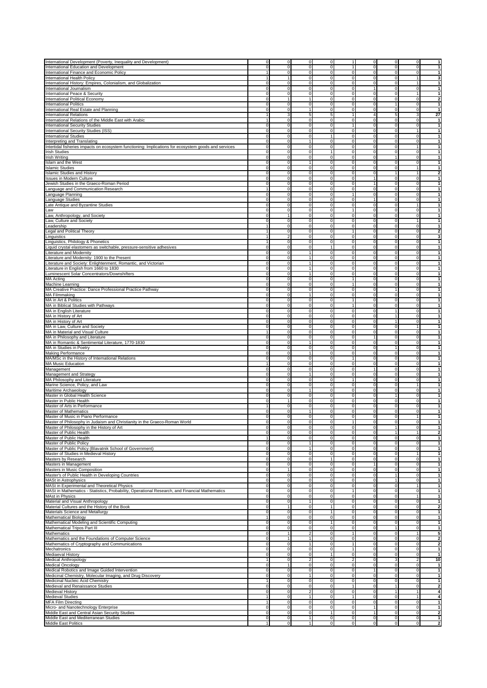| International Development (Poverty, Inequality and Development)                                                                                | $\overline{0}$              | $\overline{0}$               | $\overline{0}$                   | $\overline{0}$                 |                               | $\overline{0}$<br>1              | $\overline{0}$                | $\overline{0}$                      | -1                                        |
|------------------------------------------------------------------------------------------------------------------------------------------------|-----------------------------|------------------------------|----------------------------------|--------------------------------|-------------------------------|----------------------------------|-------------------------------|-------------------------------------|-------------------------------------------|
| International Education and Development                                                                                                        | $\mathbf 0$                 | $\pmb{0}$                    | 0                                | $\mathbf{0}$                   | 1                             | $\overline{0}$                   | $\mathbf{0}$                  | $\mathbf 0$                         | 1                                         |
| International Finance and Economic Policy                                                                                                      | $\mathbf{1}$                | $\mathbf 0$                  | $\pmb{0}$                        | $\circ$                        | $\circ$                       | $\overline{0}$                   | $\mathbf{0}$                  | $\mathbf{0}$                        | $\mathbf{1}$                              |
| International Health Policy                                                                                                                    | 1                           | $\mathbf{1}$                 | $\pmb{0}$                        | $\circ$                        | $\overline{0}$                | $\overline{0}$                   | $\overline{0}$                | $\mathbf{1}$                        | 3                                         |
| International History: Empires, Colonialism, and Globalization                                                                                 | $\mathbf 0$                 | $\pmb{0}$                    | 0                                | $\overline{0}$                 | $\Omega$                      | $\overline{0}$                   | $\mathbf 0$                   | $\mathbf{1}$                        | 1                                         |
| International Journalism                                                                                                                       | $\mathbf 0$                 | 0                            | $\pmb{0}$                        | $\overline{0}$                 | $\circ$                       | 1                                | $\mathbf{0}$                  | $\mathbf{0}$                        | $\mathbf{1}$                              |
| International Peace & Security                                                                                                                 | $\mathbf 0$                 | $\mathbf 0$                  | $\pmb{0}$                        | $\circ$                        | $\circ$                       | $\circ$                          | $\mathbf{0}$                  | $\mathbf{1}$                        | $\mathbf{1}$                              |
| International Political Economy                                                                                                                | $\mathbf 0$                 | $\mathbf{1}$                 | $\mathbf{1}$                     | $\mathbf{0}$                   | $\Omega$                      | $\overline{0}$                   | $\mathbf{0}$                  | $\mathbf 0$                         | $\overline{\mathbf{2}}$                   |
| <b>International Politics</b>                                                                                                                  | $\mathbf 0$                 | $\mathbf 0$                  | 0                                | $\mathbf{0}$                   | $\Omega$                      | $\overline{0}$                   | 1                             | $\mathbf 0$                         | $\mathbf{1}$                              |
| International Real Estate and Planning                                                                                                         | $\mathbf 0$<br>1            | $\mathbf 0$                  | $\mathbf{1}$                     | $\circ$                        | $\circ$<br>1                  | $\overline{0}$                   | $\mathbf 0$<br>5 <sub>5</sub> | $\mathbf 0$<br>$\mathbf{3}$         | $\mathbf{1}$<br>27                        |
| <b>International Relations</b><br>International Relations of the Middle East with Arabic                                                       | $\mathbf{1}$                | 3<br>$\mathbf 0$             | 5<br>0                           | 5 <sup>1</sup><br>$\Omega$     | $\Omega$                      | $\overline{4}$<br>$\overline{0}$ | $\mathbf{0}$                  | $\mathbf 0$                         | $\overline{1}$                            |
| <b>International Security Studies</b>                                                                                                          | 0                           | 0                            | $\overline{0}$                   | $\overline{0}$                 | $\mathbf{1}$                  | $\overline{0}$                   | $\mathbf 0$                   | $\mathbf{0}$                        | $\overline{1}$                            |
| International Security Studies (ISS)                                                                                                           | 0                           | 0                            | $\pmb{0}$                        | $\circ$                        | $\circ$                       | $\circ$                          | $\mathbf{0}$                  | 1                                   | $\mathbf{1}$                              |
| <b>International Studies</b>                                                                                                                   | 0                           | $\mathbf 0$                  | $\mathbf 0$                      | 1                              | $\Omega$                      | $\overline{0}$                   | $\mathbf 0$                   | $\mathbf 0$                         | $\mathbf{1}$                              |
| Interpreting and Translating                                                                                                                   | 0                           | 0                            | $\mathbf{1}$                     | $\mathbf{0}$                   | $\overline{0}$                | $\overline{0}$                   | $\mathbf{0}$                  | $\mathbf{0}$                        | $\overline{1}$                            |
| Intertidal fisheries impacts on ecosystem functioning: Implications for ecosystem goods and services                                           | 0                           | $\overline{0}$               | $\overline{\mathbf{0}}$          | $\overline{0}$                 | $\mathbf 0$                   | $\overline{0}$                   | $\overline{0}$                | $\mathbf{1}$                        | $\mathbf{1}$                              |
| <b>Irish Studies</b>                                                                                                                           | $\mathbf 0$                 | $\mathbf 0$                  | $\pmb{0}$                        | $\mathbf{1}$                   | $\Omega$                      | $\overline{0}$                   | $\mathbf 0$                   | $\mathbf 0$                         | 1                                         |
| <b>Irish Writing</b>                                                                                                                           | 0                           | 0                            | $\pmb{0}$                        | $\overline{0}$                 | $\mathbf 0$                   | $\overline{0}$                   | 1                             | $\mathbf{0}$                        | 1                                         |
| Islam and the West                                                                                                                             | $\overline{0}$              | $\overline{0}$               | 1                                | $\overline{0}$                 | $\overline{0}$                | $\overline{0}$                   | $\overline{0}$                | $\mathbf 0$                         | $\overline{1}$                            |
| <b>Islamic Studies</b>                                                                                                                         | $\mathbf 0$                 | $\circ$                      | 0                                | $\circ$                        | $\Omega$                      | $\overline{0}$                   | $\overline{0}$                | 1                                   | $\mathbf{1}$                              |
| <b>Islamic Studies and History</b>                                                                                                             | 0<br>$\mathbf 0$            | 0<br>$\pmb{0}$               | 0<br>$\bf 0$                     | $\circ$<br>$\mathbf{0}$        | $\Omega$<br>$\Omega$          | $\overline{0}$<br>1              | $\mathbf{1}$<br>$\mathbf{0}$  | $\mathbf{1}$<br>$\mathbf{0}$        | $\overline{\mathbf{2}}$<br>$\overline{1}$ |
| <b>Issues in Modern Culture</b><br>Jewish Studies in the Graeco-Roman Period                                                                   | $\mathbf 0$                 | $\mathbf 0$                  | $\pmb{0}$                        | $\circ$                        | $\circ$                       | 1                                | $\mathbf{0}$                  | $\mathbf{0}$                        | $\mathbf{1}$                              |
| Language and Communication Research                                                                                                            | 1                           | 0                            | $\pmb{0}$                        | $\Omega$                       | $\mathbf 0$                   | $\overline{0}$                   | $\mathbf 0$                   | $\mathbf 0$                         | 1                                         |
| Language Planning                                                                                                                              | $\mathbf 0$                 | 0                            | $\pmb{0}$                        | $\Omega$                       | $\mathbf{1}$                  | $\overline{0}$                   | $\mathbf{0}$                  | $\mathbf{0}$                        | $\mathbf{1}$                              |
| Language Studies                                                                                                                               | $\overline{0}$              | $\pmb{0}$                    | $\mathbf 0$                      | $\overline{0}$                 | $\overline{0}$                | 1                                | $\overline{0}$                | $\mathbf 0$                         | 1                                         |
| Late Antique and Byzantine Studies                                                                                                             | $\mathbf 0$                 | $\mathbf 0$                  | $\pmb{0}$                        | $\circ$                        | $\circ$                       | $\circ$                          | $\mathbf{0}$                  | 1                                   | $\mathbf{1}$                              |
| Law                                                                                                                                            | 0                           | 0                            | $\pmb{0}$                        | $\circ$                        | $\mathbf{1}$                  | $\overline{0}$                   | $\overline{0}$                | $\mathsf{O}\xspace$                 | $\mathbf{1}$                              |
| Law, Anthropology, and Society                                                                                                                 | $\mathbf 0$                 | $\mathbf{1}$                 | 0                                | $\overline{0}$                 | $\Omega$                      | $\overline{0}$                   | $\mathbf 0$                   | $\mathbf 0$                         | $\mathbf{1}$                              |
| Law, Culture and Society                                                                                                                       | $\mathbf 0$                 | $\mathbf 0$                  | $\pmb{0}$                        | $\overline{0}$                 | $\circ$                       | $\overline{0}$                   | $\mathbf{0}$                  | 1                                   | 1                                         |
| Leadership                                                                                                                                     | 1                           | $\mathbf 0$                  | $\pmb{0}$                        | $\circ$                        | $\circ$                       | $\circ$                          | $\overline{0}$                | $\mathsf{O}\xspace$                 | $\mathbf{1}$                              |
| Legal and Political Theory                                                                                                                     | $\mathbf{1}$<br>1           | $\mathbf 0$                  | 0                                | $\mathbf{0}$                   | 1                             | $\overline{0}$                   | $\overline{0}$                | $\mathbf 0$                         | $\overline{\mathbf{2}}$                   |
| Linguistics                                                                                                                                    | 1                           | $\overline{\mathbf{c}}$<br>0 | 0<br>0                           | $\mathbf{0}$<br>$\circ$        | $\Omega$<br>$\circ$           | $\overline{0}$<br>$\overline{0}$ | $\overline{0}$<br>$\mathbf 0$ | $\mathbf 0$<br>$\mathbf 0$          | 3<br>$\mathbf{1}$                         |
| Linguistics, Philology & Phonetics<br>Liquid crystal elastomers as switchable, pressure-sensitive adhesives                                    | 0                           | 0                            | $\mathbf 0$                      | 1                              | $\Omega$                      | $\overline{0}$                   | $\mathbf 0$                   | $\mathbf 0$                         | $\mathbf{1}$                              |
| Literature and Modernity                                                                                                                       | $\mathbf 0$                 | $\mathbf 0$                  | $\mathbf{1}$                     | $\overline{0}$                 | $\Omega$                      | $\overline{0}$                   | $\mathbf 0$                   | $\mathbf 0$                         | $\mathbf{1}$                              |
| Literature and Modernity: 1900 to the Present                                                                                                  | $\mathbf 0$                 | 0                            | $\mathbf{1}$                     | $\circ$                        | $\circ$                       | $\overline{0}$                   | $\mathbf 0$                   | $\mathbf{0}$                        | 1                                         |
| Literature and Society: Enlightenment, Romantic, and Victorian                                                                                 | $\mathbf 0$                 | $\mathbf 0$                  | $\mathbf{1}$                     | $\circ$                        | $\circ$                       | $\overline{0}$                   | $\mathbf{0}$                  | $\mathbf 0$                         | 1                                         |
| Literature in English from 1660 to 1830                                                                                                        | 0                           | $\mathbf 0$                  | $\mathbf{1}$                     | $\mathbf{0}$                   | $\Omega$                      | $\overline{0}$                   | $\mathbf 0$                   | $\mathbf 0$                         | $\mathbf{1}$                              |
| Luminescent Solar Concentrators/Downshifters                                                                                                   | $\mathbf 0$                 | $\mathbf 0$                  | 1                                | $\mathbf{0}$                   | $\overline{0}$                | $\overline{0}$                   | $\mathbf{0}$                  | $\mathbf{0}$                        | $\mathbf{1}$                              |
| <b>MA Acting</b>                                                                                                                               | $\mathbf 0$                 | $\mathbf 0$                  | $\pmb{0}$                        | $\circ$                        | 1                             | $\overline{0}$                   | $\overline{0}$                | $\mathsf 0$                         | $\overline{1}$                            |
| Machine Learning                                                                                                                               | $\mathbf 0$                 | $\mathbf 0$                  | $\pmb{0}$                        | $\circ$                        | $\mathbf{1}$                  | $\overline{0}$                   | $\mathbf 0$                   | $\mathbf 0$                         | 1                                         |
| MA Creative Practice: Dance Professional Practice Pathway                                                                                      | $\mathbf 0$                 | 0                            | $\pmb{0}$                        | $\Omega$                       | $\mathbf 0$                   | $\overline{0}$                   | 1                             | $\mathbf 0$                         | 1                                         |
| <b>MA Filmmaking</b>                                                                                                                           | $\overline{0}$              | $\overline{0}$               | 1                                | $\overline{0}$                 | $\overline{0}$                | $\overline{0}$                   | $\overline{0}$                | $\mathbf 0$                         | $\overline{1}$                            |
| MA in Art & Politics                                                                                                                           | $\mathbf 0$                 | $\circ$                      | 0                                | $\circ$                        | 1                             | $\overline{0}$                   | $\mathbf{0}$                  | $\mathbf 0$                         | 1                                         |
| MA in Biblical Studies with Pathways<br>MA in English Literature                                                                               | 0<br>$\mathbf 0$            | 0<br>$\pmb{0}$               | $\pmb{0}$<br>$\mathbf 0$         | $\mathbf{0}$<br>$\mathbf{0}$   | 1<br>$\overline{0}$           | $\overline{0}$<br>$\overline{0}$ | $\mathbf 0$<br>$\overline{1}$ | $\mathbf 0$<br>$\mathbf{0}$         | $\overline{1}$<br>$\overline{1}$          |
| MA in History of Art                                                                                                                           | $\mathbf 0$                 | $\mathbf 0$                  | 0                                | $\circ$                        | $\Omega$                      | $\overline{0}$                   | 1                             | $\mathbf 0$                         | $\mathbf{1}$                              |
| MA in History of Art                                                                                                                           | 0                           | 0                            | $\pmb{0}$                        | $\Omega$                       | $\mathbf 0$                   | $\Omega$                         | 1                             | $\mathbf 0$                         | 1                                         |
| MA in Law, Culture and Society                                                                                                                 | $\mathbf 0$                 | 0                            | $\pmb{0}$                        | $\circ$                        | $\Omega$                      | $\overline{0}$                   | $\mathbf 0$                   | 1                                   | $\mathbf{1}$                              |
| MA in Material and Visual Culture                                                                                                              | 1                           | $\mathbf 0$                  | $\mathbf 0$                      | $\overline{0}$                 | $\overline{0}$                | $\overline{0}$                   | $\mathbf{0}$                  | $\mathbf 0$                         | 1                                         |
| MA in Philosophy and Literature                                                                                                                | 0                           | $\mathbf 0$                  | $\pmb{0}$                        | $\circ$                        | $\circ$                       | 1                                | $\mathbf{0}$                  | $\mathbf{0}$                        | $\mathbf{1}$                              |
| MA in Romantic & Sentimental Literature, 1770-1830                                                                                             | 0                           | 0                            | $\mathbf{1}$                     | $\overline{0}$                 | $\circ$                       | $\overline{0}$                   | $\overline{0}$                | $\mathsf 0$                         | $\mathbf{1}$                              |
| MA in Studies in Poetry                                                                                                                        | $\pmb{0}$                   | $\mathbf 0$                  | 0                                | $\overline{0}$                 | $\mathbf 0$                   | $\overline{0}$                   | 1                             | $\mathbf 0$                         | $\overline{1}$                            |
| <b>Making Performance</b>                                                                                                                      | $\mathbf 0$                 | $\mathbf 0$                  | $\mathbf{1}$                     | $\overline{0}$                 | $\circ$                       | $\overline{0}$                   | $\mathbf{0}$                  | $\mathbf{0}$                        | 1                                         |
| MA/MSc in the History of International Relations                                                                                               | $\mathbf 0$                 | $\mathbf 0$                  | $\pmb{0}$                        | $\circ$                        | 1                             | $\circ$                          | $\overline{0}$                | $\mathbf 0$                         | $\mathbf{1}$                              |
| <b>MA Music Education</b>                                                                                                                      | $\mathbf{1}$                | $\mathbf 0$                  | 0                                | $\overline{0}$                 | $\overline{0}$                | $\overline{0}$                   | $\overline{0}$                | $\mathbf 0$                         | $\mathbf{1}$                              |
| Management<br>Management and Strategy                                                                                                          | $\mathbf 0$<br>$\mathbf 0$  | $\mathbf 0$<br>$\mathbf 0$   | 0<br>$\mathbf{1}$                | $\mathbf{0}$<br>$\circ$        | $\Omega$<br>$\circ$           | 1<br>$\circ$                     | $\overline{0}$<br>$\mathbf 0$ | $\mathbf 0$<br>$\mathbf 0$          | $\mathbf{1}$<br>$\mathbf{1}$              |
| MA Philosophy and Literature                                                                                                                   | 0                           | 0                            | $\pmb{0}$                        | $\circ$                        | 1                             | $\overline{0}$                   | $\mathbf 0$                   | $\mathbf 0$                         | $\mathbf{1}$                              |
| Marine Science, Policy, and Law                                                                                                                | $\mathbf 0$                 | $\mathbf 0$                  | $\mathbf 0$                      | $\mathbf{0}$                   | $\Omega$                      | $\overline{0}$                   | $\mathbf 0$                   | 1                                   | $\mathbf{1}$                              |
| Maritime Archaeology                                                                                                                           | $\mathbf 0$                 | 0                            | $\mathbf{1}$                     | $\circ$                        | $\circ$                       | $\overline{0}$                   | $\mathbf 0$                   | $\mathbf{0}$                        | 1                                         |
| Master in Global Health Science                                                                                                                | $\mathbf 0$                 | $\mathbf 0$                  | $\pmb{0}$                        | $\mathbf{0}$                   | $\Omega$                      | $\overline{0}$                   | 1                             | $\mathbf 0$                         | 1                                         |
| Master in Public Health                                                                                                                        | $\mathbf 0$                 | $\mathbf{1}$                 | $\mathbf 0$                      | $\mathbf{0}$                   | $\Omega$                      | $\overline{0}$                   | $\overline{0}$                | $\mathbf 0$                         | $\mathbf{1}$                              |
| Master of Arts in Performance                                                                                                                  | 1                           | $\mathbf 0$                  | $\pmb{0}$                        | $\mathbf{0}$                   | $\Omega$                      | $\overline{0}$                   | $\mathbf{0}$                  | $\mathbf{0}$                        | $\mathbf{1}$                              |
| Master of Mathematics                                                                                                                          | $\mathbf 0$                 | $\mathbf 0$                  | $\mathbf{1}$                     | $\overline{0}$                 | $\circ$                       | $\overline{0}$                   | $\mathbf 0$                   | $\mathbf 0$                         | $\mathbf{1}$                              |
| Master of Music in Piano Performance                                                                                                           | $\mathbf 0$                 | $\mathbf 0$                  | $\pmb{0}$                        | $\Omega$                       | $\Omega$                      | $\Omega$                         | $\mathbf{0}$                  | $\mathbf{1}$                        | 1                                         |
| Master of Philosophy in Judaism and Christianity in the Graeco-Roman World                                                                     | 0                           | $\mathbf 0$                  | $\mathbf 0$                      | $\overline{0}$                 | $\mathbf{1}$                  | $\overline{0}$                   | $\overline{0}$                | $\mathbf 0$                         | 1                                         |
| Master of Philosophy in the History of Art                                                                                                     | $\mathbf 0$                 | $\circ$                      | $\mathbf 0$                      | $\overline{0}$                 | $\circ$                       | $\overline{0}$                   | 1                             | $\mathbf 0$                         | 1                                         |
| Master of Public Health<br>Master of Public Health                                                                                             | $\mathbf 0$<br>$\mathbf{1}$ | $\circ$<br>0                 | $\pmb{0}$<br>$\pmb{0}$           | $\circ$<br>$\circ$             | $\Omega$<br>$\Omega$          | $\overline{0}$<br>$\overline{0}$ | 1<br>$\mathbf 0$              | 1<br>$\mathbf 0$                    | $\overline{\mathbf{2}}$<br>$\mathbf{1}$   |
| Master of Public Policy                                                                                                                        | $\mathbf 0$                 | $\pmb{0}$                    | $\overline{1}$                   | $\mathbf{0}$                   | $\overline{0}$                | $\overline{0}$                   | $\overline{0}$                | $\overline{0}$                      | $\overline{1}$                            |
| Master of Public Policy (Blavatnik School of Government)                                                                                       | $\mathbf 0$                 | $\circ$                      | $\mathbf{1}$                     | $\circ$                        | $\Omega$                      | $\overline{0}$                   | $\mathbf 0$                   | $\mathbf 0$                         | $\mathbf{1}$                              |
| Master of Studies in Medieval History                                                                                                          | 0                           | 0                            | $\pmb{0}$                        | $\overline{0}$                 | $\mathbf 0$                   | $\Omega$                         | $\mathbf 0$                   | $\mathbf{1}$                        | 1                                         |
| Masters by Research                                                                                                                            | $\mathbf 0$                 | 0                            | $\pmb{0}$                        | $\mathbf{1}$                   | $\Omega$                      | $\circ$                          | $\mathbf 0$                   | $\mathbf 0$                         | $\mathbf{1}$                              |
| Masters in Management                                                                                                                          | $\overline{0}$              | $\overline{\text{o}}$        | $\overline{0}$                   | $\overline{0}$                 | $\overline{0}$                | 1                                | $\overline{0}$                | $\mathbf 0$                         | 1                                         |
| Masters in Music Composition                                                                                                                   | $\mathbf 0$                 | $\mathbf{1}$                 | $\pmb{0}$                        | $\circ$                        | $\circ$                       | $\overline{0}$                   | $\mathbf{0}$                  | $\mathbf{0}$                        | $\mathbf{1}$                              |
| Master's of Public Health in Developing Countries                                                                                              | $\mathbf 0$                 | 0                            | $\pmb{0}$                        | $\circ$                        | $\circ$                       | $\overline{0}$                   | $\mathbf{1}$                  | $\mathbf 0$                         | $\mathbf{1}$                              |
| <b>MASt in Astrophysics</b>                                                                                                                    | $\mathbf 0$                 | $\mathbf 0$                  | 0                                | $\mathbf{0}$                   | $\Omega$                      | $\overline{0}$                   | 1                             | $\mathbf 0$                         | $\overline{1}$                            |
| MASt in Experimental and Theoretical Physics<br>MASt in Mathematics - Statistics, Probability, Operational Research, and Financial Mathematics | $\mathbf 0$<br>$\mathbf 0$  | 0<br>$\mathbf 0$             | $\pmb{0}$<br>$\pmb{0}$           | $\circ$<br>$\circ$             | $\circ$<br>1                  | $\Omega$<br>$\circ$              | $\mathbf 0$<br>$\overline{0}$ | $\mathbf{1}$<br>$\mathsf{O}\xspace$ | 1<br>$\mathbf{1}$                         |
| <b>MAst in Physics</b>                                                                                                                         | $\mathbf 0$                 | $\pmb{0}$                    | $\pmb{0}$                        | $\mathbf{0}$                   | $\overline{0}$                | $\overline{0}$                   | $\overline{0}$                | $\mathbf{1}$                        | $\mathbf{1}$                              |
| Material and Visual Anthropology                                                                                                               | $\mathbf 0$                 | $\mathbf 0$                  | $\mathbf{1}$                     | $\mathbf{0}$                   | $\Omega$                      | $\overline{0}$                   | $\overline{0}$                | $\mathbf 0$                         | $\overline{1}$                            |
| Material Cultures and the History of the Book                                                                                                  | $\mathbf 0$                 | $\mathbf{1}$                 | $\pmb{0}$                        | $\mathbf{1}$                   | $\circ$                       | $\overline{0}$                   | $\mathbf 0$                   | $\mathbf 0$                         | $\overline{\mathbf{2}}$                   |
| Materials Science and Metallurgy                                                                                                               | $\mathbf 0$                 | 0                            | 0                                | $\mathbf{1}$                   | $\Omega$                      | $\overline{0}$                   | $\mathbf 0$                   | $\mathsf{O}\xspace$                 | $\mathbf{1}$                              |
| <b>Mathematical Biology</b>                                                                                                                    | $\mathbf{1}$                | $\mathbf 0$                  | 0                                | $\mathbf{0}$                   | $\Omega$                      | $\overline{0}$                   | $\mathbf 0$                   | $\mathbf 0$                         | 1                                         |
| Mathematical Modeling and Scientific Computing                                                                                                 | $\mathbf 0$                 | 0                            | $\pmb{0}$                        | $\mathbf{1}$                   | $\circ$                       | $\overline{0}$                   | $\overline{0}$                | $\mathbf 0$                         | 1                                         |
| Mathematical Tripos Part III                                                                                                                   | $\mathbf 0$                 | $\mathbf 0$                  | $\pmb{0}$                        | $\circ$                        | $\circ$                       | $\overline{0}$                   | 1                             | $\mathbf 0$                         | 1                                         |
| Mathematics                                                                                                                                    | $\mathbf 0$                 | $\mathbf{1}$                 | $\overline{2}$                   | $\mathbf{0}$                   | 1                             | $\overline{0}$                   | $\mathbf{0}$                  | 1                                   | 5                                         |
| Mathematics and the Foundations of Computer Science                                                                                            | $\overline{0}$              | $\mathbf{1}$                 | $\overline{1}$<br>$\overline{1}$ | $\overline{0}$                 | $\overline{0}$                | $\overline{0}$                   | $\mathbf{0}$                  | $\mathbf{0}$                        | 2                                         |
| Mathematics of Cryptography and Communications<br>Mechatronics                                                                                 | $\mathbf 0$<br>$\mathbf 0$  | $\mathbf 0$<br>$\mathbf 0$   | $\pmb{0}$                        | $\circ$<br>$\circ$             | 1<br>$\mathbf{1}$             | $\overline{0}$<br>$\overline{0}$ | $\mathbf 0$<br>$\mathbf 0$    | $\mathbf 0$<br>$\mathbf 0$          | $\overline{\mathbf{2}}$<br>1              |
| Mediaeval History                                                                                                                              | $\mathbf 0$                 | $\pmb{0}$                    | $\bf 0$                          | $\mathbf{1}$                   | $\Omega$                      | $\overline{0}$                   | $\mathbf{0}$                  | $\mathbf 0$                         | $\mathbf{1}$                              |
| <b>Medical Anthropology</b>                                                                                                                    | $\mathbf{1}$                | 0                            | $\mathbf 2$                      | $\overline{0}$                 | $\sqrt{2}$                    | $\circ$                          | $\mathbf{3}$                  | $\overline{2}$                      | 10                                        |
| <b>Medical Oncology</b>                                                                                                                        | $\mathbf 0$                 | $\mathbf{1}$                 | 0                                | $\mathbf{0}$                   | $\Omega$                      | $\overline{0}$                   | $\mathbf{0}$                  | $\mathbf 0$                         | $\mathbf{1}$                              |
| Medical Robotics and Image Guided Intervention                                                                                                 | $\mathbf 0$                 | 0                            | $\pmb{0}$                        | $\mathbf{0}$                   | $\Omega$                      | 1                                | $\mathbf 0$                   | $\mathbf 0$                         | $\overline{1}$                            |
| Medicinal Chemistry, Molecular Imaging, and Drug Discovery                                                                                     | $\mathbf 0$                 | $\pmb{0}$                    | $\overline{1}$                   | $\mathbf{0}$                   | $\overline{0}$                | $\overline{0}$                   | $\overline{0}$                | $\overline{0}$                      | $\overline{1}$                            |
| Medicinal Nucleic Acid Chemistry                                                                                                               | 1                           | $\mathbf 0$                  | $\pmb{0}$                        | $\circ$                        | $\Omega$                      | $\overline{0}$                   | $\mathbf 0$                   | $\mathbf 0$                         | $\mathbf{1}$                              |
| Medieval and Renaissance Studies                                                                                                               | 0                           | 0                            | $\pmb{0}$                        | $\overline{0}$                 | $\mathbf{1}$                  | $\Omega$                         | 1                             | $\mathbf 0$                         | 2                                         |
| Medieval History                                                                                                                               | $\mathbf 0$                 | 0                            | $\overline{c}$                   | $\circ$                        | $\Omega$                      | $\circ$                          | 1                             | 1                                   | 4                                         |
| <b>Medieval Studies</b>                                                                                                                        | $\mathbf{1}$                | 0                            | $\mathbf{1}$                     | $\circ$                        | 1                             | $\overline{0}$                   | $\mathbf{0}$                  | 1                                   | 4                                         |
| <b>MFA Film Directing</b>                                                                                                                      |                             | $\mathbf 0$<br>1             | $\pmb{0}$                        | $\circ$                        | $\circ$                       | $\overline{0}$                   | $\mathbf{0}$                  | $\mathbf 0$                         | $\mathbf{1}$                              |
|                                                                                                                                                |                             |                              |                                  |                                |                               |                                  |                               |                                     |                                           |
| Micro- and Nanotechnology Enterprise                                                                                                           | $\mathbf 0$                 | 0                            | $\pmb{0}$                        | $\circ$                        | $\circ$                       | $\mathbf{1}$                     | $\overline{0}$                | $\mathbf 0$                         | $\mathbf{1}$                              |
| Middle East and Central Asian Security Studies<br>Middle East and Mediterranean Studies                                                        | $\mathbf 0$<br>$\mathbf 0$  | $\mathsf 0$<br>$\mathbf 0$   | $\pmb{0}$<br>$\mathbf{1}$        | $\mathbf{1}$<br>$\overline{0}$ | $\mathbf 0$<br>$\overline{0}$ | $\overline{1}$<br>$\circ$        | $\mathbf{0}$<br>$\mathbf 0$   | $\mathbf 0$<br>$\mathbf 0$          | $\overline{\mathbf{2}}$<br>$\mathbf{1}$   |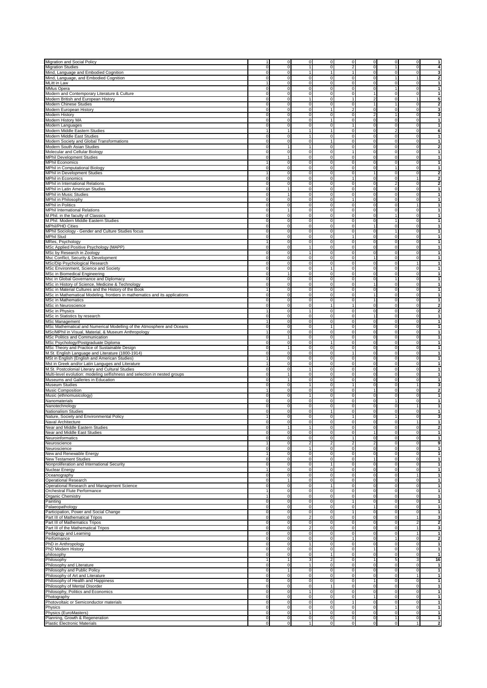| Migration and Social Policy                                                                                                                                                                                                                                  | 1                         | $\circ$                     | $\mathbf 0$                 | 0                                | $\circ$                   | $\circ$                        | $\overline{0}$                   | $\mathbf{0}$                 | 1                                                                 |
|--------------------------------------------------------------------------------------------------------------------------------------------------------------------------------------------------------------------------------------------------------------|---------------------------|-----------------------------|-----------------------------|----------------------------------|---------------------------|--------------------------------|----------------------------------|------------------------------|-------------------------------------------------------------------|
| <b>Migration Studies</b>                                                                                                                                                                                                                                     | $\overline{0}$            | $\mathbf 0$                 | $\overline{1}$              | $\pmb{0}$                        | $\overline{2}$            | $\overline{0}$                 | 1                                | $\overline{0}$               | 4                                                                 |
| Mind, Language and Embodied Cognition                                                                                                                                                                                                                        | $\overline{0}$            | $\circ$                     | $\mathbf{1}$                | $\mathbf{1}$                     | 1                         | $\overline{0}$                 | $\overline{0}$                   | $\mathbf{0}$                 | 3                                                                 |
| Mind, Language, and Embodied Cognition                                                                                                                                                                                                                       | $\overline{0}$            | $\circ$                     | 0                           | $\mathsf 0$                      | $\circ$                   | $\overline{0}$                 | 1                                | 1                            | 2                                                                 |
| MLitt in Law                                                                                                                                                                                                                                                 | 1                         | $\circ$                     | 0                           | $\mathsf 0$                      | $\circ$                   | $\overline{0}$                 | $\overline{0}$                   | $\mathbf 0$                  | 1                                                                 |
|                                                                                                                                                                                                                                                              | $\circ$                   | $\overline{0}$              | $\pmb{0}$                   | $\mathsf 0$                      | $\circ$                   | $\overline{0}$                 | 1                                | $\mathbf{0}$                 | $\mathbf{1}$                                                      |
| MMus Opera                                                                                                                                                                                                                                                   | $\mathbf 0$               | $\mathbf 0$                 | $\pmb{0}$                   | $\mathsf 0$                      | $\circ$                   | $\mathbf{1}$                   | $\mathbf 0$                      | $\mathbf{0}$                 | 1                                                                 |
| Modern and Contemporary Literature & Culture                                                                                                                                                                                                                 | $\mathbf 0$               | $\mathbf 0$                 | 1                           | 0                                | $\mathbf{1}$              | $\overline{2}$                 | $\overline{0}$                   | 1                            |                                                                   |
| Modern British and European History                                                                                                                                                                                                                          | $\overline{0}$            | $\mathbf 0$                 | $\mathbf 0$                 | 0                                | $\overline{0}$            | 1                              | 1                                | $\mathbf{0}$                 | 5                                                                 |
| Modern Chinese Studies                                                                                                                                                                                                                                       |                           |                             |                             |                                  |                           |                                |                                  |                              | 2                                                                 |
| Modern European History                                                                                                                                                                                                                                      | $\mathbf 0$               | $\mathbf 0$                 | 0                           | 1                                | $\overline{2}$            | $\overline{0}$                 | $\overline{0}$                   | $\mathbf{0}$                 | 3                                                                 |
| Modern History                                                                                                                                                                                                                                               | $\mathbf 0$               | $\mathbf 0$                 | 0                           | $\mathsf 0$                      | $\overline{0}$            | $\overline{2}$                 | 1                                | $\mathbf 0$                  | 3                                                                 |
| Modern History MA                                                                                                                                                                                                                                            | $\mathbf 0$               | $\mathbf 0$                 | 0                           | 1                                | $\overline{0}$            | $\mathbf 0$                    | $\mathbf 0$                      | $\mathbf 0$                  | $\mathbf{1}$                                                      |
| Modern Languages                                                                                                                                                                                                                                             | $\mathbf 0$               | $\mathbf 0$                 | 0                           | 0                                | $\mathbf{1}$              | $\mathbf 0$                    | $\overline{0}$                   | $\overline{0}$               | 1                                                                 |
| Modern Middle Eastern Studies                                                                                                                                                                                                                                | 1                         | 1                           | $\mathbf{1}$                | 1                                | $\Omega$                  | $\overline{0}$                 | $\overline{2}$                   | $\overline{0}$               | 6                                                                 |
| Modern Middle East Studies                                                                                                                                                                                                                                   | $\overline{0}$            | $\mathbf 0$                 | 1                           | $\mathsf 0$                      | $\overline{0}$            | $\overline{0}$                 | $\overline{0}$                   | $\mathbf{0}$                 | 1                                                                 |
| Modern Society and Global Transformations                                                                                                                                                                                                                    | $\overline{0}$            | $\circ$                     | 0                           | $\mathbf{1}$                     | $\overline{0}$            | $\overline{0}$                 | $\overline{0}$                   | $\mathbf{0}$                 | $\mathbf{1}$                                                      |
| Modern South Asian Studies                                                                                                                                                                                                                                   | $\mathbf 0$               | 1                           | 1                           | $\mathsf 0$                      | $\circ$                   | $\overline{0}$                 | $\overline{0}$                   | $\overline{0}$               | $\overline{\mathbf{2}}$                                           |
| Molecular and Cellular Biology                                                                                                                                                                                                                               | $\mathbf 0$               | $\mathbf 0$                 | 0                           | $\mathsf 0$                      | 1                         | $\overline{0}$                 | $\mathbf 0$                      | $\mathbf 0$                  | 1                                                                 |
| <b>MPhil Development Studies</b>                                                                                                                                                                                                                             | $\mathbf 0$               | 1                           | $\mathbf 0$                 | 0                                | $\circ$                   | $\mathbf 0$                    | $\overline{0}$                   | $\mathbf 0$                  | 1                                                                 |
| <b>MPhil Economics</b>                                                                                                                                                                                                                                       | $\mathbf{1}$              | $\overline{0}$              | $\overline{0}$              | $\mathbf 0$                      | $\overline{0}$            | $\mathbf 0$                    | $\overline{0}$                   | $\mathbf 0$                  | 1                                                                 |
| MPhil in Computational Biology                                                                                                                                                                                                                               | $\circ$                   | $\mathbf 0$                 | $\pmb{0}$                   | $\mathsf 0$                      | $\circ$                   | $\overline{0}$                 | 1                                | $\mathbf{0}$                 | $\mathbf{1}$                                                      |
| MPhil in Development Studies                                                                                                                                                                                                                                 | $\mathbf{1}$              | $\circ$                     | 0                           | 0                                | $\overline{0}$            | 1                              | $\overline{0}$                   | $\mathbf{0}$                 | $\overline{\mathbf{2}}$                                           |
|                                                                                                                                                                                                                                                              | $\mathbf 0$               | $\circ$                     | 0                           | 0                                | 1                         | $\overline{0}$                 | $\overline{0}$                   | 1                            | 2                                                                 |
| MPhil in Economics                                                                                                                                                                                                                                           |                           |                             |                             |                                  |                           |                                | $\overline{2}$                   |                              |                                                                   |
| MPhil in International Relations                                                                                                                                                                                                                             | $\mathbf 0$               | $\overline{0}$              | 0                           | $\mathsf 0$                      | $\overline{0}$            | $\overline{0}$                 |                                  | $\overline{0}$               | $\overline{\mathbf{2}}$                                           |
| MPhil in Latin American Studies                                                                                                                                                                                                                              | $\mathbf 0$               | $\mathbf{1}$                | 0                           | 0                                | $\overline{0}$            | $\overline{0}$                 | $\overline{0}$                   | $\overline{0}$               | $\mathbf{1}$                                                      |
| MPhil in Music Studies                                                                                                                                                                                                                                       | $\mathbf 0$               | 1                           | 0                           | 0                                | $\overline{0}$            | $\mathbf 0$                    | $\overline{0}$                   | $\mathbf 0$                  | 1                                                                 |
| MPhil in Philosophy                                                                                                                                                                                                                                          | $\mathbf 0$               | $\mathbf 0$                 | $\pmb{0}$                   | $\mathbf 0$                      | $\mathbf{1}$              | $\overline{0}$                 | $\overline{0}$                   | $\overline{0}$               | 1                                                                 |
| <b>MPhil in Politics</b>                                                                                                                                                                                                                                     | $\mathbf 0$               | $\mathbf 0$                 | 0                           | 0                                | $\circ$                   | $\overline{0}$                 | $\overline{0}$                   | 1                            | $\mathbf{1}$                                                      |
| <b>MPhil International Relations</b>                                                                                                                                                                                                                         | $\mathbf 0$               | 1                           | 0                           | 0                                | $\circ$                   | $\overline{0}$                 | $\overline{0}$                   | $\mathbf 0$                  | $\overline{1}$                                                    |
| M.Phil. in the faculty of Classics                                                                                                                                                                                                                           | $\mathbf 0$               | $\mathbf 0$                 | 0                           | $\mathsf 0$                      | $\circ$                   | $\overline{0}$                 | $\mathbf{1}$                     | $\mathbf 0$                  | $\mathbf{1}$                                                      |
| M.Phil. Modern Middle Eastern Studies                                                                                                                                                                                                                        | $\mathbf 0$               | $\overline{0}$              | 0                           | $\mathsf 0$                      | $\circ$                   | $\overline{0}$                 | 1                                | $\mathbf{0}$                 | $\mathbf{1}$                                                      |
| MPhil/PHD Cities                                                                                                                                                                                                                                             | $\mathbf 0$               | $\mathbf 0$                 | 0                           | 0                                | $\overline{0}$            | 1                              | $\overline{0}$                   | $\mathbf 0$                  | 1                                                                 |
| MPhil Sociology - Gender and Culture Studies focus                                                                                                                                                                                                           | $\mathbf 0$               | $\mathbf 0$                 | $\mathbf 0$                 | $\mathsf 0$                      | $\Omega$                  | $\Omega$                       | 1                                | $\mathsf{O}\xspace$          | $\mathbf{1}$                                                      |
| <b>MPhil Stud</b>                                                                                                                                                                                                                                            | $\overline{0}$            | $\mathbf 0$                 | $\mathbf 0$                 | 0                                | 1                         | $\overline{0}$                 | $\overline{0}$                   | $\mathbf{0}$                 | $\mathbf{1}$                                                      |
| MRes, Psychology                                                                                                                                                                                                                                             | 1                         | $\circ$                     | 0                           | 0                                | $\circ$                   | $\overline{0}$                 | $\overline{0}$                   | $\overline{0}$               | $\mathbf{1}$                                                      |
| MSc Applied Positive Psychology (MAPP)                                                                                                                                                                                                                       | $\mathbf 0$               | $\circ$                     | $\mathbf{1}$                | 0                                | $\circ$                   | $\overline{0}$                 | $\overline{0}$                   | $\mathbf 0$                  | $\mathbf{1}$                                                      |
| MSc by Research in Zoology                                                                                                                                                                                                                                   | $\mathbf 0$               | $\mathbf 0$                 | $\mathbf{1}$                | 0                                | $\circ$                   | $\overline{0}$                 | $\overline{0}$                   | $\mathbf 0$                  | $\mathbf{1}$                                                      |
| Msc Conflict, Security & Development                                                                                                                                                                                                                         | $\mathbf 0$               | $\mathbf 0$                 | 0                           | $\mathsf 0$                      | $\Omega$                  | $\mathbf{1}$                   | $\overline{0}$                   | $\overline{0}$               | $\mathbf{1}$                                                      |
| MSc/Dip Psychological Research                                                                                                                                                                                                                               | $\mathbf 0$               | $\mathbf 0$                 | 0                           | 0                                | $\Omega$                  | $\Omega$                       | $\overline{0}$                   | 1                            | 1                                                                 |
| MSc Environment, Science and Society                                                                                                                                                                                                                         | $\overline{0}$            | $\mathbf 0$                 | $\pmb{0}$                   | $\mathbf{1}$                     | $\circ$                   | $\overline{0}$                 | $\overline{0}$                   | $\mathbf{0}$                 | 1                                                                 |
|                                                                                                                                                                                                                                                              | $\mathbf 0$               | $\mathbf{1}$                | 0                           | 0                                | $\overline{0}$            | $\overline{0}$                 | $\overline{0}$                   | $\mathbf{0}$                 | 1                                                                 |
| MSc in Biomedical Engineering                                                                                                                                                                                                                                |                           |                             |                             |                                  |                           |                                |                                  |                              |                                                                   |
| Msc in Global Governance and Diplomacy                                                                                                                                                                                                                       | $\mathbf 0$               | $\mathbf 0$                 | 0                           | $\mathsf 0$                      | $\circ$                   | $\pmb{0}$                      | 1                                | $\mathsf{O}\xspace$          | $\mathbf{1}$                                                      |
| MSc in History of Science, Medicine & Technology                                                                                                                                                                                                             | $\overline{0}$            | $\mathbf 0$                 | $\pmb{0}$                   | 0                                | $\circ$                   | 1                              | $\overline{0}$                   | $\mathbf{0}$                 | $\mathbf{1}$                                                      |
| MSc in Material Cultures and the History of the Book                                                                                                                                                                                                         | $\mathbf{1}$              | $\circ$                     | $\mathbf 0$                 | 0                                | $\overline{0}$            | $\overline{0}$                 | $\overline{0}$                   | $\mathbf 0$                  | 1                                                                 |
| MSc in Mathematical Modeling, frontiers in mathematics and its applications                                                                                                                                                                                  | $\mathbf 0$               | $\overline{0}$              | $\overline{0}$              | $\overline{\text{o}}$            | $\overline{0}$            | 1                              | $\overline{0}$                   | $\mathbf 0$                  | 1                                                                 |
| MSc in Mathematics                                                                                                                                                                                                                                           | $\overline{0}$            | $\mathbf 0$                 | $\pmb{0}$                   | $\mathsf 0$                      | $\circ$                   | 1                              | $\overline{0}$                   | $\mathbf{0}$                 | $\mathbf{1}$                                                      |
| MSc in Neuroscience                                                                                                                                                                                                                                          | $\mathbf 0$               | $\circ$                     | $\mathbf 0$                 | $\mathbf{1}$                     | 1                         | $\overline{0}$                 | $\overline{0}$                   | $\mathbf{0}$                 | $\overline{2}$                                                    |
| MSc in Physics                                                                                                                                                                                                                                               | 1                         | $\mathbf 0$                 | $\mathbf{1}$                | 0                                | $\overline{0}$            | $\overline{0}$                 | $\overline{0}$                   | $\mathbf{0}$                 | 2                                                                 |
| MSc in Statistics by research                                                                                                                                                                                                                                | $\mathbf 0$               | $\mathbf 0$                 | 0                           | $\mathsf 0$                      | $\circ$                   | 1                              | $\overline{0}$                   | $\mathbf 0$                  | $\overline{1}$                                                    |
| MSc Management                                                                                                                                                                                                                                               | $\mathbf{1}$              | $\circ$                     | 0                           | 0                                | $\circ$                   | $\overline{0}$                 | $\overline{0}$                   | $\mathbf{0}$                 | 1                                                                 |
| MSc Mathematical and Numerical Modelling of the Atmosphere and Oceans                                                                                                                                                                                        | $\mathbf 0$               | $\mathbf 0$                 | 0                           | 1                                | $\Omega$                  | $\mathbf 0$                    | $\mathbf{0}$                     | $\mathbf 0$                  | $\mathbf{1}$                                                      |
| MSc/MPhil in Visual, Material, & Museum Anthropology                                                                                                                                                                                                         | 1                         | $\overline{0}$              | $\mathbf 0$                 | $\boldsymbol{0}$                 | $\overline{0}$            | $\overline{0}$                 | $\overline{0}$                   | $\overline{0}$               | $\overline{1}$                                                    |
| MSc Politics and Communication                                                                                                                                                                                                                               | $\overline{0}$            | 1                           | $\mathbf 0$                 | 0                                | $\circ$                   | $\overline{0}$                 | $\overline{0}$                   | $\mathbf{0}$                 | $\mathbf{1}$                                                      |
| MSc Psychology/Postgraduate Diploma                                                                                                                                                                                                                          |                           |                             |                             |                                  |                           |                                |                                  |                              |                                                                   |
|                                                                                                                                                                                                                                                              |                           |                             |                             |                                  |                           |                                |                                  |                              |                                                                   |
|                                                                                                                                                                                                                                                              | $\mathbf 0$               | $\mathbf 0$                 | 0                           | 1                                | $\circ$                   | $\overline{0}$                 | $\overline{0}$                   | $\mathbf{0}$                 | $\mathbf{1}$                                                      |
|                                                                                                                                                                                                                                                              | $\mathbf 0$               | $\mathbf{1}$                | $\pmb{0}$                   | $\mathsf 0$                      | $\mathbf{0}$              | $\overline{0}$                 | $\mathbf{0}$                     | $\mathbf 0$                  | $\overline{1}$                                                    |
|                                                                                                                                                                                                                                                              | $\mathbf 0$               | $\overline{0}$              | 0                           | $\mathsf 0$                      | $\mathbf{1}$              | $\mathbf 0$                    | $\overline{0}$                   | $\mathbf{0}$                 | $\mathbf{1}$                                                      |
|                                                                                                                                                                                                                                                              | $\mathbf{1}$              | $\mathbf 0$                 | 0                           | 0                                | $\overline{0}$            | $\mathbf 0$                    | $\overline{0}$                   | $\mathbf 0$                  | 1                                                                 |
|                                                                                                                                                                                                                                                              | $\mathbf{1}$              | $\mathbf 0$                 | 0                           | $\mathsf 0$                      | $\circ$                   | $\overline{0}$                 | $\overline{0}$                   | $\mathsf{O}\xspace$          | 1                                                                 |
| MSc Theory and Practice of Sustainable Design<br>M.St. English Language and Literature (1800-1914)<br>MSt in English (English and American Studies)<br>Mst in Greek and/or Latin Languges and Literature<br>M.St. Postcolonial Literary and Cultural Studies | $\overline{0}$            | $\mathbf 0$                 | $\mathbf{1}$                | 0                                | $\overline{0}$            | $\overline{0}$                 | $\mathbf{0}$                     | $\overline{0}$               | $\mathbf{1}$                                                      |
|                                                                                                                                                                                                                                                              | $\mathbf 0$               | 1                           | 0                           | 0                                | $\circ$                   | $\overline{0}$                 | $\overline{0}$                   | $\mathbf{0}$                 | $\overline{1}$                                                    |
|                                                                                                                                                                                                                                                              | $\mathbf 0$               | 1                           | 0                           | 0                                | $\circ$                   | $\overline{0}$                 | $\mathbf{0}$                     | $\mathbf 0$                  | $\mathbf{1}$                                                      |
|                                                                                                                                                                                                                                                              | $\mathbf 0$               | $\mathbf 0$                 | $\mathbf{1}$                | 0                                | 1                         | $\overline{0}$                 | $\overline{0}$                   | 1                            | 3                                                                 |
| Multi-level evolution: modeling selfishness and selection in nested groups<br>Museums and Galleries in Education<br>Museum Studies<br>Music Composition                                                                                                      | 1                         | $\mathbf 0$                 | 0                           | 0                                | $\Omega$                  | $\mathbf{1}$                   | $\overline{0}$                   | $\mathbf{O}$                 | 2                                                                 |
| Music (ethnomusicology)                                                                                                                                                                                                                                      | $\mathbf 0$               | $\mathbf 0$                 | $\mathbf{1}$                | 0                                | $\Omega$                  | $\Omega$                       | $\overline{0}$                   | $\overline{0}$               | 1                                                                 |
| Nanomaterials                                                                                                                                                                                                                                                | $\overline{0}$            | $\mathbf 0$                 | $\pmb{0}$                   | 0                                | $\overline{0}$            | $\overline{0}$                 | 1                                | $\mathbf{0}$                 | 1                                                                 |
| Nanotechnology                                                                                                                                                                                                                                               | $\mathbf 0$               | $\circ$                     | 0                           | 0                                | $\mathbf{0}$              | $\overline{0}$                 | $\overline{0}$                   | 1                            | $\mathbf{1}$                                                      |
|                                                                                                                                                                                                                                                              | $\mathbf 0$               |                             |                             | $\mathbf{1}$                     | $\circ$                   |                                | $\overline{0}$                   | $\mathsf{O}\xspace$          | 1                                                                 |
| Nationalism Studies<br>Nature, Society and Environmental Policy                                                                                                                                                                                              | $\mathbf{1}$              | $\circ$<br>$\mathbf 0$      | 0<br>0                      | $\mathsf 0$                      | $\mathbf{1}$              | $\overline{0}$<br>$\mathbf 0$  | 1                                | $\mathbf 0$                  | 3                                                                 |
| Naval Architecture                                                                                                                                                                                                                                           | $\overline{0}$            | $\circ$                     | $\mathbf 0$                 | $\overline{0}$                   | $\Omega$                  | $\overline{0}$                 | $\overline{0}$                   | 1                            | 1                                                                 |
| Near and Middle Eastern Studies                                                                                                                                                                                                                              | $\circ$                   | $\mathbf{1}$                | 1                           | $\overline{0}$                   | $\circ$                   | $\Omega$                       | $\overline{0}$                   | $\overline{0}$               | 2                                                                 |
| Near and Middle East Studies                                                                                                                                                                                                                                 | $\overline{0}$            | $\mathbf 0$                 | 0                           | 0                                | $\circ$                   | 1                              | $\overline{0}$                   | $\mathbf{0}$                 | 1                                                                 |
|                                                                                                                                                                                                                                                              | $\overline{0}$            | $\circ$                     | 0                           | 0                                | 1                         | $\overline{0}$                 | $\overline{0}$                   | $\mathbf{0}$                 | 1                                                                 |
| Neuroinformatics                                                                                                                                                                                                                                             | 1                         |                             |                             |                                  |                           |                                |                                  |                              |                                                                   |
| Neuroscience                                                                                                                                                                                                                                                 |                           | $\circ$                     | $\overline{2}$              | $\overline{2}$                   | $\overline{2}$            | $\overline{2}$                 | $\mathbf{0}$                     | $\mathbf{0}$                 | 9                                                                 |
| Neuroscience                                                                                                                                                                                                                                                 | $\mathbf 0$               | $\mathbf 0$                 | $\mathbf{1}$                | 0                                | $\circ$                   | $\overline{0}$                 | $\overline{0}$                   | $\mathbf{0}$                 | $\mathbf{1}$                                                      |
| New and Renewable Energy                                                                                                                                                                                                                                     | $\mathbf{1}$              | $\circ$                     | 0                           | 0                                | $\overline{0}$            | $\overline{0}$<br>$\mathbf{1}$ | $\mathbf{0}$                     | $\mathbf 0$                  | 1                                                                 |
| New Testament Studies                                                                                                                                                                                                                                        | $\mathbf 0$               | $\mathbf 0$                 | 0                           | 0                                | $\Omega$                  |                                | $\mathbf{0}$                     | $\mathbf 0$                  | 1                                                                 |
| Nonproliferation and International Security                                                                                                                                                                                                                  | $\mathbf 0$               | $\mathbf 0$                 | $\overline{0}$              | $\mathbf{1}$                     | $\overline{0}$            | $\overline{0}$                 | $\overline{0}$                   | $\overline{0}$               | 1                                                                 |
| Nuclear Energy                                                                                                                                                                                                                                               | 1                         | $\circ$                     | 0                           | 0                                | $\overline{0}$            | $\overline{0}$                 | $\overline{0}$                   | $\mathbf{0}$                 | $\overline{1}$                                                    |
| Oceanography                                                                                                                                                                                                                                                 | $\mathbf 0$               | $\circ$                     | 0                           | 0                                | $\overline{0}$            | $\overline{0}$                 | $\mathbf{0}$                     | 1                            | $\overline{1}$                                                    |
|                                                                                                                                                                                                                                                              | $\mathbf 0$               | $\mathbf{1}$                | $\pmb{0}$                   | $\pmb{0}$                        | $\mathbf{0}$              | $\mathsf{O}\xspace$            | $\overline{0}$                   | $\mathbf 0$                  | $\overline{\mathbf{1}}$                                           |
| Operational Research<br>Operational Research and Management Science                                                                                                                                                                                          | $\mathbf 0$               | $\circ$                     | $\mathbf 0$                 | $\mathbf{1}$                     | $\circ$                   | $\overline{0}$                 | $\mathbf{0}$                     | $\mathbf{0}$                 | 1                                                                 |
| Orchestral Flute Performance                                                                                                                                                                                                                                 | $\mathbf{1}$              | $\mathbf 0$                 | 0                           | 0                                | $\Omega$                  | $\mathbf 0$                    | $\mathbf{0}$                     | 0                            | 1                                                                 |
| Organic Chemistry                                                                                                                                                                                                                                            | 1                         | $\mathbf 0$                 | $\mathbf 0$                 | 0                                | $\Omega$                  | $\overline{0}$                 | $\overline{0}$                   | $\mathbf{0}$                 | $\mathbf{1}$                                                      |
| Painting                                                                                                                                                                                                                                                     | $\overline{0}$            | $\mathbf 0$                 | 0                           | 0                                | 1                         | $\overline{0}$                 | $\overline{0}$                   | $\overline{0}$               | $\mathbf{1}$                                                      |
| Palaeopathology                                                                                                                                                                                                                                              | $\mathbf 0$               | $\circ$                     | 0                           | 0                                | $\circ$                   | 1                              | $\mathbf{0}$                     | $\mathbf{0}$                 | $\overline{1}$                                                    |
| Participation, Power and Social Change                                                                                                                                                                                                                       | $\mathbf 0$               | $\mathbf 0$                 | 0                           | $\mathsf 0$                      | 1                         | $\overline{0}$                 | $\overline{0}$                   | $\mathbf 0$                  | $\mathbf{1}$                                                      |
| Part III of Mathematical Tripos                                                                                                                                                                                                                              | $\mathbf 0$               | $\mathbf 0$                 | $\overline{2}$              | 0                                | $\Omega$                  | $\overline{0}$                 | $\mathbf{0}$                     | 1                            | 3                                                                 |
| Part III of Mathematics Tripos                                                                                                                                                                                                                               | $\mathbf 0$               | $\mathbf 0$                 | 0                           | $\mathsf 0$                      | $\Omega$                  | $\mathbf 0$                    | $\overline{0}$                   | $\overline{2}$               | 2                                                                 |
| Part III of the Mathematical Tripos                                                                                                                                                                                                                          | $\mathbf 0$               | $\mathbf 0$                 | $\overline{\mathbf{c}}$     | 0                                | $\circ$                   | $\overline{0}$                 | $\overline{0}$                   | 1                            | 3                                                                 |
| Pedagogy and Learning                                                                                                                                                                                                                                        | $\overline{0}$            | $\mathbf 0$                 | $\pmb{0}$                   | 0                                | $\overline{0}$            | $\overline{0}$                 | $\overline{0}$                   | 1                            | 1                                                                 |
| Performance                                                                                                                                                                                                                                                  | $\overline{0}$            | $\circ$                     | 0                           | 0                                | 1                         | $\overline{0}$                 | 1                                | $\mathbf{0}$                 | $\overline{\mathbf{2}}$                                           |
| PhD in Anthropology                                                                                                                                                                                                                                          | $\mathbf 0$               | $\circ$                     | 1                           | $\mathsf 0$                      | $\circ$                   | $\overline{0}$                 | $\overline{0}$                   | $\mathbf 0$                  | $\mathbf{1}$                                                      |
| PhD Modern History                                                                                                                                                                                                                                           | $\mathbf 0$               | $\circ$                     | $\pmb{0}$                   | 0                                | $\circ$                   | $\mathbf{1}$                   | $\mathbf 0$                      | $\mathbf 0$                  | $\mathbf{1}$                                                      |
|                                                                                                                                                                                                                                                              | $\mathbf 0$               | $\mathbf 0$                 | $\mathbf 0$                 | $\mathbf{1}$                     | $\Omega$                  | $\overline{0}$                 | $\mathbf 0$                      | $\mathbf 0$                  | 1                                                                 |
| philosophy                                                                                                                                                                                                                                                   | 1                         |                             |                             |                                  | $\circ$                   |                                |                                  |                              |                                                                   |
|                                                                                                                                                                                                                                                              | $\overline{0}$            | $\mathbf{1}$<br>$\mathbf 0$ | 3<br>$\mathbf{1}$           | $\overline{\mathbf{c}}$<br>0     | $\overline{0}$            | 1<br>$\overline{0}$            | 5 <sub>5</sub><br>$\overline{0}$ | $\mathbf{3}$<br>$\mathbf{0}$ | 16<br>$\mathbf{1}$                                                |
|                                                                                                                                                                                                                                                              |                           |                             |                             |                                  |                           |                                |                                  |                              |                                                                   |
|                                                                                                                                                                                                                                                              | $\overline{0}$            | $\mathbf{1}$                | 0                           | 0                                | $\mathbf{0}$              | $\overline{0}$                 | $\overline{0}$                   | $\mathbf{0}$<br>1            | $\mathbf{1}$<br>$\mathbf{1}$                                      |
|                                                                                                                                                                                                                                                              | $\overline{0}$            | $\circ$                     | 0                           | 0                                | $\mathbf{0}$              | $\Omega$                       | $\overline{0}$                   |                              |                                                                   |
|                                                                                                                                                                                                                                                              | $\mathbf 0$               | $\mathbf 0$                 | 0                           | 0                                | $\circ$                   | 1                              | $\overline{0}$                   | $\mathbf{0}$                 | $\mathbf{1}$                                                      |
| Philosophy<br>Philosophy and Literature<br>Philosophy and Public Policy<br>Philosophy of Art and Literature<br>Philosophy of Health and Happiness<br>Philosophy of Mental Disorder                                                                           | $\mathbf 0$               | $\mathbf 0$                 | 0                           | 1                                | $\mathbf{0}$              | $\overline{0}$                 | $\overline{0}$                   | $\mathbf{0}$                 |                                                                   |
| Philosophy, Politics and Economics                                                                                                                                                                                                                           | $\mathbf 0$               | $\mathbf 0$                 | 1                           | 0                                | $\Omega$                  | $\mathbf 0$                    | $\mathbf{0}$                     | $\mathbf 0$                  |                                                                   |
| Photography                                                                                                                                                                                                                                                  | $\mathbf 0$               | $\mathbf 0$                 | 0                           | 0                                | $\circ$                   | $\mathbf{1}$                   | $\overline{0}$                   | $\overline{0}$               |                                                                   |
| Photovoltaic or Semiconductor materials                                                                                                                                                                                                                      | $\overline{0}$            | $\circ$                     | 0                           | 0                                | 1                         | $\overline{0}$                 | $\overline{0}$                   | $\mathbf{0}$                 |                                                                   |
| Physics                                                                                                                                                                                                                                                      | $\mathbf 0$               | $\circ$                     | 0                           | 0                                | $\circ$                   | $\overline{0}$                 | 1                                | $\mathbf 0$                  | $\mathbf{1}$<br>$\mathbf{1}$<br>1<br>$\mathbf{1}$<br>$\mathbf{1}$ |
| Physics (EuroMasters)                                                                                                                                                                                                                                        | $\pmb{0}$                 | $\circ$                     | $\overline{1}$              | $\pmb{0}$                        | $\mathbf 0$               | $\mathsf{O}\xspace$            | $\overline{0}$                   | $\mathsf{o}\xspace$          | $\overline{1}$                                                    |
| Planning, Growth & Regeneration<br><b>Plastic Electronic Materials</b>                                                                                                                                                                                       | $\overline{0}$<br>$\circ$ | $\circ$<br>$\circ$          | $\mathbf 0$<br>$\mathbf{1}$ | $\overline{0}$<br>$\overline{0}$ | $\circ$<br>$\overline{0}$ | $\overline{0}$<br>$\circ$      | 1<br>$\overline{0}$              | $\mathbf{0}$<br>1            | 1<br>$\overline{2}$                                               |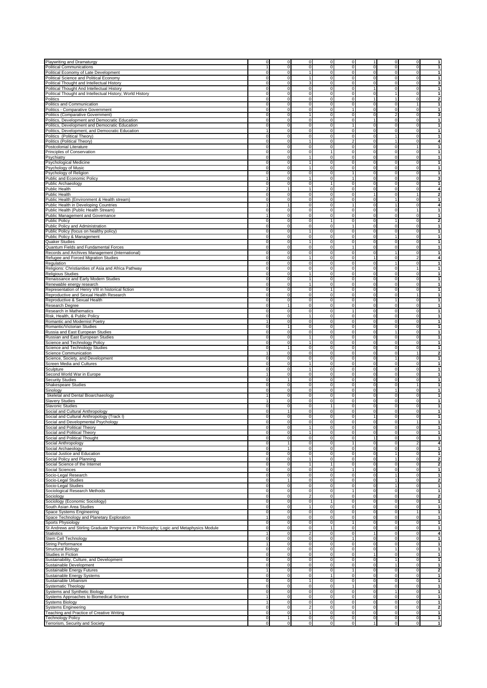| Playwriting and Dramaturgy                                                                | $\circ$                    | $\circ$        | $\mathbf 0$             | 0                   | $\circ$        | 1                              | $\overline{0}$                | $\mathbf{0}$        | 1                       |
|-------------------------------------------------------------------------------------------|----------------------------|----------------|-------------------------|---------------------|----------------|--------------------------------|-------------------------------|---------------------|-------------------------|
| <b>Political Communications</b>                                                           | $\mathbf{1}$               | $\mathbf 0$    | $\mathbf 0$             | $\pmb{0}$           | $\overline{0}$ | $\overline{0}$                 | $\mathsf{O}\xspace$           | $\overline{0}$      | 1                       |
| Political Economy of Late Development                                                     |                            |                | $\mathbf{1}$            |                     | $\overline{0}$ |                                |                               |                     | $\mathbf{1}$            |
|                                                                                           | $\overline{0}$             | $\circ$        |                         | $\Omega$            |                | $\overline{0}$                 | $\overline{0}$                | $\mathbf{0}$        |                         |
| Political Science and Political Economy                                                   | $\overline{0}$             | $\circ$        | $\mathbf{1}$            | 0                   | $\circ$        | $\overline{0}$                 | $\overline{0}$                | $\mathbf{0}$        | $\mathbf{1}$            |
| Political Thought and Intellectual History                                                | $\mathbf 0$                | $\circ$        | 3                       | $\mathsf 0$         | $\circ$        | $\overline{0}$                 | $\overline{0}$                | $\mathbf 0$         | 3                       |
| Political Thought And Intellectual History                                                | $\circ$                    | $\overline{0}$ | $\pmb{0}$               | 0                   | $\circ$        | $\mathbf{1}$                   | $\overline{0}$                | $\mathbf 0$         | 1                       |
| Political Thought and Intellectual History; World History                                 | $\mathbf 0$                | $\mathbf 0$    | 0                       | $\mathsf 0$         | $\circ$        | $\overline{0}$                 | 1                             | $\mathbf{0}$        | 1                       |
| Politics                                                                                  | $\mathbf 0$                | $\mathbf 0$    | 0                       | $\mathsf 0$         | $\circ$        | 1                              | 1                             | $\mathsf{O}\xspace$ | 2                       |
| Politics and Communication                                                                | $\overline{0}$             | $\mathbf 0$    | $\mathbf 0$             | 0                   | $\overline{0}$ | $\overline{0}$                 | $\overline{0}$                | 1                   | 1                       |
| Politics - Comparative Government                                                         | $\mathbf 0$                | $\mathbf 0$    | 0                       | 0                   | 1              | $\overline{0}$                 | $\overline{0}$                | $\mathbf{0}$        | $\overline{1}$          |
| Politics (Comparative Government)                                                         | $\mathbf 0$                | $\mathbf 0$    | 1                       | $\mathsf 0$         | $\circ$        | $\mathbf 0$                    | $\overline{2}$                | $\mathbf 0$         | 3                       |
| Politics, Development and Democratic Education                                            | $\mathbf 0$                | $\mathbf 0$    | 0                       | 0                   | $\overline{0}$ | $\mathbf{1}$                   | $\mathbf 0$                   | $\mathbf 0$         | $\mathbf{1}$            |
| Politics, Development and Democratic Education                                            | $\mathbf 0$                | $\mathbf 0$    | 0                       | 0                   | $\mathbf{1}$   | $\mathbf 0$                    | $\overline{0}$                | $\mathbf{0}$        | 1                       |
| Politics, Development, and Democratic Education                                           | 1                          | $\mathbf 0$    | $\mathbf 0$             | 0                   | $\overline{0}$ | $\overline{0}$                 | $\overline{0}$                | $\overline{0}$      | $\mathbf{1}$            |
|                                                                                           | $\overline{0}$             | $\mathbf 0$    | $\pmb{0}$               | 0                   | $\overline{0}$ | $\overline{0}$                 | 1                             | $\mathbf{0}$        | $\mathbf{1}$            |
| Politics (Political Theory)                                                               |                            |                |                         |                     |                |                                |                               |                     |                         |
| Politics (Political Theory)                                                               | $\mathbf 0$                | $\circ$        | $\mathbf{1}$            | 0                   | $\overline{2}$ | $\overline{0}$                 | 1                             | $\mathbf{0}$        | 4                       |
| Postcolonial Literature                                                                   | $\mathbf 0$                | $\circ$        | 0                       | 0                   | $\circ$        | $\overline{0}$                 | $\overline{0}$                | 1                   | 1                       |
| Principles of Conservation                                                                | $\mathbf 0$                | $\circ$        | 0                       | $\mathbf{1}$        | $\circ$        | $\overline{0}$                 | $\overline{0}$                | $\mathbf 0$         | $\mathbf{1}$            |
| Psychiatry                                                                                | $\mathbf 0$                | $\circ$        | 1                       | $\mathsf 0$         | $\circ$        | $\mathbf 0$                    | $\overline{0}$                | $\mathbf 0$         | 1                       |
| Psychological Medicine                                                                    | $\mathbf 0$                | $\mathbf 0$    | 1                       | $\pmb{0}$           | $\overline{0}$ | $\overline{0}$                 | $\overline{0}$                | $\mathbf 0$         | 1                       |
| Psychology of Music                                                                       | $\overline{0}$             | $\mathbf 0$    | 1                       | 0                   | $\circ$        | $\overline{0}$                 | $\overline{0}$                | $\mathbf{0}$        | $\mathbf{1}$            |
| Psychology of Religion                                                                    | $\overline{0}$             | $\circ$        | 0                       | 0                   | 1              | $\overline{0}$                 | $\overline{0}$                | $\mathbf{0}$        | 1                       |
|                                                                                           |                            |                | 1                       |                     | 1              |                                |                               |                     |                         |
| Public and Economic Policy                                                                | 1                          | $\circ$        |                         | $\mathsf 0$         |                | $\overline{0}$                 | $\overline{0}$                | $\mathbf 0$         | 3                       |
| Public Archaeology                                                                        | $\mathbf 0$                | $\overline{0}$ | 0                       | $\mathbf{1}$        | $\overline{0}$ | $\overline{0}$                 | $\overline{0}$                | $\overline{0}$      | $\mathbf{1}$            |
| Public Health                                                                             | $\overline{2}$             | $\mathbf{1}$   | $\mathbf{1}$            | 0                   | $\overline{0}$ | $\overline{0}$                 | $\overline{0}$                | $\mathbf{0}$        | 4                       |
| Public Health                                                                             | 0                          | $\mathbf 0$    | 0                       | 0                   | $\Omega$       | $\mathbf{1}$                   | $\overline{0}$                | 1                   | 2                       |
| Public Health (Environment & Health stream)                                               | $\mathbf 0$                | $\mathbf 0$    | $\pmb{0}$               | $\mathbf 0$         | $\overline{0}$ | $\overline{0}$                 | 1                             | $\overline{0}$      | 1                       |
| Public Health in Developing Countries                                                     | 1                          | 1              | 0                       | 0                   | 1              | $\overline{0}$                 | 1                             | $\mathbf{0}$        | 4                       |
| Public Health (Public Health Stream)                                                      | $\mathbf 0$                | $\mathbf 0$    | 0                       | 0                   | $\circ$        | $\overline{0}$                 | $\overline{0}$                | 1                   | $\overline{1}$          |
| Public Management and Governance                                                          | $\mathbf{1}$               | $\mathbf 0$    | 0                       | $\mathsf 0$         | $\circ$        | $\overline{0}$                 | $\mathbf{0}$                  | $\mathbf 0$         | $\mathbf{1}$            |
| <b>Public Policy</b>                                                                      | $\mathbf 0$                | $\overline{0}$ | 0                       | $\mathbf{1}$        | $\circ$        | $\mathbf 0$                    | 1                             | $\mathbf 0$         | $\overline{\mathbf{2}}$ |
|                                                                                           | $\mathbf 0$                | $\mathbf 0$    | 0                       | 0                   | $\mathbf{1}$   | $\mathbf 0$                    | $\mathbf{0}$                  | $\mathbf 0$         | 1                       |
| Public Policy and Administration                                                          |                            |                | 1                       |                     | $\Omega$       | $\Omega$                       |                               |                     |                         |
| Public Policy (focus on healthy policy)                                                   | $\mathbf 0$                | $\mathbf 0$    |                         | $\mathsf 0$         |                |                                | $\overline{0}$                | $\overline{0}$      | 1                       |
| Public Policy & Management                                                                | $\overline{0}$             | $\mathbf 0$    | 0                       | 0                   | $\overline{0}$ | $\overline{0}$                 | 1                             | $\mathbf{0}$        | $\mathbf{1}$            |
| Quaker Studies                                                                            | $\overline{0}$             | $\circ$        | $\mathbf{1}$            | 0                   | $\circ$        | $\overline{0}$                 | $\overline{0}$                | $\mathbf{0}$        | $\mathbf{1}$            |
| Quantum Fields and Fundamental Forces                                                     | $\mathbf 0$                | $\circ$        | 0                       | 0                   | 1              | $\overline{0}$                 | $\overline{0}$                | $\mathbf 0$         | $\mathbf{1}$            |
| Records and Archives Management (International)                                           | $\mathbf 0$                | $\mathbf 0$    | $\pmb{0}$               | 0                   | $\circ$        | $\overline{0}$                 | 1                             | $\mathbf 0$         | $\mathbf{1}$            |
| Refugee and Forced Migration Studies                                                      | $\mathbf 0$                | $\mathbf 0$    | $\mathbf{1}$            | $\mathsf 0$         | $\Omega$       | $\mathbf{1}$                   | $\overline{0}$                | $\overline{2}$      | 4                       |
| Regulation                                                                                | $\mathbf 0$                | $\mathbf 0$    | 0                       | 0                   | $\Omega$       | $\overline{0}$                 | 1                             | $\overline{0}$      | 1                       |
| Religions: Christianities of Asia and Africa Pathway                                      | $\overline{0}$             | $\mathbf 0$    | $\pmb{0}$               | 0                   | $\overline{0}$ | $\overline{0}$                 | $\overline{0}$                | 1                   | 1                       |
|                                                                                           | $\mathbf 0$                | $\circ$        | 1                       | 0                   | $\overline{0}$ | $\overline{0}$                 | $\overline{0}$                | $\mathbf{0}$        | 1                       |
| <b>Religious Studies</b>                                                                  |                            |                |                         |                     |                |                                |                               |                     |                         |
| Renaissance and Early Modern Studies                                                      | $\mathbf 0$                | $\circ$        | 1                       | $\mathsf 0$         | $\circ$        | $\pmb{0}$                      | $\mathbf{0}$                  | $\mathbf 0$         | $\mathbf{1}$            |
| Renewable energy research                                                                 | $\mathbf 0$                | $\circ$        | $\mathbf{1}$            | 0                   | $\circ$        | $\overline{0}$                 | $\overline{0}$                | $\mathbf{0}$        | $\mathbf{1}$            |
| Representation of Henry VIII in historical fiction                                        | $\mathbf 0$                | $\circ$        | $\mathbf 0$             | $\mathbf{1}$        | $\overline{0}$ | $\mathbf 0$                    | $\overline{0}$                | $\mathbf 0$         | 1                       |
| Reproductive and Sexual Health Research                                                   | $\mathbf 0$                | $\mathbf 0$    | $\overline{0}$          | $\pmb{0}$           | $\overline{0}$ | $\overline{0}$                 | $\overline{0}$                | 1                   | 1                       |
| Reproductive & Sexual Health                                                              | $\overline{0}$             | $\mathbf 0$    | $\pmb{0}$               | 0                   | $\circ$        | $\overline{0}$                 | 1                             | $\mathbf{0}$        | $\mathbf{1}$            |
| Research Degree                                                                           | $\mathbf 0$                | $\mathbf{1}$   | 0                       | 0                   | $\overline{0}$ | $\overline{0}$                 | $\overline{0}$                | $\mathbf{0}$        | $\mathbf{1}$            |
| Research in Mathematics                                                                   | $\overline{0}$             | $\mathbf 0$    | 0                       | 0                   | 1              | $\overline{0}$                 | $\overline{0}$                | $\mathbf{0}$        | $\mathbf{1}$            |
|                                                                                           |                            |                |                         |                     |                |                                |                               |                     | $\overline{1}$          |
| Risk, Health, & Public Policy                                                             | $\mathbf 0$                | $\mathbf 0$    | $\mathbf{1}$            | $\mathsf 0$         | $\circ$        | $\overline{0}$                 | $\overline{0}$                | $\mathbf{0}$        |                         |
| Romantic and Modernist Poetry                                                             | $\mathbf{1}$               | $\circ$        | 0                       | 0                   | $\circ$        | $\mathbf 0$                    | $\overline{0}$                | $\mathbf 0$         | 1                       |
| Romantic/Victorian Studies                                                                | $\mathbf 0$                | $\mathbf{1}$   | 0                       | 0                   | $\Omega$       | $\mathbf 0$                    | $\mathbf{0}$                  | $\mathbf 0$         | 1                       |
| Russia and East European Studies                                                          | $\mathbf 0$                | $\overline{0}$ | $\overline{0}$          | $\mathbf 0$         | $\overline{0}$ | $\overline{0}$                 | 1                             | $\overline{0}$      | 1                       |
| Russian and East European Studies                                                         | $\overline{0}$             | $\circ$        | $\mathbf{1}$            | 0                   | $\circ$        | $\circ$                        | $\overline{0}$                | $\mathbf{0}$        | $\mathbf{1}$            |
| Science and Technology Policy                                                             | $\mathbf 0$                | $\circ$        | 1                       | 0                   | $\circ$        | $\overline{0}$                 | $\overline{0}$                | $\mathbf 0$         | $\mathbf{1}$            |
| Science and Technology Studies                                                            | $\mathbf 0$                | $\mathbf{1}$   | $\pmb{0}$               | $\mathsf 0$         | $\mathbf{0}$   | $\overline{0}$                 | $\mathbf{0}$                  | $\mathbf 0$         | $\overline{1}$          |
| Science Communication                                                                     | $\mathbf{1}$               | $\overline{0}$ | 0                       | 0                   | $\circ$        | $\overline{0}$                 | $\overline{0}$                | 1                   | $\overline{\mathbf{2}}$ |
| Science, Society, and Development                                                         | $\mathbf 0$                | $\mathbf 0$    | 0                       | 0                   | $\circ$        | $\overline{0}$                 | 1                             | $\mathbf 0$         | 1                       |
| Screen Media and Cultures                                                                 | $\mathbf 0$                | $\mathbf 0$    | $\mathbf{1}$            | $\mathsf 0$         | $\circ$        | $\overline{0}$                 | $\overline{0}$                | $\mathsf{O}\xspace$ | 1                       |
|                                                                                           |                            |                |                         |                     |                |                                |                               |                     |                         |
| Sculpture                                                                                 | $\overline{0}$             | $\mathbf 0$    | 1                       | 0                   | $\overline{0}$ | $\overline{0}$                 | $\mathbf{0}$                  | $\overline{0}$      | $\mathbf{1}$            |
| Second World War in Europe                                                                | $\mathbf{1}$               | $\mathbf 0$    | 0                       | 0                   | $\circ$        | $\overline{0}$                 | $\overline{0}$                | $\mathbf{0}$        | $\overline{1}$          |
| <b>Security Studies</b>                                                                   | $\mathbf 0$                | 1              | 0                       | $\mathsf 0$         | $\overline{0}$ | $\overline{0}$                 | $\overline{0}$                | $\mathbf 0$         | $\mathbf{1}$            |
| <b>Shakespeare Studies</b>                                                                | $\mathbf 0$                | $\mathbf 0$    | 0                       | 0                   | $\overline{0}$ | $\mathbf 0$                    | $\circ$                       | 1                   | $\mathbf{1}$            |
| Sinology                                                                                  | $\mathbf 0$                | $\mathbf 0$    | 0                       | $\mathsf 0$         | $\overline{0}$ | $\mathbf 0$                    | 1                             | $\mathsf{O}\xspace$ | 1                       |
| Skeletal and Dental Bioarchaeology                                                        | 1                          | $\mathbf 0$    | 0                       | $\mathsf 0$         | $\Omega$       | $\overline{0}$                 | $\overline{0}$                | $\overline{0}$      | 1                       |
| <b>Slavery Studies</b>                                                                    | $\mathbf{1}$               | $\mathbf 0$    | 0                       | 0                   | $\overline{0}$ | $\overline{0}$                 | $\overline{0}$                | $\mathbf{0}$        | $\mathbf{1}$            |
| Slavonic Studies                                                                          | $\overline{0}$             | $\circ$        | 0                       | $\mathbf{1}$        | $\mathbf{0}$   | $\overline{0}$                 | $\overline{0}$                | $\mathbf{0}$        | $\mathbf{1}$            |
| Social and Cultural Anthropology                                                          | $\mathbf 0$                | 1              | 0                       | $\mathsf 0$         | $\circ$        | $\overline{0}$                 | $\overline{0}$                | $\mathsf{O}\xspace$ | $\mathbf{1}$            |
|                                                                                           |                            | $\mathbf 0$    |                         |                     | $\overline{0}$ |                                |                               |                     | $\mathbf{1}$            |
| Social and Cultural Anthropology (Track I)                                                | $\mathbf 0$<br>$\mathbf 0$ | $\circ$        | 0<br>$\mathbf 0$        | 0<br>$\overline{0}$ | $\overline{0}$ | $\mathbf{1}$<br>$\overline{0}$ | $\mathbf 0$<br>$\overline{0}$ | $\mathbf 0$<br>1    | $\mathbf{1}$            |
| Social and Developmental Psychology                                                       |                            |                |                         |                     |                |                                |                               |                     |                         |
| Social and Political Theory                                                               | $\circ$                    | $\circ$        | 1                       | $\overline{0}$      | $\circ$        | $\circ$                        | $\overline{0}$                | $\overline{0}$      | 1                       |
| Social and Political Theory                                                               | $\overline{0}$             | $\mathbf 0$    | 1                       | 0                   | $\circ$        | $\overline{0}$                 | $\overline{0}$                | $\mathbf{0}$        | 1                       |
| Social and Political Thought                                                              | $\overline{0}$             | $\circ$        | 0                       | 0                   | $\overline{0}$ | 1                              | $\overline{0}$                | $\mathbf{0}$        | 1                       |
| Social Anthropology                                                                       | $\overline{0}$             | 1              | 0                       | 0                   | 1              | $\overline{0}$                 | $\overline{0}$                | $\overline{2}$      | 4                       |
| Social Archaeology                                                                        | $\overline{0}$             | $\mathbf{1}$   | 0                       | 0                   | $\circ$        | $\overline{0}$                 | $\overline{0}$                | $\mathbf{0}$        | $\mathbf{1}$            |
| Social Justice and Education                                                              | $\mathbf 0$                | $\circ$        | 0                       | 0                   | $\overline{0}$ | $\overline{0}$                 | 1                             | $\mathbf{0}$        | 1                       |
| Social Policy and Planning                                                                | $\mathbf 0$                | $\mathbf 0$    | 1                       | 0                   | $\Omega$       | $\mathbf 0$                    | 1                             | $\mathbf 0$         | 2                       |
| Social Science of the Internet                                                            | $\mathbf 0$                | $\mathbf 0$    | 1                       | $\mathbf{1}$        | $\overline{0}$ | $\overline{0}$                 | $\overline{0}$                | $\overline{0}$      | 2                       |
| Social Sciences                                                                           | $\overline{0}$             | $\circ$        | 0                       | 0                   | 1              | $\overline{0}$                 | $\overline{0}$                | $\mathbf{0}$        | $\mathbf{1}$            |
| Socio-Legal Research                                                                      | $\mathbf 0$                | $\circ$        | 0                       | 0                   | $\overline{0}$ | $\overline{0}$                 | 1                             | $\mathbf 0$         | $\overline{1}$          |
| Socio-Legal Studies                                                                       | $\mathbf 0$                | $\mathbf{1}$   | $\pmb{0}$               | $\pmb{0}$           | $\mathbf{0}$   | $\mathsf{O}\xspace$            | 1                             | $\mathbf 0$         | $\overline{\mathbf{2}}$ |
| Socio-Legal Studies                                                                       |                            | $\circ$        |                         |                     |                |                                | 1                             |                     |                         |
|                                                                                           | $\mathbf 0$                |                | $\mathbf 0$             | 0                   | $\mathbf{0}$   | $\overline{0}$                 |                               | $\mathbf{0}$        | 1                       |
| Sociological Research Methods                                                             | $\mathbf 0$                | $\mathbf 0$    | 0                       | 0                   | $\mathbf{1}$   | $\overline{0}$                 | $\mathbf 0$                   | 0                   | 1                       |
| Sociology                                                                                 | $\mathbf 0$                | $\mathbf 0$    | $\overline{c}$          | 0                   | $\Omega$       | $\overline{0}$                 | $\overline{0}$                | $\mathbf{0}$        | $\overline{\mathbf{2}}$ |
| Sociology (Economic Sociology)                                                            | $\overline{0}$             | $\mathbf 0$    | $\overline{0}$          | 1                   | $\overline{0}$ | $\overline{0}$                 | $\overline{0}$                | $\overline{0}$      | 1                       |
| South Asian Area Studies                                                                  | $\mathbf 0$                | $\circ$        | $\mathbf{1}$            | 0                   | $\circ$        | $\overline{0}$                 | $\overline{0}$                | $\mathbf{0}$        | $\mathbf{1}$            |
| Space Systems Engineering                                                                 | $\mathbf 0$                | $\mathbf 0$    | 0                       | $\mathsf 0$         | $\circ$        | $\overline{0}$                 | $\overline{0}$                | 1                   | $\mathbf{1}$            |
| Space Technology and Planetary Exploration                                                | $\mathbf{1}$               | $\mathbf 0$    | 0                       | 0                   | $\overline{0}$ | $\mathbf 0$                    | $\overline{0}$                | $\mathbf 0$         | $\mathbf{1}$            |
| Sports Physiology                                                                         | $\mathbf 0$                | $\mathbf 0$    | 0                       | 0                   | $\mathbf{1}$   | $\mathbf 0$                    | $\overline{0}$                | $\mathsf{O}\xspace$ | $\mathbf{1}$            |
| St Andrews and Stirling Graduate Programme in Philosophy; Logic and Metaphysics Module    | $\mathbf 0$                | $\mathbf 0$    | 0                       | 1                   | $\circ$        | $\overline{0}$                 | $\overline{0}$                | $\overline{0}$      | 1                       |
|                                                                                           |                            | $\mathbf 0$    | $\overline{\mathbf{c}}$ | 0                   | $\overline{0}$ | 1                              | $\overline{0}$                | $\mathbf{0}$        |                         |
| Statistics                                                                                | $\mathbf{1}$               |                |                         |                     |                |                                |                               |                     | 4                       |
| Stem Cell Technology                                                                      | $\overline{0}$             | $\circ$        | 0                       | 0                   | 1              | $\overline{0}$                 | $\overline{0}$                | $\mathbf{0}$        | 1                       |
| <b>String Performance</b>                                                                 | 1                          | $\circ$        | 0                       | $\mathsf 0$         | $\circ$        | $\overline{0}$                 | $\overline{0}$                | $\mathbf 0$         | $\mathbf{1}$            |
| <b>Structural Biology</b>                                                                 | $\mathbf 0$                | $\circ$        | $\pmb{0}$               | 0                   | $\overline{0}$ | $\mathbf 0$                    | 1                             | $\mathbf 0$         | $\mathbf{1}$            |
| Studies in Fiction                                                                        | $\mathbf 0$                | $\circ$        | $\mathbf 0$             | 0                   | $\Omega$       | 1                              | $\overline{0}$                | $\mathbf 0$         | 1                       |
| Sustainability, Culture, and Development                                                  | $\mathbf 0$                | $\mathbf 0$    | $\mathbf 0$             | $\mathsf 0$         | $\circ$        | $\overline{0}$                 | 1                             | $\circ$             | 1                       |
| Sustainable Development                                                                   | $\overline{0}$             | $\circ$        | 0                       | 0                   | $\overline{0}$ | $\overline{0}$                 | 1                             | $\mathbf{0}$        | $\mathbf{1}$            |
| Sustainable Energy Futures                                                                | 1                          | $\circ$        | 0                       | 0                   | 1              | $\overline{0}$                 | $\mathbf{0}$                  | $\mathbf{0}$        | $\overline{\mathbf{2}}$ |
| Sustainable Energy Systems                                                                | $\overline{0}$             | $\circ$        | 0                       | $\mathbf{1}$        | $\circ$        | $\circ$                        | $\overline{0}$                | $\mathbf{0}$        | $\mathbf{1}$            |
|                                                                                           |                            |                |                         |                     |                |                                |                               |                     |                         |
| Sustainable Urbanism                                                                      | $\mathbf 0$                | $\mathbf 0$    | $\mathbf{1}$            | 0                   | $\circ$        | $\overline{0}$                 | $\overline{0}$                | $\overline{0}$      | $\mathbf{1}$            |
| <b>Systematic Theology</b>                                                                | $\mathbf 0$                | $\mathbf 0$    | 0                       | 0                   | $\mathbf{1}$   | $\overline{0}$                 | $\overline{0}$                | $\mathbf{0}$        | $\mathbf{1}$            |
| Systems and Synthetic Biology                                                             | $\mathbf 0$                | $\mathbf 0$    | 0                       | 0                   | $\Omega$       | $\mathbf 0$                    | 1                             | $\mathbf 0$         | $\mathbf{1}$            |
|                                                                                           | 1                          | $\mathbf 0$    | 0                       | 0                   | $\circ$        | $\overline{0}$                 | $\overline{0}$                | $\overline{0}$      | 1                       |
|                                                                                           |                            |                |                         |                     |                |                                |                               |                     | $\mathbf{1}$            |
|                                                                                           | 1                          | $\circ$        | 0                       | 0                   | $\mathbf{0}$   | $\overline{0}$                 | $\overline{0}$                | $\mathbf{0}$        |                         |
|                                                                                           | $\mathbf 0$                | $\circ$        | $\overline{2}$          | 0                   | $\circ$        | $\overline{0}$                 | $\overline{0}$                | $\mathbf 0$         | $\overline{\mathbf{2}}$ |
| Systems Approaches to Biomedical Science<br><b>Systems Biology</b><br>Systems Engineering | $\mathbf 0$                | $\circ$        | $\mathbf{1}$            | $\pmb{0}$           | $\mathbf 0$    | $\mathsf{O}\xspace$            | $\mathsf{O}\xspace$           | $\mathsf{o}\xspace$ |                         |
| Teaching and Practice of Creative Writing<br><b>Technology Policy</b>                     | $\overline{0}$             | 1              | $\mathbf 0$             | $\overline{0}$      | $\mathbf{0}$   | $\overline{0}$                 | $\overline{0}$                | $\mathbf{0}$        | 1<br>1                  |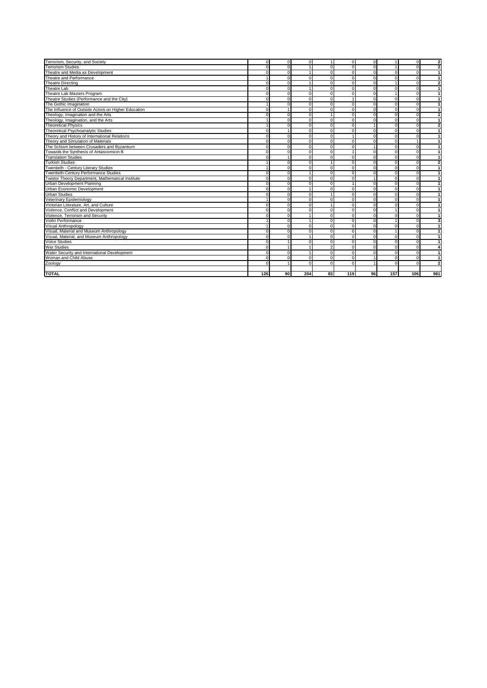| Terrorism, Security, and Society                    | $\overline{0}$ | $\overline{0}$ | $\mathbf 0$ | $\mathbf{1}$   | $\Omega$       | $\overline{0}$ | $\mathbf{1}$   | $\mathbf{0}$   | $\overline{2}$          |
|-----------------------------------------------------|----------------|----------------|-------------|----------------|----------------|----------------|----------------|----------------|-------------------------|
| <b>Terrorism Studies</b>                            |                | $\Omega$       |             | $\Omega$       | $\Omega$       | $\Omega$       |                | $\Omega$       | $\overline{2}$          |
| Theatre and Media as Development                    |                | $\Omega$       |             | $\circ$        | 0              | $\overline{0}$ | $\Omega$       | $\Omega$       | $\mathbf{1}$            |
| Theatre and Performance                             |                | $\Omega$       | $\Omega$    | 0              | $\Omega$       | $\Omega$       | $\Omega$       | $\Omega$       | $\mathbf{1}$            |
| <b>Theatre Directing</b>                            |                | $\Omega$       |             | 0              | 0              | $\overline{0}$ |                | $\mathbf{0}$   | $\overline{\mathbf{2}}$ |
| Theatre Lab                                         |                | $\Omega$       |             | $\mathbf 0$    | 0              | $\overline{0}$ | $\Omega$       | $\Omega$       | $\overline{1}$          |
| Theatre Lab Masters Program                         |                | $\Omega$       | $\Omega$    | $\Omega$       | $\Omega$       | $\Omega$       |                | $\Omega$       | $\overline{1}$          |
| Theatre Studies (Performance and the City)          |                | $\Omega$       | $\Omega$    | 0              | $\overline{1}$ | $\overline{0}$ | $\Omega$       | $\Omega$       | $\mathbf{1}$            |
| The Gothic Imagination                              |                | $\Omega$       | $\Omega$    | 0              | $\overline{0}$ | $\overline{0}$ | $\overline{0}$ | $\mathbf{0}$   | $\mathbf{1}$            |
| The Influence of Outside Actors on Higher Education |                |                | $\Omega$    | $\Omega$       | $\Omega$       | $\Omega$       | $\Omega$       | $\Omega$       | $\mathbf{1}$            |
| Theology, Imagination and the Arts                  |                | $\Omega$       | $\Omega$    |                | 0              | $\overline{0}$ | $\overline{0}$ | $\mathbf{0}$   | $\mathbf{1}$            |
| Theology, Imagination, and the Arts                 |                | $\Omega$       | $\Omega$    | 0              | 0              | $\overline{0}$ | $\mathbf{0}$   | $\mathbf{0}$   | $\mathbf{1}$            |
| <b>Theoretical Physics</b>                          |                | $\Omega$       | $\Omega$    | $\overline{0}$ | $\overline{0}$ | $\overline{1}$ | $\overline{0}$ | $\mathbf{0}$   | $\overline{2}$          |
| <b>Theoretical Psychoanalytic Studies</b>           |                |                | $\Omega$    | $\Omega$       | 0              | $\overline{0}$ | $\Omega$       | $\Omega$       | $\mathbf{1}$            |
| Theory and History of International Relations       |                | $\Omega$       | $\Omega$    | 0              |                | $\overline{0}$ | $\Omega$       | $\Omega$       | $\mathbf{1}$            |
| Theory and Simulation of Materials                  |                | $\Omega$       | $\Omega$    | 0              | $\Omega$       | $\Omega$       | $\Omega$       | $\overline{1}$ | $\overline{1}$          |
| The Schism between Crusaders and Byzantium          |                | $\Omega$       | $\Omega$    | $\Omega$       | 0              | 1              | $\Omega$       | $\Omega$       | $\mathbf{1}$            |
| Towards the Synthesis of Antascomicin B             |                | $\Omega$       | $\Omega$    | 0              | $\overline{1}$ | $\Omega$       | $\Omega$       | $\Omega$       | $\mathbf{1}$            |
| <b>Translation Studies</b>                          |                |                | $\Omega$    | 0              | $\Omega$       | $\Omega$       | $\mathbf 0$    | $\Omega$       | $\mathbf{1}$            |
| <b>Turkish Studies</b>                              |                | $\Omega$       | $\Omega$    |                | $\overline{0}$ | $\overline{0}$ | $\Omega$       | $\Omega$       | $\overline{2}$          |
| Twentieth - Century Literary Studies                |                | $\Omega$       | $\Omega$    | 0              | $\Omega$       | $\Omega$       | $\Omega$       | $\Omega$       | $\mathbf{1}$            |
| Twentieth-Century Performance Studies               |                | $\Omega$       |             | 0              | 0              | $\Omega$       | $\mathbf 0$    | $\mathbf{0}$   | $\mathbf{1}$            |
| Twistor Theory Department, Mathematical Institute   |                | $\mathbf 0$    | 0           | $\mathbf 0$    | 0              | $\overline{1}$ | $\overline{0}$ | $\mathbf{0}$   | $\mathbf{1}$            |
| Urban Development Planning                          |                | $\Omega$       | $\Omega$    | $\Omega$       | $\overline{1}$ | $\Omega$       | $\Omega$       | $\Omega$       | $\mathbf{1}$            |
| Urban Economic Development                          |                | $\Omega$       |             | 0              | 0              | $\overline{0}$ | $\Omega$       | $\Omega$       | $\mathbf{1}$            |
| <b>Urban Studies</b>                                |                | $\Omega$       | $\Omega$    |                | 0              | $\Omega$       | $\overline{0}$ | $\Omega$       | $\overline{1}$          |
| Veterinary Epidemiology                             |                | $\Omega$       | $\Omega$    | $\Omega$       | $\overline{0}$ | $\overline{0}$ | $\Omega$       | $\Omega$       | $\overline{1}$          |
| Victorian Literature, Art, and Culture              |                | $\Omega$       | $\Omega$    |                | $\Omega$       | $\Omega$       | $\Omega$       | $\Omega$       | $\mathbf{1}$            |
| Violence, Conflict and Development                  |                | $\Omega$       | $\Omega$    | 0              | 0              | $\overline{0}$ |                | $\mathbf{0}$   | $\mathbf{1}$            |
| Violence, Terrorism and Security                    |                | $\Omega$       |             | 0              | 0              | $\Omega$       | $\Omega$       | $\Omega$       | $\mathbf{1}$            |
| Violin Performance                                  |                | $\Omega$       |             | 0              | $\Omega$       | $\overline{0}$ |                | $\Omega$       | $\mathbf{3}$            |
| Visual Anthropology                                 |                | $\Omega$       | $\Omega$    | 0              | $\Omega$       | $\Omega$       | $\Omega$       | $\Omega$       | $\mathbf{1}$            |
| Visual, Material and Museum Anthropology            |                | $\Omega$       | $\Omega$    | 0              | 0              | $\Omega$       |                | $\mathbf{0}$   | $\mathbf{1}$            |
| Visual, Material, and Museum Anthropology           |                | $\Omega$       |             | $\Omega$       | $\overline{0}$ | $\overline{0}$ | $\overline{0}$ | $\overline{0}$ | $\overline{1}$          |
| <b>Voice Studies</b>                                | $\Omega$       |                | $\Omega$    | 0              | 0              | $\overline{0}$ | $\Omega$       | $\Omega$       | $\mathbf{1}$            |
| War Studies                                         |                |                |             | $\overline{a}$ | 0              | $\Omega$       | $\mathbf 0$    | $\mathbf{0}$   | $\overline{4}$          |
| Water Security and International Development        |                | $\Omega$       |             | $\Omega$       | $\overline{0}$ | $\overline{0}$ | $\Omega$       | $\Omega$       | $\mathbf{1}$            |
| Woman and Child Abuse                               |                | $\Omega$       | $\Omega$    | 0              | $\Omega$       | $\overline{1}$ | $\Omega$       | $\Omega$       | $\mathbf{1}$            |
| Zoology                                             |                |                | $\Omega$    | $\Omega$       | $\Omega$       | $\mathbf{1}$   | $\Omega$       | $\Omega$       | $\overline{2}$          |
|                                                     |                |                |             |                |                |                |                |                |                         |
| <b>TOTAL</b>                                        | 126            | 90             | 204         | 83             | 119            | 96             | 157            | 106            | 981                     |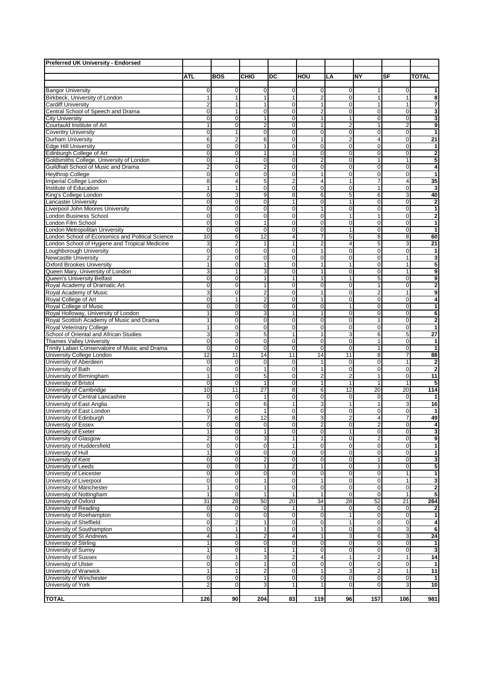| <b>Preferred UK University - Endorsed</b>                                         |                              |                                  |                                  |                                |                                           |                             |                     |                                  |                              |
|-----------------------------------------------------------------------------------|------------------------------|----------------------------------|----------------------------------|--------------------------------|-------------------------------------------|-----------------------------|---------------------|----------------------------------|------------------------------|
|                                                                                   | <b>ATL</b>                   | <b>BOS</b>                       | <b>CHIG</b>                      | DC                             | HOU                                       | LA                          | NY                  | SF                               | <b>TOTAL</b>                 |
|                                                                                   |                              |                                  |                                  |                                |                                           |                             |                     |                                  |                              |
| <b>Bangor University</b>                                                          | 0                            | $\overline{0}$                   | 0                                | 0                              | $\mathbf 0$                               | 0                           | 1                   | $\mathbf 0$                      | 1                            |
| Birkbeck, University of London                                                    | 1                            | $\mathbf{1}$                     | $\mathbf{1}$                     | 1                              | $\overline{c}$                            | $\mathbf 0$                 | $\mathbf{1}$        | $\mathbf{1}$                     | 8                            |
| <b>Cardiff University</b>                                                         | $\overline{\mathbf{c}}$<br>0 | $\mathbf{1}$<br>$\mathbf{1}$     | $\mathbf{1}$<br>$\mathbf 0$      | 0<br>0                         | 1<br>$\overline{c}$                       | 0<br>$\pmb{0}$              | 1<br>0              | $\mathbf{1}$<br>$\overline{0}$   | 7<br>3                       |
| Central School of Speech and Drama<br><b>City University</b>                      | 0                            | $\overline{0}$                   | $\mathbf{1}$                     | 0                              | 1                                         | 1                           | 0                   | $\mathbf 0$                      | 3                            |
| Courtauld Institute of Art                                                        | 1                            | $\overline{0}$                   | $\overline{2}$                   | 0                              | 1                                         | $\overline{2}$              | 1                   | $\overline{2}$                   | 9                            |
| <b>Coventry University</b>                                                        | 0                            | 1                                | 0                                | 0                              | $\mathbf 0$                               | $\pmb{0}$                   | 0                   | $\mathbf 0$                      | $\overline{1}$               |
| Durham University                                                                 | 6                            | $\overline{\mathbf{c}}$          | 6                                | 0                              | 1                                         | $\overline{2}$              | 4                   | $\overline{0}$                   | 21                           |
| <b>Edge Hill University</b>                                                       | 0                            | $\mathbf 0$                      | $\mathbf{1}$                     | 0                              | 0                                         | $\mathbf 0$                 | 0                   | $\mathbf 0$                      | 1                            |
| Edinburgh College of Art<br>Goldsmiths College, University of London              | 0<br>0                       | $\mathbf 0$<br>$\mathbf{1}$      | $\mathbf{1}$<br>$\mathbf 0$      | $\mathbf{1}$<br>0              | $\mathbf 0$<br>$\overline{c}$             | $\overline{0}$<br>$\pmb{0}$ | 0<br>1              | $\overline{0}$<br>$\mathbf{1}$   | $\bf{2}$<br>5                |
| Guildhall School of Music and Drama                                               | 2                            | $\overline{0}$                   | $\overline{2}$                   | 0                              | $\mathbf 0$                               | $\mathbf 0$                 | 0                   | $\mathbf{0}$                     | 4                            |
| <b>Heythrop College</b>                                                           | 0                            | $\overline{0}$                   | $\mathbf 0$                      | 0                              | 1                                         | $\pmb{0}$                   | 0                   | $\overline{0}$                   | 1                            |
| Imperial College London                                                           | 8                            | 4                                | 5                                | $\overline{2}$                 | $\overline{4}$                            | $\mathbf{1}$                | 7                   | $\overline{4}$                   | 35                           |
| Institute of Education                                                            | 1                            | $\mathbf{1}$                     | $\mathbf 0$                      | 0                              | 0                                         | 0                           | 1                   | $\mathbf 0$                      | 3                            |
| King's College London                                                             | 0                            | 3                                | 9                                | 8                              | 6                                         | 5                           | 6                   | 3                                | 40                           |
| <b>Lancaster University</b><br>Liverpool John Moores University                   | 0<br>$\overline{0}$          | $\overline{0}$<br>$\overline{0}$ | $\mathbf 0$<br>$\mathbf 0$       | 1<br>0                         | $\pmb{0}$<br>1                            | 1<br>$\mathbf 0$            | 0<br>0              | $\mathbf{0}$<br>$\overline{0}$   | $\overline{\mathbf{2}}$<br>1 |
| London Business School                                                            | 0                            | $\overline{0}$                   | $\mathbf 0$                      | 0                              | $\mathbf 0$                               | 1                           | 1                   | $\overline{0}$                   | $\overline{\mathbf{2}}$      |
| London Film School                                                                | 0                            | $\overline{0}$                   | $\mathbf{1}$                     | 0                              | 0                                         | $\pmb{0}$                   | 0                   | $\overline{0}$                   | 1                            |
| London Metropolitan University                                                    | 0                            | 0                                | $\Omega$                         | 0                              | $\mathbf 0$                               | $\mathbf{1}$                | 0                   | $\mathbf 0$                      | 1                            |
| London School of Economics and Political Science                                  | 10                           | 6                                | 12                               | 4                              | 7                                         | 5                           | 8                   | 8                                | 60                           |
| London School of Hygiene and Tropical Medicine<br>Loughborough University         | 3<br>0                       | $\overline{2}$<br>$\overline{0}$ | $\mathbf{1}$<br>$\mathbf 0$      | $\mathbf{1}$<br>0              | $\overline{2}$<br>1                       | 4<br>$\pmb{0}$              | 5<br>0              | 3<br>$\mathbf{0}$                | 21<br>1                      |
| Newcastle University                                                              | $\overline{\mathbf{c}}$      | $\overline{0}$                   | $\mathbf 0$                      | 0                              | $\mathbf 0$                               | $\pmb{0}$                   | 0                   | $\mathbf{1}$                     | 3                            |
| <b>Oxford Brookes University</b>                                                  | $\mathbf{1}$                 | $\overline{0}$                   | $\mathbf{1}$                     | 0                              | 1                                         | 1                           | 0                   | $\mathbf{1}$                     | 5                            |
| Queen Mary, University of London                                                  | 3                            | $\mathbf{1}$                     | 3                                | 0                              | 1                                         | $\overline{0}$              | 0                   | $\mathbf{1}$                     | 9                            |
| Queen's University Belfast                                                        | 0                            | $\mathbf 0$                      | $\mathbf{1}$                     | 1                              | 1                                         | $\mathbf{1}$                | 5                   | $\mathbf 0$                      | 9                            |
| Royal Academy of Dramatic Art                                                     | 0                            | 0                                | $\mathbf{1}$                     | 0                              | $\pmb{0}$                                 | $\pmb{0}$                   | 1                   | $\mathbf{0}$                     | $\mathbf 2$                  |
| Royal Academy of Music                                                            | 3<br>0                       | $\overline{0}$<br>1              | $\overline{2}$<br>$\overline{2}$ | 0<br>0                         | 1<br>1                                    | $\pmb{0}$<br>$\pmb{0}$      | $\overline{2}$<br>0 | $\mathbf{1}$<br>$\mathbf{0}$     | $\overline{9}$               |
| Royal College of Art<br>Royal College of Music                                    | 0                            | $\overline{0}$                   | $\mathbf 0$                      | 0                              | $\mathbf 0$                               | $\mathbf{1}$                | 0                   | $\overline{0}$                   | 4<br>$\mathbf{1}$            |
| Royal Holloway, University of London                                              | 1                            | 0                                | 3                                | 1                              | 1                                         | $\mathbf 0$                 | 0                   | $\mathbf 0$                      | 6                            |
| Royal Scottish Academy of Music and Drama                                         | 1                            | $\mathbf 0$                      | $\mathbf 0$                      | 0                              | 0                                         | 0                           | 1                   | $\overline{0}$                   | $\mathbf 2$                  |
| Royal Veterinary College                                                          | $\mathbf{1}$                 | $\mathbf 0$                      | $\mathbf 0$                      | 0                              | $\mathbf 0$                               | $\mathbf 0$                 | 0                   | $\overline{0}$                   | $\mathbf{1}$                 |
| School of Oriental and African Studies                                            | 3                            | $\overline{3}$                   | 5                                | 1                              | 1                                         | 3                           | 6                   | 5                                | $\overline{27}$              |
| <b>Thames Valley University</b><br>Trinity Laban Conservatoire of Music and Drama | $\overline{0}$<br>0          | $\overline{0}$<br>$\overline{0}$ | $\mathbf 0$<br>$\mathbf 0$       | 0<br>0                         | 0<br>$\mathbf 0$                          | $\mathbf 0$<br>$\mathbf 0$  | 1<br>1              | $\overline{0}$<br>$\overline{0}$ | 1<br>1                       |
| University College London                                                         | 12                           | 11                               | 14                               | 11                             | 14                                        | 11                          | 8                   | $\overline{7}$                   | 88                           |
| University of Aberdeen                                                            | 0                            | $\mathbf 0$                      | $\mathbf 0$                      | 0                              | 1                                         | $\mathbf 0$                 | 0                   | $\mathbf{1}$                     | $\mathbf 2$                  |
| University of Bath                                                                | 0                            | $\mathbf 0$                      | $\mathbf{1}$                     | 0                              | $\mathbf{1}$                              | $\overline{0}$              | 0                   | $\overline{0}$                   | $\bf{2}$                     |
| University of Birmingham                                                          | $\mathbf{1}$                 | $\mathbf 0$                      | 5                                | 0                              | $\overline{2}$                            | $\overline{2}$              | 1                   | $\mathbf{0}$                     | 11                           |
| University of Bristol<br>University of Cambridge                                  | 0<br>10                      | $\overline{0}$<br>11             | $\mathbf{1}$<br>27               | 0<br>8                         | 1<br>6                                    | $\mathbf{1}$<br>12          | 1<br>20             | $\mathbf{1}$<br>20               | 5<br>114                     |
| University of Central Lancashire                                                  | 0                            | $\overline{0}$                   | $\mathbf{1}$                     | 0                              | $\mathbf 0$                               | 0                           | 0                   | $\mathbf 0$                      | 1                            |
| University of East Anglia                                                         | 1                            | 0                                | 6                                | $\mathbf{1}$                   | 3                                         | 1                           | 1                   | 3                                | 16                           |
| University of East London                                                         | 0                            | 0                                | $\mathbf{1}$                     | 0                              | 0                                         | $\mathbf 0$                 | 0                   | 0                                | 1                            |
| University of Edinburgh                                                           | 7                            | 6                                | 12                               | 8                              | 3                                         | $\overline{c}$              | 4                   | $\overline{7}$                   | 49                           |
| University of Essex                                                               | 0                            | 0                                | $\mathbf 0$                      | 0                              | $\overline{c}$<br>$\overline{\mathbf{0}}$ | 0                           | 2                   | $\mathbf 0$                      | $\overline{\mathbf{A}}$      |
| University of Exeter<br>University of Glasgow                                     | 1<br>2                       | $\overline{0}$<br>$\overline{0}$ | $\mathbf{1}$<br>3                | $\overline{0}$<br>$\mathbf{1}$ | 1                                         | 1<br>$\mathbf 0$            | 0<br>2              | $\mathbf 0$<br>$\overline{0}$    | 3<br>9                       |
| University of Huddersfield                                                        | 0                            | $\overline{0}$                   | $\mathbf 0$                      | 1                              | $\pmb{0}$                                 | 0                           | 0                   | $\mathbf 0$                      | 1                            |
| University of Hull                                                                | 1                            | $\overline{0}$                   | $\mathbf 0$                      | 0                              | 0                                         | 0                           | 0                   | $\overline{0}$                   | 1                            |
| University of Kent                                                                | 0                            | $\overline{0}$                   | $\overline{2}$                   | 0                              | $\mathbf 0$                               | $\pmb{0}$                   | 1                   | $\overline{0}$                   | 3                            |
| University of Leeds                                                               | 0                            | $\overline{0}$                   | $\mathbf{1}$                     | 2                              | 1                                         | $\pmb{0}$                   | 1                   | $\mathbf 0$                      | 5                            |
| University of Leicester<br>University of Liverpool                                | 0<br>0                       | $\overline{0}$<br>$\overline{0}$ | 0<br>$\mathbf{1}$                | 0<br>$\overline{0}$            | $\mathbf 0$<br>$\mathbf{1}$               | $\pmb{0}$<br>$\pmb{0}$      | $\mathbf{0}$<br>0   | $\mathbf{1}$<br>$\mathbf{1}$     | 1<br>3                       |
| University of Manchester                                                          | 1                            | $\overline{0}$                   | $\mathbf{1}$                     | 0                              | $\pmb{0}$                                 | 0                           | 0                   | $\mathbf 0$                      | $\mathbf 2$                  |
| University of Nottingham                                                          | 1                            | $\overline{0}$                   | $\mathbf{1}$                     | $\mathbf{1}$                   | $\mathbf{1}$                              | $\pmb{0}$                   | 0                   | 1                                | 5                            |
| University of Oxford                                                              | 31                           | 28                               | 50                               | $\overline{20}$                | 34                                        | 28                          | 52                  | 21                               | 264                          |
| University of Reading                                                             | 0                            | $\overline{0}$                   | $\mathbf 0$                      | 1                              | $\mathbf{1}$                              | 0                           | 0                   | $\overline{0}$                   | $\bf{2}$                     |
| University of Roehampton                                                          | 0                            | $\overline{0}$                   | $\mathbf 0$<br>$\mathbf{1}$      | 0                              | $\mathbf 0$                               | 1                           | 0                   | $\overline{0}$                   | 1                            |
| University of Sheffield<br>University of Southampton                              | 0<br>0                       | $\overline{2}$<br>$\mathbf{1}$   | $\mathbf{1}$                     | 0<br>0                         | $\mathbf 0$<br>1                          | 1<br>$\pmb{0}$              | 0<br>0              | $\overline{0}$<br>$\overline{3}$ | 4<br>6                       |
| University of St Andrews                                                          | 4                            | 1                                | $\overline{2}$                   | 4                              | $\mathbf{1}$                              | 3                           | 6                   | 3                                | 24                           |
| University of Stirling                                                            | 1                            | $\overline{0}$                   | $\mathbf 0$                      | $\overline{0}$                 | $\pmb{0}$                                 | $\pmb{0}$                   | 0                   | $\mathbf{0}$                     | 1                            |
| University of Surrey                                                              | 1                            | $\overline{0}$                   | $\mathbf{1}$                     | $\mathbf{1}$                   | $\mathbf 0$                               | $\pmb{0}$                   | 0                   | $\overline{0}$                   | 3                            |
| University of Sussex                                                              | 0                            | $\mathbf{1}$                     | 3                                | 2                              | $\overline{\mathbf{4}}$                   | 1                           | 2                   | 1                                | 14                           |
| University of Ulster<br>University of Warwick                                     | 0<br>1                       | $\overline{0}$<br>1              | 1<br>$\overline{2}$              | $\overline{0}$<br>0            | $\mathbf 0$<br>1                          | $\pmb{0}$<br>3              | 0<br>$\overline{2}$ | $\overline{0}$<br>$\mathbf{1}$   | 1<br>11                      |
| University of Winchester                                                          | 0                            | $\overline{0}$                   | $\mathbf{1}$                     | 0                              | 0                                         | $\pmb{0}$                   | 0                   | $\mathbf{0}$                     | 1                            |
| University of York                                                                | $\overline{\mathbf{c}}$      | $\overline{0}$                   | 3                                | $\mathbf{1}$                   | $\mathbf{1}$                              | $\pmb{0}$                   | 0                   | 3                                | 10                           |
|                                                                                   |                              |                                  |                                  |                                |                                           |                             |                     |                                  |                              |
| <b>TOTAL</b>                                                                      | 126                          | 90                               | 204                              | 83                             | 119                                       | 96                          | 157                 | 106                              | 981                          |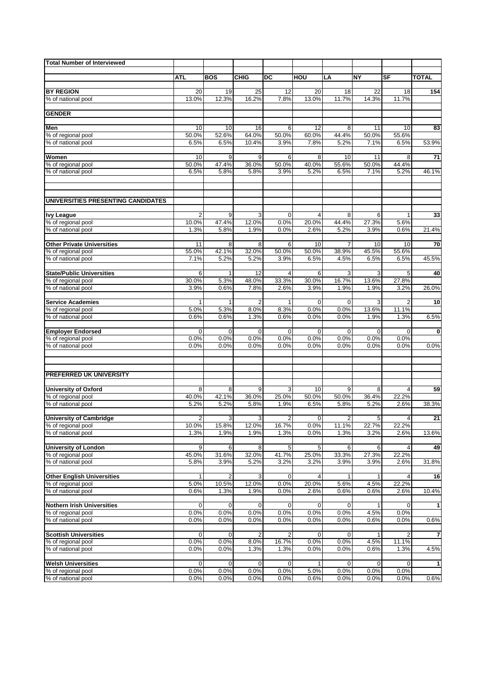| <b>Total Number of Interviewed</b>                     |                         |                      |                |             |                     |                     |              |                |              |
|--------------------------------------------------------|-------------------------|----------------------|----------------|-------------|---------------------|---------------------|--------------|----------------|--------------|
|                                                        | ATL                     | <b>BOS</b>           | <b>CHIG</b>    | DC          | HOU                 | LA                  | <b>NY</b>    | SF             | <b>TOTAL</b> |
|                                                        |                         |                      |                |             |                     |                     |              |                |              |
| <b>BY REGION</b>                                       | 20                      | 19                   | 25             | 12          | 20                  | 18                  | 22           | 18             | 154          |
| % of national pool                                     | 13.0%                   | 12.3%                | 16.2%          | 7.8%        | 13.0%               | 11.7%               | 14.3%        | 11.7%          |              |
|                                                        |                         |                      |                |             |                     |                     |              |                |              |
| <b>GENDER</b>                                          |                         |                      |                |             |                     |                     |              |                |              |
| Men                                                    | 10                      | 10                   | 16             | 6           | 12                  | 8                   | 11           | 10             | 83           |
| % of regional pool                                     | 50.0%                   | 52.6%                | 64.0%          | 50.0%       | 60.0%               | 44.4%               | 50.0%        | 55.6%          |              |
| % of national pool                                     | 6.5%                    | 6.5%                 | 10.4%          | 3.9%        | 7.8%                | 5.2%                | 7.1%         | 6.5%           | 53.9%        |
| Women                                                  |                         |                      | 9              |             | 8                   |                     |              | 8              |              |
| % of regional pool                                     | 10<br>50.0%             | 9<br>47.4%           | 36.0%          | 6<br>50.0%  | 40.0%               | 10<br>55.6%         | 11<br>50.0%  | 44.4%          | 71           |
| % of national pool                                     | 6.5%                    | 5.8%                 | 5.8%           | 3.9%        | 5.2%                | 6.5%                | 7.1%         | 5.2%           | 46.1%        |
|                                                        |                         |                      |                |             |                     |                     |              |                |              |
|                                                        |                         |                      |                |             |                     |                     |              |                |              |
| UNIVERSITIES PRESENTING CANDIDATES                     |                         |                      |                |             |                     |                     |              |                |              |
| <b>Ivy League</b>                                      | 2                       | 9                    | 3              | 0           | 4                   | 8                   | 6            | 1              | 33           |
| % of regional pool                                     | 10.0%                   | 47.4%                | 12.0%          | 0.0%        | 20.0%               | 44.4%               | 27.3%        | 5.6%           |              |
| % of national pool                                     | 1.3%                    | 5.8%                 | 1.9%           | 0.0%        | 2.6%                | 5.2%                | 3.9%         | 0.6%           | 21.4%        |
| <b>Other Private Universities</b>                      | 11                      | 8                    | 8              | 6           | 10                  | $\overline{7}$      | 10           | 10             | 70           |
| % of regional pool                                     | 55.0%                   | 42.1%                | 32.0%          | 50.0%       | 50.0%               | 38.9%               | 45.5%        | 55.6%          |              |
| % of national pool                                     | 7.1%                    | 5.2%                 | 5.2%           | 3.9%        | 6.5%                | 4.5%                | 6.5%         | 6.5%           | 45.5%        |
|                                                        |                         |                      |                |             |                     |                     |              |                |              |
| <b>State/Public Universities</b><br>% of regional pool | 6<br>30.0%              | $\mathbf{1}$<br>5.3% | 12<br>48.0%    | 4<br>33.3%  | 6<br>30.0%          | 3<br>16.7%          | 3<br>13.6%   | 5<br>27.8%     | 40           |
| % of national pool                                     | 3.9%                    | 0.6%                 | 7.8%           | 2.6%        | 3.9%                | 1.9%                | 1.9%         | 3.2%           | 26.0%        |
|                                                        |                         |                      |                |             |                     |                     |              |                |              |
| <b>Service Academies</b>                               | 1                       | 1                    | $\overline{2}$ | 1           | $\mathbf 0$         | $\mathbf{0}$        | 3            | $\overline{2}$ | 10           |
| % of regional pool                                     | 5.0%                    | 5.3%                 | 8.0%           | 8.3%        | 0.0%                | 0.0%                | 13.6%        | 11.1%          |              |
| % of national pool                                     | 0.6%                    | 0.6%                 | 1.3%           | 0.6%        | 0.0%                | 0.0%                | 1.9%         | 1.3%           | 6.5%         |
| <b>Employer Endorsed</b>                               | 0                       | $\mathbf 0$          | $\mathbf 0$    | $\mathbf 0$ | $\mathbf 0$         | $\mathbf{0}$        | $\mathbf 0$  | 0              | 0            |
| % of regional pool                                     | 0.0%                    | 0.0%                 | 0.0%           | 0.0%        | 0.0%                | 0.0%                | 0.0%         | 0.0%           |              |
| % of national pool                                     | 0.0%                    | 0.0%                 | 0.0%           | 0.0%        | 0.0%                | 0.0%                | 0.0%         | 0.0%           | 0.0%         |
|                                                        |                         |                      |                |             |                     |                     |              |                |              |
| PREFERRED UK UNIVERSITY                                |                         |                      |                |             |                     |                     |              |                |              |
|                                                        |                         |                      |                |             |                     |                     |              |                |              |
| <b>University of Oxford</b>                            | 8                       | 8                    | 9              | 3           | 10                  | 9                   | 8            | 4              | 59           |
| % of regional pool                                     | 40.0%                   | 42.1%                | 36.0%          | 25.0%       | 50.0%               | 50.0%               | 36.4%        | 22.2%          |              |
| % of national pool                                     | 5.2%                    | 5.2%                 | 5.8%           | 1.9%        | 6.5%                | 5.8%                | 5.2%         | 2.6%           | 38.3%        |
| <b>University of Cambridge</b>                         | $\overline{\mathbf{c}}$ | 3                    | 3              | 2           | 0                   | 2                   | 5            | 4              | 21           |
| % of regional pool                                     | 10.0%                   | 15.8%                | 12.0%          | 16.7%       | 0.0%                | 11.1%               | 22.7%        | 22.2%          |              |
| % of national pool                                     | 1.3%                    | 1.9%                 | 1.9%           | 1.3%        | 0.0%                | 1.3%                | 3.2%         | 2.6%           | 13.6%        |
|                                                        |                         |                      |                |             |                     |                     |              |                |              |
| <b>University of London</b><br>% of regional pool      | 9<br>45.0%              | 6<br>31.6%           | 8<br>32.0%     | 5<br>41.7%  | 5<br>25.0%          | 6<br>33.3%          | 6<br>27.3%   | 4<br>22.2%     | 49           |
| % of national pool                                     | 5.8%                    | 3.9%                 | 5.2%           | 3.2%        | 3.2%                | 3.9%                | 3.9%         | 2.6%           | 31.8%        |
|                                                        |                         |                      |                |             |                     |                     |              |                |              |
| <b>Other English Universities</b>                      | 1                       | 2                    | 3              | 0           | 4                   | $\mathbf{1}$        | 1            | 4              | 16           |
| % of regional pool                                     | 5.0%                    | 10.5%                | 12.0%          | 0.0%        | 20.0%               | 5.6%                | 4.5%         | 22.2%          |              |
| % of national pool                                     | 0.6%                    | 1.3%                 | 1.9%           | 0.0%        | 2.6%                | 0.6%                | 0.6%         | 2.6%           | 10.4%        |
| <b>Nothern Irish Universities</b>                      | 0                       | 0                    | 0              | 0           | 0                   | $\mathbf{0}$        |              | 0              | 1            |
| % of regional pool                                     | 0.0%                    | 0.0%                 | 0.0%           | 0.0%        | 0.0%                | 0.0%                | 4.5%         | 0.0%           |              |
| % of national pool                                     | 0.0%                    | 0.0%                 | 0.0%           | 0.0%        | 0.0%                | 0.0%                | 0.6%         | 0.0%           | 0.6%         |
|                                                        |                         |                      |                |             |                     |                     |              |                |              |
| <b>Scottish Universities</b>                           | $\mathbf 0$<br>0.0%     | $\mathbf 0$<br>0.0%  | $\overline{2}$ | 2<br>16.7%  | $\mathbf 0$<br>0.0% | $\mathbf 0$<br>0.0% | 1            | $\overline{2}$ | 7            |
| % of regional pool<br>% of national pool               | 0.0%                    | 0.0%                 | 8.0%<br>1.3%   | 1.3%        | 0.0%                | 0.0%                | 4.5%<br>0.6% | 11.1%<br>1.3%  | 4.5%         |
|                                                        |                         |                      |                |             |                     |                     |              |                |              |
| <b>Welsh Universities</b>                              | 0                       | 0                    | 0              | 0           |                     | $\mathbf 0$         | 0            | 0              | $\mathbf 1$  |
| % of regional pool                                     | 0.0%                    | 0.0%                 | 0.0%           | 0.0%        | 5.0%                | 0.0%                | 0.0%         | 0.0%           |              |
| % of national pool                                     | 0.0%                    | 0.0%                 | 0.0%           | 0.0%        | 0.6%                | 0.0%                | 0.0%         | 0.0%           | 0.6%         |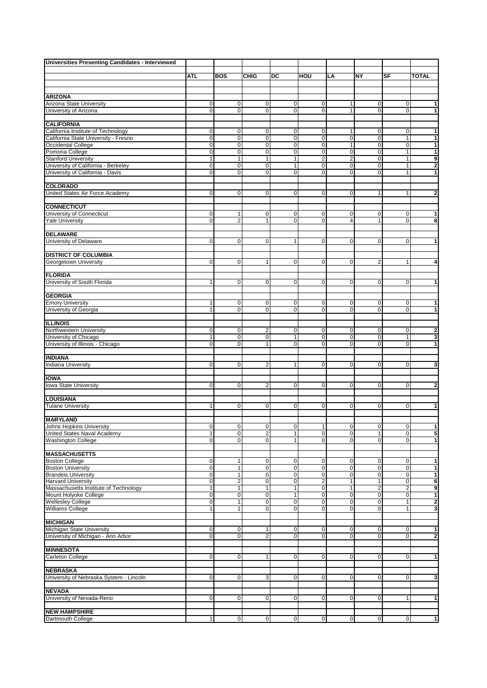| <b>Universities Presenting Candidates - Interviewed</b> |                |                                       |                 |                |                            |                             |                         |                   |                         |
|---------------------------------------------------------|----------------|---------------------------------------|-----------------|----------------|----------------------------|-----------------------------|-------------------------|-------------------|-------------------------|
|                                                         |                |                                       |                 |                |                            |                             |                         |                   |                         |
|                                                         | <b>ATL</b>     | <b>BOS</b>                            | <b>CHIG</b>     | DC             | HOU                        | LA                          | <b>NY</b>               | SF                | <b>TOTAL</b>            |
|                                                         |                |                                       |                 |                |                            |                             |                         |                   |                         |
| <b>ARIZONA</b>                                          |                |                                       |                 |                |                            |                             |                         |                   |                         |
| Arizona State University                                | 0              | 0                                     | $\pmb{0}$       | 0              | $\mathbf 0$                | $\mathbf{1}$                | $\pmb{0}$               | 0                 | 1                       |
| University of Arizona                                   | 0              | $\mathbf 0$                           | $\mathbf 0$     | 0              | 0                          | $\mathbf{1}$                | 0                       | $\mathbf 0$       | 1                       |
|                                                         |                |                                       |                 |                |                            |                             |                         |                   |                         |
| <b>CALIFORNIA</b>                                       |                |                                       |                 |                |                            |                             |                         |                   |                         |
| California Institute of Technology                      | $\pmb{0}$      | 0                                     | $\mathbf 0$     | $\mathbf 0$    | 0                          | 1                           | $\mathbf 0$             | 0                 | 1                       |
| California State University - Fresno                    | $\overline{0}$ | $\overline{0}$                        | $\overline{0}$  | $\overline{0}$ | $\overline{0}$             | $\overline{0}$              | $\overline{0}$          | $\mathbf{1}$      | 1                       |
| Occidental College                                      | 0              | $\pmb{0}$                             | $\mathbf 0$     | 0              | $\mathbf 0$                | $\mathbf{1}$                | 0                       | 0                 | 1                       |
| Pomona College                                          | 0              | $\overline{0}$                        | $\mathbf 0$     | 0              | $\mathbf 0$                | $\pmb{0}$                   | 0                       | $\mathbf{1}$      | $\overline{1}$          |
| <b>Stanford University</b>                              | $\mathbf{1}$   | $\mathbf{1}$                          | $\mathbf{1}$    | $\mathbf{1}$   | $\overline{\mathbf{c}}$    | $\boldsymbol{2}$            | $\mathbf 0$             | $\mathbf{1}$      | 9                       |
| University of California - Berkeley                     | 0              | 0                                     | $\mathbf 0$     | $\mathbf{1}$   | 0                          | $\pmb{0}$                   | 0                       | $\mathbf{1}$      | $\bf{2}$                |
| University of California - Davis                        | $\overline{0}$ | $\overline{0}$                        | $\overline{0}$  | $\overline{0}$ | $\mathbf 0$                | $\overline{0}$              | $\overline{0}$          | $\mathbf{1}$      | 1                       |
| <b>COLORADO</b>                                         |                |                                       |                 |                |                            |                             |                         |                   |                         |
| United States Air Force Academy                         | 0              | $\mathbf 0$                           | $\mathbf 0$     | $\mathbf 0$    | $\mathbf 0$                | $\pmb{0}$                   | 1                       | 1                 | $\mathbf 2$             |
|                                                         |                |                                       |                 |                |                            |                             |                         |                   |                         |
| <b>CONNECTICUT</b>                                      |                |                                       |                 |                |                            |                             |                         |                   |                         |
| University of Connecticut                               | 0              | $\mathbf{1}$                          | 0               | 0              | 0                          | 0                           | 0                       | 0                 | 1                       |
| <b>Yale University</b>                                  | 0              | $\overline{2}$                        | $\mathbf{1}$    | 0              | 0                          | 4                           | 1                       | 0                 | 8                       |
|                                                         |                |                                       |                 |                |                            |                             |                         |                   |                         |
| <b>DELAWARE</b>                                         |                |                                       |                 |                |                            |                             |                         |                   |                         |
| University of Delaware                                  | 0              | $\mathbf 0$                           | $\mathbf 0$     | $\mathbf{1}$   | $\mathbf 0$                | $\pmb{0}$                   | $\overline{0}$          | $\mathbf 0$       | 1                       |
|                                                         |                |                                       |                 |                |                            |                             |                         |                   |                         |
| <b>DISTRICT OF COLUMBIA</b>                             |                |                                       |                 |                |                            |                             |                         |                   |                         |
| Georgetown University                                   | 0              | $\mathbf 0$                           | $\mathbf{1}$    | 0              | $\mathbf 0$                | $\pmb{0}$                   | $\overline{2}$          | 1                 | 4                       |
|                                                         |                |                                       |                 |                |                            |                             |                         |                   |                         |
| <b>FLORIDA</b>                                          |                |                                       |                 |                |                            |                             |                         |                   |                         |
| University of South Florida                             | 1              | 0                                     | $\mathbf 0$     | 0              | $\mathbf 0$                | 0                           | $\mathbf 0$             | $\mathbf 0$       | 1                       |
| <b>GEORGIA</b>                                          |                |                                       |                 |                |                            |                             |                         |                   |                         |
| <b>Emory University</b>                                 | 1              | 0                                     | $\mathbf 0$     | 0              | 0                          | 0                           | 0                       | 0                 | 1                       |
| University of Georgia                                   | $\mathbf{1}$   | $\overline{0}$                        | $\overline{0}$  | 0              | $\mathbf 0$                | $\overline{0}$              | $\overline{0}$          | 0                 | 1                       |
|                                                         |                |                                       |                 |                |                            |                             |                         |                   |                         |
| <b>ILLINOIS</b>                                         |                |                                       |                 |                |                            |                             |                         |                   |                         |
| Northwestern University                                 | 0              | 0                                     | $\overline{2}$  | $\mathbf 0$    | 0                          | $\pmb{0}$                   | 0                       | 0                 | $\bf{2}$                |
| University of Chicago                                   | $\mathbf{1}$   | 0                                     | $\mathbf 0$     | $\mathbf{1}$   | 0                          | $\pmb{0}$                   | 0                       | $\mathbf{1}$      | 3                       |
| University of Illinois - Chicago                        | $\overline{0}$ | $\overline{0}$                        | $\mathbf{1}$    | $\overline{0}$ | $\overline{0}$             | $\overline{0}$              | $\overline{0}$          | $\overline{0}$    | 1                       |
|                                                         |                |                                       |                 |                |                            |                             |                         |                   |                         |
| <b>INDIANA</b>                                          |                |                                       |                 |                |                            |                             |                         |                   |                         |
| <b>Indiana University</b>                               | 0              | $\mathbf 0$                           | $\overline{2}$  | 1              | $\mathbf 0$                | $\pmb{0}$                   | $\mathbf 0$             | 0                 | 3                       |
|                                                         |                |                                       |                 |                |                            |                             |                         |                   |                         |
| <b>IOWA</b>                                             |                |                                       |                 |                |                            |                             |                         |                   |                         |
| Iowa State University                                   | 0              | 0                                     | $\overline{2}$  | $\mathbf 0$    | $\mathbf 0$                | 0                           | $\mathbf 0$             | $\mathbf 0$       | $\mathbf 2$             |
|                                                         |                |                                       |                 |                |                            |                             |                         |                   |                         |
| <b>LOUISIANA</b>                                        | 1              | $\mathbf 0$                           | $\mathbf 0$     | $\mathbf 0$    | $\mathbf 0$                | 0                           | $\mathbf 0$             | 0                 | 1                       |
| <b>Tulane University</b>                                |                |                                       |                 |                |                            |                             |                         |                   |                         |
| <b>MARYLAND</b>                                         |                |                                       |                 |                |                            |                             |                         |                   |                         |
| Johns Hopkins University                                | <sub>0</sub>   | <sub>0</sub>                          | υ               | <sub>U</sub>   | 1                          | υı                          | <sub>0</sub>            | υ                 | 1                       |
| United States Naval Academy                             | $\mathbf{1}$   | 0                                     | $\overline{2}$  | $\mathbf{1}$   | 0                          | $\pmb{0}$                   | 1                       | $\mathbf 0$       | 5                       |
| <b>Washington College</b>                               | 0              | $\mathbf 0$                           | $\mathbf 0$     | $\mathbf{1}$   | 0                          | $\overline{0}$              | $\overline{0}$          | 0                 | $\mathbf{1}$            |
|                                                         |                |                                       |                 |                |                            |                             |                         |                   |                         |
| <b>MASSACHUSETTS</b>                                    |                |                                       |                 |                |                            |                             |                         |                   |                         |
| <b>Boston College</b>                                   | 0              | 1                                     | $\overline{0}$  | $\mathbf 0$    | 0                          | $\overline{0}$              | 0                       | 0                 | $\overline{\mathbf{1}}$ |
| <b>Boston University</b>                                | 0              | $\mathbf{1}$                          | $\pmb{0}$       | 0              | $\mathbf 0$                | $\pmb{0}$                   | $\mathbf 0$             | 0                 | $\mathbf{1}$            |
| <b>Brandeis University</b>                              | 0              | 1                                     | $\mathbf 0$     | 0              | 0                          | 0                           | 0                       | 0                 | 1                       |
| <b>Harvard University</b>                               | 0              | $\overline{2}$                        | 0               | 0              | $\overline{\mathbf{c}}$    | $\mathbf{1}$                | $\mathbf{1}$            | 0                 | $6\overline{6}$         |
| Massachusetts Institute of Technology                   | 1              | $\mathbf{1}$                          | $\mathbf{1}$    | 1              | $\mathbf 0$                | $\mathbf{1}$                | $\overline{\mathbf{c}}$ | $\overline{c}$    | 9                       |
| Mount Holyoke College                                   | 0<br>0         | $\overline{\text{o}}$<br>$\mathbf{1}$ | 0 <br>$\pmb{0}$ | 1<br>0         | $\mathbf 0$<br>$\mathbf 0$ | $\overline{0}$<br>$\pmb{0}$ | 0<br>$\mathbf 0$        | 0<br>$\mathbf{1}$ | $\overline{\mathbf{1}}$ |
| <b>Wellesley College</b>                                |                |                                       |                 |                |                            |                             |                         |                   | $\mathbf 2$             |
| <b>Williams College</b>                                 | 1              | 1                                     | $\mathbf 0$     | $\mathbf 0$    | 0                          | 0                           | 0                       | 1                 | 3                       |
| <b>MICHIGAN</b>                                         |                |                                       |                 |                |                            |                             |                         |                   |                         |
| Michigan State University                               | $\overline{0}$ | 0                                     | $\mathbf{1}$    | $\mathbf 0$    | 0                          | $\overline{0}$              | $\overline{0}$          | 0                 | $\overline{\mathbf{1}}$ |
| University of Michigan - Ann Arbor                      | 0              | $\mathbf 0$                           | $\overline{2}$  | 0              | $\mathbf 0$                | $\mathbf 0$                 | $\mathbf 0$             | $\Omega$          | $\overline{\mathbf{2}}$ |
|                                                         |                |                                       |                 |                |                            |                             |                         |                   |                         |
| <b>MINNESOTA</b>                                        |                |                                       |                 |                |                            |                             |                         |                   |                         |
| Carleton College                                        | $\mathbf 0$    | $\overline{0}$                        | $\mathbf{1}$    | $\mathbf 0$    | $\mathbf 0$                | $\overline{0}$              | $\overline{0}$          | $\mathbf 0$       | $\mathbf{1}$            |
|                                                         |                |                                       |                 |                |                            |                             |                         |                   |                         |
| <b>NEBRASKA</b>                                         |                |                                       |                 |                |                            |                             |                         |                   |                         |
| University of Nebraska System - Lincoln                 | $\mathbf 0$    | 0                                     | 3 <sup>1</sup>  | $\mathbf 0$    | $\mathbf 0$                | $\overline{0}$              | $\overline{0}$          | 0                 | $\overline{\mathbf{3}}$ |
|                                                         |                |                                       |                 |                |                            |                             |                         |                   |                         |
| <b>NEVADA</b>                                           |                |                                       |                 |                |                            |                             |                         |                   |                         |
| University of Nevada-Reno                               | $\overline{0}$ | 0                                     | $\overline{0}$  | $\overline{0}$ | 0                          | $\overline{0}$              | $\overline{0}$          | 1                 | $\overline{\mathbf{1}}$ |
| <b>NEW HAMPSHIRE</b>                                    |                |                                       |                 |                |                            |                             |                         |                   |                         |
|                                                         |                |                                       |                 |                |                            |                             |                         |                   |                         |
| Dartmouth College                                       | 1              | 0                                     | 0               | $\mathbf 0$    | 0                          | $\overline{0}$              | $\overline{0}$          | $\overline{0}$    | 1                       |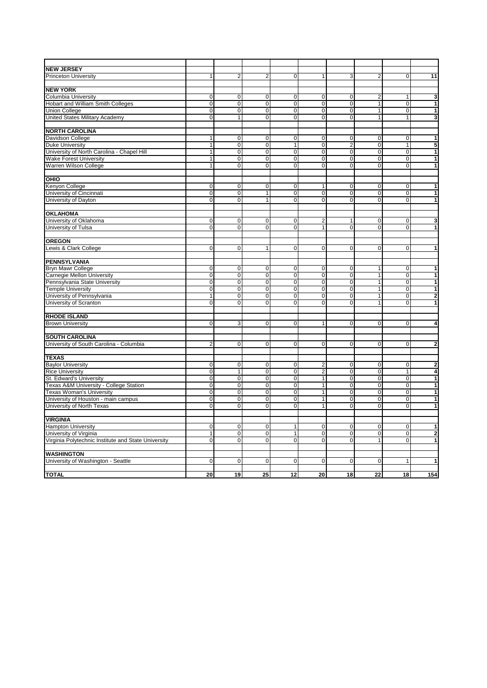| <b>NEW JERSEY</b>                                   |                |                |                |                |                |                |                |                |                         |
|-----------------------------------------------------|----------------|----------------|----------------|----------------|----------------|----------------|----------------|----------------|-------------------------|
| <b>Princeton University</b>                         | $\mathbf{1}$   | $\overline{2}$ | $\overline{2}$ | $\mathbf 0$    | 1              | 3              | $\overline{2}$ | $\mathbf 0$    | 11                      |
| <b>NEW YORK</b>                                     |                |                |                |                |                |                |                |                |                         |
| <b>Columbia University</b>                          | $\pmb{0}$      | $\overline{0}$ | $\overline{0}$ | $\mathbf 0$    | $\mathbf 0$    | $\overline{0}$ | $\overline{2}$ | $\mathbf{1}$   | 3                       |
| Hobart and William Smith Colleges                   | $\overline{0}$ | $\overline{0}$ | $\overline{0}$ | $\overline{0}$ | $\overline{0}$ | $\overline{0}$ | 1              | $\overline{0}$ | 1                       |
| Union College                                       | $\mathbf 0$    | $\overline{0}$ | $\mathbf 0$    | $\mathbf 0$    | $\mathbf 0$    | $\mathbf 0$    | $\overline{1}$ | $\mathbf 0$    | 1                       |
| United States Military Academy                      | $\overline{0}$ | $\mathbf{1}$   | $\overline{0}$ | $\overline{0}$ | $\overline{0}$ | $\overline{0}$ | $\overline{1}$ | $\overline{1}$ | 3                       |
| <b>NORTH CAROLINA</b>                               |                |                |                |                |                |                |                |                |                         |
| Davidson College                                    | 1              | $\pmb{0}$      | 0              | 0              | $\mathbf 0$    | $\pmb{0}$      | 0              | 0              | 1                       |
| <b>Duke University</b>                              | $\mathbf{1}$   | $\pmb{0}$      | 0              | 1              | $\mathbf 0$    | $\overline{2}$ | $\mathbf 0$    | $\mathbf{1}$   | 5                       |
| University of North Carolina - Chapel Hill          | $\mathbf{1}$   | $\overline{0}$ | $\mathbf 0$    | $\overline{0}$ | $\mathbf 0$    | $\overline{0}$ | 0              | $\mathbf 0$    | 1                       |
| <b>Wake Forest University</b>                       | $\mathbf{1}$   | $\overline{0}$ | $\mathbf 0$    | $\mathbf 0$    | $\mathbf 0$    | $\mathbf 0$    | $\mathbf 0$    | $\mathbf 0$    | 1                       |
| Warren Wilson College                               | $\mathbf{1}$   | $\overline{0}$ | $\mathbf 0$    | $\mathbf 0$    | $\mathbf 0$    | $\mathbf 0$    | 0              | $\mathbf 0$    | 1                       |
|                                                     |                |                |                |                |                |                |                |                |                         |
| OHIO                                                |                |                |                |                |                |                |                |                |                         |
| Kenyon College                                      | 0              | $\overline{0}$ | $\overline{0}$ | $\overline{0}$ | 1              | $\overline{0}$ | 0              | $\mathbf 0$    | 1                       |
| University of Cincinnati                            | $\mathbf 0$    | $\mathbf 0$    | $\mathbf{1}$   | $\overline{0}$ | $\mathbf 0$    | $\mathbf 0$    | $\mathbf 0$    | $\mathbf 0$    | 1                       |
| University of Dayton                                | 0              | $\pmb{0}$      | $\mathbf{1}$   | $\mathbf 0$    | 0              | 0              | 0              | $\mathbf 0$    | 1                       |
| <b>OKLAHOMA</b>                                     |                |                |                |                |                |                |                |                |                         |
| University of Oklahoma                              | 0              | $\overline{0}$ | $\mathbf{O}$   | $\mathbf 0$    | $\overline{2}$ | $\overline{1}$ | 0              | $\mathbf 0$    | 3                       |
| University of Tulsa                                 | $\overline{0}$ | $\overline{0}$ | $\overline{0}$ | $\overline{0}$ | $\mathbf{1}$   | $\overline{0}$ | $\Omega$       | $\Omega$       | 1                       |
|                                                     |                |                |                |                |                |                |                |                |                         |
| <b>OREGON</b>                                       |                |                |                |                |                |                |                |                |                         |
| ewis & Clark College                                | $\mathbf 0$    | $\overline{0}$ | $\mathbf{1}$   | $\mathbf 0$    | $\mathbf 0$    | $\pmb{0}$      | 0              | $\mathbf 0$    | 1                       |
| <b>PENNSYLVANIA</b>                                 |                |                |                |                |                |                |                |                |                         |
| <b>Bryn Mawr College</b>                            | $\pmb{0}$      | 0              | 0              | $\mathbf 0$    | $\mathbf 0$    | $\pmb{0}$      | 1              | $\mathbf 0$    | 1                       |
| Carnegie Mellon University                          | 0              | $\overline{0}$ | $\mathbf 0$    | $\mathbf 0$    | $\mathbf 0$    | 0              | $\mathbf{1}$   | $\mathbf 0$    | 1                       |
| Pennsylvania State University                       | $\pmb{0}$      | $\overline{0}$ | $\mathbf 0$    | $\mathbf 0$    | $\mathbf 0$    | $\pmb{0}$      | 1              | $\mathbf 0$    | 1                       |
| <b>Temple University</b>                            | $\mathbf 0$    | $\overline{0}$ | $\overline{0}$ | $\mathbf 0$    | $\mathbf 0$    | $\overline{0}$ | $\mathbf{1}$   | $\mathbf 0$    | 1                       |
| University of Pennsylvania                          | $\overline{1}$ | $\overline{0}$ | $\Omega$       | $\overline{0}$ | $\Omega$       | $\Omega$       | $\overline{1}$ | $\Omega$       | 2                       |
| University of Scranton                              | $\mathbf 0$    | $\overline{0}$ | $\mathbf 0$    | $\mathbf 0$    | $\mathbf 0$    | $\mathbf 0$    | $\mathbf{1}$   | $\mathbf 0$    | 1                       |
| <b>RHODE ISLAND</b>                                 |                |                |                |                |                |                |                |                |                         |
| <b>Brown University</b>                             | 0              | 3              | 0              | $\mathbf 0$    | 1              | $\mathbf 0$    | 0              | $\mathbf 0$    | 4                       |
|                                                     |                |                |                |                |                |                |                |                |                         |
| <b>SOUTH CAROLINA</b>                               |                |                |                |                |                |                |                |                |                         |
| University of South Carolina - Columbia             | $\overline{2}$ | $\mathbf 0$    | $\mathbf{0}$   | $\mathbf 0$    | $\mathbf 0$    | $\mathbf 0$    | $\Omega$       | $\mathbf 0$    | $\overline{\mathbf{2}}$ |
| <b>TEXAS</b>                                        |                |                |                |                |                |                |                |                |                         |
| <b>Baylor University</b>                            | $\mathbf 0$    | $\overline{0}$ | $\mathbf 0$    | $\mathbf 0$    | $\overline{2}$ | 0              | 0              | $\mathbf 0$    | 2                       |
| <b>Rice University</b>                              | 0              | $\overline{1}$ | 0              | $\overline{0}$ | $\overline{2}$ | $\pmb{0}$      | 0              | $\mathbf{1}$   | 4                       |
| St. Edward's University                             | $\overline{0}$ | $\overline{0}$ | $\overline{0}$ | $\overline{0}$ | 1              | $\overline{0}$ | $\overline{0}$ | $\overline{0}$ | $\overline{1}$          |
| Texas A&M University - College Station              | 0              | $\mathbf 0$    | $\mathbf 0$    | $\mathbf 0$    | 1              | $\mathbf 0$    | $\overline{0}$ | $\mathbf 0$    | 1                       |
| <b>Texas Woman's University</b>                     | 0              | $\overline{0}$ | 0              | $\mathbf 0$    | 1              | $\pmb{0}$      | 0              | $\mathbf 0$    | 1                       |
| University of Houston - main campus                 | $\mathbf 0$    | 0              | 0              | $\mathbf 0$    | 1              | $\pmb{0}$      | 0              | $\mathbf 0$    | 1                       |
| University of North Texas                           | $\mathbf 0$    | 0              | 0              | $\mathbf 0$    | 1              | $\pmb{0}$      | 0              | $\mathbf 0$    | 1                       |
| <b>VIRGINIA</b>                                     |                |                |                |                |                |                |                |                |                         |
| <b>Hampton University</b>                           | $\mathbf 0$    | $\overline{0}$ | $\mathbf 0$    | $\mathbf{1}$   | 0              | $\mathbf 0$    | $\mathbf 0$    | $\mathbf 0$    | 1                       |
| Jniversity of Virginia                              | $\mathbf{1}$   | $\overline{0}$ | $\mathbf 0$    | $\mathbf{1}$   | $\mathbf 0$    | $\mathbf 0$    | 0              | $\mathbf 0$    | $\overline{\mathbf{2}}$ |
| Virginia Polytechnic Institute and State University | $\overline{0}$ | $\overline{0}$ | $\mathbf 0$    | $\overline{0}$ | $\mathbf 0$    | $\mathbf 0$    | 1              | $\mathbf 0$    | 1                       |
|                                                     |                |                |                |                |                |                |                |                |                         |
| <b>WASHINGTON</b>                                   |                |                |                |                |                |                |                |                |                         |
| University of Washington - Seattle                  | $\mathbf 0$    | 0              | 0              | $\mathbf 0$    | $\mathbf 0$    | $\mathbf 0$    | 0              | $\mathbf{1}$   | 1                       |
| <b>TOTAL</b>                                        | 20             | 19             | 25             | 12             | 20             | 18             | 22             | 18             | 154                     |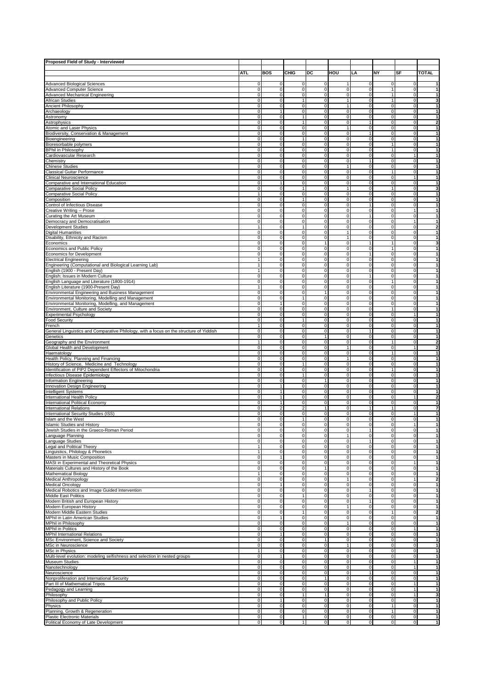| Proposed Field of Study - Interviewed                                                    |                       |                                    |                         |                                  |              |                               |                            |                          |                         |
|------------------------------------------------------------------------------------------|-----------------------|------------------------------------|-------------------------|----------------------------------|--------------|-------------------------------|----------------------------|--------------------------|-------------------------|
|                                                                                          | <b>ATL</b>            | <b>BOS</b>                         | <b>CHIG</b>             | DC                               | HOU          | LA                            | NY                         | SF                       | <b>TOTAL</b>            |
| <b>Advanced Biological Sciences</b>                                                      | 0                     | $\mathsf 0$                        | 0                       | $\mathsf 0$                      | 1            | $\pmb{0}$                     | $\overline{0}$             | 0                        | 1                       |
| <b>Advanced Computer Science</b>                                                         | 0                     | $\mathbf 0$                        | 0                       | $\circ$                          | 0            | $\pmb{0}$                     | $\mathbf{1}$               | $\mathsf{O}\xspace$      | 1                       |
| Advanced Mechanical Engineering                                                          | $\pmb{0}$             | $\mathsf{O}\xspace$                | $\overline{0}$          | $\overline{0}$                   | $\mathsf 0$  | $\pmb{0}$                     | $\mathbf{1}$               | $\mathbf 0$              | 1                       |
| African Studies                                                                          | $\mathbf 0$           | $\mathbf 0$                        | $\mathbf{1}$            | $\overline{0}$                   | 1            | $\pmb{0}$                     | $\mathbf{1}$               | $\mathsf{O}\xspace$      | 3                       |
| <b>Ancient Philosophy</b>                                                                | $\overline{0}$        | $\overline{0}$                     | $\overline{\text{o}}$   | $\mathsf 0$                      | $\mathbf{1}$ | $\mathbf 0$                   | $\Omega$                   | 0                        | 1                       |
| Archaeology                                                                              | 0                     | 1                                  | $\mathbf 0$             | $\mathbf 0$                      | 0            | $\mathbf 0$                   | $\overline{0}$             | 0                        | 1                       |
| Astronomy                                                                                | 0                     | $\mathsf{O}\xspace$                | 1                       | $\circ$                          | 0            | $\mathbf 0$                   | $\pmb{0}$                  | 0                        | 1                       |
| Astrophysics                                                                             | 0                     | $\mathbf 0$                        | $\mathbf{1}$            | $\mathsf 0$                      | $\mathsf 0$  | $\mathbf{1}$                  | $\Omega$                   | 0                        | $\overline{\mathbf{2}}$ |
| <b>Atomic and Laser Physics</b>                                                          | $\mathbf 0$           | $\mathsf 0$                        | 0                       | $\mathsf 0$                      | $\mathbf{1}$ | $\mathbf 0$                   | 0                          | $\mathbf 0$              | 1                       |
| Biodiversity, Conservation & Management                                                  | 0                     | $\mathbf 0$                        | $\mathbf 0$             | $\mathbf 0$                      | 0            | $\mathbf{1}$                  | $\overline{0}$             | 0                        | 1                       |
| Bioengineering                                                                           | 0                     | $\mathsf{O}\xspace$                | 1                       | $\circ$                          | 0            | $\mathbf 0$                   | $\Omega$                   | $\mathsf{O}\xspace$      | 1                       |
| Bioresorbable polymers                                                                   | $\mathsf 0$           | $\mathbf 0$                        | $\mathbf 0$             | $\overline{0}$                   | $\mathsf 0$  | $\pmb{0}$                     | $\mathbf{1}$               | $\mathsf{O}\xspace$      | $\mathbf{1}$            |
| <b>BPhil in Philosophy</b>                                                               | 0                     | $\mathsf 0$                        | 0                       | $\mathsf 0$                      | $\mathbf 0$  | $\mathbf 0$                   | $\mathbf{1}$               | $\mathsf{O}\xspace$      | 1                       |
| Cardiovascular Research                                                                  | 0                     | $\mathbf 0$                        | $\mathbf 0$             | $\overline{0}$                   | 0            | 0                             | $\overline{0}$             | 1                        | 1                       |
| Chemistry                                                                                | 0                     | $\mathbf 0$                        | 0                       | $\overline{0}$                   | 0            | $\mathbf{1}$                  | $\Omega$                   | $\mathsf{O}\xspace$      | 1                       |
| <b>Chinese Studies</b>                                                                   | 0                     | 0                                  | $\mathbf 0$             | $\circ$                          | 1            | $\mathbf 0$                   | $\Omega$                   | $\mathsf{O}\xspace$      | 1                       |
| Classical Guitar Performance                                                             | 0                     | $\mathsf 0$                        | 0                       | $\pmb{0}$                        | 0            | $\mathbf 0$                   | $\mathbf{1}$               | $\mathsf{O}\xspace$      | 1                       |
| <b>Clinical Neuroscience</b>                                                             | $\overline{\text{o}}$ | $\mathbf 0$                        | $\pmb{0}$               | $\mathsf 0$                      | 0            | $\mathbf 0$                   | $\Omega$                   | $\mathbf{1}$             | 1                       |
| Comparative and International Education                                                  | 0                     | $\mathbf{1}$                       | $\mathbf 0$             | $\mathbf 0$                      | $\mathbf 0$  | $\mathbf 0$                   | $\overline{0}$             | $\mathsf{O}\xspace$      | 1                       |
| Comparative Social Policy                                                                | 0                     | $\mathsf{O}\xspace$                | $\mathbf{1}$            | $\overline{0}$                   | 1            | $\pmb{0}$                     | $\mathbf{1}$               | $\mathsf{O}\xspace$      | 3                       |
| Comparative Social Policy                                                                | $\mathbf{1}$          | $\mathsf 0$                        | 0                       | $\pmb{0}$                        | 0            | $\mathbf 0$                   | $\Omega$                   | $\mathsf{O}\xspace$      | 1                       |
| Composition                                                                              | 0                     | $\mathbf 0$                        | $\mathbf{1}$            | $\mathsf 0$                      | 0            | $\mathbf 0$                   | $\Omega$                   | $\mathsf{O}\xspace$      | 1                       |
|                                                                                          | 0                     | $\mathbf 0$                        | 0                       | $\mathsf 0$                      | 0            | $\mathbf{1}$                  | $\Omega$                   | $\mathsf{O}\xspace$      | 1                       |
| Control of Infectious Disease<br>Creative Writing -- Prose                               | 0                     | $\mathsf{O}\xspace$                | $\pmb{0}$               | $\overline{0}$                   | 0            | $\mathbf 0$                   | $\Omega$                   | 1                        | 1                       |
| Curating the Art Museum                                                                  | 0                     | $\mathbf 0$                        | 0                       | $\pmb{0}$                        | 0            | $\mathbf{1}$                  | $\Omega$                   | $\mathsf{O}\xspace$      | 1                       |
| Democracy and Democratisation                                                            | 0                     | $\overline{0}$                     | 0                       | $\mathsf 0$                      | 0            | $\mathbf 0$                   | $\Omega$                   | $\mathbf{1}$             | 1                       |
| Development Studies                                                                      | 1                     | $\mathbf 0$                        | 1                       | $\mathsf 0$                      | 0            | $\mathbf 0$                   | $\Omega$                   | $\mathsf{O}\xspace$      | 2                       |
| Digital Humanities                                                                       | $\mathsf 0$           | $\mathbf 0$                        | $\overline{0}$          | $\overline{0}$                   | 1            | 0                             | $\Omega$                   | $\mathbf 0$              | 1                       |
| Disability, Ethnicity and Racism                                                         | $\mathbf 0$           | $\mathbf 0$                        | $\mathbf 0$             | $\overline{0}$                   | 1            | 0                             | $\Omega$                   | $\mathsf{O}\xspace$      | $\mathbf{1}$            |
| Economics                                                                                | $\overline{0}$        | $\overline{\text{o}}$              | $\overline{0}$          | $\mathbf{1}$                     | 0            | 1                             | $\overline{1}$             | 0                        | 3                       |
| Economics and Public Policy                                                              | 0                     | $\mathbf 0$                        | $\mathbf 0$             | $\mathbf 0$                      | 0            | $\mathbf 0$                   | $\mathbf{1}$               | 0                        | 1                       |
| Economics for Development                                                                | 0                     | $\mathbf 0$                        | $\mathbf 0$             | $\circ$                          | 0            | $\mathbf{1}$                  | 0                          | 0                        | 1                       |
|                                                                                          | 1                     | $\mathbf 0$                        | $\mathbf 0$             | $\mathsf 0$                      | $\mathsf 0$  | $\pmb{0}$                     | $\pmb{0}$                  | 0                        | $\mathbf{1}$            |
| <b>Electrical Engineering</b><br>Engineering (Computational and Biological Learning Lab) | $\mathbf{1}$          | $\pmb{0}$                          | 0                       | $\pmb{0}$                        | 0            | $\mathbf 0$                   | $\overline{0}$             | 0                        | 1                       |
| English (1900 - Present Day)                                                             | $\mathbf{1}$          | $\mathbf 0$                        | 0                       | $\pmb{0}$                        | 0            | $\mathbf 0$                   | $\overline{0}$             | 0                        | 1                       |
| English: Issues in Modern Culture                                                        | 0                     | $\mathsf{O}\xspace$                | $\pmb{0}$               | $\circ$                          | 0            | $\overline{1}$                | $\Omega$                   | $\mathsf{O}\xspace$      | 1                       |
| English Language and Literature (1800-1914)                                              | $\mathbf 0$           | $\mathbf 0$                        | $\mathbf 0$             | $\overline{0}$                   | $\mathsf 0$  | $\pmb{0}$                     | $\mathbf{1}$               | $\mathbf 0$              | $\mathbf{1}$            |
| English Literature (1900-Present Day)                                                    | $\mathbf{1}$          | $\mathsf 0$                        | $\pmb{0}$               | $\mathsf 0$                      | 0            | $\mathbf 0$                   | $\Omega$                   | 0                        | 1                       |
| Environmental Engineering and Business Management                                        | 0                     | $\mathsf{O}\xspace$                | $\overline{0}$          | $\mathbf{1}$                     | 0            | 0                             | $\overline{0}$             | 0                        | 1                       |
| Environmental Monitoring, Modelling and Management                                       | 0                     | $\mathsf 0$                        | 1                       | $\overline{0}$                   | 0            | $\mathbf 0$                   | $\Omega$                   | $\mathsf{O}\xspace$      | 1                       |
| Environmental Monitoring, Modelling, and Management                                      | 0                     | $\mathbf{1}$                       | $\mathbf 0$             | $\overline{0}$                   | 0            | $\mathbf 0$                   | $\Omega$                   | $\mathsf{O}\xspace$      | 1                       |
| Environment, Culture and Society                                                         | 0                     | $\mathsf 0$                        | 0                       | $\mathsf 0$                      | 0            | $\mathbf 0$                   | $\mathbf{1}$               | $\mathsf{O}\xspace$      | 1                       |
| <b>Experimental Psychology</b>                                                           | $\overline{0}$        | $\overline{0}$                     | $\overline{0}$          | $\mathsf 0$                      | 0            | $\mathbf 0$                   | $\overline{0}$             | $\mathbf{1}$             | 1                       |
| <b>Food Security</b>                                                                     | 0                     | $\mathbf 0$                        | 1                       | $\mathsf 0$                      | 0            | $\mathbf 0$                   | $\overline{0}$             | $\mathsf{O}\xspace$      | 1                       |
| French                                                                                   | 1                     | $\circ$                            | $\mathbf 0$             | $\overline{0}$                   | 0            | 0                             | $\Omega$                   | 0                        | $\mathbf{1}$            |
| General Linguistics and Comparative Philology, with a focus on the structure of Yiddish  | 0                     | $\mathsf 0$                        | $\mathsf{O}\xspace$     | $\mathsf 0$                      | 0            | $\mathbf{1}$                  | $\mathsf 0$                | $\mathsf{O}\xspace$      | $\mathbf{1}$            |
| Genetics                                                                                 | 0                     | $\mathbf 0$                        | $\pmb{0}$               | $\mathbf{1}$                     | 0            | $\mathbf 0$                   | $\Omega$                   | $\mathbf 0$              | 1                       |
| Geography and the Environment                                                            | $\mathbf{1}$          | $\mathbf 0$                        | 0                       | $\overline{0}$                   | 0            | $\mathbf 0$                   | $\mathbf{1}$               | $\mathsf{O}\xspace$      | $\overline{\mathbf{2}}$ |
| Global Health and Development                                                            | 0                     | $\mathsf{O}\xspace$                | $\pmb{0}$               | $\overline{0}$                   | 1            | $\pmb{0}$                     | $\overline{0}$             | 1                        | 2                       |
| Haematology                                                                              | 0                     | $\mathsf 0$                        | 0                       | $\pmb{0}$                        | $\pmb{0}$    | $\mathbf 0$                   | $\mathbf{1}$               | $\mathsf{O}\xspace$      | 1                       |
| Health Policy, Planning and Financing                                                    | 0                     | $\mathsf 0$                        | $\mathbf 0$             | $\mathsf 0$                      | 1            | $\mathbf 0$                   | $\Omega$                   | $\mathbf 0$              | 1                       |
| History of Science, Medicine and Technology                                              | 0                     | 0                                  | 1                       | $\overline{0}$                   | 0            | 0                             | $\Omega$                   | $\mathsf{O}\xspace$      | 1                       |
| Identification of PIP2 Dependent Effectors of Mitochondria                               | 0                     | $\mathbf 0$                        | $\overline{0}$          | $\overline{0}$                   | $\mathsf 0$  | $\pmb{0}$                     | $\mathbf{1}$               | $\mathsf{O}\xspace$      | 1                       |
| Infectious Disease Epidemiology                                                          | 0                     | $\mathbf 0$                        | $\mathbf{1}$            | $\overline{0}$                   | 0            | 0                             | $\Omega$                   | $\mathsf{O}\xspace$      | 1                       |
| Information Engineering                                                                  | $\overline{0}$        | $\overline{0}$                     | $\pmb{\mathsf{0}}$      | $\mathbf{1}$                     | 0            | $\mathbf 0$                   | $\Omega$                   | 0                        | $\overline{1}$          |
| Innovation Design Engineering                                                            | 0                     | 1                                  | $\mathbf 0$             | $\mathbf 0$                      | 0            | $\mathbf 0$                   | $\overline{0}$             | 0                        | 1                       |
| <b>Intelligent Systems</b>                                                               | 0                     | $\mathbf{1}$                       | $\mathbf 0$             | $\overline{0}$                   | 0            | $\pmb{0}$                     | $\Omega$                   | 0                        | 1                       |
| International Health Policy                                                              | 0                     | $\mathbf{1}$                       | $\mathbf 0$             | $\mathsf 0$                      | $\mathbf 0$  | $\pmb{0}$                     | $\Omega$                   | $\mathbf{1}$             | $\overline{\mathbf{2}}$ |
| International Political Economy                                                          | $\mathbf 0$           | $\mathbf{1}$                       | 0                       | $\mathsf 0$                      | 0            | $\mathbf 0$                   | $\Omega$                   | 0                        | 1                       |
| <b>International Relations</b>                                                           | 0                     | $\overline{2}$                     | 2                       | $\mathbf{1}$                     | 0            | $\mathbf{1}$                  | $\mathbf{1}$               | 0                        | 7                       |
| International Security Studies (ISS)                                                     | 0                     | $\mathbf 0$                        | $\pmb{0}$               | $\circ$                          | 0            | $\pmb{0}$                     | $\Omega$                   | $\mathbf{1}$             | 1                       |
| Islam and the West                                                                       | 0                     | $\mathbf 0$                        | $\mathbf{1}$            | $\overline{0}$                   | 0            | $\pmb{0}$                     | $\Omega$                   | $\mathsf{O}\xspace$      | $\mathbf{1}$            |
| <b>Islamic Studies and History</b><br>Jewish Studies in the Graeco-Roman Period          | 0                     | 0                                  | $\overline{\mathbf{0}}$ | $\circ$                          | $\mathbf 0$  | $\mathbf{1}$                  | $\overline{0}$             | 0                        | 1                       |
| Language Planning                                                                        | 0                     | $\mathbf 0$                        | $\mathsf{O}\xspace$     | $\circ$                          | 1            | $\mathbf 0$                   | $\Omega$                   | $\mathbf 0$              | 1                       |
| Language Studies                                                                         | 0                     | 0                                  | $\mathbf{0}$            | $\overline{0}$                   | $\mathbf 0$  | $\mathbf{1}$                  | $\Omega$                   | $\circ$                  | $\mathbf{1}$            |
| Legal and Political Theory                                                               | $\mathbf{1}$          | $\mathbf 0$                        | 0                       | $\circ$                          | $\mathsf 0$  | $\pmb{0}$                     | $\overline{0}$             | $\mathsf{O}\xspace$      | 1                       |
| Linguistics, Philology & Phonetics                                                       | $\mathbf{1}$          | $\overline{0}$                     | $\overline{0}$          | $\overline{0}$                   | 0            | $\pmb{0}$                     | $\overline{0}$             | $\mathsf{O}\xspace$      | 1                       |
| Masters in Music Composition                                                             | 0                     | 1                                  | $\pmb{0}$               | $\overline{0}$                   | 0            | $\mathbf 0$                   | $\Omega$                   | $\mathsf{O}\xspace$      | 1                       |
| MASt in Experimental and Theoretical Physics                                             | 0                     | 0                                  | $\mathbf 0$             | $\overline{0}$                   | 0            | $\mathbf{0}$                  | $\overline{0}$             | $\mathbf{1}$             | $\mathbf{1}$            |
| Materials Cultures and History of the Book                                               | 0                     | $\mathbf 0$                        | 0                       | $\mathbf{1}$                     | 0            | $\pmb{0}$                     | $\Omega$                   | $\mathsf{O}\xspace$      | $\mathbf{1}$            |
| Mathematical Biology                                                                     | $\mathbf{1}$          | $\mathbf 0$                        | $\pmb{0}$               | $\overline{0}$                   | 0            | $\pmb{0}$                     | $\Omega$                   | $\mathsf{O}\xspace$      | 1                       |
| Medical Anthropology                                                                     | 0                     | $\mathbf 0$                        | $\pmb{0}$               | $\circ$                          | $\mathbf{1}$ | $\pmb{0}$                     | $\Omega$                   | $\mathbf{1}$             | $\overline{\mathbf{2}}$ |
| Medical Oncology                                                                         | 0                     | $\mathbf{1}$                       | $\mathbf 0$             | $\overline{0}$                   | $\mathsf 0$  | $\mathbf 0$                   | $\Omega$                   | 0                        | $\mathbf{1}$            |
| Medical Robotics and Image Guided Intervention                                           | 0                     | $\mathbf 0$                        | 0                       | $\circ$                          | $\mathsf 0$  | $\mathbf{1}$                  | $\Omega$                   | $\mathsf{O}\xspace$      | $\mathbf{1}$            |
| Middle East Politics                                                                     | 0                     | $\mathbf 0$                        | $\mathbf{1}$            | $\overline{0}$                   | 0            | $\mathbf 0$                   | $\Omega$                   | 0                        | $\mathbf{1}$            |
| Modern British and European History                                                      | 0                     | $\mathbf 0$<br>$\mathsf{O}\xspace$ | 0<br>0                  | $\overline{0}$<br>$\overline{0}$ | 0            | $\overline{1}$<br>$\mathbf 0$ | $\overline{0}$<br>$\Omega$ | 0<br>$\mathsf{O}\xspace$ | 1<br>1                  |
| Modern European History<br>Modern Middle Eastern Studies                                 | 0<br>0                | $\mathbf 0$                        | $\mathbf{1}$            | $\overline{0}$                   | 1<br>0       | $\mathbf 0$                   | 1                          | $\mathbf 0$              | $\overline{2}$          |
| MPhil in Latin American Studies                                                          | $\overline{0}$        | $\mathbf{1}$                       | $\overline{\text{o}}$   | $\mathsf 0$                      | 0            | $\mathbf 0$                   | $\Omega$                   | $\mathsf{O}\xspace$      | $\overline{1}$          |
| MPhil in Philosophy                                                                      | 0                     | $\mathsf 0$                        | $\mathbf 0$             | $\mathsf 0$                      | 1            | $\mathbf 0$                   | $\overline{0}$             | 0                        | 1                       |
| MPhil in Politics                                                                        | 0                     | $\mathbf 0$                        | $\pmb{0}$               | $\overline{0}$                   | 0            | $\pmb{0}$                     | $\overline{0}$             | 1                        | 1                       |
| <b>MPhil International Relations</b>                                                     | 0                     | $\mathbf{1}$                       | 0                       | $\overline{0}$                   | $\mathsf 0$  | $\pmb{0}$                     | $\Omega$                   | $\mathsf{O}\xspace$      | 1                       |
| MSc Environment, Science and Society                                                     | $\mathbf 0$           | $\mathsf{O}\xspace$                | $\pmb{0}$               | $\mathbf{1}$                     | 0            | $\mathbf 0$                   | $\overline{0}$             | 0                        | $\mathbf{1}$            |
| MSc in Neuroscience                                                                      | $\pmb{0}$             | $\mathbf 0$                        | 0                       | $\overline{0}$                   | 1            | $\mathbf 0$                   | $\overline{0}$             | 0                        | $\mathbf{1}$            |
| MSc in Physics                                                                           | $\mathbf{1}$          | $\mathsf{O}\xspace$                | $\pmb{0}$               | $\overline{0}$                   | 0            | 0                             | $\overline{0}$             | $\mathsf{O}\xspace$      | 1                       |
| Multi-level evolution: modeling selfishness and selection in nested groups               | $\pmb{0}$             | 1                                  | $\mathsf{O}\xspace$     | $\circ$                          | $\mathsf 0$  | $\mathbf 0$                   | $\Omega$                   | $\mathbf 0$              | $\mathbf{1}$            |
| Museum Studies                                                                           | $\mathbf 0$           | $\mathsf 0$                        | $\pmb{0}$               | $\mathsf 0$                      | 0            | $\mathbf 0$                   | $\Omega$                   | $\mathbf{1}$             | 1                       |
| Nanotechnology                                                                           | 0                     | $\mathbf 0$                        | $\pmb{0}$               | $\overline{0}$                   | 0            | $\pmb{0}$                     | $\Omega$                   | $\mathbf{1}$             | 1                       |
| Neuroscience                                                                             | 0                     | $\mathbf 0$                        | 0                       | $\overline{0}$                   | $\mathsf 0$  | $\mathbf{1}$                  | $\Omega$                   | $\mathsf{O}\xspace$      | 1                       |
| Nonproliferation and International Security                                              | 0                     | 0                                  | $\mathbf 0$             | $\vert$                          | 0            | $\mathbf 0$                   | $\Omega$                   | $\overline{0}$           | $\mathbf{1}$            |
| Part III of Mathematical Tripos                                                          | 0                     | $\mathbf 0$                        | 0                       | $\circ$                          | 0            | $\pmb{0}$                     | $\overline{0}$             | $\mathbf{1}$             | 1                       |
| Pedagogy and Learning                                                                    | $\overline{0}$        | $\overline{0}$                     | $\overline{0}$          | $\overline{0}$                   | $\mathsf 0$  | $\pmb{0}$                     | $\overline{0}$             | $\mathbf{1}$             | 1                       |
| Philosophy                                                                               | 0                     | $\mathbf 0$                        | $\mathbf{1}$            | $\mathbf{1}$                     | 0            | $\mathbf 0$                   | $\overline{0}$             | $\mathbf{1}$             | 3                       |
| Philosophy and Public Policy                                                             | 0                     | $\mathbf{1}$                       | $\mathbf 0$             | $\overline{0}$                   | 0            | $\mathbf{0}$                  | $\Omega$                   | $\circ$                  | $\mathbf{1}$            |
| Physics                                                                                  | 0                     | $\mathbf 0$                        | 0                       | $\circ$                          | 0            | $\pmb{0}$                     | $\mathbf{1}$               | $\mathsf{O}\xspace$      | 1                       |
| Planning, Growth & Regeneration                                                          | 0                     | $\mathsf{O}\xspace$                | $\mathsf{O}\xspace$     | $\overline{0}$                   | $\mathsf 0$  | $\mathbf 0$                   | 1                          | $\mathsf{O}\xspace$      | $\mathbf{1}$            |
| Plastic Electronic Materials                                                             | 0                     | $\mathbf 0$                        | $\mathbf{1}$            | $\circ$                          | 0            | $\pmb{0}$                     | $\Omega$                   | $\mathbf 0$              | 1                       |
| Political Economy of Late Development                                                    | 0                     | $\mathbf{0}$                       | $\mathbf{1}$            | $\overline{0}$                   | 0            | $\mathbf 0$                   | $\Omega$                   | 0                        | $\mathbf{1}$            |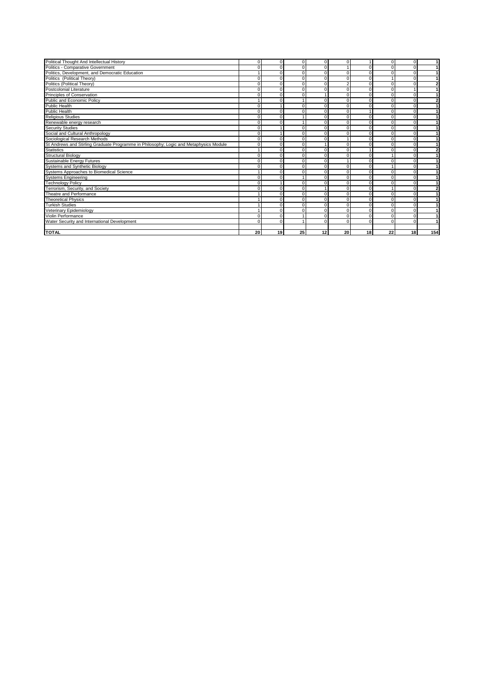| Political Thought And Intellectual History                                             | $\Omega$        | $\Omega$    | $\Omega$ | $\Omega$     | $\Omega$ |          | $\Omega$ | οI       | $\mathbf{1}$            |
|----------------------------------------------------------------------------------------|-----------------|-------------|----------|--------------|----------|----------|----------|----------|-------------------------|
| Politics - Comparative Government                                                      | O               | $\mathbf 0$ |          | $\Omega$     |          | $\Omega$ | U        | 0        | 1                       |
| Politics. Development, and Democratic Education                                        |                 | $\Omega$    |          |              |          | $\Omega$ |          | $\Omega$ | $\mathbf{1}$            |
| Politics (Political Theory)                                                            | $\Omega$        | $\Omega$    |          | $\Omega$     |          | $\Omega$ |          | $\Omega$ | $\mathbf{1}$            |
| Politics (Political Theory)                                                            | $\Omega$        | $\mathbf 0$ |          |              |          | $\Omega$ |          | 0        | $\mathbf 2$             |
| Postcolonial Literature                                                                | $\Omega$        | $\Omega$    |          |              |          | $\Omega$ |          |          | $\mathbf{1}$            |
| Principles of Conservation                                                             | O               | $\Omega$    |          |              |          | $\Omega$ |          | $\Omega$ | $\mathbf{1}$            |
| Public and Economic Policy                                                             |                 | $\mathbf 0$ |          |              |          |          |          | 0        | $\overline{2}$          |
| Public Health                                                                          | $\Omega$        |             |          |              |          |          |          | $\Omega$ |                         |
| Public Health                                                                          | $\Omega$        | $\Omega$    |          | <sup>n</sup> |          |          |          | $\Omega$ |                         |
| <b>Religious Studies</b>                                                               | $\Omega$        | $\mathbf 0$ |          |              |          | $\Omega$ |          | 0        | 1                       |
| Renewable energy research                                                              | $\Omega$        | $\sqrt{2}$  |          |              |          | $\Omega$ |          | $\Omega$ |                         |
| <b>Security Studies</b>                                                                | $\Omega$        |             |          | n            |          | $\Omega$ |          | $\Omega$ | $\mathbf{1}$            |
| Social and Cultural Anthropology                                                       | $\Omega$        |             |          |              |          | $\Omega$ |          | $\Omega$ | $\mathbf{1}$            |
| Sociological Research Methods                                                          | ŋ               | $\Omega$    |          |              |          | $\Omega$ |          | $\Omega$ |                         |
| St Andrews and Stirling Graduate Programme in Philosophy; Logic and Metaphysics Module | 0               | $\Omega$    |          |              |          | $\Omega$ |          | 0        | $\mathbf{1}$            |
| <b>Statistics</b>                                                                      |                 | $\Omega$    |          | $\Omega$     |          |          |          | $\Omega$ | $\overline{\mathbf{2}}$ |
| <b>Structural Biology</b>                                                              | $\Omega$        | $\Omega$    |          |              |          | $\Omega$ |          | $\Omega$ | $\mathbf{1}$            |
| Sustainable Energy Futures                                                             | 0               | $\Omega$    |          | $\Omega$     |          | $\Omega$ |          | $\Omega$ | $\mathbf{1}$            |
| Systems and Synthetic Biology                                                          | C               | $\Omega$    |          |              |          | $\Omega$ |          | $\Omega$ |                         |
| Systems Approaches to Biomedical Science                                               |                 | $\Omega$    |          |              |          | $\Omega$ |          | 0        |                         |
| <b>Systems Engineering</b>                                                             | $\Omega$        | $\Omega$    |          |              |          | $\Omega$ |          | $\Omega$ |                         |
| <b>Technology Policy</b>                                                               | $\Omega$        |             |          |              |          | $\Omega$ |          | $\Omega$ |                         |
| Terrorism, Security, and Society                                                       |                 | $\Omega$    |          |              |          | $\Omega$ |          | 0        | $\overline{\mathbf{2}}$ |
| Theatre and Performance                                                                |                 | $\Omega$    |          |              |          | $\Omega$ |          | $\Omega$ |                         |
| <b>Theoretical Physics</b>                                                             |                 | $\Omega$    |          |              |          | $\Omega$ |          | $\Omega$ |                         |
| <b>Turkish Studies</b>                                                                 |                 | $\Omega$    |          |              |          | $\Omega$ |          | $\Omega$ |                         |
| Veterinary Epidemiology                                                                |                 | $\Omega$    |          |              |          | $\Omega$ |          | $\Omega$ |                         |
| Violin Performance                                                                     | $\Omega$        | $\Omega$    |          | $\Omega$     |          | $\Omega$ |          | 0        | 1                       |
| Water Security and International Development                                           | $\Omega$        | $\Omega$    |          |              |          | $\Omega$ |          | $\Omega$ | 1                       |
|                                                                                        |                 |             |          |              |          |          |          |          |                         |
| <b>TOTAL</b>                                                                           | 20 <sup>1</sup> | 19          | 25       | 12           | 20       | 18       | 22       | 18       | 154                     |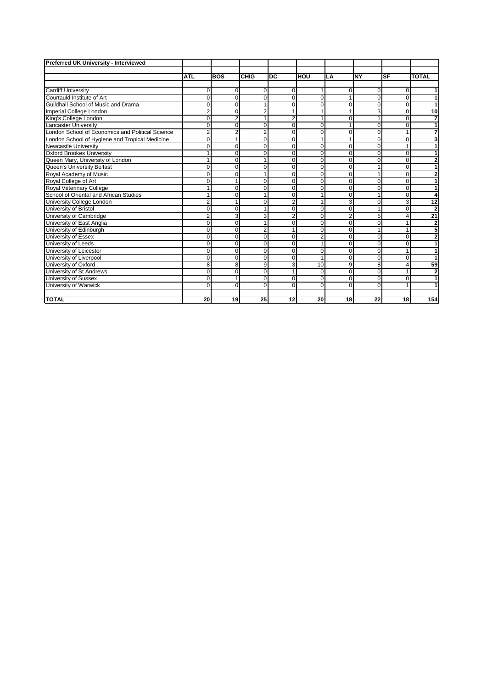| Preferred UK University - Interviewed            |                |                |                |                |                |                |              |           |                         |
|--------------------------------------------------|----------------|----------------|----------------|----------------|----------------|----------------|--------------|-----------|-------------------------|
|                                                  |                |                |                |                |                |                |              |           |                         |
|                                                  | <b>ATL</b>     | <b>BOS</b>     | <b>CHIG</b>    | <b>DC</b>      | HOU            | LA             | <b>NY</b>    | <b>SF</b> | <b>TOTAL</b>            |
|                                                  |                |                |                |                |                |                |              |           |                         |
| <b>Cardiff University</b>                        | $\Omega$       | 0              | $\Omega$       | 0              | 1              | 0              | 0            | $\Omega$  | 1                       |
| Courtauld Institute of Art                       | $\Omega$       | $\mathbf 0$    | $\Omega$       | $\overline{0}$ | 0              | 1              | $\Omega$     | $\Omega$  | 1                       |
| Guildhall School of Music and Drama              | 0              | $\mathbf 0$    |                | $\Omega$       | 0              | 0              | 0            | $\Omega$  | 1                       |
| Imperial College London                          | $\overline{2}$ | $\Omega$       |                |                |                |                | 3            | $\Omega$  | 10                      |
| King's College London                            | 0              | $\overline{2}$ |                | 2              | 1              | 0              |              | $\Omega$  | $\overline{7}$          |
| <b>Lancaster University</b>                      | 0              | $\mathbf 0$    | $\Omega$       | $\Omega$       | 0              |                | 0            | $\Omega$  | 1                       |
| London School of Economics and Political Science | 2              | $\overline{2}$ | $\overline{2}$ | 0              | 0              | 0              | 0            | 1         | 7                       |
| London School of Hygiene and Tropical Medicine   | 0              | 1              | $\Omega$       | 0              | 1              | 1              | 0            | $\Omega$  | $\overline{\mathbf{3}}$ |
| Newcastle University                             | $\Omega$       | $\mathbf 0$    | $\Omega$       | 0              | 0              | 0              | 0            | 1         | 1                       |
| <b>Oxford Brookes University</b>                 |                | $\Omega$       | $\Omega$       | $\Omega$       | $\Omega$       | 0              | 0            | $\Omega$  | $\overline{1}$          |
| Queen Mary, University of London                 | 1              | $\overline{0}$ |                | 0              | 0              | 0              | 0            | $\Omega$  | $\mathbf 2$             |
| Queen's University Belfast                       | $\Omega$       | $\mathbf 0$    | $\Omega$       | 0              | $\mathbf 0$    | 0              |              | $\Omega$  | 1                       |
| Royal Academy of Music                           | 0              | $\mathbf 0$    |                | 0              | $\mathbf 0$    | $\mathbf 0$    |              | $\Omega$  | $\overline{\mathbf{2}}$ |
| Royal College of Art                             | 0              | 1              | $\Omega$       | 0              | 0              | 0              | 0            | $\Omega$  | 1                       |
| Royal Veterinary College                         |                | $\Omega$       | $\Omega$       | 0              | 0              | $\Omega$       | 0            | $\Omega$  | 1                       |
| School of Oriental and African Studies           |                | 0              |                | $\Omega$       | 1              | $\Omega$       |              | $\Omega$  | 4                       |
| University College London                        | $\overline{2}$ | 1              | $\Omega$       | $\overline{2}$ | 1              | 3              | 0            | 3         | 12                      |
| University of Bristol                            | 0              | $\mathbf 0$    |                | 0              | 0              | 0              |              | $\Omega$  | $\mathbf 2$             |
| University of Cambridge                          | 2              | 3              | 3              | $\overline{2}$ | 0              | $\overline{2}$ | 5            | 4         | $\overline{21}$         |
| University of East Anglia                        | 0              | $\overline{0}$ |                | 0              | $\overline{0}$ | 0              | 0            |           | $\frac{2}{5}$           |
| University of Edinburgh                          | 0              | $\mathbf 0$    | $\overline{2}$ |                | $\overline{0}$ | 0              |              |           |                         |
| University of Essex                              | 0              | 0              | $\Omega$       | 0              | $\overline{2}$ | 0              | $\mathbf{0}$ | $\Omega$  | $\overline{2}$          |
| University of Leeds                              | 0              | 0              | $\Omega$       | 0              | 1              | $\Omega$       | $\Omega$     | $\Omega$  | 1                       |
| University of Leicester                          | $\Omega$       | $\mathbf 0$    | $\Omega$       | 0              | 0              | 0              | 0            |           | 1                       |
| University of Liverpool                          | $\Omega$       | $\Omega$       | $\Omega$       | 0              | 1              | 0              | 0            | $\Omega$  | 1                       |
| University of Oxford                             | 8              | 8              | 9              | 3              | 10             | 9              | 8            | 4         | 59                      |
| University of St Andrews                         | 0              | $\overline{0}$ | $\Omega$       |                | $\mathbf 0$    | 0              | 0            |           | $\mathbf 2$             |
| University of Sussex                             | 0              | $\mathbf{1}$   | $\Omega$       | 0              | $\overline{0}$ | 0              | $\Omega$     | $\Omega$  | $\overline{1}$          |
| University of Warwick                            | $\Omega$       | $\Omega$       | $\Omega$       | 0              | 0              | $\Omega$       | 0            | 1         | 1                       |
|                                                  |                |                |                |                |                |                |              |           |                         |
| <b>TOTAL</b>                                     | 20             | 19             | 25             | 12             | 20             | 18             | 22           | 18        | 154                     |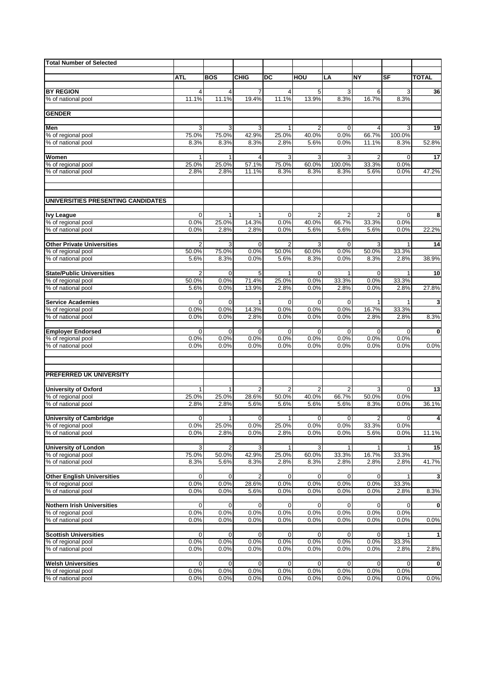| <b>Total Number of Selected</b>        |                         |                         |                         |                         |              |                |                |              |              |
|----------------------------------------|-------------------------|-------------------------|-------------------------|-------------------------|--------------|----------------|----------------|--------------|--------------|
|                                        |                         |                         |                         |                         |              |                |                |              |              |
|                                        | ATL                     | <b>BOS</b>              | <b>CHIG</b>             | DC                      | HOU          | LA             | <b>NY</b>      | <b>SF</b>    | <b>TOTAL</b> |
|                                        |                         |                         |                         |                         |              |                |                |              |              |
| <b>BY REGION</b><br>% of national pool | $\overline{4}$<br>11.1% | 4<br>11.1%              | $\overline{7}$<br>19.4% | $\overline{4}$<br>11.1% | 5<br>13.9%   | 3<br>8.3%      | 6<br>16.7%     | 3<br>8.3%    | 36           |
|                                        |                         |                         |                         |                         |              |                |                |              |              |
| <b>GENDER</b>                          |                         |                         |                         |                         |              |                |                |              |              |
|                                        |                         |                         |                         |                         |              |                |                |              |              |
| Men                                    | 3                       | 3                       | $\sqrt{3}$              | 1                       | 2            | $\mathbf 0$    | 4              | 3            | 19           |
| % of regional pool                     | 75.0%                   | 75.0%                   | 42.9%                   | 25.0%                   | 40.0%        | 0.0%           | 66.7%          | 100.0%       |              |
| % of national pool                     | 8.3%                    | 8.3%                    | 8.3%                    | 2.8%                    | 5.6%         | 0.0%           | 11.1%          | 8.3%         | 52.8%        |
|                                        |                         |                         |                         |                         |              |                |                |              |              |
| Women                                  | 1                       | 1                       | $\overline{4}$          | 3                       | 3            | 3              | $\overline{2}$ | 0            | 17           |
| % of regional pool                     | 25.0%                   | 25.0%                   | 57.1%                   | 75.0%                   | 60.0%        | 100.0%         | 33.3%          | 0.0%         |              |
| % of national pool                     | 2.8%                    | 2.8%                    | 11.1%                   | 8.3%                    | 8.3%         | 8.3%           | 5.6%           | 0.0%         | 47.2%        |
|                                        |                         |                         |                         |                         |              |                |                |              |              |
|                                        |                         |                         |                         |                         |              |                |                |              |              |
| UNIVERSITIES PRESENTING CANDIDATES     |                         |                         |                         |                         |              |                |                |              |              |
|                                        |                         |                         |                         |                         |              |                |                |              |              |
| <b>Ivy League</b>                      | $\mathbf 0$             | 1                       | $\mathbf{1}$            | 0                       | 2            | $\overline{2}$ | 2              | $\mathbf 0$  | 8            |
| % of regional pool                     | 0.0%                    | 25.0%                   | 14.3%                   | 0.0%                    | 40.0%        | 66.7%          | 33.3%          | 0.0%         |              |
| % of national pool                     | 0.0%                    | 2.8%                    | 2.8%                    | 0.0%                    | 5.6%         | 5.6%           | 5.6%           | 0.0%         | 22.2%        |
|                                        |                         |                         |                         |                         |              |                |                |              |              |
| <b>Other Private Universities</b>      | 2                       | 3                       | $\pmb{0}$               | 2                       | 3            | $\mathbf{0}$   | 3              | 1            | 14           |
| % of regional pool                     | 50.0%                   | 75.0%                   | 0.0%                    | 50.0%                   | 60.0%        | 0.0%           | 50.0%          | 33.3%        |              |
| % of national pool                     | 5.6%                    | 8.3%                    | 0.0%                    | 5.6%                    | 8.3%         | 0.0%           | 8.3%           | 2.8%         | 38.9%        |
| <b>State/Public Universities</b>       | $\overline{2}$          | $\mathbf 0$             | 5                       | $\mathbf{1}$            | $\mathbf 0$  | 1              | $\mathbf 0$    | $\mathbf{1}$ | 10           |
| % of regional pool                     | 50.0%                   | 0.0%                    | 71.4%                   | 25.0%                   | 0.0%         | 33.3%          | 0.0%           | 33.3%        |              |
| % of national pool                     | 5.6%                    | 0.0%                    | 13.9%                   | 2.8%                    | 0.0%         | 2.8%           | 0.0%           | 2.8%         | 27.8%        |
|                                        |                         |                         |                         |                         |              |                |                |              |              |
| <b>Service Academies</b>               | $\mathbf 0$             | 0                       | $\mathbf{1}$            | $\mathbf 0$             | 0            | $\mathbf{0}$   | 1              | 1            | 3            |
| % of regional pool                     | 0.0%                    | 0.0%                    | 14.3%                   | 0.0%                    | 0.0%         | 0.0%           | 16.7%          | 33.3%        |              |
| % of national pool                     | 0.0%                    | 0.0%                    | 2.8%                    | 0.0%                    | 0.0%         | 0.0%           | 2.8%           | 2.8%         | 8.3%         |
|                                        |                         |                         |                         |                         |              |                |                |              |              |
| <b>Employer Endorsed</b>               | $\mathbf 0$             | 0                       | $\mathbf{0}$            | $\mathbf 0$             | 0            | $\mathbf{0}$   | $\mathbf{0}$   | 0            | $\mathbf 0$  |
| % of regional pool                     | 0.0%                    | 0.0%                    | 0.0%                    | 0.0%                    | 0.0%         | 0.0%           | 0.0%           | 0.0%         |              |
| % of national pool                     | 0.0%                    | 0.0%                    | 0.0%                    | 0.0%                    | 0.0%         | 0.0%           | 0.0%           | 0.0%         | 0.0%         |
|                                        |                         |                         |                         |                         |              |                |                |              |              |
|                                        |                         |                         |                         |                         |              |                |                |              |              |
| PREFERRED UK UNIVERSITY                |                         |                         |                         |                         |              |                |                |              |              |
|                                        |                         |                         |                         |                         |              |                |                |              |              |
| <b>University of Oxford</b>            | 1                       | 1                       | $\overline{2}$          | 2                       | 2            | $\overline{c}$ | 3              | 0            | 13           |
| % of regional pool                     | 25.0%                   | 25.0%                   | 28.6%                   | 50.0%                   | 40.0%        | 66.7%          | 50.0%          | 0.0%         |              |
| % of national pool                     | 2.8%                    | 2.8%                    | 5.6%                    | 5.6%                    | 5.6%         | 5.6%           | 8.3%           | 0.0%         | 36.1%        |
|                                        |                         |                         |                         |                         |              |                |                |              |              |
| <b>University of Cambridge</b>         | 0                       | 1                       | 0                       | 1                       | 0            | 0              | 2              | 0            | 4            |
| % of regional pool                     | 0.0%                    | 25.0%                   | 0.0%                    | 25.0%                   | 0.0%         | 0.0%           | 33.3%          | 0.0%         |              |
| % of national pool                     | 0.0%                    | 2.8%                    | 0.0%                    | 2.8%                    | 0.0%         | 0.0%           | 5.6%           | 0.0%         | 11.1%        |
| <b>University of London</b>            | 3                       | $\overline{\mathbf{c}}$ | 3                       | 1                       | 3            | $\mathbf{1}$   |                |              | 15           |
| % of regional pool                     | 75.0%                   | 50.0%                   | 42.9%                   | 25.0%                   | 60.0%        | 33.3%          | 16.7%          | 33.3%        |              |
| % of national pool                     | 8.3%                    | 5.6%                    | 8.3%                    | 2.8%                    | 8.3%         | 2.8%           | 2.8%           | 2.8%         | 41.7%        |
|                                        |                         |                         |                         |                         |              |                |                |              |              |
| <b>Other English Universities</b>      | 0                       | 0                       | $\overline{2}$          | 0                       | 0            | $\mathbf 0$    | 0              | 1            | 3            |
| % of regional pool                     | 0.0%                    | 0.0%                    | 28.6%                   | 0.0%                    | 0.0%         | 0.0%           | 0.0%           | 33.3%        |              |
| % of national pool                     | 0.0%                    | 0.0%                    | 5.6%                    | 0.0%                    | 0.0%         | 0.0%           | 0.0%           | 2.8%         | 8.3%         |
|                                        |                         |                         |                         |                         |              |                |                |              |              |
| <b>Nothern Irish Universities</b>      | 0                       | 0                       | 0                       | 0                       | 0            | $\mathbf 0$    | 0              | 0            | $\mathbf 0$  |
| % of regional pool                     | 0.0%                    | 0.0%                    | 0.0%<br>0.0%            | 0.0%                    | 0.0%         | 0.0%           | 0.0%           | 0.0%         |              |
| % of national pool                     | 0.0%                    | 0.0%                    |                         | 0.0%                    | 0.0%         | 0.0%           | 0.0%           | 0.0%         | 0.0%         |
| <b>Scottish Universities</b>           | $\mathbf 0$             | 0                       | $\mathbf 0$             | 0                       | $\mathbf{0}$ | $\mathbf{0}$   | $\mathbf{0}$   | 1            | 1            |
| % of regional pool                     | 0.0%                    | 0.0%                    | 0.0%                    | 0.0%                    | 0.0%         | 0.0%           | 0.0%           | 33.3%        |              |
| % of national pool                     | 0.0%                    | 0.0%                    | 0.0%                    | 0.0%                    | 0.0%         | 0.0%           | 0.0%           | 2.8%         | 2.8%         |
|                                        |                         |                         |                         |                         |              |                |                |              |              |
| <b>Welsh Universities</b>              | $\mathbf 0$             | 0                       | $\mathbf 0$             | 0                       | $\mathbf 0$  | $\mathbf 0$    | 0              | $\mathbf 0$  | 0            |
| % of regional pool                     | 0.0%                    | 0.0%                    | 0.0%                    | 0.0%                    | 0.0%         | 0.0%           | 0.0%           | 0.0%         |              |
| % of national pool                     | 0.0%                    | 0.0%                    | 0.0%                    | 0.0%                    | 0.0%         | 0.0%           | 0.0%           | 0.0%         | 0.0%         |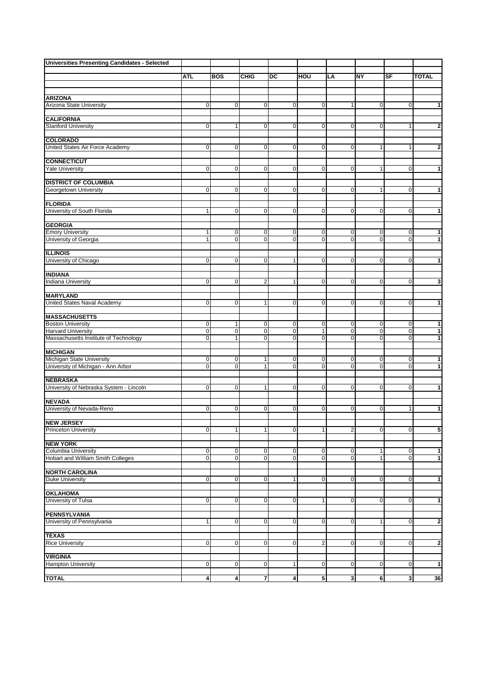| <b>Universities Presenting Candidates - Selected</b> |              |                |                |                |                |                |                |                |                         |
|------------------------------------------------------|--------------|----------------|----------------|----------------|----------------|----------------|----------------|----------------|-------------------------|
|                                                      | <b>ATL</b>   | <b>BOS</b>     | <b>CHIG</b>    | DC             | HOU            | LA             | NY             | SF             | <b>TOTAL</b>            |
|                                                      |              |                |                |                |                |                |                |                |                         |
|                                                      |              |                |                |                |                |                |                |                |                         |
| <b>ARIZONA</b><br>Arizona State University           | 0            | $\mathbf 0$    | $\mathbf 0$    | 0              | $\mathbf 0$    | $\mathbf{1}$   | 0              | $\overline{0}$ | 1                       |
|                                                      |              |                |                |                |                |                |                |                |                         |
| <b>CALIFORNIA</b>                                    |              |                |                |                |                |                |                |                |                         |
| <b>Stanford University</b>                           | 0            | $\mathbf{1}$   | $\mathbf 0$    | $\mathbf 0$    | $\mathbf 0$    | $\mathbf 0$    | $\mathbf 0$    | $\mathbf{1}$   | $\overline{\mathbf{c}}$ |
|                                                      |              |                |                |                |                |                |                |                |                         |
| <b>COLORADO</b><br>United States Air Force Academy   | 0            | $\pmb{0}$      | $\overline{0}$ | $\pmb{0}$      | $\mathbf 0$    | 0              | 1              | $\mathbf{1}$   | $\overline{\mathbf{2}}$ |
|                                                      |              |                |                |                |                |                |                |                |                         |
| <b>CONNECTICUT</b>                                   |              |                |                |                |                |                |                |                |                         |
| <b>Yale University</b>                               | 0            | $\overline{0}$ | 0              | 0              | $\mathbf 0$    | $\mathbf 0$    | 1              | $\overline{0}$ | $\overline{\mathbf{1}}$ |
| <b>DISTRICT OF COLUMBIA</b>                          |              |                |                |                |                |                |                |                |                         |
| Georgetown University                                | 0            | $\mathbf 0$    | $\mathbf 0$    | 0              | $\mathbf 0$    | $\mathbf 0$    | $\mathbf{1}$   | $\overline{0}$ | 1                       |
|                                                      |              |                |                |                |                |                |                |                |                         |
| <b>FLORIDA</b>                                       |              |                |                |                |                |                |                |                |                         |
| University of South Florida                          | $\mathbf{1}$ | $\overline{0}$ | 0              | $\mathbf 0$    | $\mathbf 0$    | $\mathbf{0}$   | $\Omega$       | $\mathbf 0$    | 1                       |
| <b>GEORGIA</b>                                       |              |                |                |                |                |                |                |                |                         |
| <b>Emory University</b>                              | 1            | 0              | $\mathbf 0$    | $\pmb{0}$      | 0              | 0              | 0              | 0              | $\mathbf{1}$            |
| University of Georgia                                | $\mathbf{1}$ | 0              | 0              | $\mathbf 0$    | $\mathbf 0$    | $\mathbf 0$    | 0              | $\mathbf 0$    | 1                       |
|                                                      |              |                |                |                |                |                |                |                |                         |
| <b>ILLINOIS</b>                                      |              |                |                |                |                |                |                |                |                         |
| University of Chicago                                | $\pmb{0}$    | $\mathbf 0$    | $\mathbf 0$    | 1              | $\mathbf 0$    | $\mathbf{0}$   | $\overline{0}$ | $\mathbf 0$    | 1                       |
| <b>INDIANA</b>                                       |              |                |                |                |                |                |                |                |                         |
| Indiana University                                   | 0            | $\mathbf 0$    | $\overline{2}$ | $\mathbf{1}$   | $\mathbf 0$    | $\mathbf 0$    | 0              | $\overline{0}$ | $\overline{\mathbf{3}}$ |
|                                                      |              |                |                |                |                |                |                |                |                         |
| <b>MARYLAND</b>                                      |              |                |                |                |                |                |                |                |                         |
| United States Naval Academy                          | 0            | $\overline{0}$ | $\mathbf{1}$   | $\mathbf 0$    | $\mathbf 0$    | $\mathbf{0}$   | $\mathbf 0$    | $\mathbf 0$    | $\overline{\mathbf{1}}$ |
| <b>MASSACHUSETTS</b>                                 |              |                |                |                |                |                |                |                |                         |
| <b>Boston University</b>                             | 0            | 1              | $\overline{0}$ | 0              | 0              | $\mathbf 0$    | $\overline{0}$ | $\overline{0}$ | 1                       |
| <b>Harvard University</b>                            | 0            | $\mathbf 0$    | 0              | $\pmb{0}$      | $\mathbf{1}$   | $\mathbf{0}$   | $\overline{0}$ | $\overline{0}$ | 1                       |
| Massachusetts Institute of Technology                | 0            | 1              | 0              | $\mathbf 0$    | $\mathbf 0$    | $\mathbf{0}$   | $\Omega$       | $\overline{0}$ | 1                       |
| <b>MICHIGAN</b>                                      |              |                |                |                |                |                |                |                |                         |
| Michigan State University                            | 0            | $\overline{0}$ | 1              | $\pmb{0}$      | $\mathbf 0$    | 0              | 0              | 0              | 1                       |
| University of Michigan - Ann Arbor                   | $\mathbf 0$  | $\mathbf 0$    | $\mathbf{1}$   | $\mathbf 0$    | $\mathbf 0$    | $\mathbf 0$    | 0              | $\mathbf 0$    | $\mathbf{1}$            |
|                                                      |              |                |                |                |                |                |                |                |                         |
| <b>NEBRASKA</b>                                      | $\mathbf 0$  |                | $\mathbf{1}$   | $\mathbf 0$    | $\mathbf 0$    | $\mathbf{0}$   | $\Omega$       | $\mathbf 0$    |                         |
| University of Nebraska System - Lincoln              |              | $\overline{0}$ |                |                |                |                |                |                | 1                       |
| <b>NEVADA</b>                                        |              |                |                |                |                |                |                |                |                         |
| University of Nevada-Reno                            | 0            | 0              | 0              | $\pmb{0}$      | 0              | 0              | $\overline{0}$ | $\mathbf{1}$   | $\mathbf{1}$            |
|                                                      |              |                |                |                |                |                |                |                |                         |
| <b>NEW JERSEY</b><br><b>Princeton University</b>     | 0            | 1              | 1              | $\mathbf 0$    | $\mathbf{1}$   | $\overline{2}$ | 0              | $\overline{0}$ | $\overline{\mathbf{5}}$ |
|                                                      |              |                |                |                |                |                |                |                |                         |
| <b>NEW YORK</b>                                      |              |                |                |                |                |                |                |                |                         |
| Columbia University                                  | $\pmb{0}$    | $\pmb{0}$      | $\overline{0}$ | $\pmb{0}$      | $\mathbf 0$    | $\mathbf 0$    | 1              | $\overline{0}$ | $\mathbf{1}$            |
| Hobart and William Smith Colleges                    | $\pmb{0}$    | $\overline{0}$ | $\overline{0}$ | $\mathsf 0$    | $\pmb{0}$      | $\mathbf{0}$   | $\mathbf{1}$   | $\overline{0}$ | $\mathbf{1}$            |
| <b>NORTH CAROLINA</b>                                |              |                |                |                |                |                |                |                |                         |
| <b>Duke University</b>                               | 0            | $\mathbf 0$    | $\mathbf 0$    | $\mathbf{1}$   | $\mathbf 0$    | $\mathbf{0}$   | 0              | $\overline{0}$ | $\overline{1}$          |
|                                                      |              |                |                |                |                |                |                |                |                         |
| <b>OKLAHOMA</b>                                      |              |                |                |                |                |                |                |                |                         |
| University of Tulsa                                  | 0            | $\mathbf 0$    | $\overline{0}$ | $\mathbf 0$    | $\mathbf{1}$   | $\mathbf 0$    | $\Omega$       | $\overline{0}$ | $\mathbf{1}$            |
| <b>PENNSYLVANIA</b>                                  |              |                |                |                |                |                |                |                |                         |
| University of Pennsylvania                           | 1            | $\overline{0}$ | $\overline{0}$ | 0              | 0              | 0              | 1              | $\overline{0}$ | $\overline{2}$          |
|                                                      |              |                |                |                |                |                |                |                |                         |
| <b>TEXAS</b>                                         |              |                |                |                |                |                |                |                |                         |
| <b>Rice University</b>                               | 0            | $\mathbf 0$    | $\overline{0}$ | 0              | $\overline{2}$ | 0              | 0              | $\overline{0}$ | $\overline{2}$          |
| <b>VIRGINIA</b>                                      |              |                |                |                |                |                |                |                |                         |
| <b>Hampton University</b>                            | 0            | $\pmb{0}$      | $\overline{0}$ | 1              | $\mathbf 0$    | 0              | 0              | $\overline{0}$ | 1                       |
|                                                      |              |                |                |                |                |                |                |                |                         |
| <b>TOTAL</b>                                         | 4            | 4 <sup>1</sup> | 7              | $\overline{4}$ | 5              | 3              | 6              | 3              | 36                      |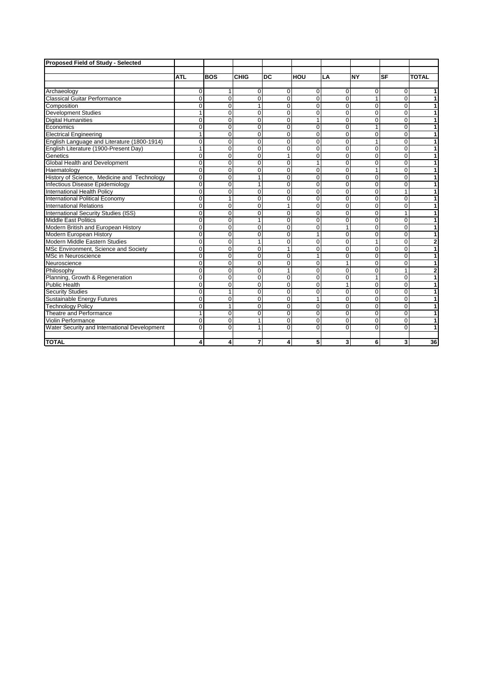| Proposed Field of Study - Selected           |             |                |                |              |              |                |                |           |                         |
|----------------------------------------------|-------------|----------------|----------------|--------------|--------------|----------------|----------------|-----------|-------------------------|
|                                              |             |                |                |              |              |                |                |           |                         |
|                                              | <b>ATL</b>  | <b>BOS</b>     | <b>CHIG</b>    | <b>DC</b>    | HOU          | LA             | <b>NY</b>      | <b>SF</b> | <b>TOTAL</b>            |
|                                              |             |                |                |              |              |                |                |           |                         |
| Archaeology                                  | 0           | 1              | $\mathbf 0$    | $\mathbf 0$  | 0            | 0              | 0              | 0         | 1                       |
| <b>Classical Guitar Performance</b>          | $\Omega$    | $\Omega$       | $\Omega$       | $\Omega$     | $\Omega$     | $\Omega$       | 1              | $\Omega$  | 1                       |
| Composition                                  | 0           | 0              | $\mathbf{1}$   | $\mathbf 0$  | $\mathbf 0$  | $\mathbf 0$    | $\mathbf 0$    | 0         | 1                       |
| Development Studies                          | 1           | $\Omega$       | $\mathbf 0$    | $\mathbf 0$  | $\Omega$     | $\mathbf 0$    | 0              | $\Omega$  | 1                       |
| Digital Humanities                           | 0           | $\Omega$       | $\overline{0}$ | $\Omega$     | $\mathbf{1}$ | $\Omega$       | $\Omega$       | $\Omega$  | 1                       |
| Economics                                    | 0           | $\Omega$       | $\mathbf 0$    | $\Omega$     | $\Omega$     | $\Omega$       | 1              | $\Omega$  | 1                       |
| <b>Electrical Engineering</b>                | 1           | $\Omega$       | $\Omega$       | $\mathbf 0$  | $\Omega$     | $\mathbf 0$    | $\overline{0}$ | $\Omega$  | 1                       |
| English Language and Literature (1800-1914)  | 0           | $\Omega$       | $\mathbf 0$    | $\mathbf 0$  | $\Omega$     | $\mathbf 0$    | 1              | $\Omega$  | 1                       |
| English Literature (1900-Present Day)        | 1           | $\Omega$       | $\Omega$       | $\mathbf 0$  | $\Omega$     | $\Omega$       | $\Omega$       | $\Omega$  | 1                       |
| Genetics                                     | 0           | 0              | $\mathbf 0$    | 1            | $\mathbf 0$  | $\mathbf 0$    | 0              | 0         | 1                       |
| <b>Global Health and Development</b>         | $\Omega$    | $\Omega$       | $\mathbf 0$    | $\mathbf 0$  | 1            | $\mathbf 0$    | $\overline{0}$ | $\Omega$  | 1                       |
| Haematology                                  | 0           | $\overline{0}$ | $\mathbf 0$    | $\mathbf 0$  | $\mathbf 0$  | $\mathbf 0$    | 1              | 0         | 1                       |
| History of Science, Medicine and Technology  | $\Omega$    | $\Omega$       | $\mathbf{1}$   | $\Omega$     | $\Omega$     | $\Omega$       | $\Omega$       | $\Omega$  | 1                       |
| Infectious Disease Epidemiology              | 0           | 0              | $\mathbf{1}$   | $\mathbf 0$  | $\mathbf 0$  | $\mathbf 0$    | 0              | 0         | 1                       |
| <b>International Health Policy</b>           | $\Omega$    | $\Omega$       | $\Omega$       | $\mathbf 0$  | $\Omega$     | $\mathbf 0$    | $\overline{0}$ | 1         | 1                       |
| <b>International Political Economy</b>       | 0           | 1              | $\mathbf 0$    | 0            | $\Omega$     | $\Omega$       | 0              | $\Omega$  | 1                       |
| <b>International Relations</b>               | $\Omega$    | $\Omega$       | $\Omega$       | 1            | $\Omega$     | $\Omega$       | $\overline{0}$ | $\Omega$  | 1                       |
| <b>International Security Studies (ISS)</b>  | 0           | 0              | $\mathbf 0$    | $\mathbf 0$  | $\mathbf 0$  | $\overline{0}$ | 0              | 1         | 1                       |
| <b>Middle East Politics</b>                  | 0           | $\Omega$       | $\mathbf{1}$   | $\Omega$     | $\Omega$     | $\mathbf 0$    | 0              | $\Omega$  | 1                       |
| Modern British and European History          | 0           | 0              | $\mathbf 0$    | $\mathbf 0$  | 0            | 1              | $\overline{0}$ | 0         | 1                       |
| <b>Modern European History</b>               | $\Omega$    | $\Omega$       | $\Omega$       | $\Omega$     | $\mathbf{1}$ | $\Omega$       | $\Omega$       | $\Omega$  | 1                       |
| Modern Middle Eastern Studies                | 0           | 0              | $\mathbf{1}$   | $\mathbf 0$  | $\mathbf 0$  | $\mathbf 0$    | 1              | 0         | $\overline{\mathbf{2}}$ |
| MSc Environment, Science and Society         | $\Omega$    | $\Omega$       | $\Omega$       | $\mathbf{1}$ | $\Omega$     | $\Omega$       | $\Omega$       | $\Omega$  | 1                       |
| MSc in Neuroscience                          | $\Omega$    | $\Omega$       | $\Omega$       | $\mathbf 0$  | 1            | $\Omega$       | 0              | $\Omega$  | 1                       |
| Neuroscience                                 | 0           | $\Omega$       | $\Omega$       | $\Omega$     | $\Omega$     | $\mathbf{1}$   | $\overline{0}$ | $\Omega$  | 1                       |
| Philosophy                                   | 0           | 0              | $\mathbf 0$    | $\mathbf{1}$ | $\mathbf 0$  | $\mathbf 0$    | $\mathbf 0$    | 1         | $\overline{2}$          |
| Planning, Growth & Regeneration              | 0           | $\mathbf 0$    | $\Omega$       | $\mathbf 0$  | $\Omega$     | $\Omega$       | $\mathbf{1}$   | 0         | 1                       |
| <b>Public Health</b>                         | 0           | 0              | $\mathbf 0$    | $\mathbf 0$  | $\mathbf 0$  | $\mathbf{1}$   | $\mathbf 0$    | 0         | $\overline{1}$          |
| <b>Security Studies</b>                      | 0           | $\mathbf{1}$   | $\Omega$       | $\mathbf 0$  | $\Omega$     | $\mathbf 0$    | 0              | $\Omega$  | 1                       |
| Sustainable Energy Futures                   | 0           | 0              | $\mathbf 0$    | $\mathbf 0$  | $\mathbf{1}$ | $\mathbf 0$    | 0              | 0         | 1                       |
| <b>Technology Policy</b>                     | $\Omega$    | $\mathbf{1}$   | $\mathbf 0$    | 0            | $\Omega$     | $\mathbf 0$    | 0              | $\Omega$  | 1                       |
| Theatre and Performance                      | 1           | $\Omega$       | $\Omega$       | $\Omega$     | $\Omega$     | $\Omega$       | $\overline{0}$ | $\Omega$  | 1                       |
| Violin Performance                           | $\mathbf 0$ | 0              | $\mathbf{1}$   | $\mathbf 0$  | $\mathbf 0$  | $\mathbf 0$    | $\overline{0}$ | 0         | 1                       |
| Water Security and International Development | $\Omega$    | $\Omega$       | $\mathbf{1}$   | $\Omega$     | $\Omega$     | $\Omega$       | $\Omega$       | $\Omega$  | $\overline{1}$          |
|                                              |             |                |                |              |              |                |                |           |                         |
| <b>TOTAL</b>                                 | 4           | 4              | $\overline{7}$ | 4            | 5            | 3              | 6              | 3         | 36                      |